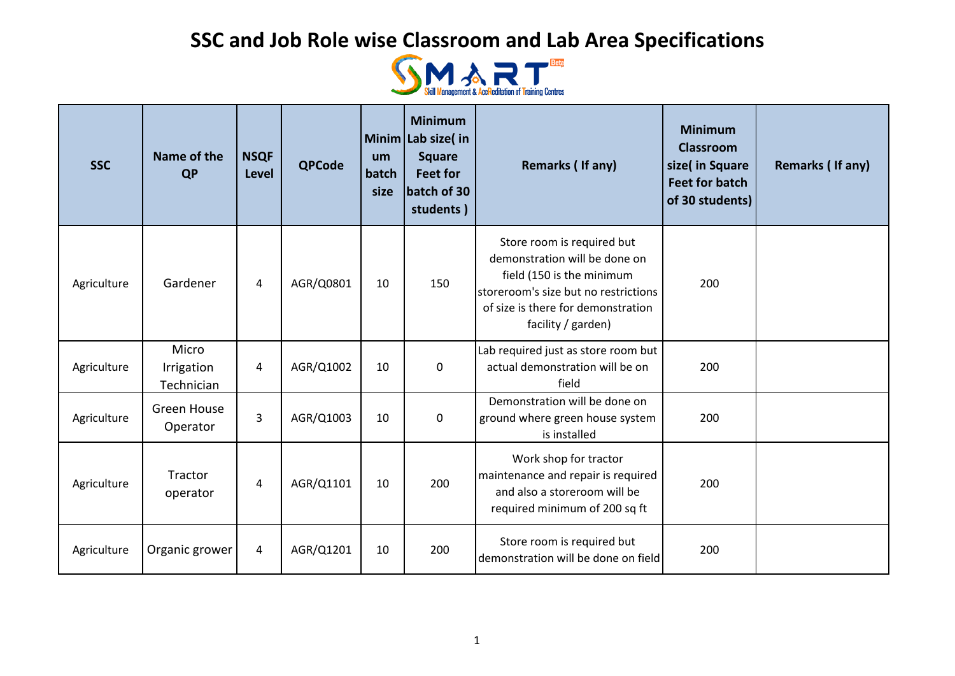

| <b>SSC</b>  | Name of the<br><b>QP</b>          | <b>NSQF</b><br><b>Level</b> | <b>QPCode</b> | um<br>batch<br>size | <b>Minimum</b><br>Minim Lab size(in<br><b>Square</b><br><b>Feet for</b><br>batch of 30<br>students) | Remarks (If any)                                                                                                                                                                             | <b>Minimum</b><br><b>Classroom</b><br>size( in Square<br><b>Feet for batch</b><br>of 30 students) | <b>Remarks (If any)</b> |
|-------------|-----------------------------------|-----------------------------|---------------|---------------------|-----------------------------------------------------------------------------------------------------|----------------------------------------------------------------------------------------------------------------------------------------------------------------------------------------------|---------------------------------------------------------------------------------------------------|-------------------------|
| Agriculture | Gardener                          | $\overline{4}$              | AGR/Q0801     | 10                  | 150                                                                                                 | Store room is required but<br>demonstration will be done on<br>field (150 is the minimum<br>storeroom's size but no restrictions<br>of size is there for demonstration<br>facility / garden) | 200                                                                                               |                         |
| Agriculture | Micro<br>Irrigation<br>Technician | 4                           | AGR/Q1002     | 10                  | $\pmb{0}$                                                                                           | Lab required just as store room but<br>actual demonstration will be on<br>field                                                                                                              | 200                                                                                               |                         |
| Agriculture | <b>Green House</b><br>Operator    | 3                           | AGR/Q1003     | 10                  | $\pmb{0}$                                                                                           | Demonstration will be done on<br>ground where green house system<br>is installed                                                                                                             | 200                                                                                               |                         |
| Agriculture | Tractor<br>operator               | 4                           | AGR/Q1101     | 10                  | 200                                                                                                 | Work shop for tractor<br>maintenance and repair is required<br>and also a storeroom will be<br>required minimum of 200 sq ft                                                                 | 200                                                                                               |                         |
| Agriculture | Organic grower                    | $\overline{4}$              | AGR/Q1201     | 10                  | 200                                                                                                 | Store room is required but<br>demonstration will be done on field                                                                                                                            | 200                                                                                               |                         |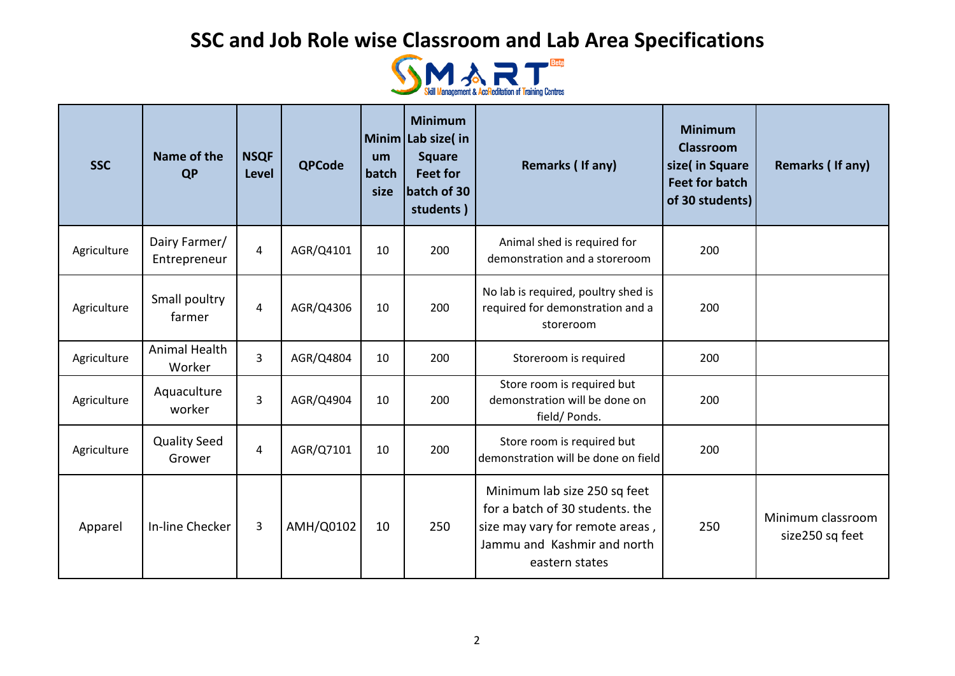

| <b>SSC</b>  | Name of the<br><b>QP</b>      | <b>NSQF</b><br><b>Level</b> | <b>QPCode</b> | um<br>batch<br>size | <b>Minimum</b><br>Minim Lab size(in<br><b>Square</b><br><b>Feet for</b><br>batch of 30<br>students) | Remarks (If any)                                                                                                                                    | <b>Minimum</b><br><b>Classroom</b><br>size( in Square<br><b>Feet for batch</b><br>of 30 students) | Remarks (If any)                     |
|-------------|-------------------------------|-----------------------------|---------------|---------------------|-----------------------------------------------------------------------------------------------------|-----------------------------------------------------------------------------------------------------------------------------------------------------|---------------------------------------------------------------------------------------------------|--------------------------------------|
| Agriculture | Dairy Farmer/<br>Entrepreneur | $\overline{4}$              | AGR/Q4101     | 10                  | 200                                                                                                 | Animal shed is required for<br>demonstration and a storeroom                                                                                        | 200                                                                                               |                                      |
| Agriculture | Small poultry<br>farmer       | 4                           | AGR/Q4306     | 10                  | 200                                                                                                 | No lab is required, poultry shed is<br>required for demonstration and a<br>storeroom                                                                | 200                                                                                               |                                      |
| Agriculture | Animal Health<br>Worker       | 3                           | AGR/Q4804     | 10                  | 200                                                                                                 | Storeroom is required                                                                                                                               | 200                                                                                               |                                      |
| Agriculture | Aquaculture<br>worker         | 3                           | AGR/Q4904     | 10                  | 200                                                                                                 | Store room is required but<br>demonstration will be done on<br>field/ Ponds.                                                                        | 200                                                                                               |                                      |
| Agriculture | <b>Quality Seed</b><br>Grower | 4                           | AGR/Q7101     | 10                  | 200                                                                                                 | Store room is required but<br>demonstration will be done on field                                                                                   | 200                                                                                               |                                      |
| Apparel     | In-line Checker               | 3                           | AMH/Q0102     | 10                  | 250                                                                                                 | Minimum lab size 250 sq feet<br>for a batch of 30 students. the<br>size may vary for remote areas,<br>Jammu and Kashmir and north<br>eastern states | 250                                                                                               | Minimum classroom<br>size250 sq feet |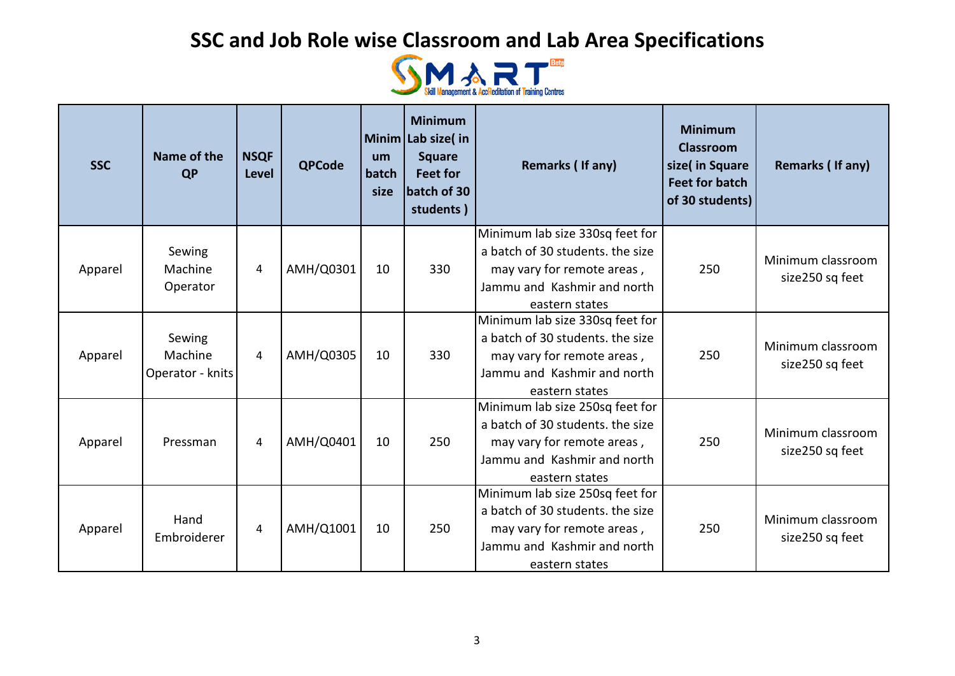

| <b>SSC</b> | Name of the<br><b>QP</b>              | <b>NSQF</b><br><b>Level</b> | <b>QPCode</b> | um<br>batch<br>size | <b>Minimum</b><br>Minim Lab size(in<br><b>Square</b><br><b>Feet for</b><br>batch of 30<br>students) | Remarks (If any)                                                                                                                                   | <b>Minimum</b><br><b>Classroom</b><br>size(in Square<br><b>Feet for batch</b><br>of 30 students) | Remarks (If any)                     |
|------------|---------------------------------------|-----------------------------|---------------|---------------------|-----------------------------------------------------------------------------------------------------|----------------------------------------------------------------------------------------------------------------------------------------------------|--------------------------------------------------------------------------------------------------|--------------------------------------|
| Apparel    | Sewing<br>Machine<br>Operator         | 4                           | AMH/Q0301     | 10                  | 330                                                                                                 | Minimum lab size 330sq feet for<br>a batch of 30 students. the size<br>may vary for remote areas,<br>Jammu and Kashmir and north<br>eastern states | 250                                                                                              | Minimum classroom<br>size250 sq feet |
| Apparel    | Sewing<br>Machine<br>Operator - knits | $\overline{4}$              | AMH/Q0305     | 10                  | 330                                                                                                 | Minimum lab size 330sq feet for<br>a batch of 30 students, the size<br>may vary for remote areas,<br>Jammu and Kashmir and north<br>eastern states | 250                                                                                              | Minimum classroom<br>size250 sq feet |
| Apparel    | Pressman                              | 4                           | AMH/Q0401     | 10                  | 250                                                                                                 | Minimum lab size 250sq feet for<br>a batch of 30 students, the size<br>may vary for remote areas,<br>Jammu and Kashmir and north<br>eastern states | 250                                                                                              | Minimum classroom<br>size250 sq feet |
| Apparel    | Hand<br>Embroiderer                   | $\overline{4}$              | AMH/Q1001     | 10                  | 250                                                                                                 | Minimum lab size 250sq feet for<br>a batch of 30 students, the size<br>may vary for remote areas,<br>Jammu and Kashmir and north<br>eastern states | 250                                                                                              | Minimum classroom<br>size250 sq feet |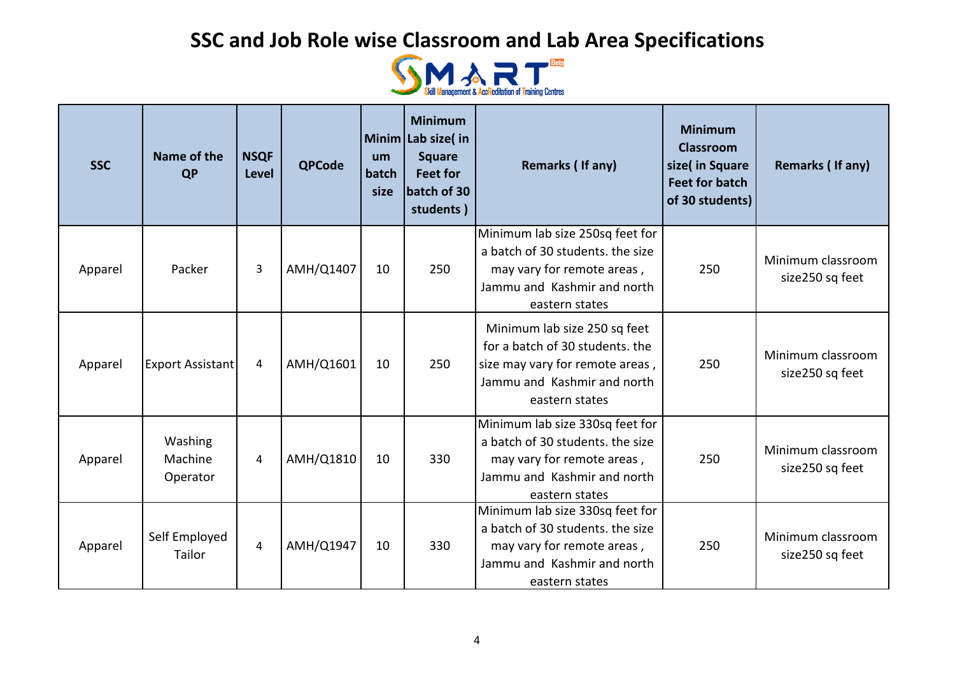

| <b>SSC</b> | Name of the<br><b>QP</b>       | <b>NSQF</b><br><b>Level</b> | <b>QPCode</b> | um<br>batch<br>size | <b>Minimum</b><br>Minim Lab size( $\mathsf{in}$<br><b>Square</b><br><b>Feet for</b><br>batch of 30<br>students) | Remarks (If any)                                                                                                                                    | <b>Minimum</b><br><b>Classroom</b><br>size( in Square<br><b>Feet for batch</b><br>of 30 students) | Remarks (If any)                     |
|------------|--------------------------------|-----------------------------|---------------|---------------------|-----------------------------------------------------------------------------------------------------------------|-----------------------------------------------------------------------------------------------------------------------------------------------------|---------------------------------------------------------------------------------------------------|--------------------------------------|
| Apparel    | Packer                         | 3                           | AMH/Q1407     | 10                  | 250                                                                                                             | Minimum lab size 250sq feet for<br>a batch of 30 students, the size<br>may vary for remote areas,<br>Jammu and Kashmir and north<br>eastern states  | 250                                                                                               | Minimum classroom<br>size250 sq feet |
| Apparel    | Export Assistant               | 4                           | AMH/Q1601     | 10                  | 250                                                                                                             | Minimum lab size 250 sq feet<br>for a batch of 30 students. the<br>size may vary for remote areas,<br>Jammu and Kashmir and north<br>eastern states | 250                                                                                               | Minimum classroom<br>size250 sq feet |
| Apparel    | Washing<br>Machine<br>Operator | $\overline{4}$              | AMH/Q1810     | 10                  | 330                                                                                                             | Minimum lab size 330sq feet for<br>a batch of 30 students, the size<br>may vary for remote areas,<br>Jammu and Kashmir and north<br>eastern states  | 250                                                                                               | Minimum classroom<br>size250 sq feet |
| Apparel    | Self Employed<br>Tailor        | $\overline{4}$              | AMH/Q1947     | 10                  | 330                                                                                                             | Minimum lab size 330sq feet for<br>a batch of 30 students, the size<br>may vary for remote areas,<br>Jammu and Kashmir and north<br>eastern states  | 250                                                                                               | Minimum classroom<br>size250 sq feet |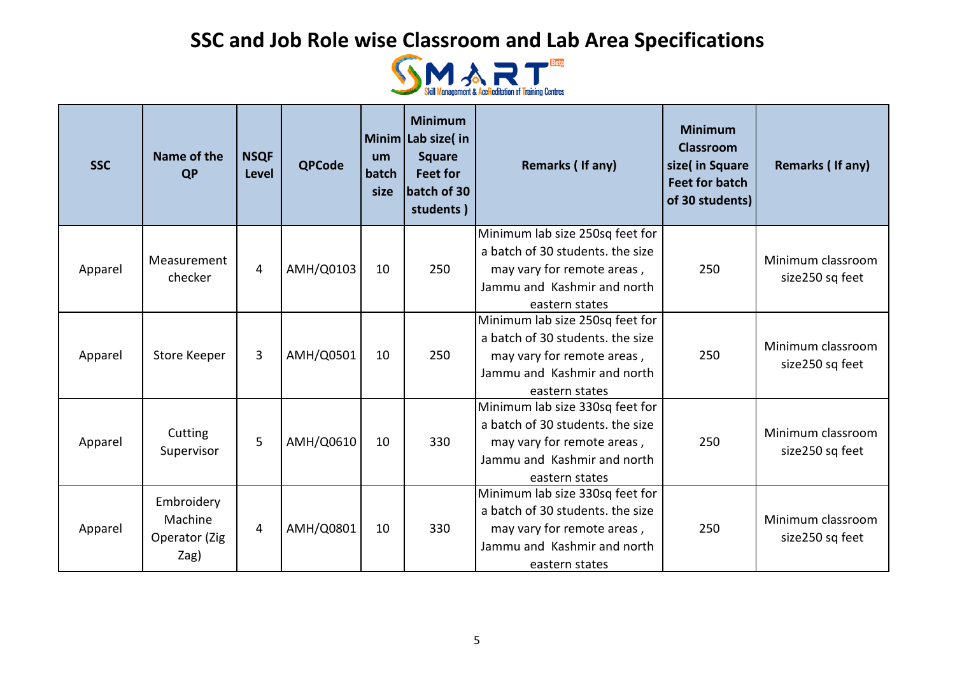

| <b>SSC</b> | Name of the<br><b>QP</b>                       | <b>NSQF</b><br><b>Level</b> | <b>QPCode</b> | um<br>batch<br>size | <b>Minimum</b><br>Minim Lab size(in<br><b>Square</b><br><b>Feet for</b><br>batch of 30<br>students) | Remarks (If any)                                                                                                                                   | <b>Minimum</b><br><b>Classroom</b><br>size(in Square<br><b>Feet for batch</b><br>of 30 students) | Remarks (If any)                     |
|------------|------------------------------------------------|-----------------------------|---------------|---------------------|-----------------------------------------------------------------------------------------------------|----------------------------------------------------------------------------------------------------------------------------------------------------|--------------------------------------------------------------------------------------------------|--------------------------------------|
| Apparel    | Measurement<br>checker                         | $\overline{4}$              | AMH/Q0103     | 10                  | 250                                                                                                 | Minimum lab size 250sq feet for<br>a batch of 30 students. the size<br>may vary for remote areas,<br>Jammu and Kashmir and north<br>eastern states | 250                                                                                              | Minimum classroom<br>size250 sq feet |
| Apparel    | <b>Store Keeper</b>                            | 3                           | AMH/Q0501     | 10                  | 250                                                                                                 | Minimum lab size 250sq feet for<br>a batch of 30 students, the size<br>may vary for remote areas,<br>Jammu and Kashmir and north<br>eastern states | 250                                                                                              | Minimum classroom<br>size250 sq feet |
| Apparel    | Cutting<br>Supervisor                          | 5                           | AMH/Q0610     | 10                  | 330                                                                                                 | Minimum lab size 330sq feet for<br>a batch of 30 students. the size<br>may vary for remote areas,<br>Jammu and Kashmir and north<br>eastern states | 250                                                                                              | Minimum classroom<br>size250 sq feet |
| Apparel    | Embroidery<br>Machine<br>Operator (Zig<br>Zag) | $\overline{4}$              | AMH/Q0801     | 10                  | 330                                                                                                 | Minimum lab size 330sq feet for<br>a batch of 30 students. the size<br>may vary for remote areas,<br>Jammu and Kashmir and north<br>eastern states | 250                                                                                              | Minimum classroom<br>size250 sq feet |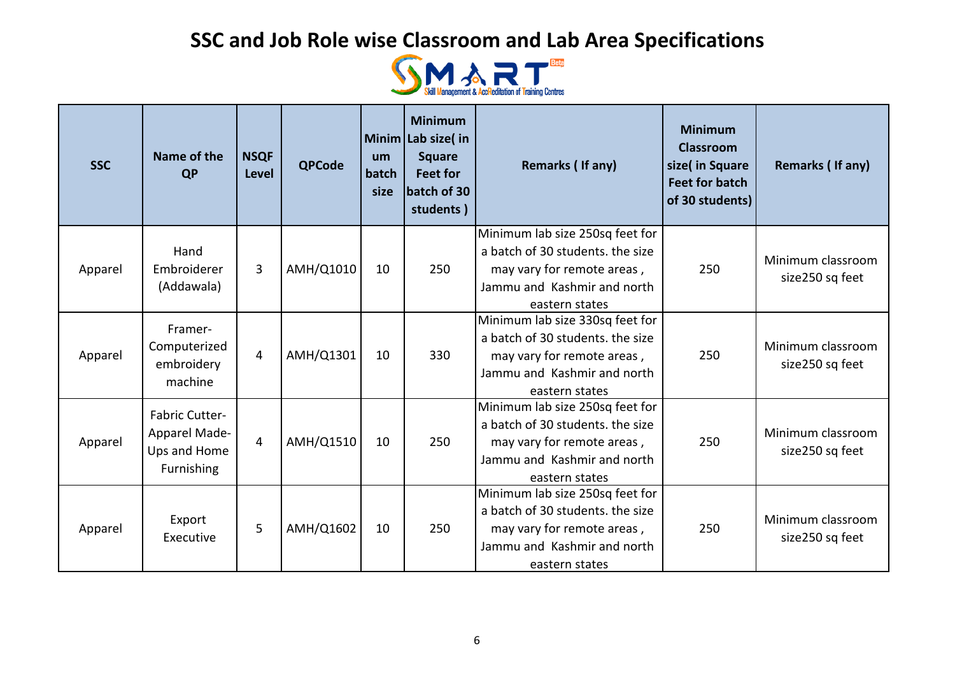

| <b>SSC</b> | Name of the<br><b>QP</b>                                                    | <b>NSQF</b><br><b>Level</b> | <b>QPCode</b> | um<br>batch<br>size | <b>Minimum</b><br>Minim Lab size(in<br><b>Square</b><br><b>Feet for</b><br>batch of 30<br>students) | Remarks (If any)                                                                                                                                   | <b>Minimum</b><br><b>Classroom</b><br>size(in Square<br><b>Feet for batch</b><br>of 30 students) | Remarks (If any)                     |
|------------|-----------------------------------------------------------------------------|-----------------------------|---------------|---------------------|-----------------------------------------------------------------------------------------------------|----------------------------------------------------------------------------------------------------------------------------------------------------|--------------------------------------------------------------------------------------------------|--------------------------------------|
| Apparel    | Hand<br>Embroiderer<br>(Addawala)                                           | 3                           | AMH/Q1010     | 10                  | 250                                                                                                 | Minimum lab size 250sq feet for<br>a batch of 30 students. the size<br>may vary for remote areas,<br>Jammu and Kashmir and north<br>eastern states | 250                                                                                              | Minimum classroom<br>size250 sq feet |
| Apparel    | Framer-<br>Computerized<br>embroidery<br>machine                            | 4                           | AMH/Q1301     | 10                  | 330                                                                                                 | Minimum lab size 330sq feet for<br>a batch of 30 students, the size<br>may vary for remote areas,<br>Jammu and Kashmir and north<br>eastern states | 250                                                                                              | Minimum classroom<br>size250 sq feet |
| Apparel    | <b>Fabric Cutter-</b><br>Apparel Made-<br>Ups and Home<br><b>Furnishing</b> | 4                           | AMH/Q1510     | 10                  | 250                                                                                                 | Minimum lab size 250sq feet for<br>a batch of 30 students. the size<br>may vary for remote areas,<br>Jammu and Kashmir and north<br>eastern states | 250                                                                                              | Minimum classroom<br>size250 sq feet |
| Apparel    | Export<br>Executive                                                         | 5                           | AMH/Q1602     | 10                  | 250                                                                                                 | Minimum lab size 250sq feet for<br>a batch of 30 students, the size<br>may vary for remote areas,<br>Jammu and Kashmir and north<br>eastern states | 250                                                                                              | Minimum classroom<br>size250 sq feet |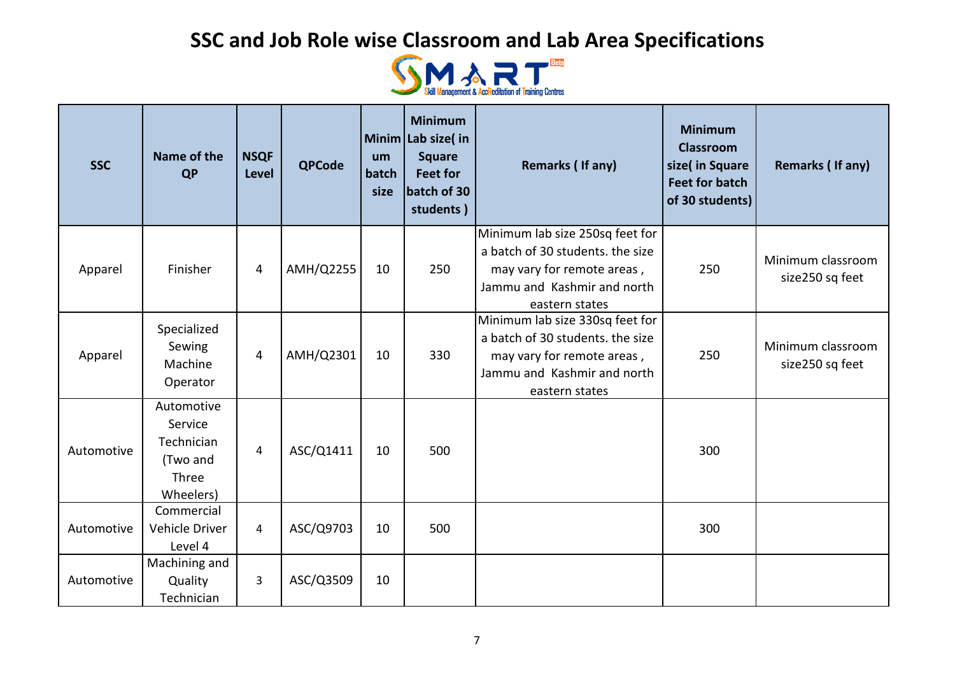

| <b>SSC</b> | Name of the<br><b>QP</b>                                              | <b>NSQF</b><br><b>Level</b> | <b>QPCode</b> | um<br>batch<br>size | <b>Minimum</b><br>Minim Lab size( in<br><b>Square</b><br><b>Feet for</b><br>batch of 30<br>students) | Remarks (If any)                                                                                                                                   | <b>Minimum</b><br><b>Classroom</b><br>size( in Square<br><b>Feet for batch</b><br>of 30 students) | Remarks (If any)                     |
|------------|-----------------------------------------------------------------------|-----------------------------|---------------|---------------------|------------------------------------------------------------------------------------------------------|----------------------------------------------------------------------------------------------------------------------------------------------------|---------------------------------------------------------------------------------------------------|--------------------------------------|
| Apparel    | Finisher                                                              | 4                           | AMH/Q2255     | 10                  | 250                                                                                                  | Minimum lab size 250sq feet for<br>a batch of 30 students. the size<br>may vary for remote areas,<br>Jammu and Kashmir and north<br>eastern states | 250                                                                                               | Minimum classroom<br>size250 sq feet |
| Apparel    | Specialized<br>Sewing<br>Machine<br>Operator                          | 4                           | AMH/Q2301     | 10                  | 330                                                                                                  | Minimum lab size 330sq feet for<br>a batch of 30 students. the size<br>may vary for remote areas,<br>Jammu and Kashmir and north<br>eastern states | 250                                                                                               | Minimum classroom<br>size250 sq feet |
| Automotive | Automotive<br>Service<br>Technician<br>(Two and<br>Three<br>Wheelers) | 4                           | ASC/Q1411     | 10                  | 500                                                                                                  |                                                                                                                                                    | 300                                                                                               |                                      |
| Automotive | Commercial<br>Vehicle Driver<br>Level 4                               | 4                           | ASC/Q9703     | 10                  | 500                                                                                                  |                                                                                                                                                    | 300                                                                                               |                                      |
| Automotive | Machining and<br>Quality<br>Technician                                | 3                           | ASC/Q3509     | 10                  |                                                                                                      |                                                                                                                                                    |                                                                                                   |                                      |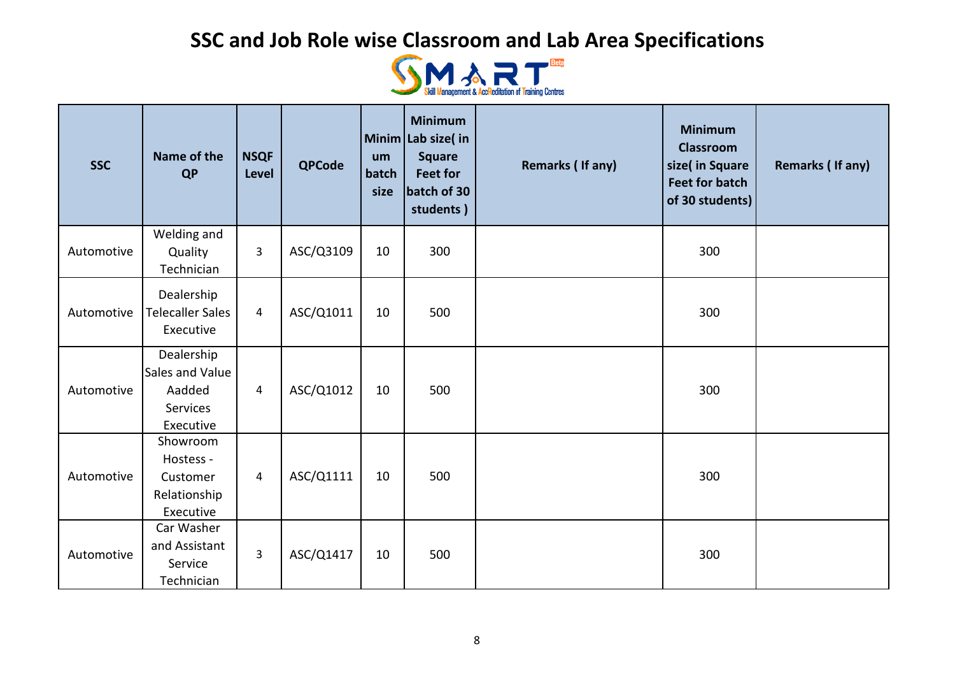

| <b>SSC</b> | Name of the<br><b>QP</b>                                         | <b>NSQF</b><br><b>Level</b> | <b>QPCode</b> | um<br>batch<br>size | <b>Minimum</b><br>Minim Lab size(in<br><b>Square</b><br><b>Feet for</b><br>batch of 30<br>students) | <b>Remarks (If any)</b> | <b>Minimum</b><br><b>Classroom</b><br>size( in Square<br><b>Feet for batch</b><br>of 30 students) | Remarks (If any) |
|------------|------------------------------------------------------------------|-----------------------------|---------------|---------------------|-----------------------------------------------------------------------------------------------------|-------------------------|---------------------------------------------------------------------------------------------------|------------------|
| Automotive | Welding and<br>Quality<br>Technician                             | 3                           | ASC/Q3109     | 10                  | 300                                                                                                 |                         | 300                                                                                               |                  |
| Automotive | Dealership<br><b>Telecaller Sales</b><br>Executive               | $\overline{4}$              | ASC/Q1011     | 10                  | 500                                                                                                 |                         | 300                                                                                               |                  |
| Automotive | Dealership<br>Sales and Value<br>Aadded<br>Services<br>Executive | $\overline{4}$              | ASC/Q1012     | 10                  | 500                                                                                                 |                         | 300                                                                                               |                  |
| Automotive | Showroom<br>Hostess -<br>Customer<br>Relationship<br>Executive   | $\overline{4}$              | ASC/Q1111     | 10                  | 500                                                                                                 |                         | 300                                                                                               |                  |
| Automotive | Car Washer<br>and Assistant<br>Service<br>Technician             | $\overline{3}$              | ASC/Q1417     | 10                  | 500                                                                                                 |                         | 300                                                                                               |                  |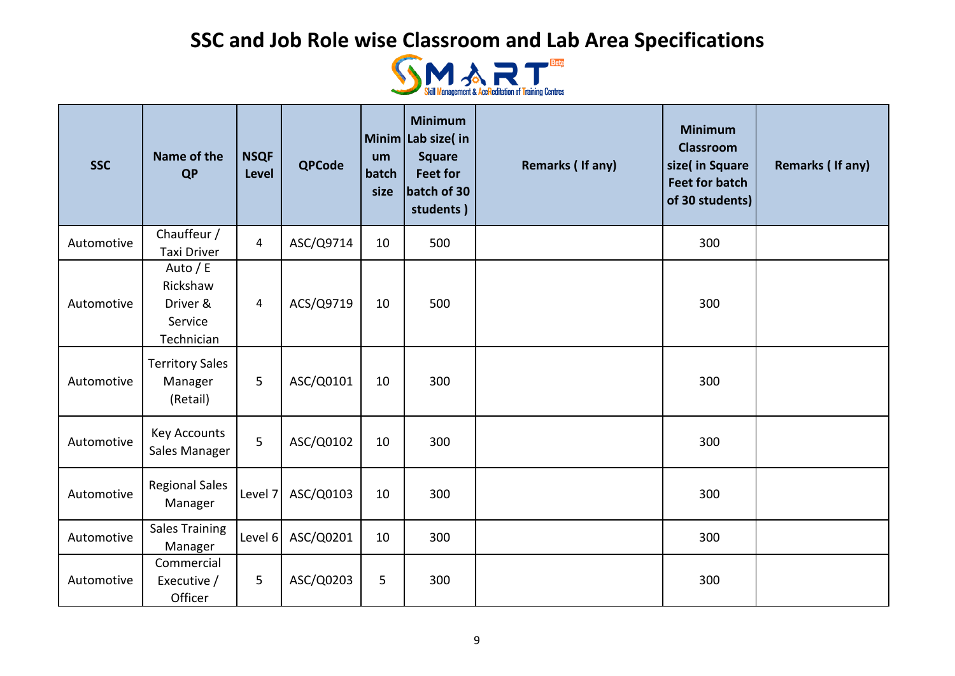

| <b>SSC</b> | Name of the<br><b>QP</b>                                  | <b>NSQF</b><br>Level | <b>QPCode</b> | um<br>batch<br>size | <b>Minimum</b><br>Minim Lab size(in<br><b>Square</b><br><b>Feet for</b><br>batch of 30<br>students) | Remarks (If any) | <b>Minimum</b><br><b>Classroom</b><br>size( in Square<br><b>Feet for batch</b><br>of 30 students) | <b>Remarks (If any)</b> |
|------------|-----------------------------------------------------------|----------------------|---------------|---------------------|-----------------------------------------------------------------------------------------------------|------------------|---------------------------------------------------------------------------------------------------|-------------------------|
| Automotive | Chauffeur /<br><b>Taxi Driver</b>                         | $\overline{4}$       | ASC/Q9714     | 10                  | 500                                                                                                 |                  | 300                                                                                               |                         |
| Automotive | Auto / E<br>Rickshaw<br>Driver &<br>Service<br>Technician | $\overline{4}$       | ACS/Q9719     | 10                  | 500                                                                                                 |                  | 300                                                                                               |                         |
| Automotive | <b>Territory Sales</b><br>Manager<br>(Retail)             | 5                    | ASC/Q0101     | 10                  | 300                                                                                                 |                  | 300                                                                                               |                         |
| Automotive | <b>Key Accounts</b><br>Sales Manager                      | 5                    | ASC/Q0102     | 10                  | 300                                                                                                 |                  | 300                                                                                               |                         |
| Automotive | <b>Regional Sales</b><br>Manager                          | Level 7              | ASC/Q0103     | 10                  | 300                                                                                                 |                  | 300                                                                                               |                         |
| Automotive | <b>Sales Training</b><br>Manager                          | Level 6              | ASC/Q0201     | 10                  | 300                                                                                                 |                  | 300                                                                                               |                         |
| Automotive | Commercial<br>Executive /<br>Officer                      | 5                    | ASC/Q0203     | 5                   | 300                                                                                                 |                  | 300                                                                                               |                         |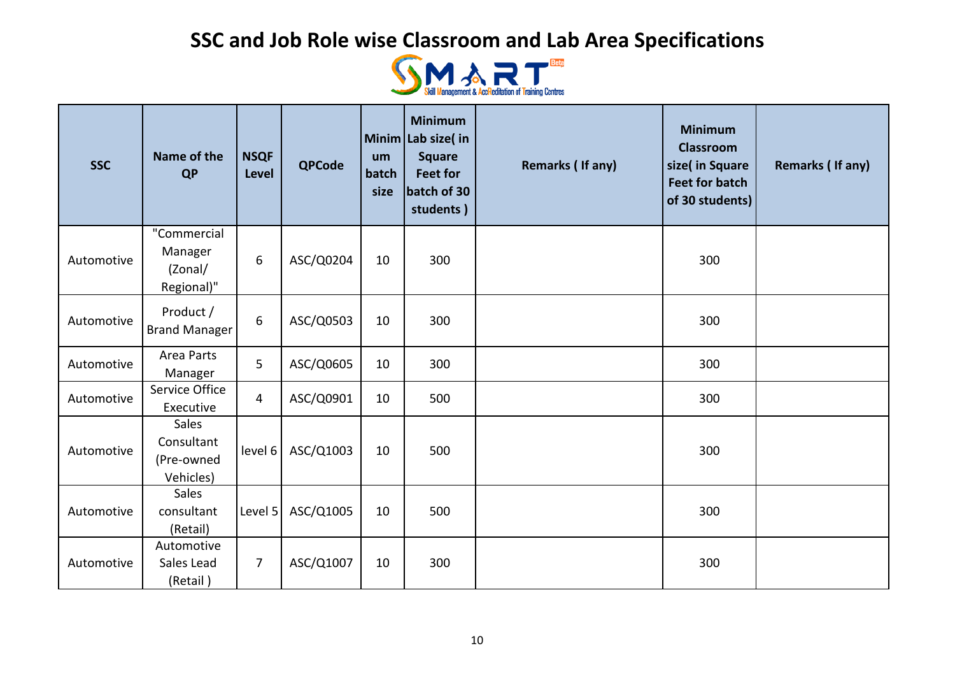

| <b>SSC</b> | Name of the<br><b>QP</b>                        | <b>NSQF</b><br><b>Level</b> | <b>QPCode</b> | um<br>batch<br>size | <b>Minimum</b><br>Minim Lab size(in<br><b>Square</b><br><b>Feet for</b><br>batch of 30<br>students) | Remarks (If any) | <b>Minimum</b><br><b>Classroom</b><br>size( in Square<br><b>Feet for batch</b><br>of 30 students) | Remarks (If any) |
|------------|-------------------------------------------------|-----------------------------|---------------|---------------------|-----------------------------------------------------------------------------------------------------|------------------|---------------------------------------------------------------------------------------------------|------------------|
| Automotive | "Commercial<br>Manager<br>(Zonal/<br>Regional)" | 6                           | ASC/Q0204     | 10                  | 300                                                                                                 |                  | 300                                                                                               |                  |
| Automotive | Product /<br><b>Brand Manager</b>               | 6                           | ASC/Q0503     | 10                  | 300                                                                                                 |                  | 300                                                                                               |                  |
| Automotive | <b>Area Parts</b><br>Manager                    | 5                           | ASC/Q0605     | 10                  | 300                                                                                                 |                  | 300                                                                                               |                  |
| Automotive | Service Office<br>Executive                     | $\overline{4}$              | ASC/Q0901     | 10                  | 500                                                                                                 |                  | 300                                                                                               |                  |
| Automotive | Sales<br>Consultant<br>(Pre-owned<br>Vehicles)  | level 6                     | ASC/Q1003     | 10                  | 500                                                                                                 |                  | 300                                                                                               |                  |
| Automotive | <b>Sales</b><br>consultant<br>(Retail)          | Level 5                     | ASC/Q1005     | 10                  | 500                                                                                                 |                  | 300                                                                                               |                  |
| Automotive | Automotive<br>Sales Lead<br>(Retail)            | $\overline{7}$              | ASC/Q1007     | 10                  | 300                                                                                                 |                  | 300                                                                                               |                  |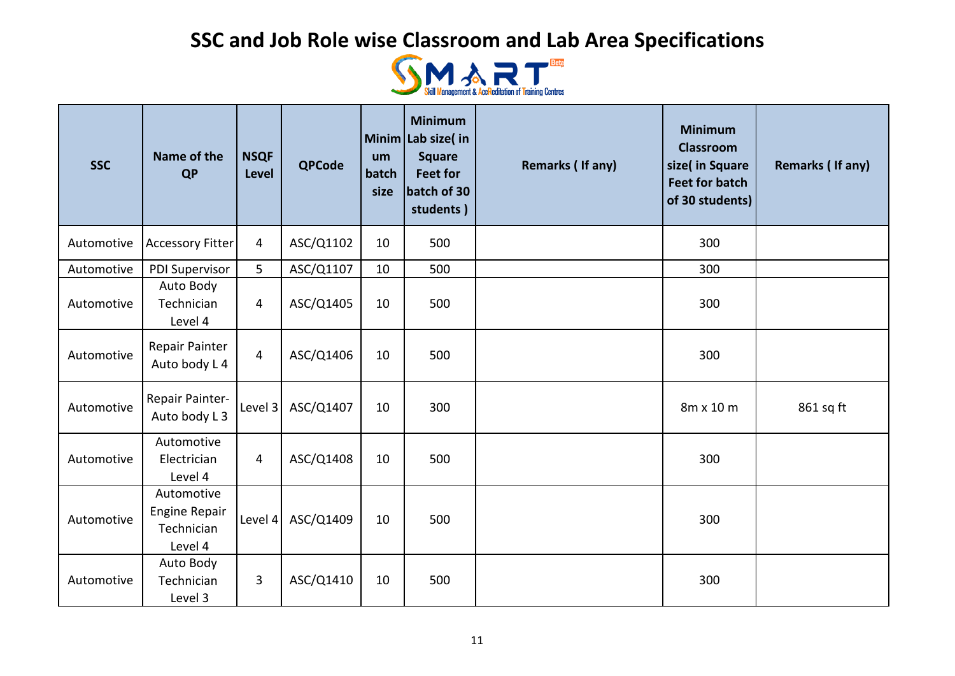

| <b>SSC</b> | Name of the<br><b>QP</b>                                    | <b>NSQF</b><br><b>Level</b> | <b>QPCode</b> | um<br>batch<br>size | <b>Minimum</b><br>Minim Lab size(in<br><b>Square</b><br><b>Feet for</b><br>batch of 30<br>students) | Remarks (If any) | <b>Minimum</b><br><b>Classroom</b><br>size( in Square<br><b>Feet for batch</b><br>of 30 students) | Remarks (If any) |
|------------|-------------------------------------------------------------|-----------------------------|---------------|---------------------|-----------------------------------------------------------------------------------------------------|------------------|---------------------------------------------------------------------------------------------------|------------------|
| Automotive | <b>Accessory Fitter</b>                                     | $\overline{4}$              | ASC/Q1102     | 10                  | 500                                                                                                 |                  | 300                                                                                               |                  |
| Automotive | PDI Supervisor                                              | 5                           | ASC/Q1107     | 10                  | 500                                                                                                 |                  | 300                                                                                               |                  |
| Automotive | Auto Body<br>Technician<br>Level 4                          | 4                           | ASC/Q1405     | 10                  | 500                                                                                                 |                  | 300                                                                                               |                  |
| Automotive | Repair Painter<br>Auto body L 4                             | $\overline{4}$              | ASC/Q1406     | 10                  | 500                                                                                                 |                  | 300                                                                                               |                  |
| Automotive | Repair Painter-<br>Auto body L 3                            | Level 3                     | ASC/Q1407     | 10                  | 300                                                                                                 |                  | 8m x 10 m                                                                                         | 861 sq ft        |
| Automotive | Automotive<br>Electrician<br>Level 4                        | $\overline{4}$              | ASC/Q1408     | 10                  | 500                                                                                                 |                  | 300                                                                                               |                  |
| Automotive | Automotive<br><b>Engine Repair</b><br>Technician<br>Level 4 | Level 4                     | ASC/Q1409     | 10                  | 500                                                                                                 |                  | 300                                                                                               |                  |
| Automotive | Auto Body<br>Technician<br>Level 3                          | 3                           | ASC/Q1410     | 10                  | 500                                                                                                 |                  | 300                                                                                               |                  |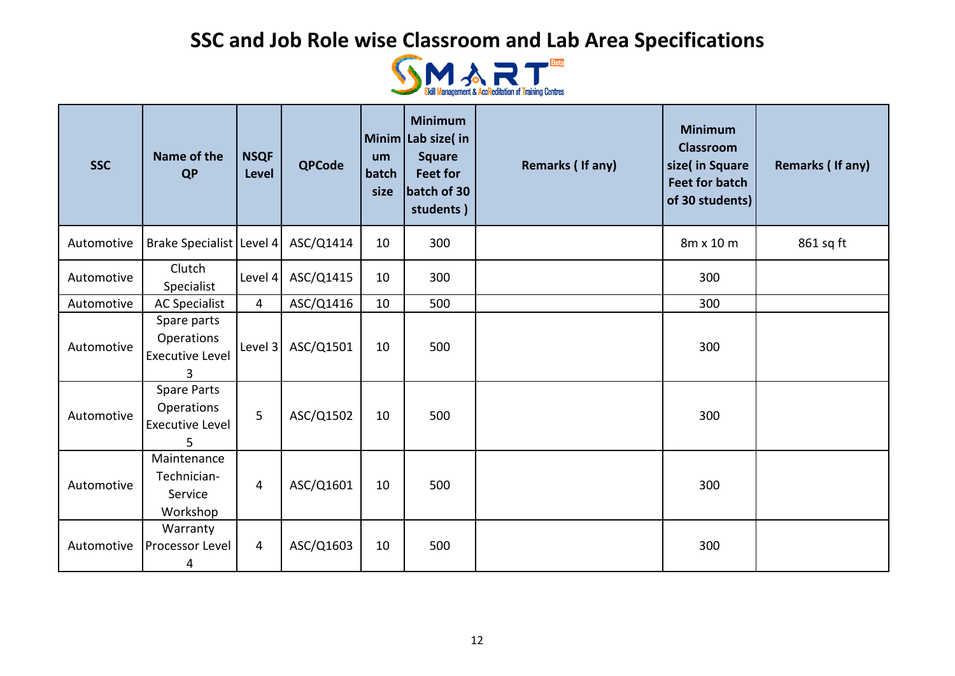

| <b>SSC</b> | Name of the<br><b>QP</b>                                 | <b>NSQF</b><br><b>Level</b> | <b>QPCode</b> | um<br>batch<br>size | <b>Minimum</b><br>Minim Lab size(in<br><b>Square</b><br><b>Feet for</b><br>batch of 30<br>students) | <b>Remarks (If any)</b> | <b>Minimum</b><br><b>Classroom</b><br>size( in Square<br><b>Feet for batch</b><br>of 30 students) | Remarks (If any) |
|------------|----------------------------------------------------------|-----------------------------|---------------|---------------------|-----------------------------------------------------------------------------------------------------|-------------------------|---------------------------------------------------------------------------------------------------|------------------|
| Automotive | Brake Specialist   Level 4                               |                             | ASC/Q1414     | 10                  | 300                                                                                                 |                         | 8m x 10 m                                                                                         | 861 sq ft        |
| Automotive | Clutch<br>Specialist                                     | Level 4                     | ASC/Q1415     | 10                  | 300                                                                                                 |                         | 300                                                                                               |                  |
| Automotive | <b>AC Specialist</b>                                     | $\overline{4}$              | ASC/Q1416     | 10                  | 500                                                                                                 |                         | 300                                                                                               |                  |
| Automotive | Spare parts<br>Operations<br><b>Executive Level</b><br>3 | Level 3                     | ASC/Q1501     | 10                  | 500                                                                                                 |                         | 300                                                                                               |                  |
| Automotive | Spare Parts<br>Operations<br><b>Executive Level</b><br>5 | 5                           | ASC/Q1502     | 10                  | 500                                                                                                 |                         | 300                                                                                               |                  |
| Automotive | Maintenance<br>Technician-<br>Service<br>Workshop        | $\overline{4}$              | ASC/Q1601     | 10                  | 500                                                                                                 |                         | 300                                                                                               |                  |
| Automotive | Warranty<br>Processor Level<br>4                         | 4                           | ASC/Q1603     | 10                  | 500                                                                                                 |                         | 300                                                                                               |                  |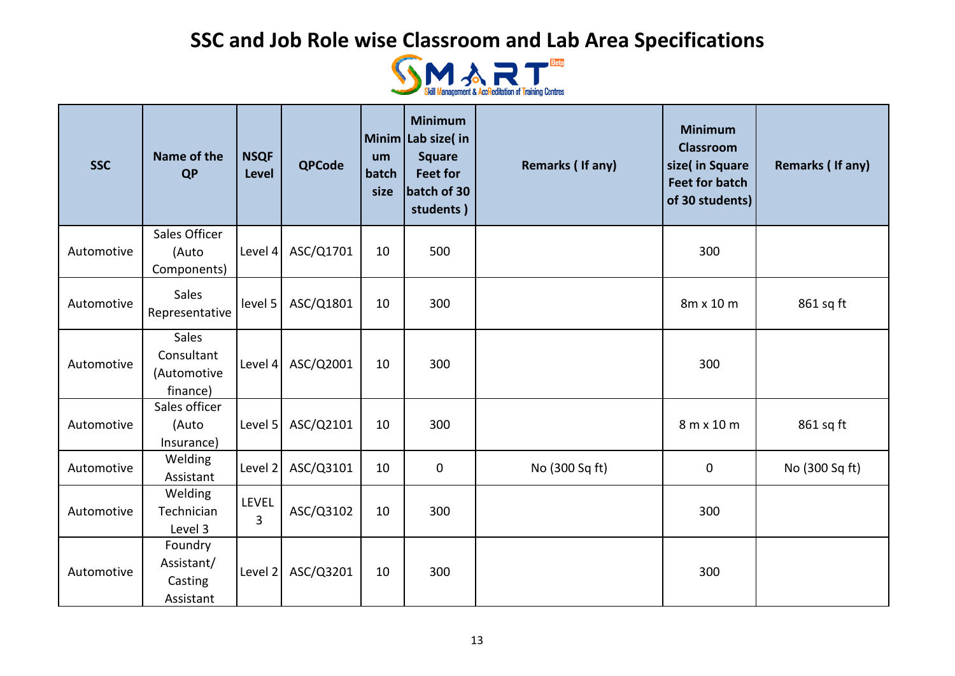

| <b>SSC</b> | Name of the<br><b>QP</b>                              | <b>NSQF</b><br><b>Level</b>    | <b>QPCode</b> | um<br>batch<br>size | <b>Minimum</b><br>Minim Lab size( in<br><b>Square</b><br><b>Feet for</b><br>batch of 30<br>students) | Remarks (If any) | <b>Minimum</b><br><b>Classroom</b><br>size( in Square<br><b>Feet for batch</b><br>of 30 students) | Remarks (If any) |
|------------|-------------------------------------------------------|--------------------------------|---------------|---------------------|------------------------------------------------------------------------------------------------------|------------------|---------------------------------------------------------------------------------------------------|------------------|
|            | <b>Sales Officer</b>                                  |                                |               |                     |                                                                                                      |                  |                                                                                                   |                  |
| Automotive | (Auto<br>Components)                                  | Level 4                        | ASC/Q1701     | 10                  | 500                                                                                                  |                  | 300                                                                                               |                  |
| Automotive | Sales<br>Representative                               | level 5                        | ASC/Q1801     | 10                  | 300                                                                                                  |                  | 8m x 10 m                                                                                         | 861 sq ft        |
| Automotive | <b>Sales</b><br>Consultant<br>(Automotive<br>finance) | Level 4                        | ASC/Q2001     | 10                  | 300                                                                                                  |                  | 300                                                                                               |                  |
| Automotive | Sales officer<br>(Auto<br>Insurance)                  | Level 5                        | ASC/Q2101     | 10                  | 300                                                                                                  |                  | 8 m x 10 m                                                                                        | 861 sq ft        |
| Automotive | Welding<br>Assistant                                  | Level 2                        | ASC/Q3101     | 10                  | $\mathbf 0$                                                                                          | No (300 Sq ft)   | $\pmb{0}$                                                                                         | No (300 Sq ft)   |
| Automotive | Welding<br>Technician<br>Level 3                      | <b>LEVEL</b><br>$\overline{3}$ | ASC/Q3102     | 10                  | 300                                                                                                  |                  | 300                                                                                               |                  |
| Automotive | Foundry<br>Assistant/<br>Casting<br>Assistant         | Level 2                        | ASC/Q3201     | 10                  | 300                                                                                                  |                  | 300                                                                                               |                  |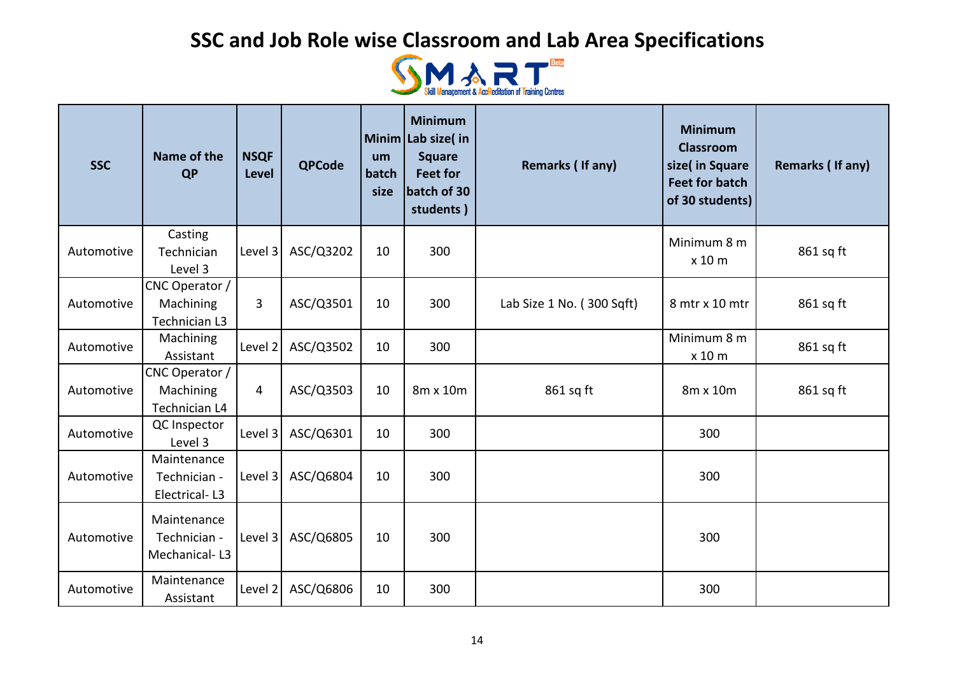

| <b>SSC</b> | Name of the<br><b>QP</b>                     | <b>NSQF</b><br><b>Level</b> | <b>QPCode</b> | um<br>batch<br>size | <b>Minimum</b><br>Minim Lab size( in<br><b>Square</b><br><b>Feet for</b><br>batch of 30<br>students) | Remarks (If any)          | <b>Minimum</b><br><b>Classroom</b><br>size( in Square<br><b>Feet for batch</b><br>of 30 students) | Remarks (If any) |
|------------|----------------------------------------------|-----------------------------|---------------|---------------------|------------------------------------------------------------------------------------------------------|---------------------------|---------------------------------------------------------------------------------------------------|------------------|
| Automotive | Casting<br>Technician<br>Level 3             | Level 3                     | ASC/Q3202     | 10                  | 300                                                                                                  |                           | Minimum 8 m<br>x 10 m                                                                             | 861 sq ft        |
| Automotive | CNC Operator /<br>Machining<br>Technician L3 | 3                           | ASC/Q3501     | 10                  | 300                                                                                                  | Lab Size 1 No. (300 Sqft) | 8 mtr x 10 mtr                                                                                    | 861 sq ft        |
| Automotive | Machining<br>Assistant                       | Level 2                     | ASC/Q3502     | 10                  | 300                                                                                                  |                           | Minimum 8 m<br>x 10 m                                                                             | 861 sq ft        |
| Automotive | CNC Operator /<br>Machining<br>Technician L4 | 4                           | ASC/Q3503     | 10                  | 8m x 10m                                                                                             | 861 sq ft                 | 8m x 10m                                                                                          | 861 sq ft        |
| Automotive | QC Inspector<br>Level 3                      | Level 3                     | ASC/Q6301     | 10                  | 300                                                                                                  |                           | 300                                                                                               |                  |
| Automotive | Maintenance<br>Technician -<br>Electrical-L3 | Level 3                     | ASC/Q6804     | 10                  | 300                                                                                                  |                           | 300                                                                                               |                  |
| Automotive | Maintenance<br>Technician -<br>Mechanical-L3 | Level 3                     | ASC/Q6805     | 10                  | 300                                                                                                  |                           | 300                                                                                               |                  |
| Automotive | Maintenance<br>Assistant                     | Level 2                     | ASC/Q6806     | 10                  | 300                                                                                                  |                           | 300                                                                                               |                  |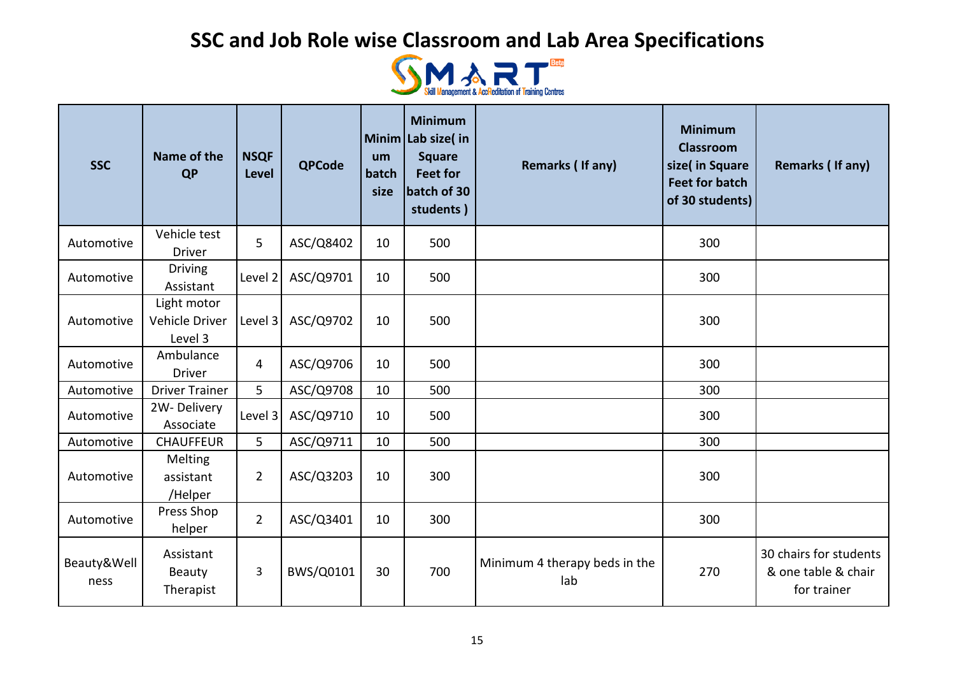

| <b>SSC</b>          | Name of the<br>QP                        | <b>NSQF</b><br><b>Level</b> | <b>QPCode</b> | um<br>batch<br>size | <b>Minimum</b><br>Minim Lab size(in<br><b>Square</b><br><b>Feet for</b><br>batch of 30<br>students) | Remarks (If any)                     | <b>Minimum</b><br><b>Classroom</b><br>size( in Square<br><b>Feet for batch</b><br>of 30 students) | Remarks (If any)                                             |
|---------------------|------------------------------------------|-----------------------------|---------------|---------------------|-----------------------------------------------------------------------------------------------------|--------------------------------------|---------------------------------------------------------------------------------------------------|--------------------------------------------------------------|
| Automotive          | Vehicle test<br><b>Driver</b>            | 5                           | ASC/Q8402     | 10                  | 500                                                                                                 |                                      | 300                                                                                               |                                                              |
| Automotive          | <b>Driving</b><br>Assistant              | Level 2                     | ASC/Q9701     | 10                  | 500                                                                                                 |                                      | 300                                                                                               |                                                              |
| Automotive          | Light motor<br>Vehicle Driver<br>Level 3 | Level 3                     | ASC/Q9702     | 10                  | 500                                                                                                 |                                      | 300                                                                                               |                                                              |
| Automotive          | Ambulance<br><b>Driver</b>               | 4                           | ASC/Q9706     | 10                  | 500                                                                                                 |                                      | 300                                                                                               |                                                              |
| Automotive          | <b>Driver Trainer</b>                    | 5                           | ASC/Q9708     | 10                  | 500                                                                                                 |                                      | 300                                                                                               |                                                              |
| Automotive          | 2W-Delivery<br>Associate                 | Level 3                     | ASC/Q9710     | 10                  | 500                                                                                                 |                                      | 300                                                                                               |                                                              |
| Automotive          | <b>CHAUFFEUR</b>                         | 5                           | ASC/Q9711     | 10                  | 500                                                                                                 |                                      | 300                                                                                               |                                                              |
| Automotive          | Melting<br>assistant<br>/Helper          | $2^{\circ}$                 | ASC/Q3203     | 10                  | 300                                                                                                 |                                      | 300                                                                                               |                                                              |
| Automotive          | Press Shop<br>helper                     | $\overline{2}$              | ASC/Q3401     | 10                  | 300                                                                                                 |                                      | 300                                                                                               |                                                              |
| Beauty&Well<br>ness | Assistant<br>Beauty<br>Therapist         | 3                           | BWS/Q0101     | 30                  | 700                                                                                                 | Minimum 4 therapy beds in the<br>lab | 270                                                                                               | 30 chairs for students<br>& one table & chair<br>for trainer |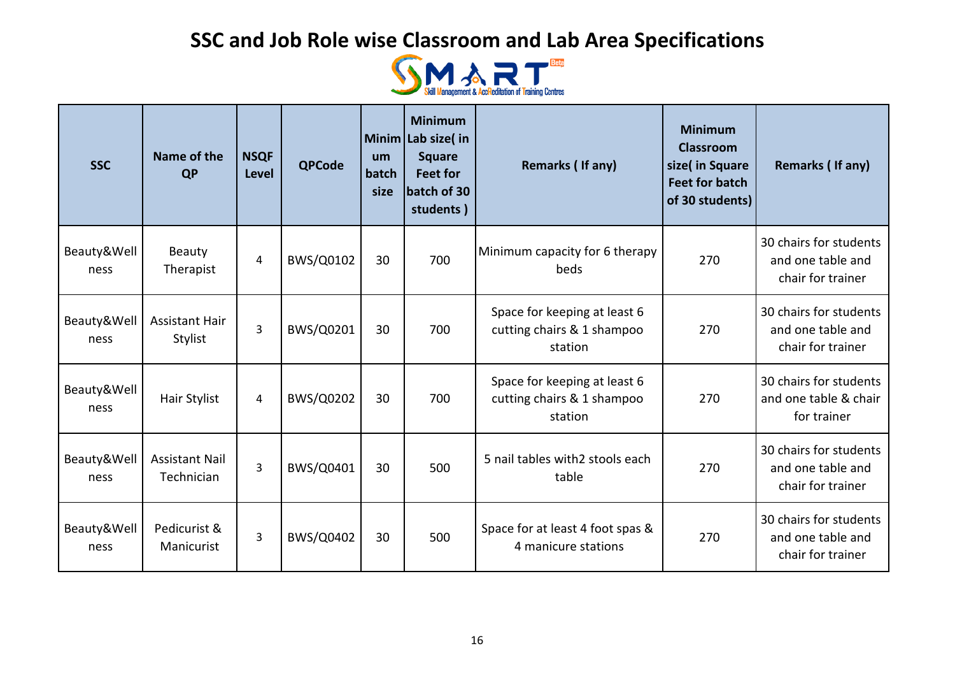

| <b>SSC</b>          | Name of the<br><b>QP</b>            | <b>NSQF</b><br><b>Level</b> | <b>QPCode</b>    | um<br>batch<br>size | <b>Minimum</b><br>Minim Lab size(in<br><b>Square</b><br><b>Feet for</b><br>batch of 30<br>students) | Remarks (If any)                                                      | <b>Minimum</b><br><b>Classroom</b><br>size( in Square<br><b>Feet for batch</b><br>of 30 students) | Remarks (If any)                                                 |
|---------------------|-------------------------------------|-----------------------------|------------------|---------------------|-----------------------------------------------------------------------------------------------------|-----------------------------------------------------------------------|---------------------------------------------------------------------------------------------------|------------------------------------------------------------------|
| Beauty&Well<br>ness | Beauty<br>Therapist                 | 4                           | BWS/Q0102        | 30                  | 700                                                                                                 | Minimum capacity for 6 therapy<br>beds                                | 270                                                                                               | 30 chairs for students<br>and one table and<br>chair for trainer |
| Beauty&Well<br>ness | <b>Assistant Hair</b><br>Stylist    | 3                           | BWS/Q0201        | 30                  | 700                                                                                                 | Space for keeping at least 6<br>cutting chairs & 1 shampoo<br>station | 270                                                                                               | 30 chairs for students<br>and one table and<br>chair for trainer |
| Beauty&Well<br>ness | Hair Stylist                        | $\overline{4}$              | BWS/Q0202        | 30                  | 700                                                                                                 | Space for keeping at least 6<br>cutting chairs & 1 shampoo<br>station | 270                                                                                               | 30 chairs for students<br>and one table & chair<br>for trainer   |
| Beauty&Well<br>ness | <b>Assistant Nail</b><br>Technician | 3                           | BWS/Q0401        | 30                  | 500                                                                                                 | 5 nail tables with2 stools each<br>table                              | 270                                                                                               | 30 chairs for students<br>and one table and<br>chair for trainer |
| Beauty&Well<br>ness | Pedicurist &<br>Manicurist          | 3                           | <b>BWS/Q0402</b> | 30                  | 500                                                                                                 | Space for at least 4 foot spas &<br>4 manicure stations               | 270                                                                                               | 30 chairs for students<br>and one table and<br>chair for trainer |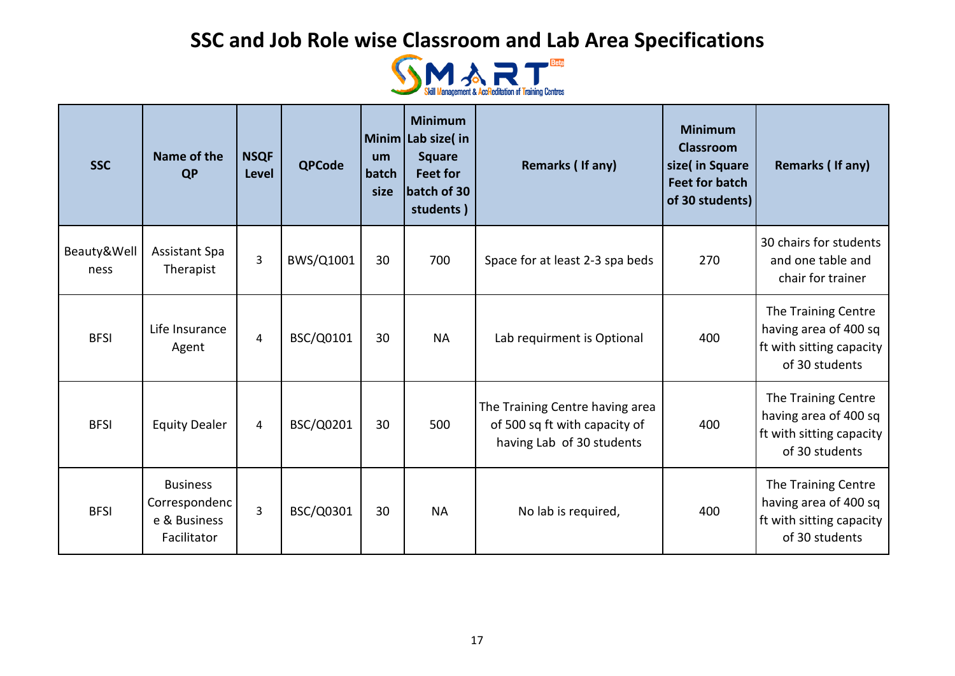

| <b>SSC</b>          | Name of the<br><b>QP</b>                                        | <b>NSQF</b><br>Level | <b>QPCode</b> | um<br>batch<br>size | <b>Minimum</b><br>Minim Lab size(in<br><b>Square</b><br><b>Feet for</b><br>batch of 30<br>students) | Remarks (If any)                                                                              | <b>Minimum</b><br>Classroom<br>size( in Square<br><b>Feet for batch</b><br>of 30 students) | Remarks (If any)                                                                           |
|---------------------|-----------------------------------------------------------------|----------------------|---------------|---------------------|-----------------------------------------------------------------------------------------------------|-----------------------------------------------------------------------------------------------|--------------------------------------------------------------------------------------------|--------------------------------------------------------------------------------------------|
| Beauty&Well<br>ness | <b>Assistant Spa</b><br>Therapist                               | 3                    | BWS/Q1001     | 30                  | 700                                                                                                 | Space for at least 2-3 spa beds                                                               | 270                                                                                        | 30 chairs for students<br>and one table and<br>chair for trainer                           |
| <b>BFSI</b>         | Life Insurance<br>Agent                                         | $\overline{4}$       | BSC/Q0101     | 30                  | <b>NA</b>                                                                                           | Lab requirment is Optional                                                                    | 400                                                                                        | The Training Centre<br>having area of 400 sq<br>ft with sitting capacity<br>of 30 students |
| <b>BFSI</b>         | <b>Equity Dealer</b>                                            | $\overline{4}$       | BSC/Q0201     | 30                  | 500                                                                                                 | The Training Centre having area<br>of 500 sq ft with capacity of<br>having Lab of 30 students | 400                                                                                        | The Training Centre<br>having area of 400 sq<br>ft with sitting capacity<br>of 30 students |
| <b>BFSI</b>         | <b>Business</b><br>Correspondenc<br>e & Business<br>Facilitator | $\overline{3}$       | BSC/Q0301     | 30                  | <b>NA</b>                                                                                           | No lab is required,                                                                           | 400                                                                                        | The Training Centre<br>having area of 400 sq<br>ft with sitting capacity<br>of 30 students |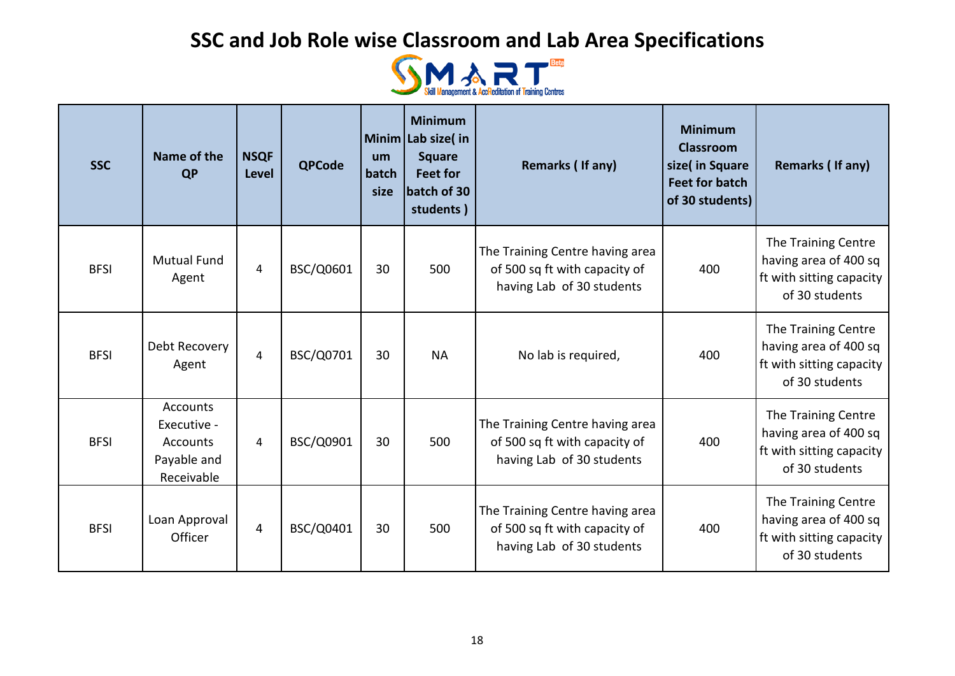

| <b>SSC</b>  | Name of the<br><b>QP</b>                                                       | <b>NSQF</b><br><b>Level</b> | <b>QPCode</b> | um<br>batch<br>size | <b>Minimum</b><br>Minim Lab size(in<br><b>Square</b><br><b>Feet for</b><br>batch of 30<br>students) | Remarks (If any)                                                                              | <b>Minimum</b><br><b>Classroom</b><br>size( in Square<br><b>Feet for batch</b><br>of 30 students) | Remarks (If any)                                                                           |
|-------------|--------------------------------------------------------------------------------|-----------------------------|---------------|---------------------|-----------------------------------------------------------------------------------------------------|-----------------------------------------------------------------------------------------------|---------------------------------------------------------------------------------------------------|--------------------------------------------------------------------------------------------|
| <b>BFSI</b> | <b>Mutual Fund</b><br>Agent                                                    | 4                           | BSC/Q0601     | 30                  | 500                                                                                                 | The Training Centre having area<br>of 500 sq ft with capacity of<br>having Lab of 30 students | 400                                                                                               | The Training Centre<br>having area of 400 sq<br>ft with sitting capacity<br>of 30 students |
| <b>BFSI</b> | Debt Recovery<br>Agent                                                         | 4                           | BSC/Q0701     | 30                  | <b>NA</b>                                                                                           | No lab is required,                                                                           | 400                                                                                               | The Training Centre<br>having area of 400 sq<br>ft with sitting capacity<br>of 30 students |
| <b>BFSI</b> | <b>Accounts</b><br>Executive -<br><b>Accounts</b><br>Payable and<br>Receivable | 4                           | BSC/Q0901     | 30                  | 500                                                                                                 | The Training Centre having area<br>of 500 sq ft with capacity of<br>having Lab of 30 students | 400                                                                                               | The Training Centre<br>having area of 400 sq<br>ft with sitting capacity<br>of 30 students |
| <b>BFSI</b> | Loan Approval<br>Officer                                                       | 4                           | BSC/Q0401     | 30                  | 500                                                                                                 | The Training Centre having area<br>of 500 sq ft with capacity of<br>having Lab of 30 students | 400                                                                                               | The Training Centre<br>having area of 400 sq<br>ft with sitting capacity<br>of 30 students |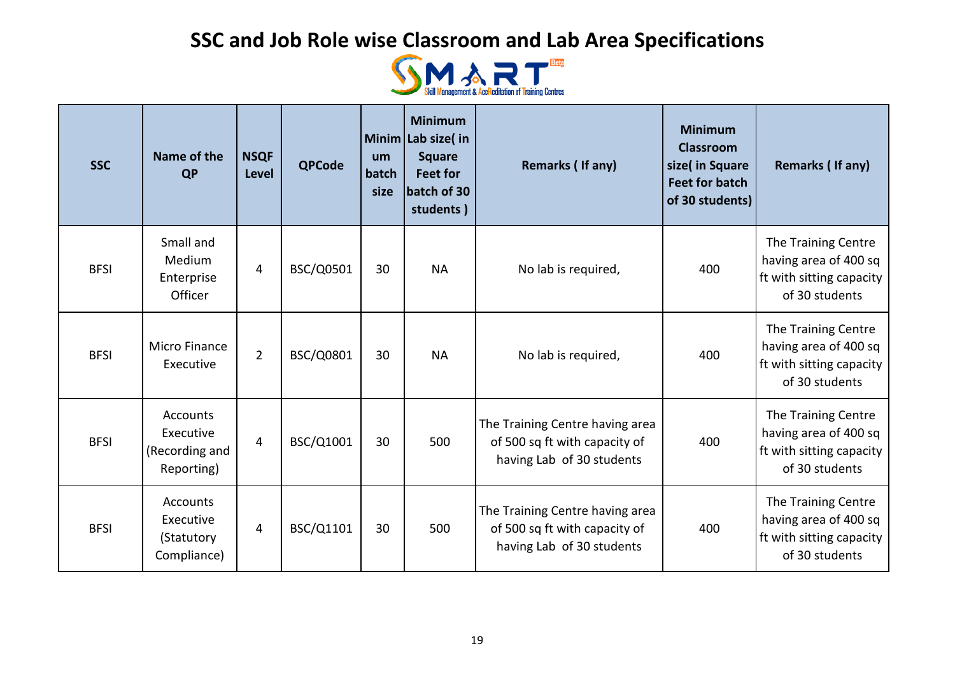

| <b>SSC</b>  | Name of the<br><b>QP</b>                                     | <b>NSQF</b><br><b>Level</b> | <b>QPCode</b> | um<br>batch<br>size | <b>Minimum</b><br>Minim Lab size(in<br><b>Square</b><br><b>Feet for</b><br>batch of 30<br>students) | Remarks (If any)                                                                              | <b>Minimum</b><br><b>Classroom</b><br>size(in Square<br><b>Feet for batch</b><br>of 30 students) | Remarks (If any)                                                                           |
|-------------|--------------------------------------------------------------|-----------------------------|---------------|---------------------|-----------------------------------------------------------------------------------------------------|-----------------------------------------------------------------------------------------------|--------------------------------------------------------------------------------------------------|--------------------------------------------------------------------------------------------|
| <b>BFSI</b> | Small and<br>Medium<br>Enterprise<br>Officer                 | 4                           | BSC/Q0501     | 30                  | <b>NA</b>                                                                                           | No lab is required,                                                                           | 400                                                                                              | The Training Centre<br>having area of 400 sq<br>ft with sitting capacity<br>of 30 students |
| <b>BFSI</b> | Micro Finance<br>Executive                                   | $\overline{2}$              | BSC/Q0801     | 30                  | <b>NA</b>                                                                                           | No lab is required,                                                                           | 400                                                                                              | The Training Centre<br>having area of 400 sq<br>ft with sitting capacity<br>of 30 students |
| <b>BFSI</b> | <b>Accounts</b><br>Executive<br>(Recording and<br>Reporting) | $\overline{4}$              | BSC/Q1001     | 30                  | 500                                                                                                 | The Training Centre having area<br>of 500 sq ft with capacity of<br>having Lab of 30 students | 400                                                                                              | The Training Centre<br>having area of 400 sq<br>ft with sitting capacity<br>of 30 students |
| <b>BFSI</b> | Accounts<br>Executive<br>(Statutory<br>Compliance)           | 4                           | BSC/Q1101     | 30                  | 500                                                                                                 | The Training Centre having area<br>of 500 sq ft with capacity of<br>having Lab of 30 students | 400                                                                                              | The Training Centre<br>having area of 400 sq<br>ft with sitting capacity<br>of 30 students |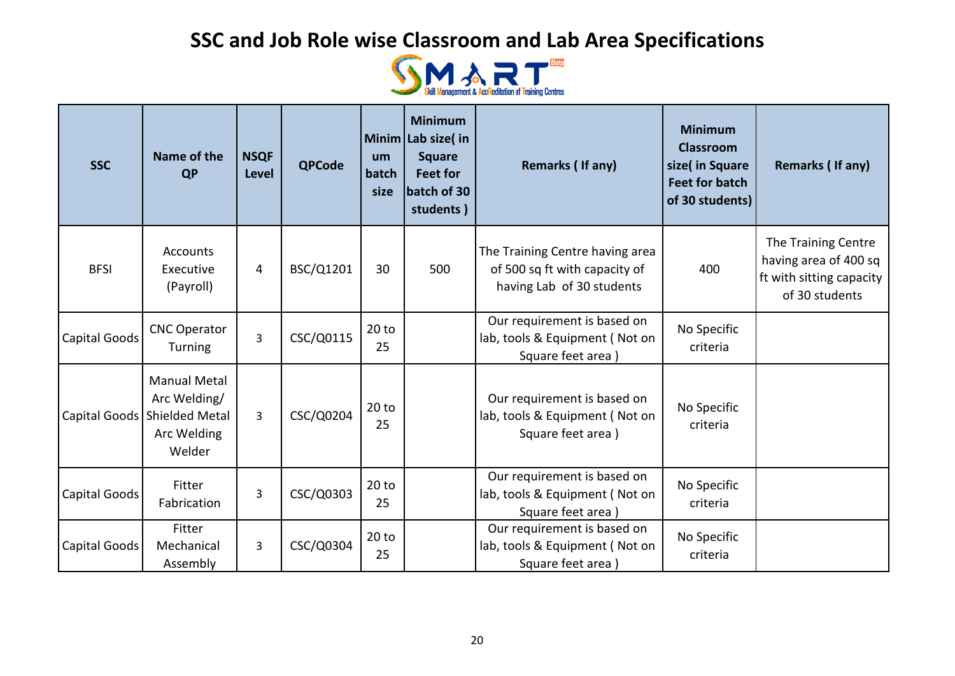

| <b>SSC</b>    | Name of the<br><b>QP</b>                                                                       | <b>NSQF</b><br><b>Level</b> | <b>QPCode</b> | um<br>batch<br>size | <b>Minimum</b><br>Minim Lab size(in<br><b>Square</b><br><b>Feet for</b><br>batch of 30<br>students) | Remarks (If any)                                                                              | <b>Minimum</b><br><b>Classroom</b><br>size( in Square<br><b>Feet for batch</b><br>of 30 students) | Remarks (If any)                                                                           |
|---------------|------------------------------------------------------------------------------------------------|-----------------------------|---------------|---------------------|-----------------------------------------------------------------------------------------------------|-----------------------------------------------------------------------------------------------|---------------------------------------------------------------------------------------------------|--------------------------------------------------------------------------------------------|
| <b>BFSI</b>   | <b>Accounts</b><br>Executive<br>(Payroll)                                                      | 4                           | BSC/Q1201     | 30                  | 500                                                                                                 | The Training Centre having area<br>of 500 sq ft with capacity of<br>having Lab of 30 students | 400                                                                                               | The Training Centre<br>having area of 400 sq<br>ft with sitting capacity<br>of 30 students |
| Capital Goods | <b>CNC Operator</b><br><b>Turning</b>                                                          | $\overline{3}$              | CSC/Q0115     | 20 to<br>25         |                                                                                                     | Our requirement is based on<br>lab, tools & Equipment (Not on<br>Square feet area)            | No Specific<br>criteria                                                                           |                                                                                            |
|               | <b>Manual Metal</b><br>Arc Welding/<br>Capital Goods   Shielded Metal<br>Arc Welding<br>Welder | $\overline{3}$              | CSC/Q0204     | 20 to<br>25         |                                                                                                     | Our requirement is based on<br>lab, tools & Equipment (Not on<br>Square feet area)            | No Specific<br>criteria                                                                           |                                                                                            |
| Capital Goods | Fitter<br>Fabrication                                                                          | 3                           | CSC/Q0303     | 20 to<br>25         |                                                                                                     | Our requirement is based on<br>lab, tools & Equipment (Not on<br>Square feet area)            | No Specific<br>criteria                                                                           |                                                                                            |
| Capital Goods | Fitter<br>Mechanical<br>Assembly                                                               | 3                           | CSC/Q0304     | 20 to<br>25         |                                                                                                     | Our requirement is based on<br>lab, tools & Equipment (Not on<br>Square feet area             | No Specific<br>criteria                                                                           |                                                                                            |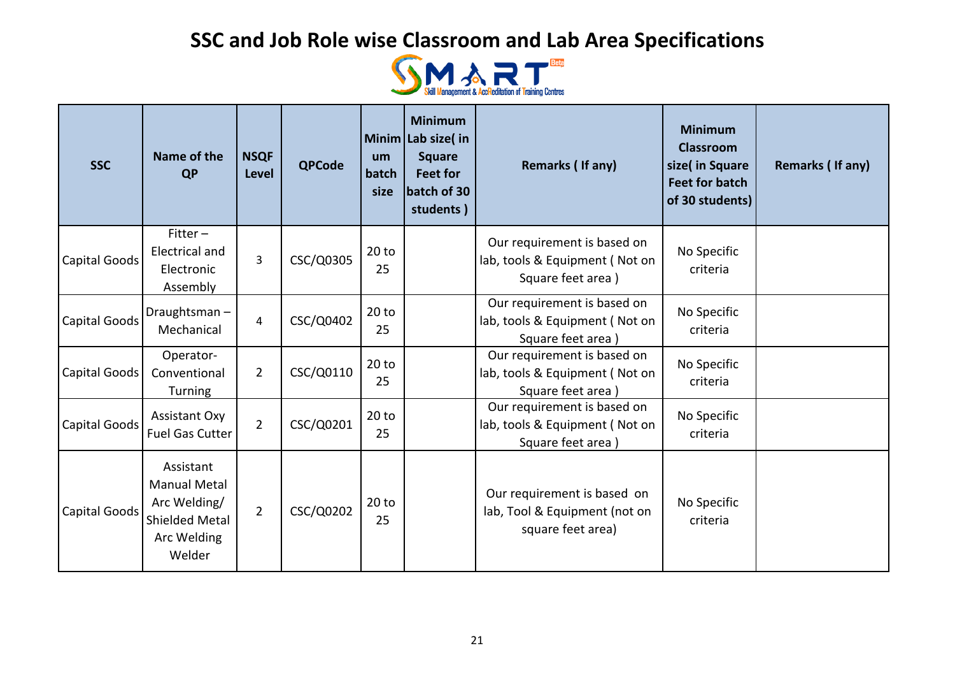

| <b>SSC</b>           | Name of the<br><b>QP</b>                                                                    | <b>NSQF</b><br><b>Level</b> | <b>QPCode</b> | um<br>batch<br>size | <b>Minimum</b><br>Minim Lab size(in<br><b>Square</b><br><b>Feet for</b><br>batch of 30<br>students) | Remarks (If any)                                                                   | <b>Minimum</b><br><b>Classroom</b><br>size( in Square<br><b>Feet for batch</b><br>of 30 students) | Remarks (If any) |
|----------------------|---------------------------------------------------------------------------------------------|-----------------------------|---------------|---------------------|-----------------------------------------------------------------------------------------------------|------------------------------------------------------------------------------------|---------------------------------------------------------------------------------------------------|------------------|
| Capital Goods        | $Fitter -$<br>Electrical and<br>Electronic<br>Assembly                                      | 3                           | CSC/Q0305     | 20 to<br>25         |                                                                                                     | Our requirement is based on<br>lab, tools & Equipment (Not on<br>Square feet area) | No Specific<br>criteria                                                                           |                  |
| <b>Capital Goods</b> | Draughtsman-<br>Mechanical                                                                  | $\overline{4}$              | CSC/Q0402     | 20 to<br>25         |                                                                                                     | Our requirement is based on<br>lab, tools & Equipment (Not on<br>Square feet area) | No Specific<br>criteria                                                                           |                  |
| Capital Goods        | Operator-<br>Conventional<br>Turning                                                        | $\overline{2}$              | CSC/Q0110     | 20 to<br>25         |                                                                                                     | Our requirement is based on<br>lab, tools & Equipment (Not on<br>Square feet area) | No Specific<br>criteria                                                                           |                  |
| <b>Capital Goods</b> | <b>Assistant Oxy</b><br><b>Fuel Gas Cutter</b>                                              | $\overline{2}$              | CSC/Q0201     | 20 to<br>25         |                                                                                                     | Our requirement is based on<br>lab, tools & Equipment (Not on<br>Square feet area) | No Specific<br>criteria                                                                           |                  |
| <b>Capital Goods</b> | Assistant<br><b>Manual Metal</b><br>Arc Welding/<br>Shielded Metal<br>Arc Welding<br>Welder | $\overline{2}$              | CSC/Q0202     | $20$ to<br>25       |                                                                                                     | Our requirement is based on<br>lab, Tool & Equipment (not on<br>square feet area)  | No Specific<br>criteria                                                                           |                  |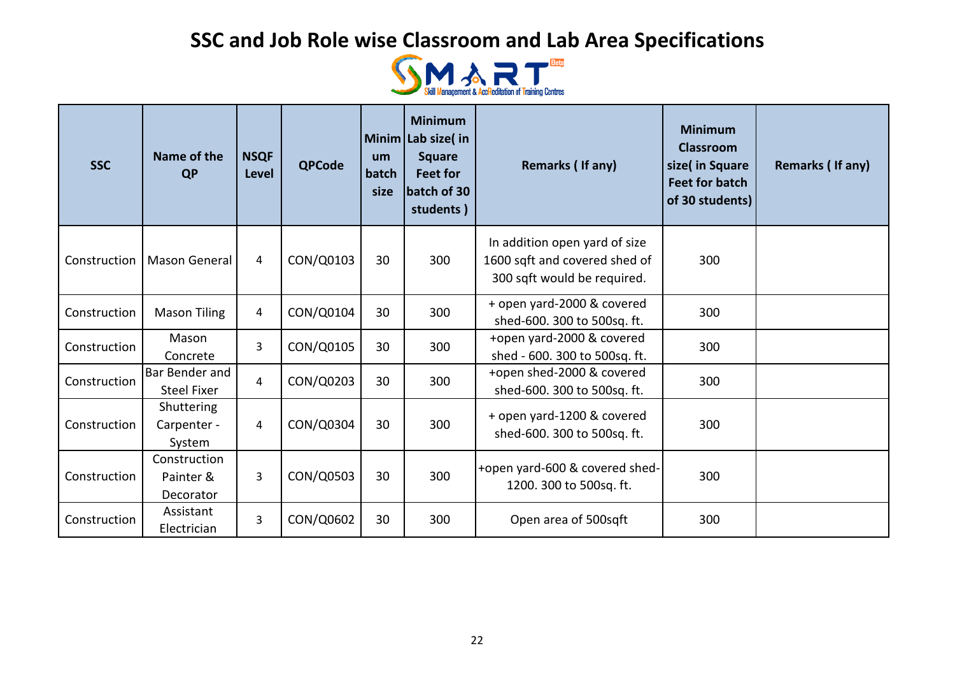

| <b>SSC</b>   | Name of the<br><b>QP</b>               | <b>NSQF</b><br>Level | <b>QPCode</b> | um<br>batch<br>size | <b>Minimum</b><br>Minim Lab size( in<br><b>Square</b><br><b>Feet for</b><br>batch of 30<br>students) | Remarks (If any)                                                                              | <b>Minimum</b><br><b>Classroom</b><br>size( in Square<br><b>Feet for batch</b><br>of 30 students) | <b>Remarks (If any)</b> |
|--------------|----------------------------------------|----------------------|---------------|---------------------|------------------------------------------------------------------------------------------------------|-----------------------------------------------------------------------------------------------|---------------------------------------------------------------------------------------------------|-------------------------|
| Construction | Mason General                          | $\overline{4}$       | CON/Q0103     | 30                  | 300                                                                                                  | In addition open yard of size<br>1600 sqft and covered shed of<br>300 sqft would be required. | 300                                                                                               |                         |
| Construction | <b>Mason Tiling</b>                    | 4                    | CON/Q0104     | 30                  | 300                                                                                                  | + open yard-2000 & covered<br>shed-600. 300 to 500sq. ft.                                     | 300                                                                                               |                         |
| Construction | Mason<br>Concrete                      | 3                    | CON/Q0105     | 30                  | 300                                                                                                  | +open yard-2000 & covered<br>shed - 600. 300 to 500sq. ft.                                    | 300                                                                                               |                         |
| Construction | Bar Bender and<br><b>Steel Fixer</b>   | 4                    | CON/Q0203     | 30                  | 300                                                                                                  | +open shed-2000 & covered<br>shed-600. 300 to 500sq. ft.                                      | 300                                                                                               |                         |
| Construction | Shuttering<br>Carpenter -<br>System    | 4                    | CON/Q0304     | 30                  | 300                                                                                                  | + open yard-1200 & covered<br>shed-600. 300 to 500sq. ft.                                     | 300                                                                                               |                         |
| Construction | Construction<br>Painter &<br>Decorator | 3                    | CON/Q0503     | 30                  | 300                                                                                                  | +open yard-600 & covered shed-<br>1200. 300 to 500sq. ft.                                     | 300                                                                                               |                         |
| Construction | Assistant<br>Electrician               | 3                    | CON/Q0602     | 30                  | 300                                                                                                  | Open area of 500sqft                                                                          | 300                                                                                               |                         |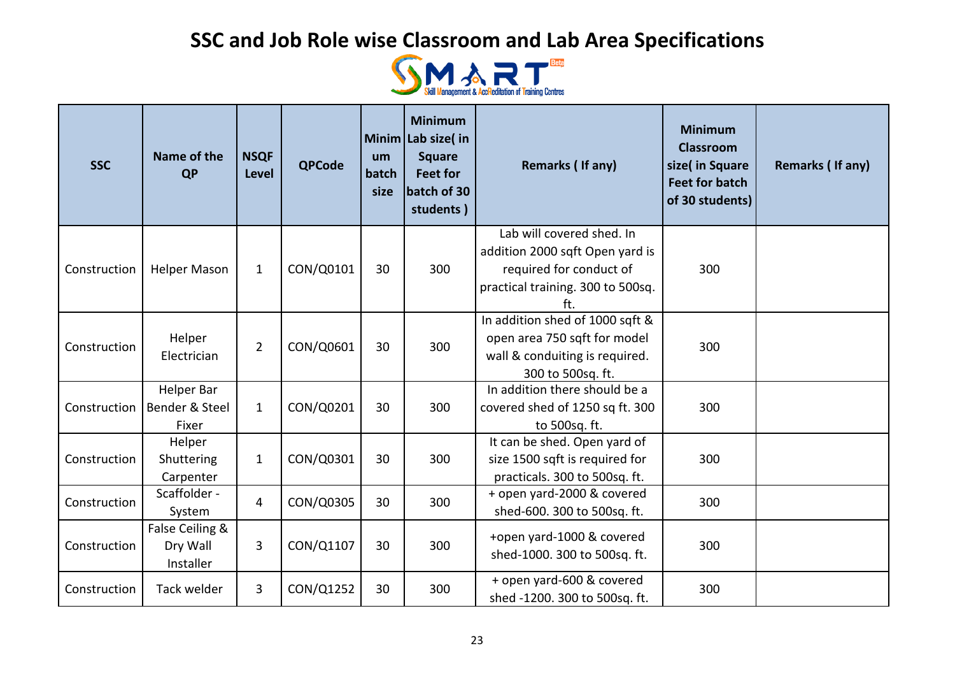

| <b>SSC</b>   | Name of the<br><b>QP</b>    | <b>NSQF</b><br><b>Level</b> | <b>QPCode</b> | um<br>batch<br>size | <b>Minimum</b><br>Minim Lab size(in<br><b>Square</b><br><b>Feet for</b><br>batch of 30<br>students) | Remarks (If any)                       | <b>Minimum</b><br><b>Classroom</b><br>size( in Square<br><b>Feet for batch</b><br>of 30 students) | Remarks (If any) |
|--------------|-----------------------------|-----------------------------|---------------|---------------------|-----------------------------------------------------------------------------------------------------|----------------------------------------|---------------------------------------------------------------------------------------------------|------------------|
|              |                             |                             |               |                     |                                                                                                     | Lab will covered shed. In              |                                                                                                   |                  |
|              |                             |                             |               |                     |                                                                                                     | addition 2000 sqft Open yard is        |                                                                                                   |                  |
| Construction | <b>Helper Mason</b>         | $\mathbf{1}$                | CON/Q0101     | 30                  | 300                                                                                                 | required for conduct of                | 300                                                                                               |                  |
|              |                             |                             |               |                     |                                                                                                     | practical training. 300 to 500sq.      |                                                                                                   |                  |
|              |                             |                             |               |                     |                                                                                                     | ft.<br>In addition shed of 1000 sqft & |                                                                                                   |                  |
|              | Helper                      |                             |               |                     |                                                                                                     | open area 750 sqft for model           |                                                                                                   |                  |
| Construction |                             | $\overline{2}$              | CON/Q0601     | 30                  | 300                                                                                                 | wall & conduiting is required.         | 300                                                                                               |                  |
|              | Electrician                 |                             |               |                     |                                                                                                     | 300 to 500sq. ft.                      |                                                                                                   |                  |
|              | <b>Helper Bar</b>           |                             |               |                     |                                                                                                     | In addition there should be a          |                                                                                                   |                  |
| Construction | Bender & Steel              | $\mathbf{1}$                | CON/Q0201     | 30                  | 300                                                                                                 | covered shed of 1250 sq ft. 300        | 300                                                                                               |                  |
|              | Fixer                       |                             |               |                     |                                                                                                     | to 500sq. ft.                          |                                                                                                   |                  |
|              | Helper                      |                             |               |                     |                                                                                                     | It can be shed. Open yard of           |                                                                                                   |                  |
| Construction | Shuttering                  | $\mathbf{1}$                | CON/Q0301     | 30                  | 300                                                                                                 | size 1500 sqft is required for         | 300                                                                                               |                  |
|              | Carpenter                   |                             |               |                     |                                                                                                     | practicals. 300 to 500sq. ft.          |                                                                                                   |                  |
| Construction | Scaffolder -                | 4                           | CON/Q0305     | 30                  | 300                                                                                                 | + open yard-2000 & covered             | 300                                                                                               |                  |
|              | System                      |                             |               |                     |                                                                                                     | shed-600. 300 to 500sq. ft.            |                                                                                                   |                  |
| Construction | False Ceiling &<br>Dry Wall | 3                           | CON/Q1107     | 30                  | 300                                                                                                 | +open yard-1000 & covered              | 300                                                                                               |                  |
|              | Installer                   |                             |               |                     |                                                                                                     | shed-1000. 300 to 500sq. ft.           |                                                                                                   |                  |
|              |                             |                             |               |                     |                                                                                                     | + open yard-600 & covered              |                                                                                                   |                  |
| Construction | Tack welder                 | 3                           | CON/Q1252     | 30                  | 300                                                                                                 | shed -1200. 300 to 500sq. ft.          | 300                                                                                               |                  |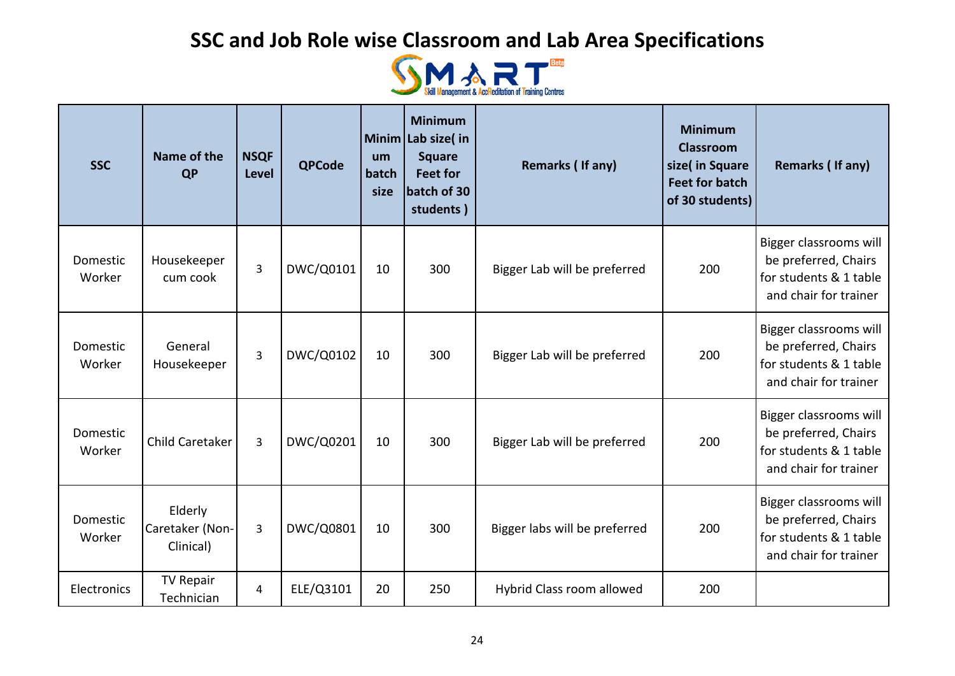

| <b>SSC</b>         | Name of the<br><b>QP</b>                | <b>NSQF</b><br><b>Level</b> | <b>QPCode</b> | um<br>batch<br>size | <b>Minimum</b><br>Minim Lab size( in<br><b>Square</b><br><b>Feet for</b><br>batch of 30<br>students) | Remarks (If any)              | <b>Minimum</b><br><b>Classroom</b><br>size( in Square<br><b>Feet for batch</b><br>of 30 students) | Remarks (If any)                                                                                  |
|--------------------|-----------------------------------------|-----------------------------|---------------|---------------------|------------------------------------------------------------------------------------------------------|-------------------------------|---------------------------------------------------------------------------------------------------|---------------------------------------------------------------------------------------------------|
| Domestic<br>Worker | Housekeeper<br>cum cook                 | 3                           | DWC/Q0101     | 10                  | 300                                                                                                  | Bigger Lab will be preferred  | 200                                                                                               | Bigger classrooms will<br>be preferred, Chairs<br>for students & 1 table<br>and chair for trainer |
| Domestic<br>Worker | General<br>Housekeeper                  | $\overline{3}$              | DWC/Q0102     | 10                  | 300                                                                                                  | Bigger Lab will be preferred  | 200                                                                                               | Bigger classrooms will<br>be preferred, Chairs<br>for students & 1 table<br>and chair for trainer |
| Domestic<br>Worker | Child Caretaker                         | $\overline{3}$              | DWC/Q0201     | 10                  | 300                                                                                                  | Bigger Lab will be preferred  | 200                                                                                               | Bigger classrooms will<br>be preferred, Chairs<br>for students & 1 table<br>and chair for trainer |
| Domestic<br>Worker | Elderly<br>Caretaker (Non-<br>Clinical) | $\overline{3}$              | DWC/Q0801     | 10                  | 300                                                                                                  | Bigger labs will be preferred | 200                                                                                               | Bigger classrooms will<br>be preferred, Chairs<br>for students & 1 table<br>and chair for trainer |
| Electronics        | <b>TV Repair</b><br>Technician          | 4                           | ELE/Q3101     | 20                  | 250                                                                                                  | Hybrid Class room allowed     | 200                                                                                               |                                                                                                   |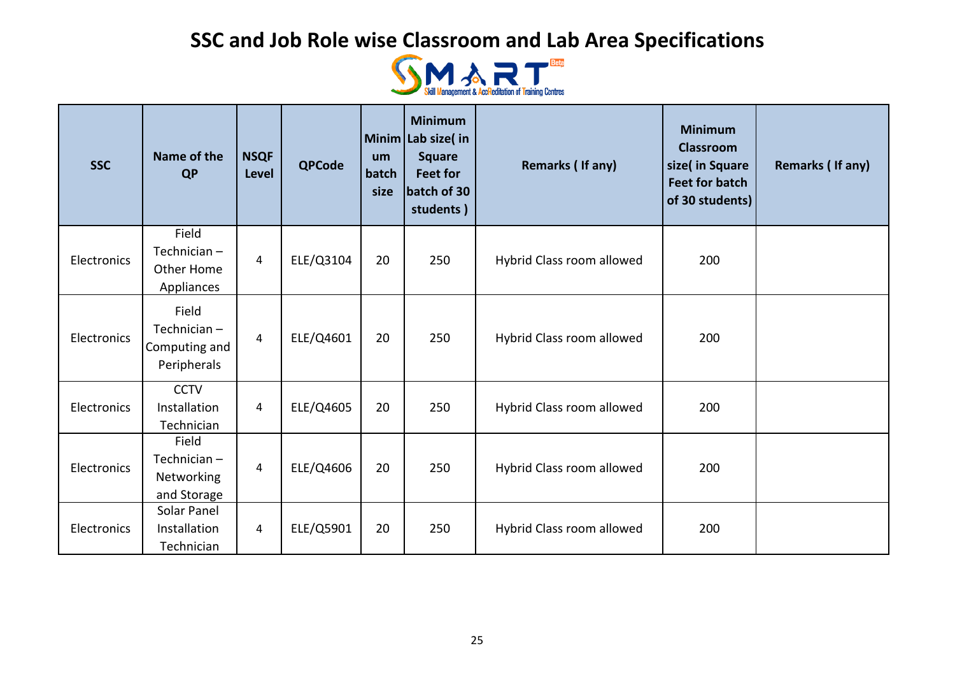

| <b>SSC</b>  | Name of the<br><b>QP</b>                                   | <b>NSQF</b><br><b>Level</b> | <b>QPCode</b> | um<br>batch<br>size | <b>Minimum</b><br>Minim Lab size(in<br><b>Square</b><br><b>Feet for</b><br>batch of 30<br>students) | <b>Remarks (If any)</b>   | <b>Minimum</b><br><b>Classroom</b><br>size( in Square<br><b>Feet for batch</b><br>of 30 students) | Remarks (If any) |
|-------------|------------------------------------------------------------|-----------------------------|---------------|---------------------|-----------------------------------------------------------------------------------------------------|---------------------------|---------------------------------------------------------------------------------------------------|------------------|
| Electronics | Field<br>Technician $-$<br>Other Home<br><b>Appliances</b> | 4                           | ELE/Q3104     | 20                  | 250                                                                                                 | Hybrid Class room allowed | 200                                                                                               |                  |
| Electronics | Field<br>Technician $-$<br>Computing and<br>Peripherals    | 4                           | ELE/Q4601     | 20                  | 250                                                                                                 | Hybrid Class room allowed | 200                                                                                               |                  |
| Electronics | <b>CCTV</b><br>Installation<br>Technician                  | 4                           | ELE/Q4605     | 20                  | 250                                                                                                 | Hybrid Class room allowed | 200                                                                                               |                  |
| Electronics | Field<br>Technician-<br>Networking<br>and Storage          | 4                           | ELE/Q4606     | 20                  | 250                                                                                                 | Hybrid Class room allowed | 200                                                                                               |                  |
| Electronics | Solar Panel<br>Installation<br>Technician                  | 4                           | ELE/Q5901     | 20                  | 250                                                                                                 | Hybrid Class room allowed | 200                                                                                               |                  |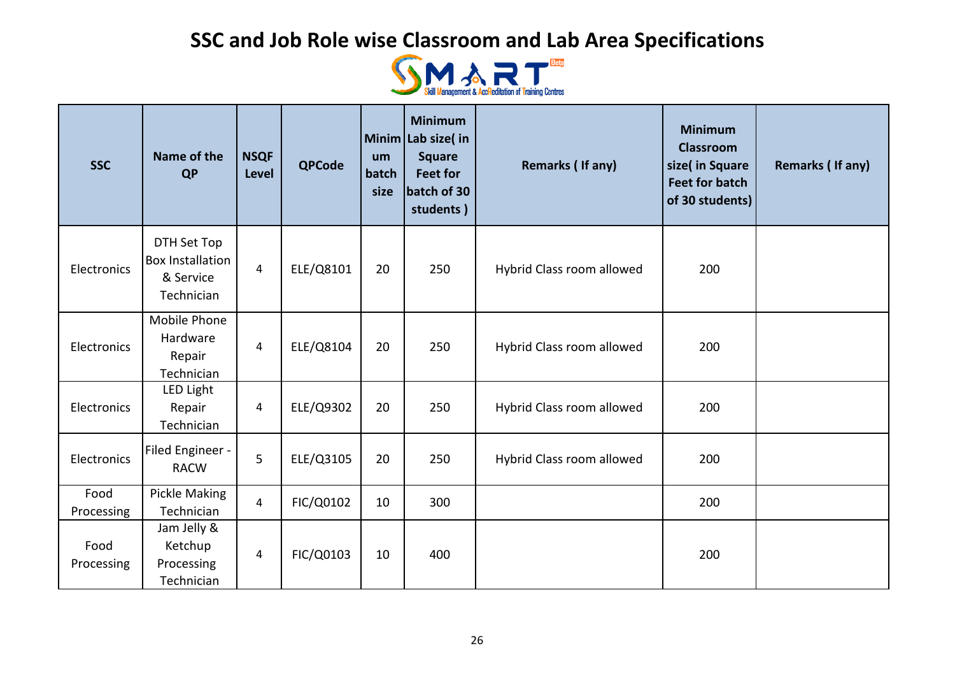

| <b>SSC</b>         | Name of the<br><b>QP</b>                                          | <b>NSQF</b><br><b>Level</b> | <b>QPCode</b> | um<br>batch<br>size | <b>Minimum</b><br>Minim Lab size(in<br><b>Square</b><br><b>Feet for</b><br>batch of 30<br>students) | <b>Remarks (If any)</b>   | <b>Minimum</b><br><b>Classroom</b><br>size( in Square<br><b>Feet for batch</b><br>of 30 students) | Remarks (If any) |
|--------------------|-------------------------------------------------------------------|-----------------------------|---------------|---------------------|-----------------------------------------------------------------------------------------------------|---------------------------|---------------------------------------------------------------------------------------------------|------------------|
| Electronics        | DTH Set Top<br><b>Box Installation</b><br>& Service<br>Technician | $\overline{4}$              | ELE/Q8101     | 20                  | 250                                                                                                 | Hybrid Class room allowed | 200                                                                                               |                  |
| Electronics        | Mobile Phone<br>Hardware<br>Repair<br>Technician                  | 4                           | ELE/Q8104     | 20                  | 250                                                                                                 | Hybrid Class room allowed | 200                                                                                               |                  |
| Electronics        | LED Light<br>Repair<br>Technician                                 | $\overline{4}$              | ELE/Q9302     | 20                  | 250                                                                                                 | Hybrid Class room allowed | 200                                                                                               |                  |
| Electronics        | Filed Engineer -<br><b>RACW</b>                                   | 5                           | ELE/Q3105     | 20                  | 250                                                                                                 | Hybrid Class room allowed | 200                                                                                               |                  |
| Food<br>Processing | Pickle Making<br>Technician                                       | 4                           | FIC/Q0102     | 10                  | 300                                                                                                 |                           | 200                                                                                               |                  |
| Food<br>Processing | Jam Jelly &<br>Ketchup<br>Processing<br>Technician                | 4                           | FIC/Q0103     | 10                  | 400                                                                                                 |                           | 200                                                                                               |                  |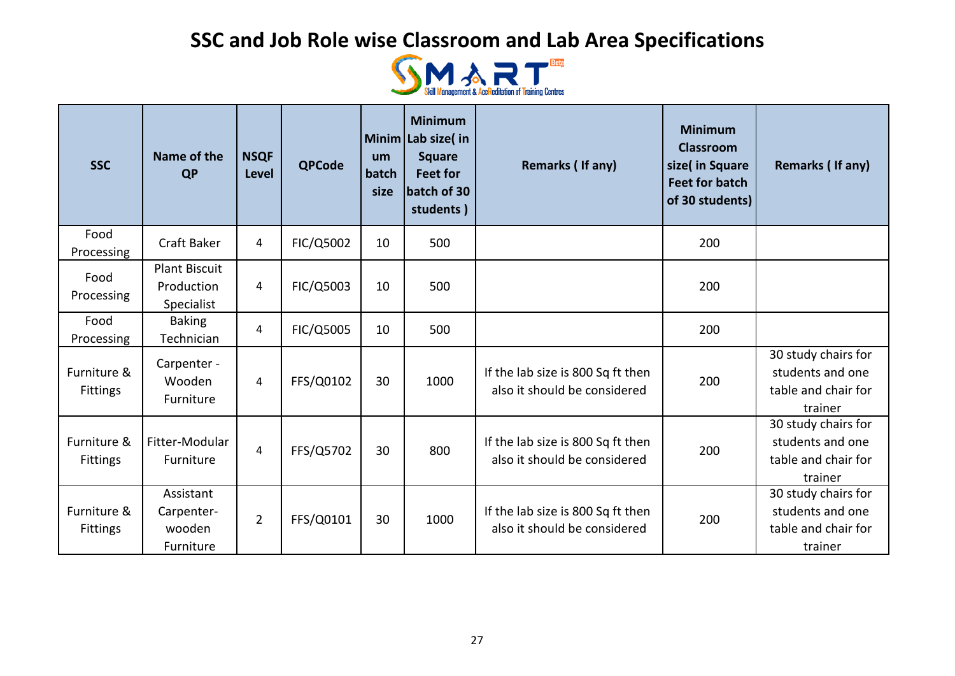

| <b>SSC</b>                     | Name of the<br><b>QP</b>                         | <b>NSQF</b><br><b>Level</b> | <b>QPCode</b> | um<br>batch<br>size | <b>Minimum</b><br>Minim Lab size( in<br><b>Square</b><br><b>Feet for</b><br>batch of 30<br>students) | Remarks (If any)                                                  | <b>Minimum</b><br><b>Classroom</b><br>size( in Square<br><b>Feet for batch</b><br>of 30 students) | Remarks (If any)                                                          |
|--------------------------------|--------------------------------------------------|-----------------------------|---------------|---------------------|------------------------------------------------------------------------------------------------------|-------------------------------------------------------------------|---------------------------------------------------------------------------------------------------|---------------------------------------------------------------------------|
| Food<br>Processing             | <b>Craft Baker</b>                               | 4                           | FIC/Q5002     | 10                  | 500                                                                                                  |                                                                   | 200                                                                                               |                                                                           |
| Food<br>Processing             | <b>Plant Biscuit</b><br>Production<br>Specialist | 4                           | FIC/Q5003     | 10                  | 500                                                                                                  |                                                                   | 200                                                                                               |                                                                           |
| Food<br>Processing             | <b>Baking</b><br>Technician                      | 4                           | FIC/Q5005     | 10                  | 500                                                                                                  |                                                                   | 200                                                                                               |                                                                           |
| Furniture &<br><b>Fittings</b> | Carpenter -<br>Wooden<br>Furniture               | 4                           | FFS/Q0102     | 30                  | 1000                                                                                                 | If the lab size is 800 Sq ft then<br>also it should be considered | 200                                                                                               | 30 study chairs for<br>students and one<br>table and chair for<br>trainer |
| Furniture &<br><b>Fittings</b> | Fitter-Modular<br>Furniture                      | 4                           | FFS/Q5702     | 30                  | 800                                                                                                  | If the lab size is 800 Sq ft then<br>also it should be considered | 200                                                                                               | 30 study chairs for<br>students and one<br>table and chair for<br>trainer |
| Furniture &<br><b>Fittings</b> | Assistant<br>Carpenter-<br>wooden<br>Furniture   | $\overline{2}$              | FFS/Q0101     | 30                  | 1000                                                                                                 | If the lab size is 800 Sq ft then<br>also it should be considered | 200                                                                                               | 30 study chairs for<br>students and one<br>table and chair for<br>trainer |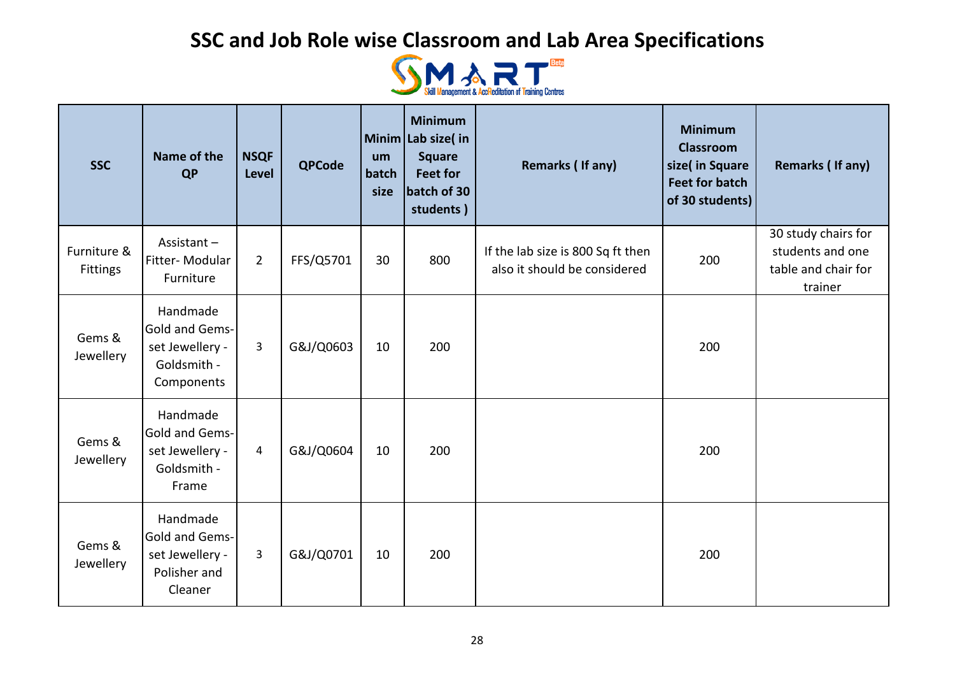

| <b>SSC</b>                     | Name of the<br><b>QP</b>                                                        | <b>NSQF</b><br>Level | <b>QPCode</b> | um<br>batch<br>size | <b>Minimum</b><br>Minim Lab size(in<br><b>Square</b><br><b>Feet for</b><br>batch of 30<br>students) | Remarks (If any)                                                  | <b>Minimum</b><br><b>Classroom</b><br>size( in Square<br><b>Feet for batch</b><br>of 30 students) | <b>Remarks (If any)</b>                                                   |
|--------------------------------|---------------------------------------------------------------------------------|----------------------|---------------|---------------------|-----------------------------------------------------------------------------------------------------|-------------------------------------------------------------------|---------------------------------------------------------------------------------------------------|---------------------------------------------------------------------------|
| Furniture &<br><b>Fittings</b> | Assistant-<br>Fitter-Modular<br>Furniture                                       | $\overline{2}$       | FFS/Q5701     | 30                  | 800                                                                                                 | If the lab size is 800 Sq ft then<br>also it should be considered | 200                                                                                               | 30 study chairs for<br>students and one<br>table and chair for<br>trainer |
| Gems &<br>Jewellery            | Handmade<br>Gold and Gems-<br>set Jewellery -<br>Goldsmith -<br>Components      | 3                    | G&J/Q0603     | 10                  | 200                                                                                                 |                                                                   | 200                                                                                               |                                                                           |
| Gems &<br>Jewellery            | Handmade<br><b>Gold and Gems-</b><br>set Jewellery -<br>Goldsmith -<br>Frame    | $\overline{4}$       | G&J/Q0604     | 10                  | 200                                                                                                 |                                                                   | 200                                                                                               |                                                                           |
| Gems &<br>Jewellery            | Handmade<br><b>Gold and Gems-</b><br>set Jewellery -<br>Polisher and<br>Cleaner | 3                    | G&J/Q0701     | 10                  | 200                                                                                                 |                                                                   | 200                                                                                               |                                                                           |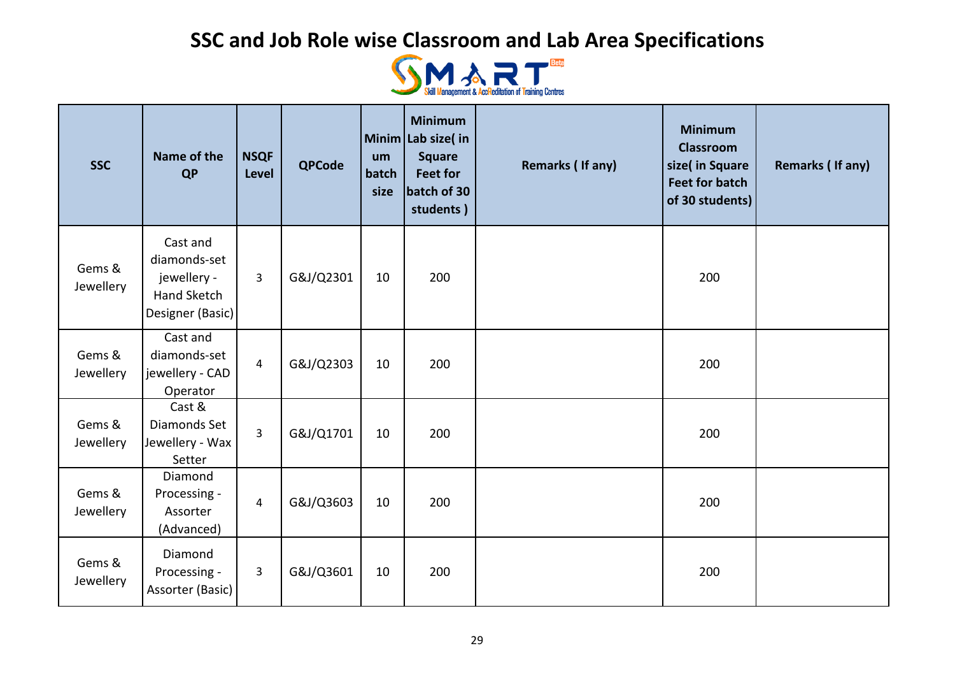

| <b>SSC</b>          | Name of the<br><b>QP</b>                                                   | <b>NSQF</b><br><b>Level</b> | <b>QPCode</b> | um<br>batch<br>size | <b>Minimum</b><br>Minim Lab size(in<br><b>Square</b><br><b>Feet for</b><br>batch of 30<br>students) | <b>Remarks (If any)</b> | <b>Minimum</b><br><b>Classroom</b><br>size( in Square<br><b>Feet for batch</b><br>of 30 students) | Remarks (If any) |
|---------------------|----------------------------------------------------------------------------|-----------------------------|---------------|---------------------|-----------------------------------------------------------------------------------------------------|-------------------------|---------------------------------------------------------------------------------------------------|------------------|
| Gems &<br>Jewellery | Cast and<br>diamonds-set<br>jewellery -<br>Hand Sketch<br>Designer (Basic) | 3                           | G&J/Q2301     | 10                  | 200                                                                                                 |                         | 200                                                                                               |                  |
| Gems &<br>Jewellery | Cast and<br>diamonds-set<br>jewellery - CAD<br>Operator                    | $\overline{4}$              | G&J/Q2303     | 10                  | 200                                                                                                 |                         | 200                                                                                               |                  |
| Gems &<br>Jewellery | Cast &<br>Diamonds Set<br>Jewellery - Wax<br>Setter                        | 3                           | G&J/Q1701     | 10                  | 200                                                                                                 |                         | 200                                                                                               |                  |
| Gems &<br>Jewellery | Diamond<br>Processing -<br>Assorter<br>(Advanced)                          | $\overline{a}$              | G&J/Q3603     | 10                  | 200                                                                                                 |                         | 200                                                                                               |                  |
| Gems &<br>Jewellery | Diamond<br>Processing -<br>Assorter (Basic)                                | 3                           | G&J/Q3601     | 10                  | 200                                                                                                 |                         | 200                                                                                               |                  |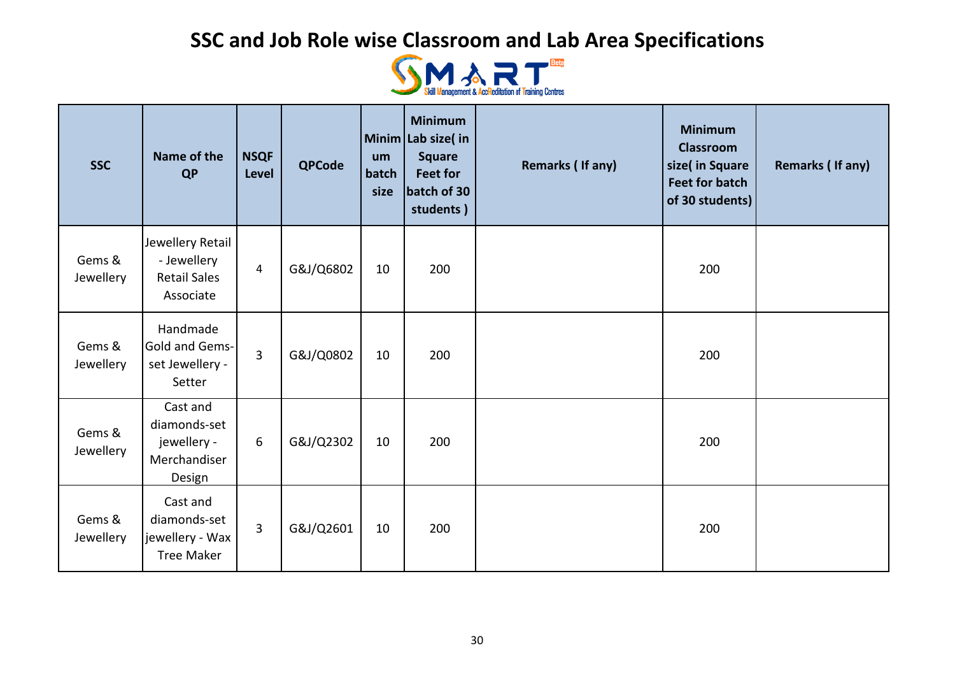

| <b>SSC</b>          | Name of the<br><b>QP</b>                                            | <b>NSQF</b><br><b>Level</b> | <b>QPCode</b> | um<br>batch<br>size | <b>Minimum</b><br>Minim Lab size(in<br><b>Square</b><br><b>Feet for</b><br>batch of 30<br>students) | Remarks (If any) | <b>Minimum</b><br><b>Classroom</b><br>size( in Square<br><b>Feet for batch</b><br>of 30 students) | <b>Remarks (If any)</b> |
|---------------------|---------------------------------------------------------------------|-----------------------------|---------------|---------------------|-----------------------------------------------------------------------------------------------------|------------------|---------------------------------------------------------------------------------------------------|-------------------------|
| Gems &<br>Jewellery | Jewellery Retail<br>- Jewellery<br><b>Retail Sales</b><br>Associate | $\overline{4}$              | G&J/Q6802     | 10                  | 200                                                                                                 |                  | 200                                                                                               |                         |
| Gems &<br>Jewellery | Handmade<br>Gold and Gems-<br>set Jewellery -<br>Setter             | $\overline{3}$              | G&J/Q0802     | 10                  | 200                                                                                                 |                  | 200                                                                                               |                         |
| Gems &<br>Jewellery | Cast and<br>diamonds-set<br>jewellery -<br>Merchandiser<br>Design   | 6                           | G&J/Q2302     | 10                  | 200                                                                                                 |                  | 200                                                                                               |                         |
| Gems &<br>Jewellery | Cast and<br>diamonds-set<br>jewellery - Wax<br><b>Tree Maker</b>    | $\overline{3}$              | G&J/Q2601     | 10                  | 200                                                                                                 |                  | 200                                                                                               |                         |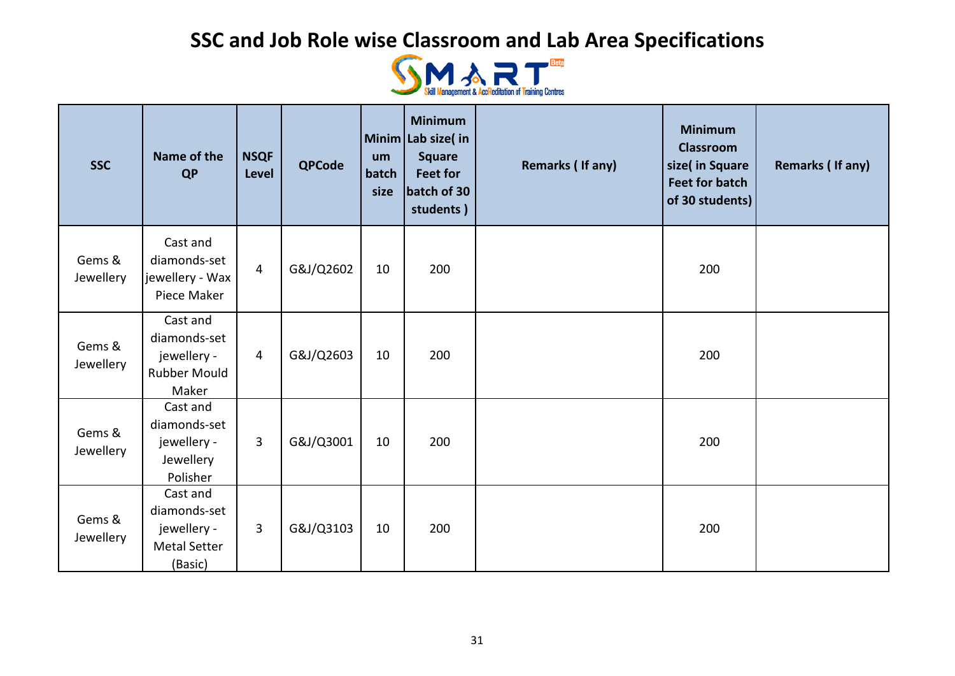

| <b>SSC</b>          | Name of the<br><b>QP</b>                                                  | <b>NSQF</b><br><b>Level</b> | <b>QPCode</b> | um<br>batch<br>size | <b>Minimum</b><br>Minim Lab size(in<br><b>Square</b><br><b>Feet for</b><br>batch of 30<br>students) | <b>Remarks (If any)</b> | <b>Minimum</b><br><b>Classroom</b><br>size( in Square<br><b>Feet for batch</b><br>of 30 students) | <b>Remarks (If any)</b> |
|---------------------|---------------------------------------------------------------------------|-----------------------------|---------------|---------------------|-----------------------------------------------------------------------------------------------------|-------------------------|---------------------------------------------------------------------------------------------------|-------------------------|
| Gems &<br>Jewellery | Cast and<br>diamonds-set<br>jewellery - Wax<br>Piece Maker                | 4                           | G&J/Q2602     | 10                  | 200                                                                                                 |                         | 200                                                                                               |                         |
| Gems &<br>Jewellery | Cast and<br>diamonds-set<br>jewellery -<br>Rubber Mould<br>Maker          | $\overline{4}$              | G&J/Q2603     | 10                  | 200                                                                                                 |                         | 200                                                                                               |                         |
| Gems &<br>Jewellery | Cast and<br>diamonds-set<br>jewellery -<br>Jewellery<br>Polisher          | 3                           | G&J/Q3001     | 10                  | 200                                                                                                 |                         | 200                                                                                               |                         |
| Gems &<br>Jewellery | Cast and<br>diamonds-set<br>jewellery -<br><b>Metal Setter</b><br>(Basic) | 3                           | G&J/Q3103     | 10                  | 200                                                                                                 |                         | 200                                                                                               |                         |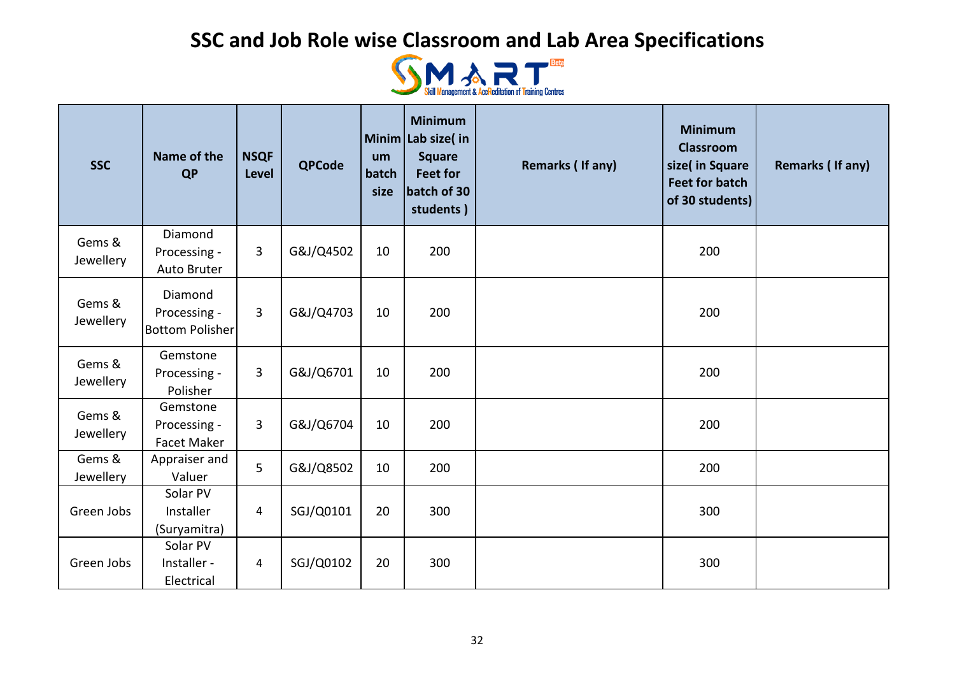

| <b>SSC</b>          | Name of the<br><b>QP</b>                          | <b>NSQF</b><br><b>Level</b> | <b>QPCode</b> | um<br>batch<br>size | <b>Minimum</b><br>Minim Lab size(in<br><b>Square</b><br><b>Feet for</b><br>batch of 30<br>students) | <b>Remarks (If any)</b> | <b>Minimum</b><br><b>Classroom</b><br>size( in Square<br><b>Feet for batch</b><br>of 30 students) | Remarks (If any) |
|---------------------|---------------------------------------------------|-----------------------------|---------------|---------------------|-----------------------------------------------------------------------------------------------------|-------------------------|---------------------------------------------------------------------------------------------------|------------------|
| Gems &<br>Jewellery | Diamond<br>Processing -<br>Auto Bruter            | 3                           | G&J/Q4502     | 10                  | 200                                                                                                 |                         | 200                                                                                               |                  |
| Gems &<br>Jewellery | Diamond<br>Processing -<br><b>Bottom Polisher</b> | 3                           | G&J/Q4703     | 10                  | 200                                                                                                 |                         | 200                                                                                               |                  |
| Gems &<br>Jewellery | Gemstone<br>Processing -<br>Polisher              | 3                           | G&J/Q6701     | 10                  | 200                                                                                                 |                         | 200                                                                                               |                  |
| Gems &<br>Jewellery | Gemstone<br>Processing -<br><b>Facet Maker</b>    | 3                           | G&J/Q6704     | 10                  | 200                                                                                                 |                         | 200                                                                                               |                  |
| Gems &<br>Jewellery | Appraiser and<br>Valuer                           | 5                           | G&J/Q8502     | 10                  | 200                                                                                                 |                         | 200                                                                                               |                  |
| Green Jobs          | Solar PV<br>Installer<br>(Suryamitra)             | $\overline{4}$              | SGJ/Q0101     | 20                  | 300                                                                                                 |                         | 300                                                                                               |                  |
| Green Jobs          | Solar PV<br>Installer -<br>Electrical             | $\overline{4}$              | SGJ/Q0102     | 20                  | 300                                                                                                 |                         | 300                                                                                               |                  |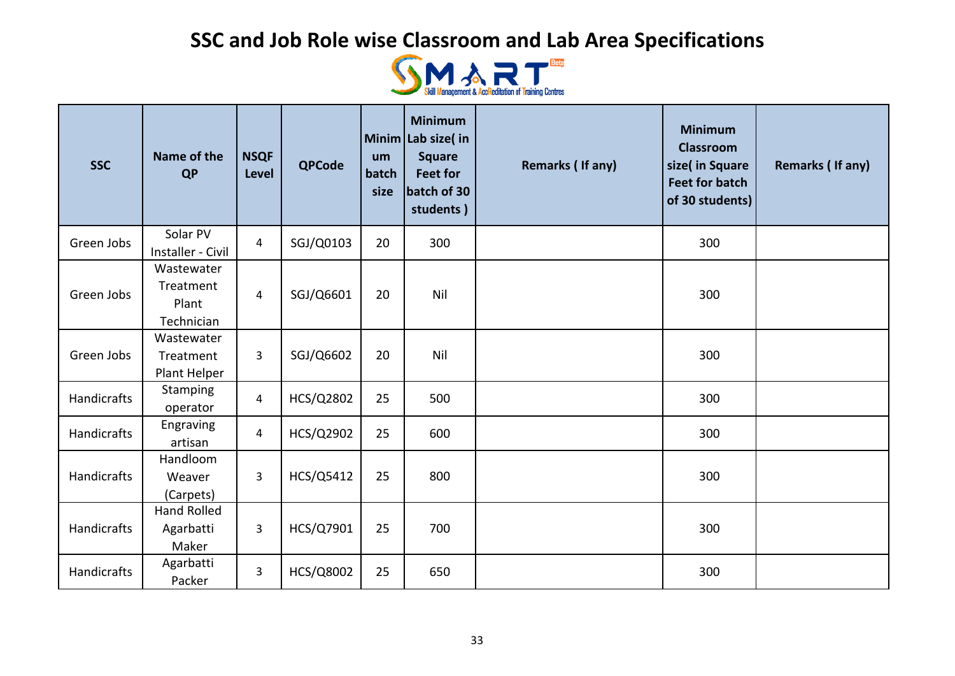

| <b>SSC</b>         | Name of the<br><b>QP</b>                       | <b>NSQF</b><br><b>Level</b> | <b>QPCode</b> | um<br>batch<br>size | <b>Minimum</b><br>Minim Lab size(in<br><b>Square</b><br><b>Feet for</b><br>batch of 30<br>students) | <b>Remarks (If any)</b> | <b>Minimum</b><br><b>Classroom</b><br>size( in Square<br><b>Feet for batch</b><br>of 30 students) | Remarks (If any) |
|--------------------|------------------------------------------------|-----------------------------|---------------|---------------------|-----------------------------------------------------------------------------------------------------|-------------------------|---------------------------------------------------------------------------------------------------|------------------|
| Green Jobs         | Solar PV<br>Installer - Civil                  | $\overline{4}$              | SGJ/Q0103     | 20                  | 300                                                                                                 |                         | 300                                                                                               |                  |
| Green Jobs         | Wastewater<br>Treatment<br>Plant<br>Technician | $\overline{4}$              | SGJ/Q6601     | 20                  | Nil                                                                                                 |                         | 300                                                                                               |                  |
| Green Jobs         | Wastewater<br>Treatment<br>Plant Helper        | 3                           | SGJ/Q6602     | 20                  | Nil                                                                                                 |                         | 300                                                                                               |                  |
| Handicrafts        | Stamping<br>operator                           | $\overline{4}$              | HCS/Q2802     | 25                  | 500                                                                                                 |                         | 300                                                                                               |                  |
| Handicrafts        | Engraving<br>artisan                           | $\overline{4}$              | HCS/Q2902     | 25                  | 600                                                                                                 |                         | 300                                                                                               |                  |
| <b>Handicrafts</b> | Handloom<br>Weaver<br>(Carpets)                | 3                           | HCS/Q5412     | 25                  | 800                                                                                                 |                         | 300                                                                                               |                  |
| <b>Handicrafts</b> | <b>Hand Rolled</b><br>Agarbatti<br>Maker       | 3                           | HCS/Q7901     | 25                  | 700                                                                                                 |                         | 300                                                                                               |                  |
| Handicrafts        | Agarbatti<br>Packer                            | 3                           | HCS/Q8002     | 25                  | 650                                                                                                 |                         | 300                                                                                               |                  |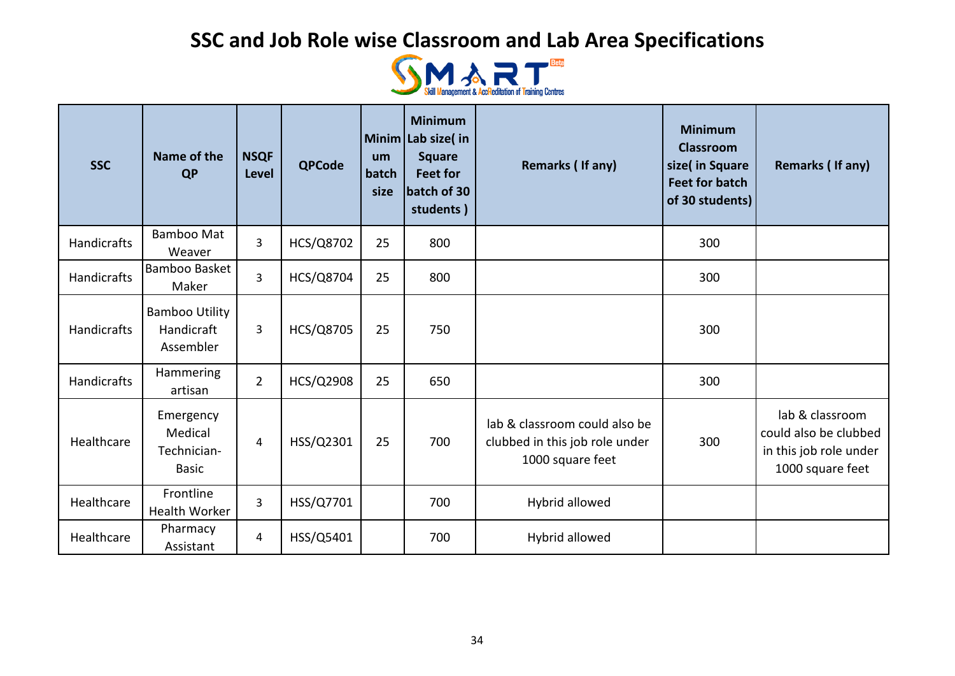

| <b>SSC</b>         | Name of the<br><b>QP</b>                            | <b>NSQF</b><br><b>Level</b> | <b>QPCode</b> | um<br>batch<br>size | <b>Minimum</b><br>Minim Lab size(in<br><b>Square</b><br><b>Feet for</b><br>batch of 30<br>students) | Remarks (If any)                                                                    | <b>Minimum</b><br><b>Classroom</b><br>size( in Square<br><b>Feet for batch</b><br>of 30 students) | Remarks (If any)                                                                       |
|--------------------|-----------------------------------------------------|-----------------------------|---------------|---------------------|-----------------------------------------------------------------------------------------------------|-------------------------------------------------------------------------------------|---------------------------------------------------------------------------------------------------|----------------------------------------------------------------------------------------|
| <b>Handicrafts</b> | <b>Bamboo Mat</b><br>Weaver                         | $\overline{3}$              | HCS/Q8702     | 25                  | 800                                                                                                 |                                                                                     | 300                                                                                               |                                                                                        |
| <b>Handicrafts</b> | Bamboo Basket<br>Maker                              | $\overline{3}$              | HCS/Q8704     | 25                  | 800                                                                                                 |                                                                                     | 300                                                                                               |                                                                                        |
| <b>Handicrafts</b> | <b>Bamboo Utility</b><br>Handicraft<br>Assembler    | $\overline{3}$              | HCS/Q8705     | 25                  | 750                                                                                                 |                                                                                     | 300                                                                                               |                                                                                        |
| <b>Handicrafts</b> | Hammering<br>artisan                                | $\overline{2}$              | HCS/Q2908     | 25                  | 650                                                                                                 |                                                                                     | 300                                                                                               |                                                                                        |
| Healthcare         | Emergency<br>Medical<br>Technician-<br><b>Basic</b> | 4                           | HSS/Q2301     | 25                  | 700                                                                                                 | lab & classroom could also be<br>clubbed in this job role under<br>1000 square feet | 300                                                                                               | lab & classroom<br>could also be clubbed<br>in this job role under<br>1000 square feet |
| Healthcare         | Frontline<br><b>Health Worker</b>                   | $\overline{3}$              | HSS/Q7701     |                     | 700                                                                                                 | Hybrid allowed                                                                      |                                                                                                   |                                                                                        |
| Healthcare         | Pharmacy<br>Assistant                               | 4                           | HSS/Q5401     |                     | 700                                                                                                 | Hybrid allowed                                                                      |                                                                                                   |                                                                                        |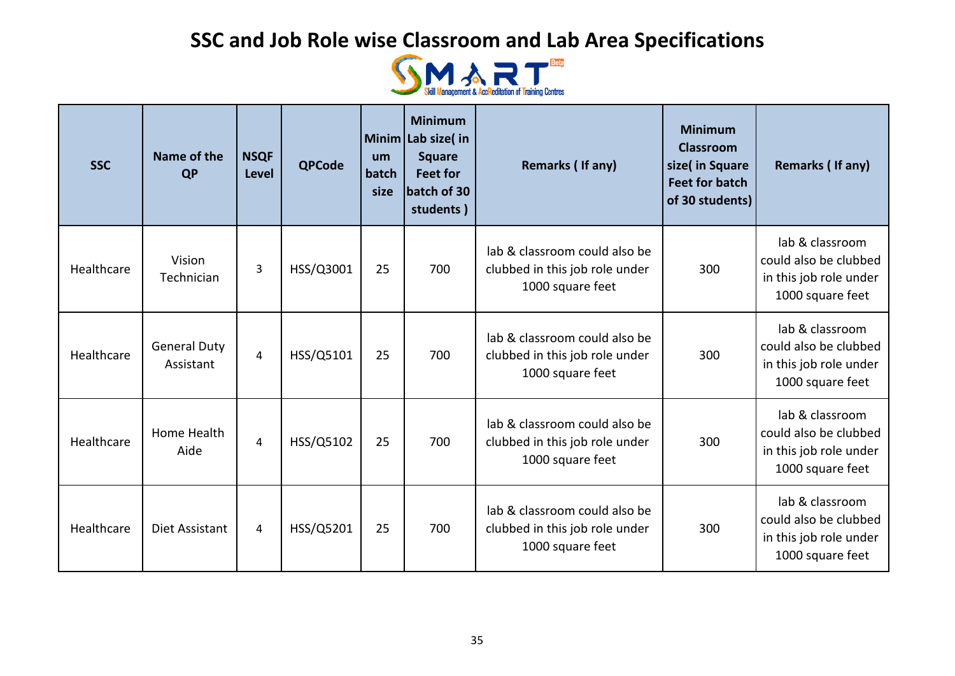

| <b>SSC</b> | Name of the<br><b>QP</b>         | <b>NSQF</b><br><b>Level</b> | <b>QPCode</b> | um<br>batch<br>size | <b>Minimum</b><br>Minim Lab size(in<br><b>Square</b><br><b>Feet for</b><br>batch of 30<br>students) | Remarks (If any)                                                                    | <b>Minimum</b><br><b>Classroom</b><br>size( in Square<br><b>Feet for batch</b><br>of 30 students) | <b>Remarks (If any)</b>                                                                |
|------------|----------------------------------|-----------------------------|---------------|---------------------|-----------------------------------------------------------------------------------------------------|-------------------------------------------------------------------------------------|---------------------------------------------------------------------------------------------------|----------------------------------------------------------------------------------------|
| Healthcare | Vision<br>Technician             | 3                           | HSS/Q3001     | 25                  | 700                                                                                                 | lab & classroom could also be<br>clubbed in this job role under<br>1000 square feet | 300                                                                                               | lab & classroom<br>could also be clubbed<br>in this job role under<br>1000 square feet |
| Healthcare | <b>General Duty</b><br>Assistant | 4                           | HSS/Q5101     | 25                  | 700                                                                                                 | lab & classroom could also be<br>clubbed in this job role under<br>1000 square feet | 300                                                                                               | lab & classroom<br>could also be clubbed<br>in this job role under<br>1000 square feet |
| Healthcare | Home Health<br>Aide              | 4                           | HSS/Q5102     | 25                  | 700                                                                                                 | lab & classroom could also be<br>clubbed in this job role under<br>1000 square feet | 300                                                                                               | lab & classroom<br>could also be clubbed<br>in this job role under<br>1000 square feet |
| Healthcare | Diet Assistant                   | 4                           | HSS/Q5201     | 25                  | 700                                                                                                 | lab & classroom could also be<br>clubbed in this job role under<br>1000 square feet | 300                                                                                               | lab & classroom<br>could also be clubbed<br>in this job role under<br>1000 square feet |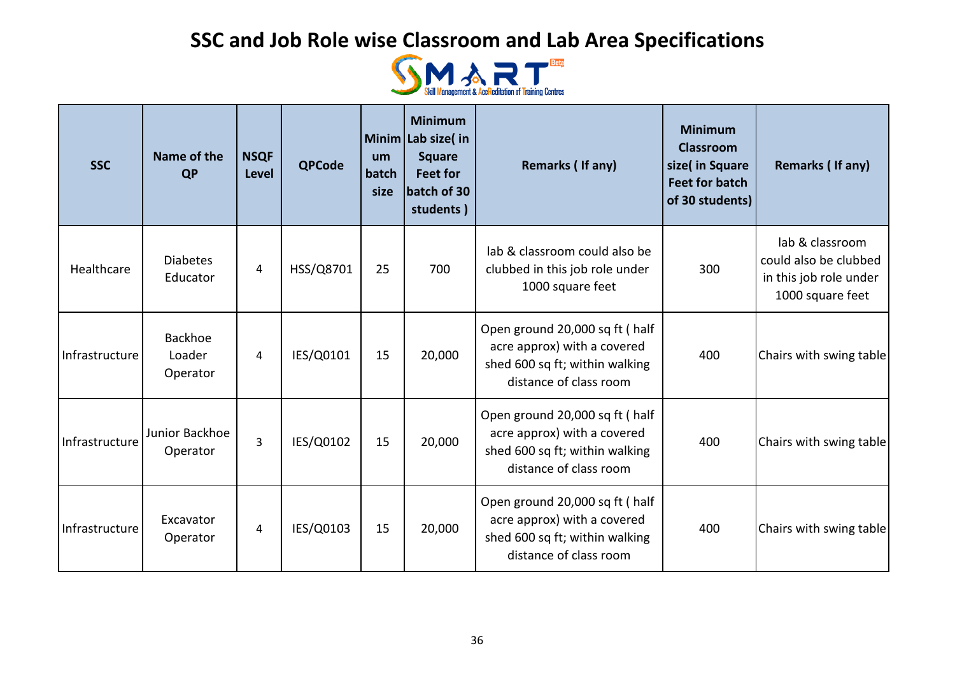

| <b>SSC</b>     | Name of the<br><b>QP</b>      | <b>NSQF</b><br><b>Level</b> | <b>QPCode</b> | um<br>batch<br>size | <b>Minimum</b><br>Minim Lab size(in<br><b>Square</b><br><b>Feet for</b><br>batch of 30<br>students) | Remarks (If any)                                                                                                           | <b>Minimum</b><br><b>Classroom</b><br>size( in Square<br><b>Feet for batch</b><br>of 30 students) | Remarks (If any)                                                                       |
|----------------|-------------------------------|-----------------------------|---------------|---------------------|-----------------------------------------------------------------------------------------------------|----------------------------------------------------------------------------------------------------------------------------|---------------------------------------------------------------------------------------------------|----------------------------------------------------------------------------------------|
| Healthcare     | <b>Diabetes</b><br>Educator   | 4                           | HSS/Q8701     | 25                  | 700                                                                                                 | lab & classroom could also be<br>clubbed in this job role under<br>1000 square feet                                        | 300                                                                                               | lab & classroom<br>could also be clubbed<br>in this job role under<br>1000 square feet |
| Infrastructure | Backhoe<br>Loader<br>Operator | 4                           | IES/Q0101     | 15                  | 20,000                                                                                              | Open ground 20,000 sq ft ( half<br>acre approx) with a covered<br>shed 600 sq ft; within walking<br>distance of class room | 400                                                                                               | Chairs with swing table                                                                |
| Infrastructure | Junior Backhoe<br>Operator    | 3                           | IES/Q0102     | 15                  | 20,000                                                                                              | Open ground 20,000 sq ft ( half<br>acre approx) with a covered<br>shed 600 sq ft; within walking<br>distance of class room | 400                                                                                               | Chairs with swing table                                                                |
| Infrastructure | Excavator<br>Operator         | 4                           | IES/Q0103     | 15                  | 20,000                                                                                              | Open ground 20,000 sq ft (half<br>acre approx) with a covered<br>shed 600 sq ft; within walking<br>distance of class room  | 400                                                                                               | Chairs with swing table                                                                |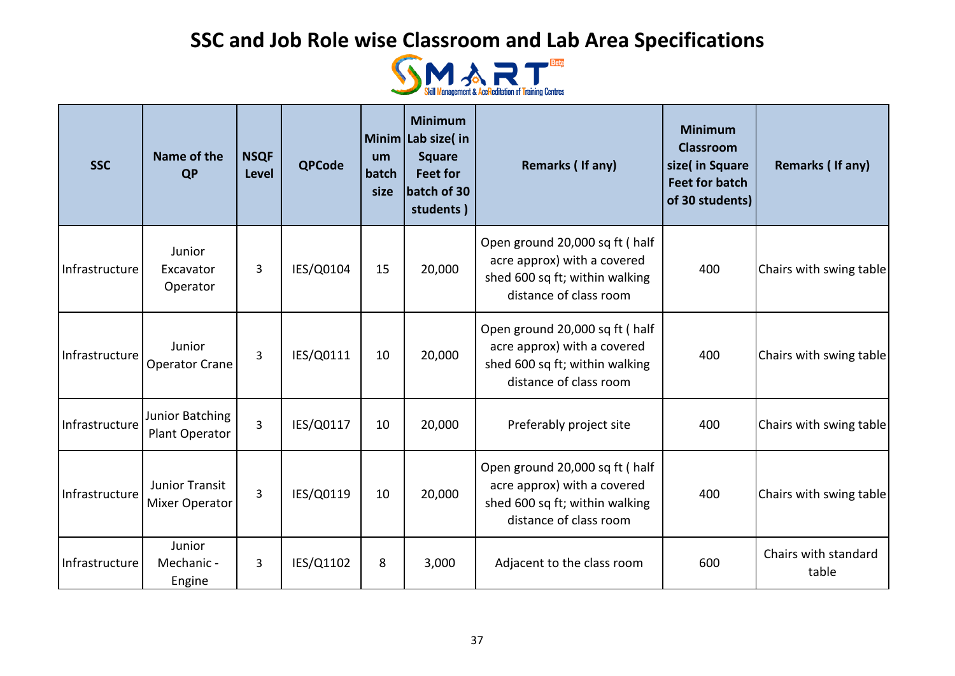

| <b>SSC</b>     | Name of the<br><b>QP</b>                | <b>NSQF</b><br>Level | <b>QPCode</b> | um<br>batch<br>size | <b>Minimum</b><br>Minim Lab size(in<br><b>Square</b><br><b>Feet for</b><br>batch of 30<br>students) | Remarks (If any)                                                                                                          | <b>Minimum</b><br><b>Classroom</b><br>size( in Square<br><b>Feet for batch</b><br>of 30 students) | Remarks (If any)              |
|----------------|-----------------------------------------|----------------------|---------------|---------------------|-----------------------------------------------------------------------------------------------------|---------------------------------------------------------------------------------------------------------------------------|---------------------------------------------------------------------------------------------------|-------------------------------|
| Infrastructure | Junior<br>Excavator<br>Operator         | 3                    | IES/Q0104     | 15                  | 20,000                                                                                              | Open ground 20,000 sq ft (half<br>acre approx) with a covered<br>shed 600 sq ft; within walking<br>distance of class room | 400                                                                                               | Chairs with swing table       |
| Infrastructure | Junior<br><b>Operator Crane</b>         | 3                    | IES/Q0111     | 10                  | 20,000                                                                                              | Open ground 20,000 sq ft (half<br>acre approx) with a covered<br>shed 600 sq ft; within walking<br>distance of class room | 400                                                                                               | Chairs with swing table       |
| Infrastructure | Junior Batching<br>Plant Operator       | 3                    | IES/Q0117     | 10                  | 20,000                                                                                              | Preferably project site                                                                                                   | 400                                                                                               | Chairs with swing table       |
| Infrastructure | Junior Transit<br><b>Mixer Operator</b> | 3                    | IES/Q0119     | 10                  | 20,000                                                                                              | Open ground 20,000 sq ft (half<br>acre approx) with a covered<br>shed 600 sq ft; within walking<br>distance of class room | 400                                                                                               | Chairs with swing table       |
| Infrastructure | Junior<br>Mechanic -<br>Engine          | 3                    | IES/Q1102     | 8                   | 3,000                                                                                               | Adjacent to the class room                                                                                                | 600                                                                                               | Chairs with standard<br>table |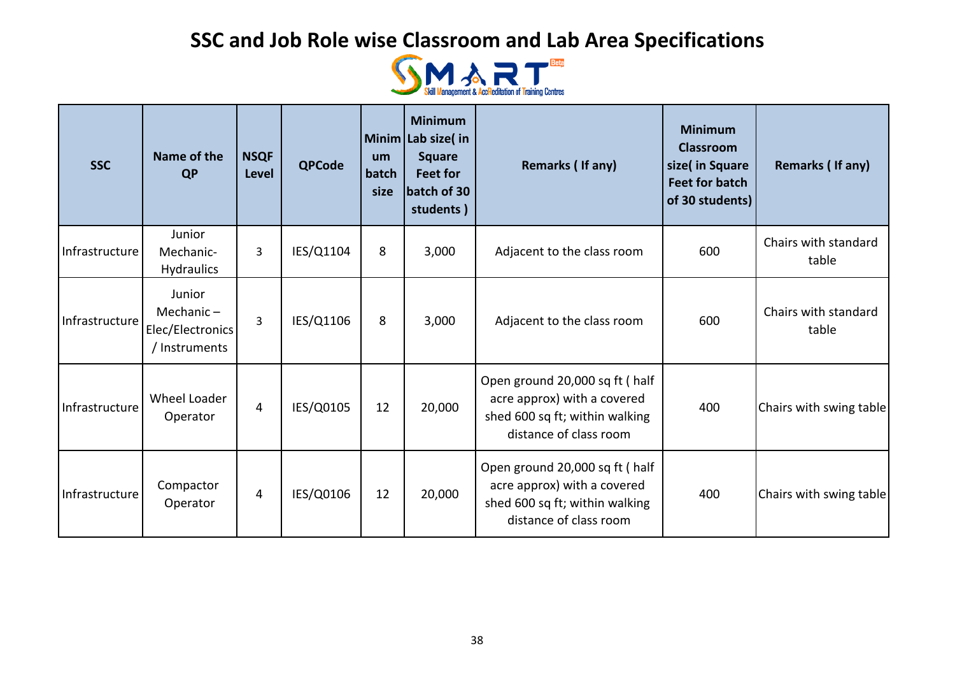

| <b>SSC</b>     | Name of the<br><b>QP</b>                                    | <b>NSQF</b><br><b>Level</b> | <b>QPCode</b> | um<br>batch<br>size | <b>Minimum</b><br>Minim Lab size(in<br><b>Square</b><br><b>Feet for</b><br>batch of 30<br>students) | Remarks (If any)                                                                                                          | <b>Minimum</b><br><b>Classroom</b><br>size( in Square<br><b>Feet for batch</b><br>of 30 students) | Remarks (If any)              |
|----------------|-------------------------------------------------------------|-----------------------------|---------------|---------------------|-----------------------------------------------------------------------------------------------------|---------------------------------------------------------------------------------------------------------------------------|---------------------------------------------------------------------------------------------------|-------------------------------|
| Infrastructure | Junior<br>Mechanic-<br><b>Hydraulics</b>                    | 3                           | IES/Q1104     | 8                   | 3,000                                                                                               | Adjacent to the class room                                                                                                | 600                                                                                               | Chairs with standard<br>table |
| Infrastructure | Junior<br>Mechanic $-$<br>Elec/Electronics<br>/ Instruments | 3                           | IES/Q1106     | 8                   | 3,000                                                                                               | Adjacent to the class room                                                                                                | 600                                                                                               | Chairs with standard<br>table |
| Infrastructure | Wheel Loader<br>Operator                                    | $\overline{4}$              | IES/Q0105     | 12                  | 20,000                                                                                              | Open ground 20,000 sq ft (half<br>acre approx) with a covered<br>shed 600 sq ft; within walking<br>distance of class room | 400                                                                                               | Chairs with swing table       |
| Infrastructure | Compactor<br>Operator                                       | 4                           | IES/Q0106     | 12                  | 20,000                                                                                              | Open ground 20,000 sq ft (half<br>acre approx) with a covered<br>shed 600 sq ft; within walking<br>distance of class room | 400                                                                                               | Chairs with swing table       |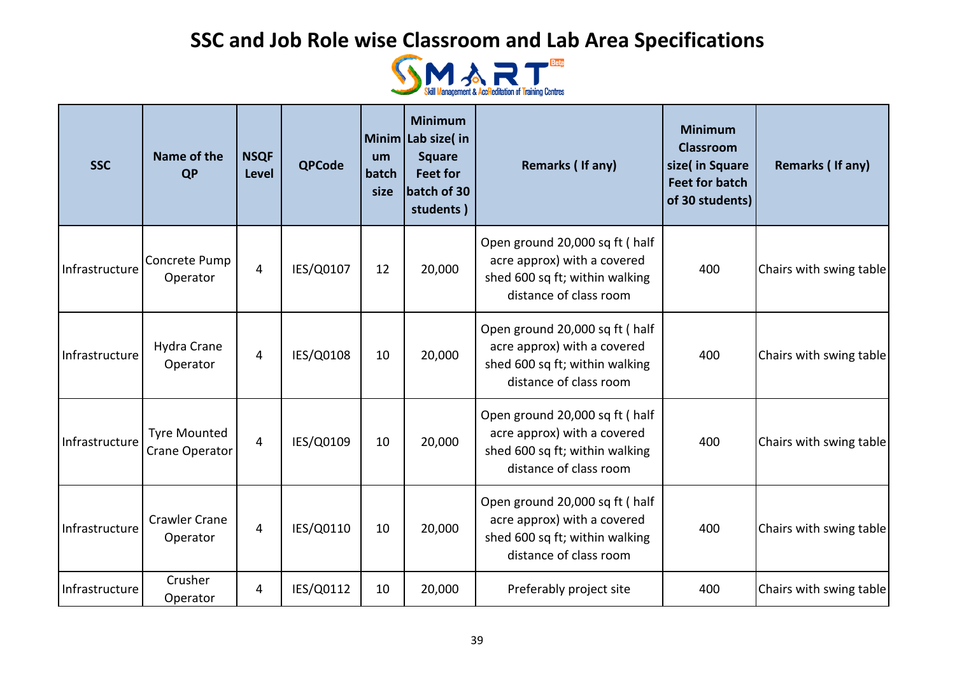

| <b>SSC</b>     | Name of the<br><b>QP</b>              | <b>NSQF</b><br><b>Level</b> | <b>QPCode</b> | um<br>batch<br>size | <b>Minimum</b><br>Minim Lab size(in<br><b>Square</b><br><b>Feet for</b><br>batch of 30<br>students) | Remarks (If any)                                                                                                           | <b>Minimum</b><br><b>Classroom</b><br>size( in Square<br><b>Feet for batch</b><br>of 30 students) | Remarks (If any)        |
|----------------|---------------------------------------|-----------------------------|---------------|---------------------|-----------------------------------------------------------------------------------------------------|----------------------------------------------------------------------------------------------------------------------------|---------------------------------------------------------------------------------------------------|-------------------------|
| Infrastructure | Concrete Pump<br>Operator             | $\overline{4}$              | IES/Q0107     | 12                  | 20,000                                                                                              | Open ground 20,000 sq ft ( half<br>acre approx) with a covered<br>shed 600 sq ft; within walking<br>distance of class room | 400                                                                                               | Chairs with swing table |
| Infrastructure | Hydra Crane<br>Operator               | 4                           | IES/Q0108     | 10                  | 20,000                                                                                              | Open ground 20,000 sq ft (half<br>acre approx) with a covered<br>shed 600 sq ft; within walking<br>distance of class room  | 400                                                                                               | Chairs with swing table |
| Infrastructure | <b>Tyre Mounted</b><br>Crane Operator | 4                           | IES/Q0109     | 10                  | 20,000                                                                                              | Open ground 20,000 sq ft (half<br>acre approx) with a covered<br>shed 600 sq ft; within walking<br>distance of class room  | 400                                                                                               | Chairs with swing table |
| Infrastructure | <b>Crawler Crane</b><br>Operator      | $\overline{4}$              | IES/Q0110     | 10                  | 20,000                                                                                              | Open ground 20,000 sq ft (half<br>acre approx) with a covered<br>shed 600 sq ft; within walking<br>distance of class room  | 400                                                                                               | Chairs with swing table |
| Infrastructure | Crusher<br>Operator                   | 4                           | IES/Q0112     | 10                  | 20,000                                                                                              | Preferably project site                                                                                                    | 400                                                                                               | Chairs with swing table |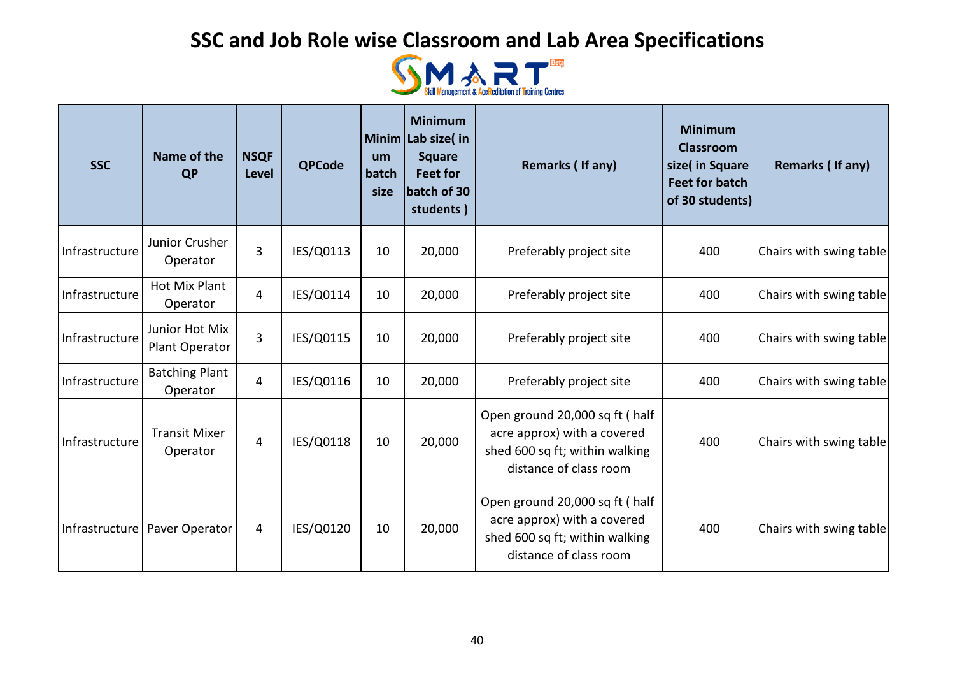

| <b>SSC</b>     | Name of the<br><b>QP</b>          | <b>NSQF</b><br>Level | <b>QPCode</b> | um<br>batch<br>size | <b>Minimum</b><br>Minim Lab size(in<br><b>Square</b><br><b>Feet for</b><br>batch of 30<br>students) | Remarks (If any)                                                                                                          | <b>Minimum</b><br><b>Classroom</b><br>size( in Square<br><b>Feet for batch</b><br>of 30 students) | Remarks (If any)        |
|----------------|-----------------------------------|----------------------|---------------|---------------------|-----------------------------------------------------------------------------------------------------|---------------------------------------------------------------------------------------------------------------------------|---------------------------------------------------------------------------------------------------|-------------------------|
| Infrastructure | Junior Crusher<br>Operator        | 3                    | IES/Q0113     | 10                  | 20,000                                                                                              | Preferably project site                                                                                                   | 400                                                                                               | Chairs with swing table |
| Infrastructure | <b>Hot Mix Plant</b><br>Operator  | 4                    | IES/Q0114     | 10                  | 20,000                                                                                              | Preferably project site                                                                                                   | 400                                                                                               | Chairs with swing table |
| Infrastructure | Junior Hot Mix<br>Plant Operator  | 3                    | IES/Q0115     | 10                  | 20,000                                                                                              | Preferably project site                                                                                                   | 400                                                                                               | Chairs with swing table |
| Infrastructure | <b>Batching Plant</b><br>Operator | 4                    | IES/Q0116     | 10                  | 20,000                                                                                              | Preferably project site                                                                                                   | 400                                                                                               | Chairs with swing table |
| Infrastructure | <b>Transit Mixer</b><br>Operator  | 4                    | IES/Q0118     | 10                  | 20,000                                                                                              | Open ground 20,000 sq ft (half<br>acre approx) with a covered<br>shed 600 sq ft; within walking<br>distance of class room | 400                                                                                               | Chairs with swing table |
|                | Infrastructure   Paver Operator   | 4                    | IES/Q0120     | 10                  | 20,000                                                                                              | Open ground 20,000 sq ft (half<br>acre approx) with a covered<br>shed 600 sq ft; within walking<br>distance of class room | 400                                                                                               | Chairs with swing table |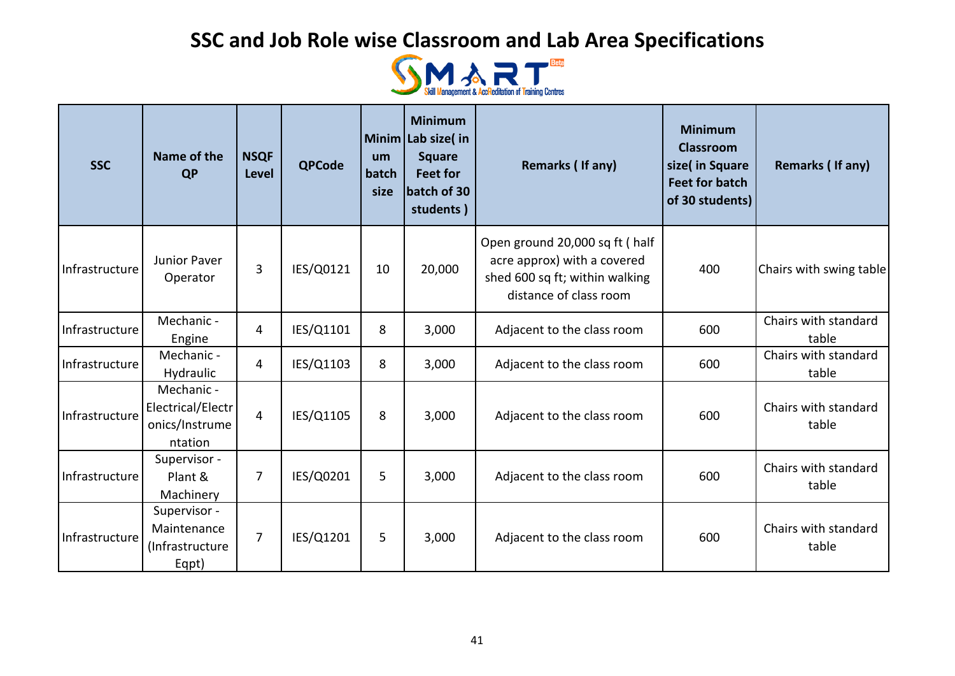

| <b>SSC</b>     | Name of the<br><b>QP</b>                                     | <b>NSQF</b><br><b>Level</b> | <b>QPCode</b> | um<br>batch<br>size | <b>Minimum</b><br>Minim Lab size(in<br><b>Square</b><br><b>Feet for</b><br>batch of 30<br>students) | Remarks (If any)                                                                                                          | <b>Minimum</b><br><b>Classroom</b><br>size( in Square<br><b>Feet for batch</b><br>of 30 students) | <b>Remarks (If any)</b>       |
|----------------|--------------------------------------------------------------|-----------------------------|---------------|---------------------|-----------------------------------------------------------------------------------------------------|---------------------------------------------------------------------------------------------------------------------------|---------------------------------------------------------------------------------------------------|-------------------------------|
| Infrastructure | Junior Paver<br>Operator                                     | 3                           | IES/Q0121     | 10                  | 20,000                                                                                              | Open ground 20,000 sq ft (half<br>acre approx) with a covered<br>shed 600 sq ft; within walking<br>distance of class room | 400                                                                                               | Chairs with swing table       |
| Infrastructure | Mechanic -<br>Engine                                         | 4                           | IES/Q1101     | 8                   | 3,000                                                                                               | Adjacent to the class room                                                                                                | 600                                                                                               | Chairs with standard<br>table |
| Infrastructure | Mechanic -<br>Hydraulic                                      | 4                           | IES/Q1103     | 8                   | 3,000                                                                                               | Adjacent to the class room                                                                                                | 600                                                                                               | Chairs with standard<br>table |
| Infrastructure | Mechanic -<br>Electrical/Electr<br>onics/Instrume<br>ntation | $\overline{4}$              | IES/Q1105     | 8                   | 3,000                                                                                               | Adjacent to the class room                                                                                                | 600                                                                                               | Chairs with standard<br>table |
| Infrastructure | Supervisor -<br>Plant &<br>Machinery                         | 7                           | IES/Q0201     | 5                   | 3,000                                                                                               | Adjacent to the class room                                                                                                | 600                                                                                               | Chairs with standard<br>table |
| Infrastructure | Supervisor -<br>Maintenance<br>(Infrastructure<br>Eqpt)      | $\overline{7}$              | IES/Q1201     | 5                   | 3,000                                                                                               | Adjacent to the class room                                                                                                | 600                                                                                               | Chairs with standard<br>table |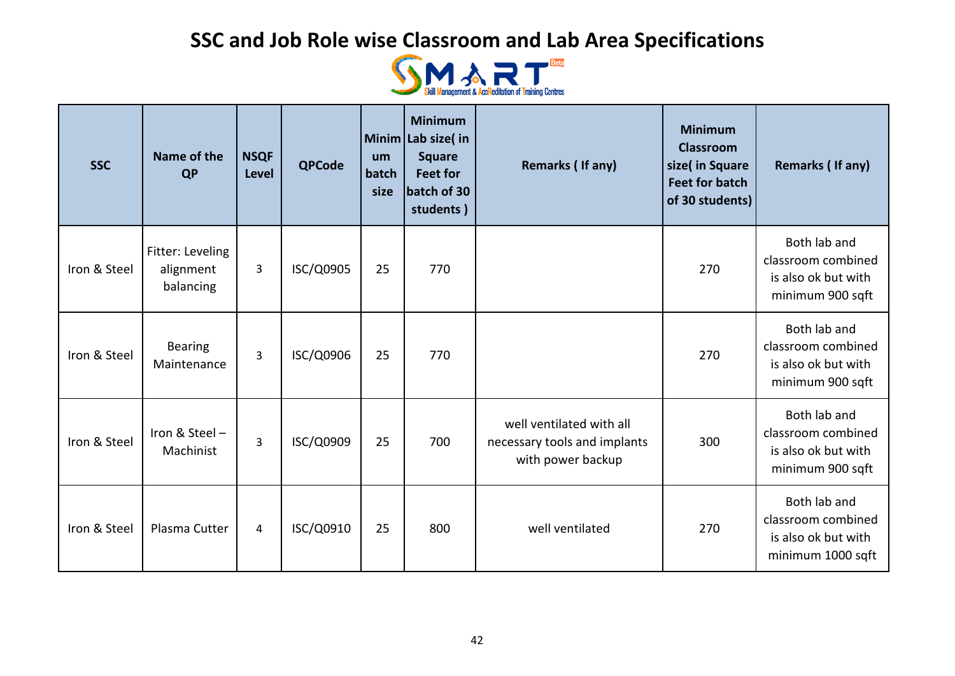

| <b>SSC</b>   | Name of the<br><b>QP</b>                   | <b>NSQF</b><br>Level | <b>QPCode</b> | um<br>batch<br>size | <b>Minimum</b><br>Minim Lab size(in<br><b>Square</b><br><b>Feet for</b><br>batch of 30<br>students) | Remarks (If any)                                                              | <b>Minimum</b><br><b>Classroom</b><br>size( in Square<br><b>Feet for batch</b><br>of 30 students) | Remarks (If any)                                                               |
|--------------|--------------------------------------------|----------------------|---------------|---------------------|-----------------------------------------------------------------------------------------------------|-------------------------------------------------------------------------------|---------------------------------------------------------------------------------------------------|--------------------------------------------------------------------------------|
| Iron & Steel | Fitter: Leveling<br>alignment<br>balancing | 3                    | ISC/Q0905     | 25                  | 770                                                                                                 |                                                                               | 270                                                                                               | Both lab and<br>classroom combined<br>is also ok but with<br>minimum 900 sqft  |
| Iron & Steel | <b>Bearing</b><br>Maintenance              | 3                    | ISC/Q0906     | 25                  | 770                                                                                                 |                                                                               | 270                                                                                               | Both lab and<br>classroom combined<br>is also ok but with<br>minimum 900 sqft  |
| Iron & Steel | Iron & Steel-<br>Machinist                 | 3                    | ISC/Q0909     | 25                  | 700                                                                                                 | well ventilated with all<br>necessary tools and implants<br>with power backup | 300                                                                                               | Both lab and<br>classroom combined<br>is also ok but with<br>minimum 900 sqft  |
| Iron & Steel | Plasma Cutter                              | 4                    | ISC/Q0910     | 25                  | 800                                                                                                 | well ventilated                                                               | 270                                                                                               | Both lab and<br>classroom combined<br>is also ok but with<br>minimum 1000 sqft |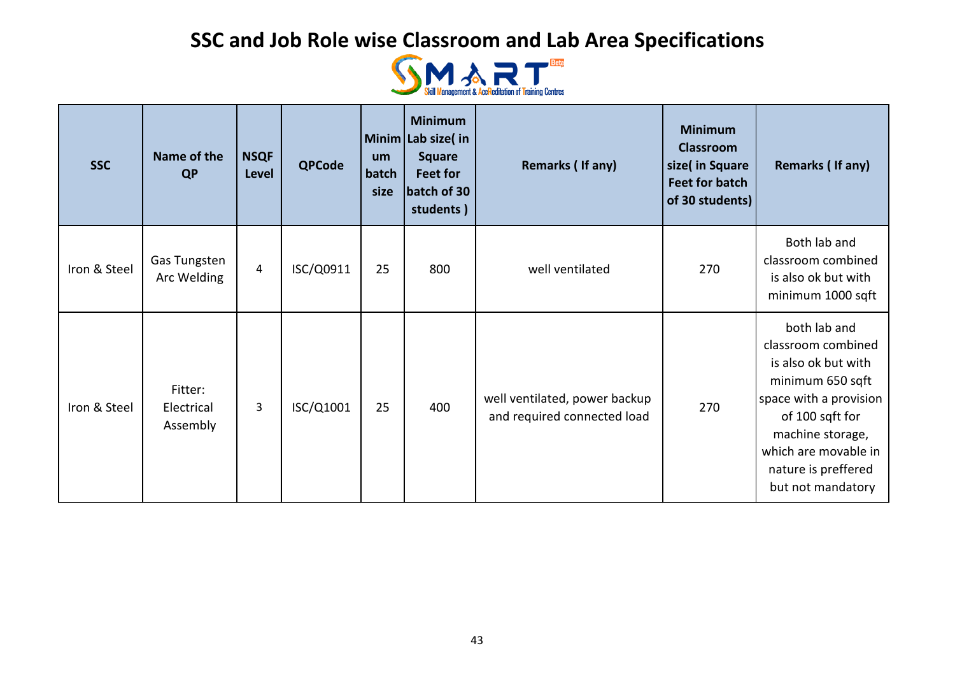

| <b>SSC</b>   | Name of the<br><b>QP</b>          | <b>NSQF</b><br>Level | <b>QPCode</b> | um<br>batch<br>size | <b>Minimum</b><br>Minim Lab size(in<br><b>Square</b><br>Feet for<br>batch of 30<br>students) | <b>Remarks (If any)</b>                                      | <b>Minimum</b><br><b>Classroom</b><br>size( in Square<br><b>Feet for batch</b><br>of 30 students) | Remarks (If any)                                                                                                                                                                                                   |
|--------------|-----------------------------------|----------------------|---------------|---------------------|----------------------------------------------------------------------------------------------|--------------------------------------------------------------|---------------------------------------------------------------------------------------------------|--------------------------------------------------------------------------------------------------------------------------------------------------------------------------------------------------------------------|
| Iron & Steel | Gas Tungsten<br>Arc Welding       | $\overline{4}$       | ISC/Q0911     | 25                  | 800                                                                                          | well ventilated                                              | 270                                                                                               | Both lab and<br>classroom combined<br>is also ok but with<br>minimum 1000 sqft                                                                                                                                     |
| Iron & Steel | Fitter:<br>Electrical<br>Assembly | 3                    | ISC/Q1001     | 25                  | 400                                                                                          | well ventilated, power backup<br>and required connected load | 270                                                                                               | both lab and<br>classroom combined<br>is also ok but with<br>minimum 650 sqft<br>space with a provision<br>of 100 sqft for<br>machine storage,<br>which are movable in<br>nature is preffered<br>but not mandatory |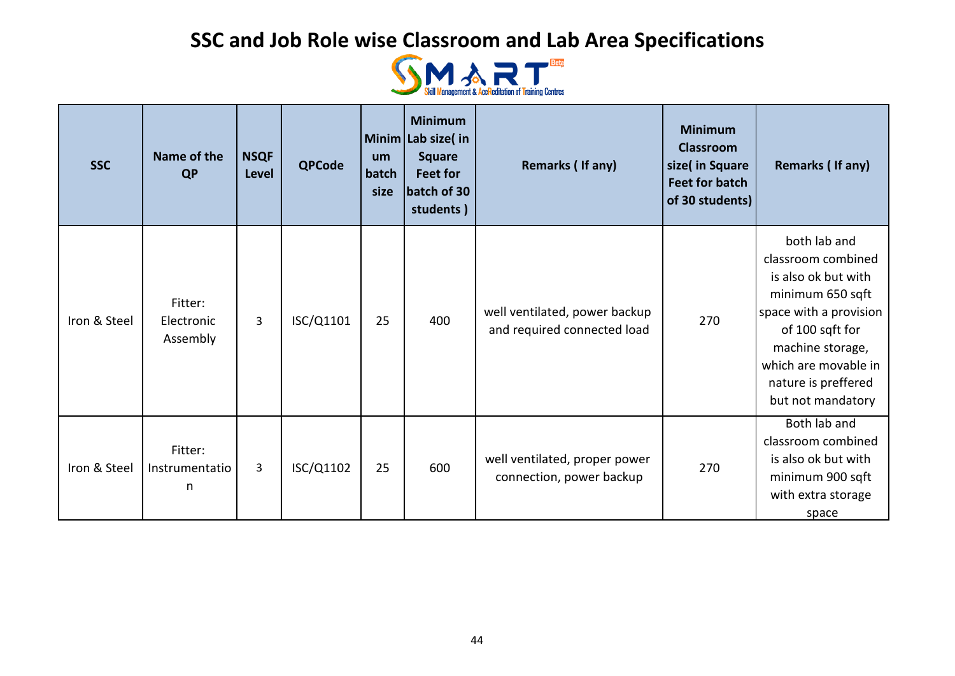

| <b>SSC</b>   | Name of the<br><b>QP</b>          | <b>NSQF</b><br><b>Level</b> | <b>QPCode</b> | um<br>batch<br>size | <b>Minimum</b><br>Minim Lab size(in<br><b>Square</b><br><b>Feet for</b><br>batch of 30<br>students) | Remarks (If any)                                             | <b>Minimum</b><br><b>Classroom</b><br>size( in Square<br><b>Feet for batch</b><br>of 30 students) | Remarks (If any)                                                                                                                                                                                                   |
|--------------|-----------------------------------|-----------------------------|---------------|---------------------|-----------------------------------------------------------------------------------------------------|--------------------------------------------------------------|---------------------------------------------------------------------------------------------------|--------------------------------------------------------------------------------------------------------------------------------------------------------------------------------------------------------------------|
| Iron & Steel | Fitter:<br>Electronic<br>Assembly | $\overline{3}$              | ISC/Q1101     | 25                  | 400                                                                                                 | well ventilated, power backup<br>and required connected load | 270                                                                                               | both lab and<br>classroom combined<br>is also ok but with<br>minimum 650 sqft<br>space with a provision<br>of 100 sqft for<br>machine storage,<br>which are movable in<br>nature is preffered<br>but not mandatory |
| Iron & Steel | Fitter:<br>Instrumentatio<br>n    | 3                           | ISC/Q1102     | 25                  | 600                                                                                                 | well ventilated, proper power<br>connection, power backup    | 270                                                                                               | Both lab and<br>classroom combined<br>is also ok but with<br>minimum 900 sqft<br>with extra storage<br>space                                                                                                       |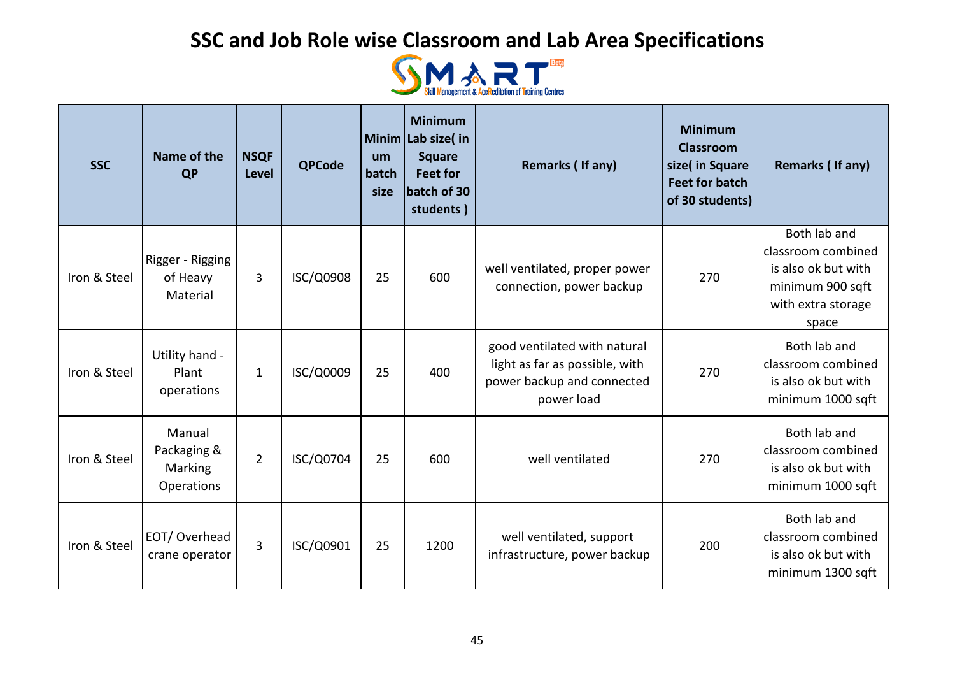

| <b>SSC</b>   | Name of the<br><b>QP</b>                       | <b>NSQF</b><br>Level | <b>QPCode</b> | um<br>batch<br>size | <b>Minimum</b><br>Minim Lab size(in<br><b>Square</b><br><b>Feet for</b><br>batch of 30<br>students) | Remarks (If any)                                                                                           | <b>Minimum</b><br><b>Classroom</b><br>size( in Square<br><b>Feet for batch</b><br>of 30 students) | Remarks (If any)                                                                                             |
|--------------|------------------------------------------------|----------------------|---------------|---------------------|-----------------------------------------------------------------------------------------------------|------------------------------------------------------------------------------------------------------------|---------------------------------------------------------------------------------------------------|--------------------------------------------------------------------------------------------------------------|
| Iron & Steel | Rigger - Rigging<br>of Heavy<br>Material       | 3                    | ISC/Q0908     | 25                  | 600                                                                                                 | well ventilated, proper power<br>connection, power backup                                                  | 270                                                                                               | Both lab and<br>classroom combined<br>is also ok but with<br>minimum 900 sqft<br>with extra storage<br>space |
| Iron & Steel | Utility hand -<br>Plant<br>operations          | 1                    | ISC/Q0009     | 25                  | 400                                                                                                 | good ventilated with natural<br>light as far as possible, with<br>power backup and connected<br>power load | 270                                                                                               | Both lab and<br>classroom combined<br>is also ok but with<br>minimum 1000 sqft                               |
| Iron & Steel | Manual<br>Packaging &<br>Marking<br>Operations | $\overline{2}$       | ISC/Q0704     | 25                  | 600                                                                                                 | well ventilated                                                                                            | 270                                                                                               | Both lab and<br>classroom combined<br>is also ok but with<br>minimum 1000 sqft                               |
| Iron & Steel | EOT/Overhead<br>crane operator                 | 3                    | ISC/Q0901     | 25                  | 1200                                                                                                | well ventilated, support<br>infrastructure, power backup                                                   | 200                                                                                               | Both lab and<br>classroom combined<br>is also ok but with<br>minimum 1300 sqft                               |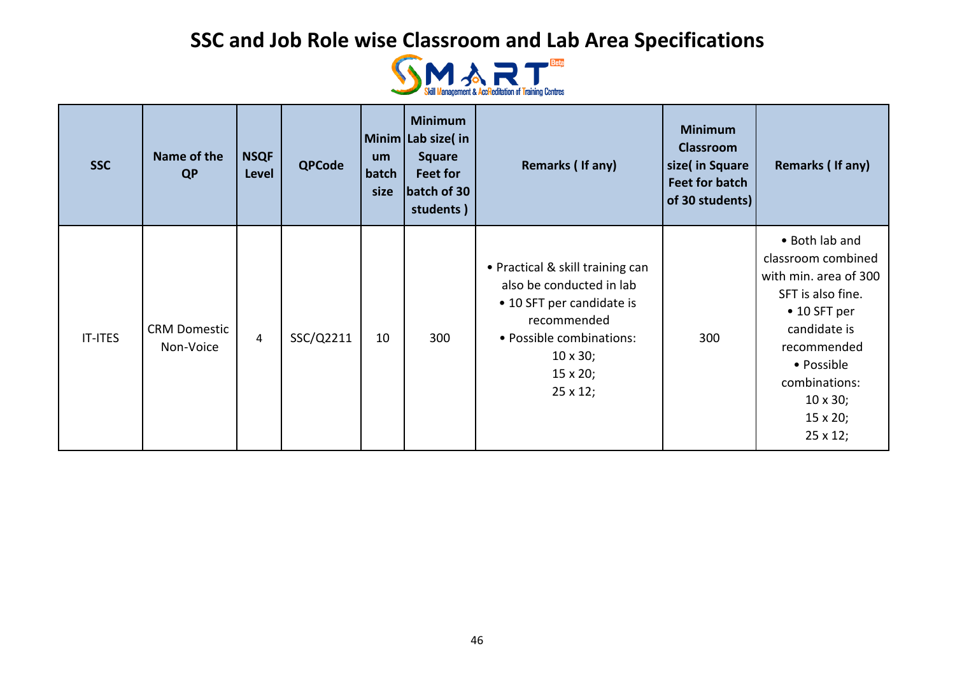

| <b>SSC</b>     | Name of the<br>QP                | <b>NSQF</b><br>Level | <b>QPCode</b> | <b>um</b><br>batch<br>size | <b>Minimum</b><br>Minim Lab size(in<br><b>Square</b><br>Feet for<br>batch of 30<br>students) | Remarks (If any)                                                                                                                                                                              | <b>Minimum</b><br><b>Classroom</b><br>size( in Square<br><b>Feet for batch</b><br>of 30 students) | Remarks (If any)                                                                                                                                                                                                                  |
|----------------|----------------------------------|----------------------|---------------|----------------------------|----------------------------------------------------------------------------------------------|-----------------------------------------------------------------------------------------------------------------------------------------------------------------------------------------------|---------------------------------------------------------------------------------------------------|-----------------------------------------------------------------------------------------------------------------------------------------------------------------------------------------------------------------------------------|
| <b>IT-ITES</b> | <b>CRM Domestic</b><br>Non-Voice | $\overline{4}$       | SSC/Q2211     | 10                         | 300                                                                                          | • Practical & skill training can<br>also be conducted in lab<br>• 10 SFT per candidate is<br>recommended<br>• Possible combinations:<br>$10 \times 30;$<br>$15 \times 20;$<br>$25 \times 12;$ | 300                                                                                               | • Both lab and<br>classroom combined<br>with min. area of 300<br>SFT is also fine.<br>$\bullet$ 10 SFT per<br>candidate is<br>recommended<br>• Possible<br>combinations:<br>$10 \times 30;$<br>$15 \times 20;$<br>$25 \times 12;$ |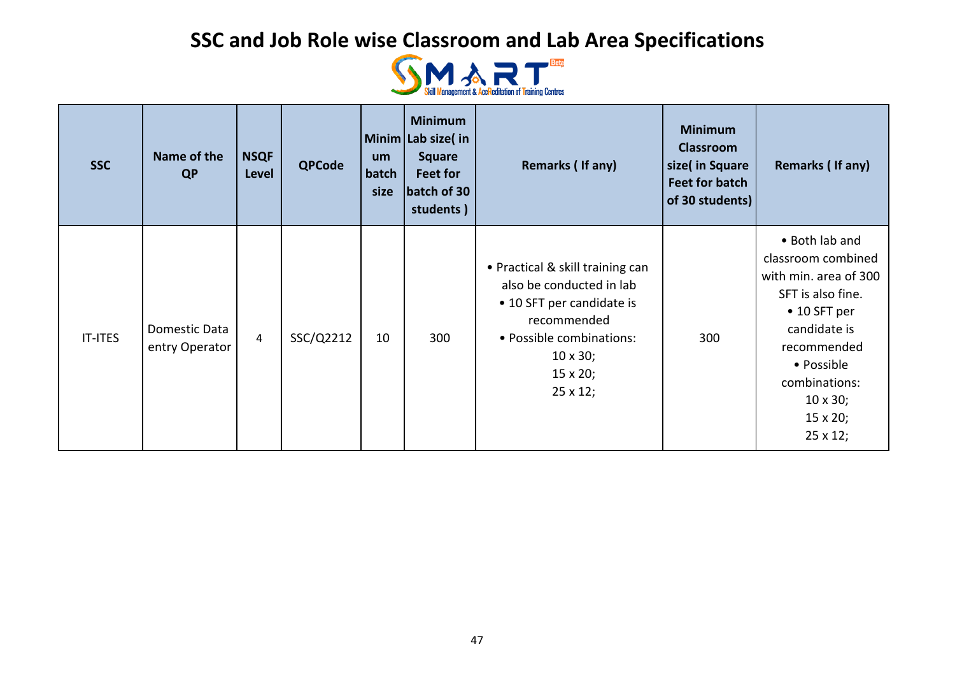

| <b>SSC</b>     | Name of the<br>QP               | <b>NSQF</b><br>Level | <b>QPCode</b> | <b>um</b><br>batch<br>size | <b>Minimum</b><br>Minim Lab size(in<br><b>Square</b><br>Feet for<br>batch of 30<br>students) | Remarks (If any)                                                                                                                                                                               | <b>Minimum</b><br><b>Classroom</b><br>size( in Square<br><b>Feet for batch</b><br>of 30 students) | Remarks (If any)                                                                                                                                                                                                                  |
|----------------|---------------------------------|----------------------|---------------|----------------------------|----------------------------------------------------------------------------------------------|------------------------------------------------------------------------------------------------------------------------------------------------------------------------------------------------|---------------------------------------------------------------------------------------------------|-----------------------------------------------------------------------------------------------------------------------------------------------------------------------------------------------------------------------------------|
| <b>IT-ITES</b> | Domestic Data<br>entry Operator | $\overline{4}$       | SSC/Q2212     | 10                         | 300                                                                                          | • Practical & skill training can<br>also be conducted in lab<br>• 10 SFT per candidate is<br>recommended<br>• Possible combinations:<br>$10 \times 30$ ;<br>$15 \times 20;$<br>$25 \times 12;$ | 300                                                                                               | • Both lab and<br>classroom combined<br>with min. area of 300<br>SFT is also fine.<br>$\bullet$ 10 SFT per<br>candidate is<br>recommended<br>• Possible<br>combinations:<br>$10 \times 30;$<br>$15 \times 20;$<br>$25 \times 12;$ |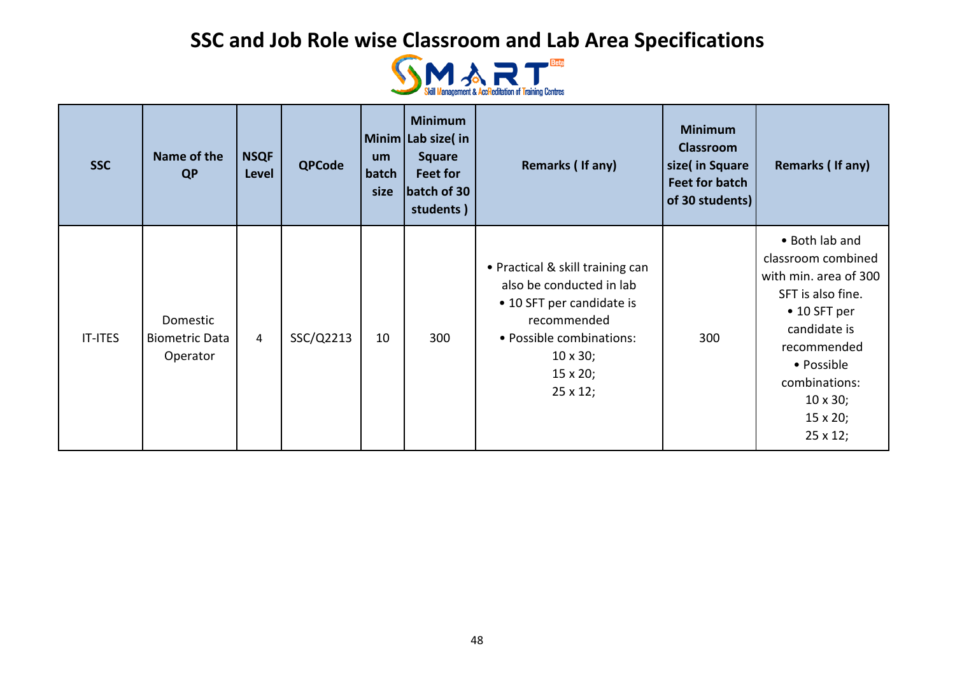

| <b>SSC</b>     | Name of the<br><b>QP</b>                      | <b>NSQF</b><br>Level | <b>QPCode</b> | um<br>batch<br>size | <b>Minimum</b><br>Minim Lab size(in<br><b>Square</b><br>Feet for<br>batch of 30<br>students) | Remarks (If any)                                                                                                                                                                               | <b>Minimum</b><br><b>Classroom</b><br>size( in Square<br><b>Feet for batch</b><br>of 30 students) | Remarks (If any)                                                                                                                                                                                                                  |
|----------------|-----------------------------------------------|----------------------|---------------|---------------------|----------------------------------------------------------------------------------------------|------------------------------------------------------------------------------------------------------------------------------------------------------------------------------------------------|---------------------------------------------------------------------------------------------------|-----------------------------------------------------------------------------------------------------------------------------------------------------------------------------------------------------------------------------------|
| <b>IT-ITES</b> | Domestic<br><b>Biometric Data</b><br>Operator | $\overline{4}$       | SSC/Q2213     | 10                  | 300                                                                                          | • Practical & skill training can<br>also be conducted in lab<br>• 10 SFT per candidate is<br>recommended<br>• Possible combinations:<br>$10 \times 30$ ;<br>$15 \times 20;$<br>$25 \times 12;$ | 300                                                                                               | • Both lab and<br>classroom combined<br>with min. area of 300<br>SFT is also fine.<br>$\bullet$ 10 SFT per<br>candidate is<br>recommended<br>• Possible<br>combinations:<br>$10 \times 30;$<br>$15 \times 20;$<br>$25 \times 12;$ |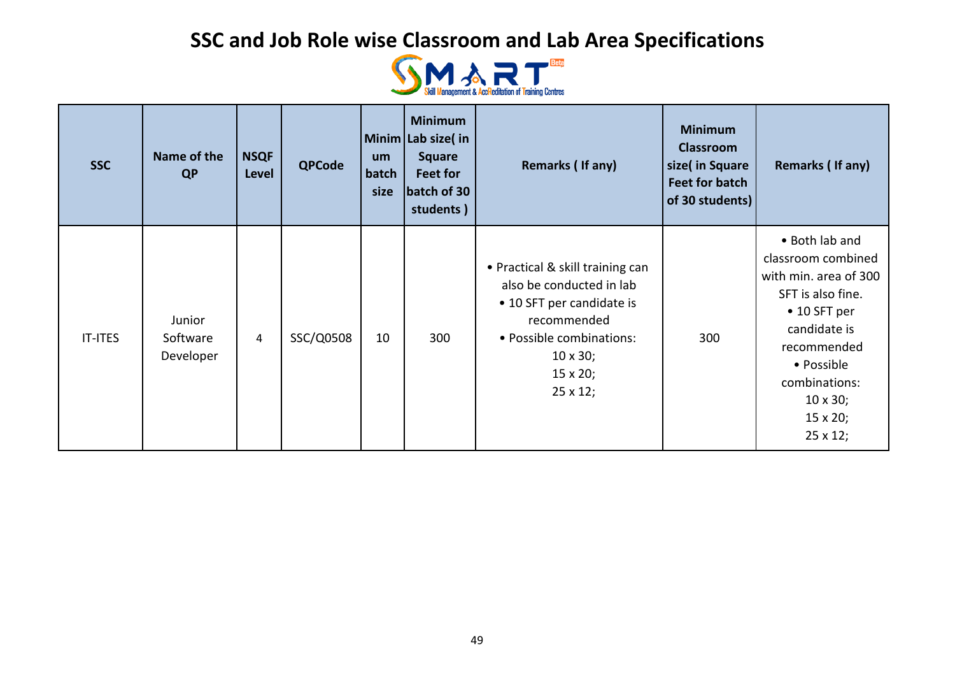

| <b>SSC</b>     | Name of the<br>QP               | <b>NSQF</b><br>Level | <b>QPCode</b> | um<br>batch<br>size | <b>Minimum</b><br>Minim Lab size(in<br><b>Square</b><br>Feet for<br>batch of 30<br>students) | Remarks (If any)                                                                                                                                                                               | <b>Minimum</b><br><b>Classroom</b><br>size( in Square<br><b>Feet for batch</b><br>of 30 students) | Remarks (If any)                                                                                                                                                                                                                  |
|----------------|---------------------------------|----------------------|---------------|---------------------|----------------------------------------------------------------------------------------------|------------------------------------------------------------------------------------------------------------------------------------------------------------------------------------------------|---------------------------------------------------------------------------------------------------|-----------------------------------------------------------------------------------------------------------------------------------------------------------------------------------------------------------------------------------|
| <b>IT-ITES</b> | Junior<br>Software<br>Developer | 4                    | SSC/Q0508     | 10                  | 300                                                                                          | • Practical & skill training can<br>also be conducted in lab<br>• 10 SFT per candidate is<br>recommended<br>• Possible combinations:<br>$10 \times 30$ ;<br>$15 \times 20;$<br>$25 \times 12;$ | 300                                                                                               | • Both lab and<br>classroom combined<br>with min. area of 300<br>SFT is also fine.<br>$\bullet$ 10 SFT per<br>candidate is<br>recommended<br>• Possible<br>combinations:<br>$10 \times 30;$<br>$15 \times 20;$<br>$25 \times 12;$ |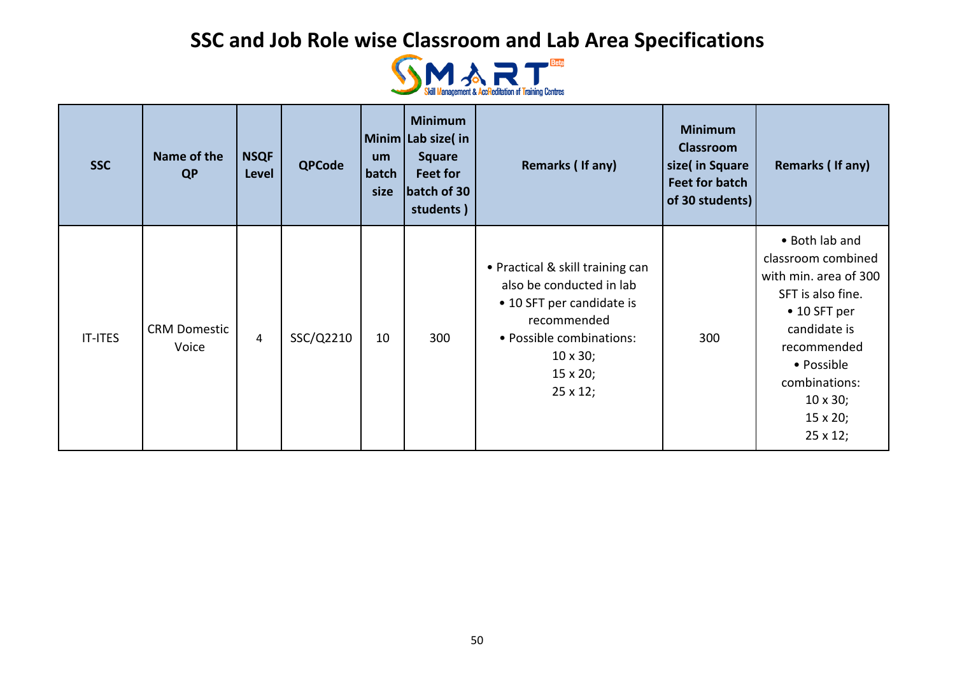

| <b>SSC</b>     | Name of the<br>QP            | <b>NSQF</b><br>Level | <b>QPCode</b> | <b>um</b><br>batch<br>size | <b>Minimum</b><br>Minim Lab size(in<br><b>Square</b><br>Feet for<br>batch of 30<br>students) | Remarks (If any)                                                                                                                                                                              | <b>Minimum</b><br><b>Classroom</b><br>size( in Square<br><b>Feet for batch</b><br>of 30 students) | Remarks (If any)                                                                                                                                                                                                                  |
|----------------|------------------------------|----------------------|---------------|----------------------------|----------------------------------------------------------------------------------------------|-----------------------------------------------------------------------------------------------------------------------------------------------------------------------------------------------|---------------------------------------------------------------------------------------------------|-----------------------------------------------------------------------------------------------------------------------------------------------------------------------------------------------------------------------------------|
| <b>IT-ITES</b> | <b>CRM Domestic</b><br>Voice | $\overline{4}$       | SSC/Q2210     | 10                         | 300                                                                                          | • Practical & skill training can<br>also be conducted in lab<br>• 10 SFT per candidate is<br>recommended<br>• Possible combinations:<br>$10 \times 30;$<br>$15 \times 20;$<br>$25 \times 12;$ | 300                                                                                               | • Both lab and<br>classroom combined<br>with min. area of 300<br>SFT is also fine.<br>$\bullet$ 10 SFT per<br>candidate is<br>recommended<br>• Possible<br>combinations:<br>$10 \times 30;$<br>$15 \times 20;$<br>$25 \times 12;$ |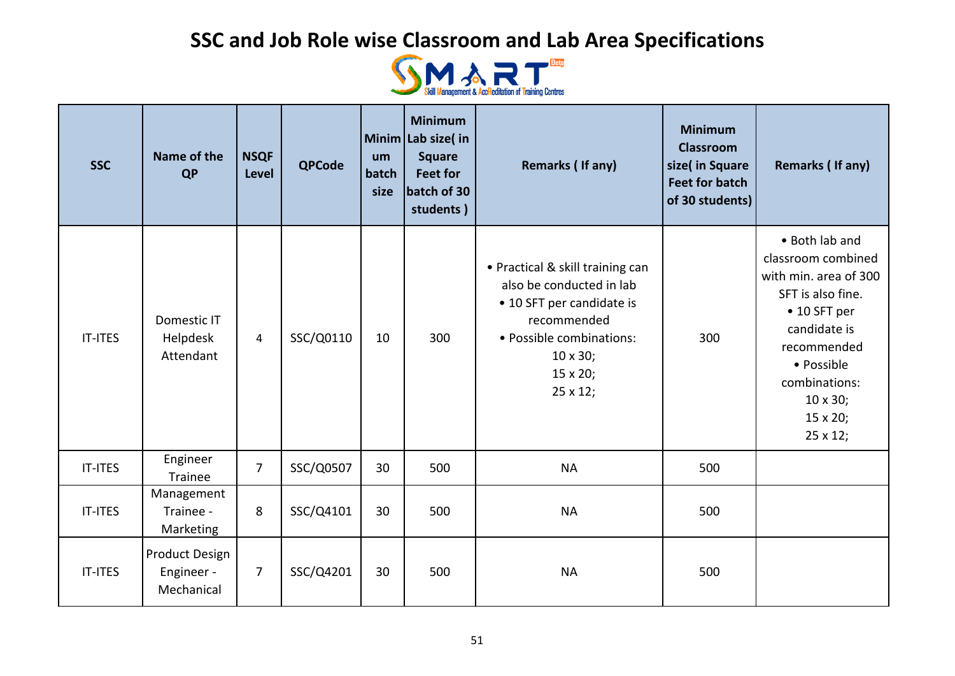

| <b>SSC</b>     | Name of the<br><b>QP</b>                          | <b>NSQF</b><br>Level | <b>QPCode</b> | um<br>batch<br>size | <b>Minimum</b><br>Minim Lab size( in<br><b>Square</b><br><b>Feet for</b><br>batch of 30<br>students) | Remarks (If any)                                                                                                                                                                 | <b>Minimum</b><br><b>Classroom</b><br>size( in Square<br><b>Feet for batch</b><br>of 30 students) | <b>Remarks (If any)</b>                                                                                                                                                                                      |
|----------------|---------------------------------------------------|----------------------|---------------|---------------------|------------------------------------------------------------------------------------------------------|----------------------------------------------------------------------------------------------------------------------------------------------------------------------------------|---------------------------------------------------------------------------------------------------|--------------------------------------------------------------------------------------------------------------------------------------------------------------------------------------------------------------|
| <b>IT-ITES</b> | Domestic IT<br>Helpdesk<br>Attendant              | 4                    | SSC/Q0110     | 10                  | 300                                                                                                  | • Practical & skill training can<br>also be conducted in lab<br>• 10 SFT per candidate is<br>recommended<br>· Possible combinations:<br>$10 \times 30$ ;<br>15 x 20;<br>25 x 12; | 300                                                                                               | • Both lab and<br>classroom combined<br>with min. area of 300<br>SFT is also fine.<br>$\bullet$ 10 SFT per<br>candidate is<br>recommended<br>• Possible<br>combinations:<br>10 x 30;<br>15 x 20;<br>25 x 12; |
| <b>IT-ITES</b> | Engineer<br>Trainee                               | $\overline{7}$       | SSC/Q0507     | 30                  | 500                                                                                                  | <b>NA</b>                                                                                                                                                                        | 500                                                                                               |                                                                                                                                                                                                              |
| <b>IT-ITES</b> | Management<br>Trainee -<br>Marketing              | 8                    | SSC/Q4101     | 30                  | 500                                                                                                  | <b>NA</b>                                                                                                                                                                        | 500                                                                                               |                                                                                                                                                                                                              |
| IT-ITES        | <b>Product Design</b><br>Engineer -<br>Mechanical | $\overline{7}$       | SSC/Q4201     | 30                  | 500                                                                                                  | <b>NA</b>                                                                                                                                                                        | 500                                                                                               |                                                                                                                                                                                                              |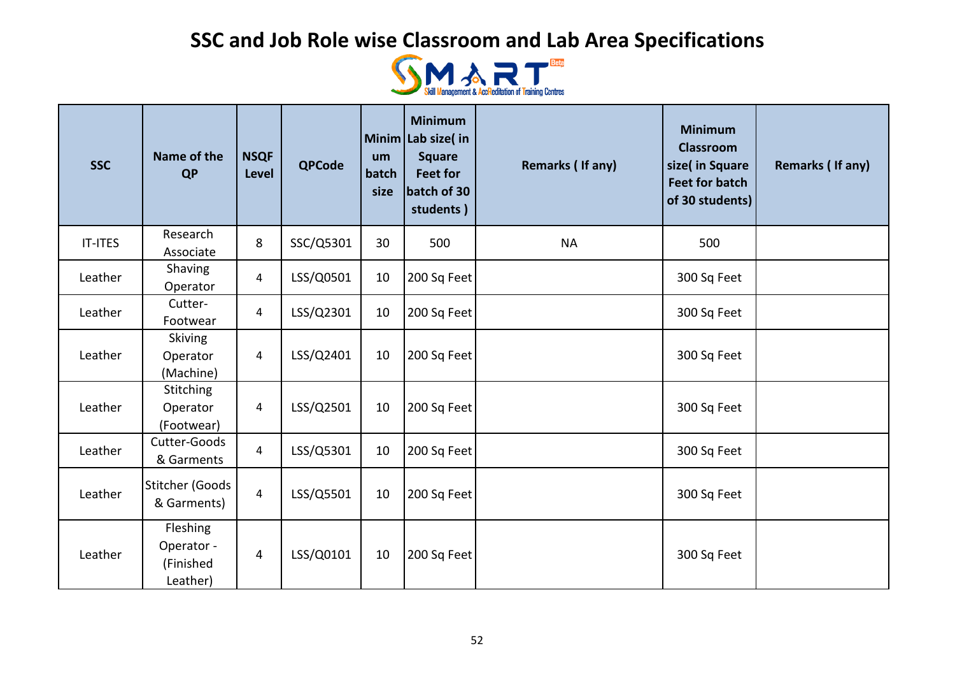

| <b>SSC</b>     | Name of the<br><b>QP</b>                        | <b>NSQF</b><br>Level | <b>QPCode</b> | um<br>batch<br>size | <b>Minimum</b><br>Minim Lab size(in<br><b>Square</b><br><b>Feet for</b><br>batch of 30<br>students) | Remarks (If any) | <b>Minimum</b><br><b>Classroom</b><br>size( in Square<br><b>Feet for batch</b><br>of 30 students) | <b>Remarks (If any)</b> |
|----------------|-------------------------------------------------|----------------------|---------------|---------------------|-----------------------------------------------------------------------------------------------------|------------------|---------------------------------------------------------------------------------------------------|-------------------------|
| <b>IT-ITES</b> | Research<br>Associate                           | 8                    | SSC/Q5301     | 30                  | 500                                                                                                 | <b>NA</b>        | 500                                                                                               |                         |
| Leather        | Shaving<br>Operator                             | $\overline{4}$       | LSS/Q0501     | 10                  | 200 Sq Feet                                                                                         |                  | 300 Sq Feet                                                                                       |                         |
| Leather        | Cutter-<br>Footwear                             | 4                    | LSS/Q2301     | 10                  | 200 Sq Feet                                                                                         |                  | 300 Sq Feet                                                                                       |                         |
| Leather        | Skiving<br>Operator<br>(Machine)                | 4                    | LSS/Q2401     | 10                  | 200 Sq Feet                                                                                         |                  | 300 Sq Feet                                                                                       |                         |
| Leather        | Stitching<br>Operator<br>(Footwear)             | 4                    | LSS/Q2501     | 10                  | 200 Sq Feet                                                                                         |                  | 300 Sq Feet                                                                                       |                         |
| Leather        | Cutter-Goods<br>& Garments                      | $\overline{4}$       | LSS/Q5301     | 10                  | 200 Sq Feet                                                                                         |                  | 300 Sq Feet                                                                                       |                         |
| Leather        | <b>Stitcher (Goods</b><br>& Garments)           | $\overline{4}$       | LSS/Q5501     | 10                  | 200 Sq Feet                                                                                         |                  | 300 Sq Feet                                                                                       |                         |
| Leather        | Fleshing<br>Operator -<br>(Finished<br>Leather) | $\overline{4}$       | LSS/Q0101     | 10                  | 200 Sq Feet                                                                                         |                  | 300 Sq Feet                                                                                       |                         |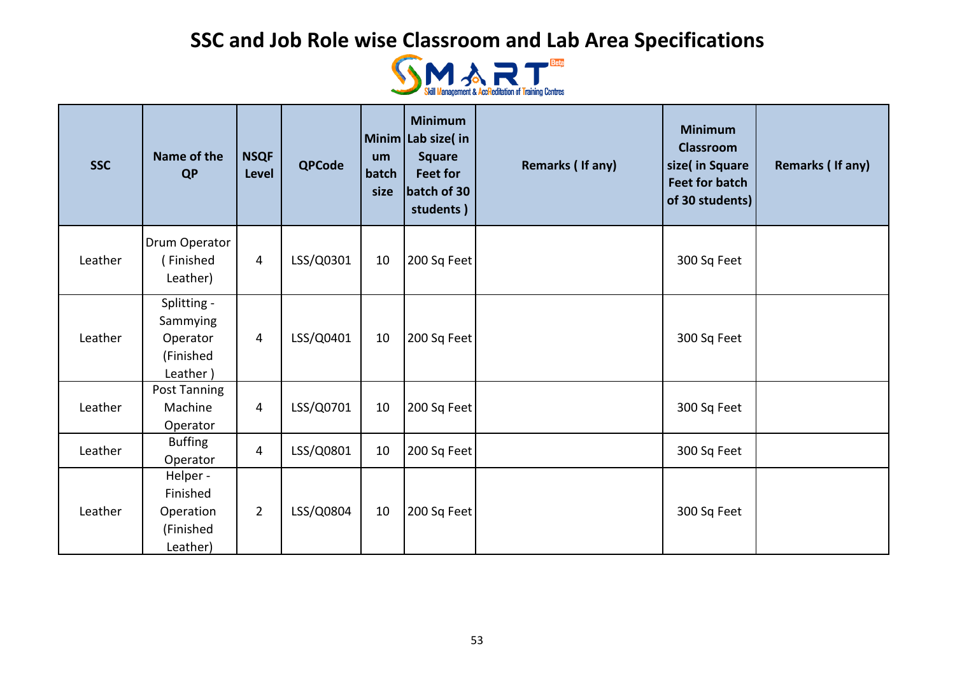

| <b>SSC</b> | Name of the<br><b>QP</b>                                     | <b>NSQF</b><br><b>Level</b> | <b>QPCode</b> | um<br>batch<br>size | <b>Minimum</b><br>Minim Lab size(in<br><b>Square</b><br><b>Feet for</b><br>batch of 30<br>students) | Remarks (If any) | <b>Minimum</b><br><b>Classroom</b><br>size( in Square<br><b>Feet for batch</b><br>of 30 students) | Remarks (If any) |
|------------|--------------------------------------------------------------|-----------------------------|---------------|---------------------|-----------------------------------------------------------------------------------------------------|------------------|---------------------------------------------------------------------------------------------------|------------------|
| Leather    | Drum Operator<br>(Finished<br>Leather)                       | 4                           | LSS/Q0301     | 10                  | 200 Sq Feet                                                                                         |                  | 300 Sq Feet                                                                                       |                  |
| Leather    | Splitting -<br>Sammying<br>Operator<br>(Finished<br>Leather) | 4                           | LSS/Q0401     | 10                  | 200 Sq Feet                                                                                         |                  | 300 Sq Feet                                                                                       |                  |
| Leather    | Post Tanning<br>Machine<br>Operator                          | $\overline{4}$              | LSS/Q0701     | 10                  | 200 Sq Feet                                                                                         |                  | 300 Sq Feet                                                                                       |                  |
| Leather    | <b>Buffing</b><br>Operator                                   | $\overline{\mathbf{4}}$     | LSS/Q0801     | 10                  | 200 Sq Feet                                                                                         |                  | 300 Sq Feet                                                                                       |                  |
| Leather    | Helper -<br>Finished<br>Operation<br>(Finished<br>Leather)   | $\overline{2}$              | LSS/Q0804     | 10                  | 200 Sq Feet                                                                                         |                  | 300 Sq Feet                                                                                       |                  |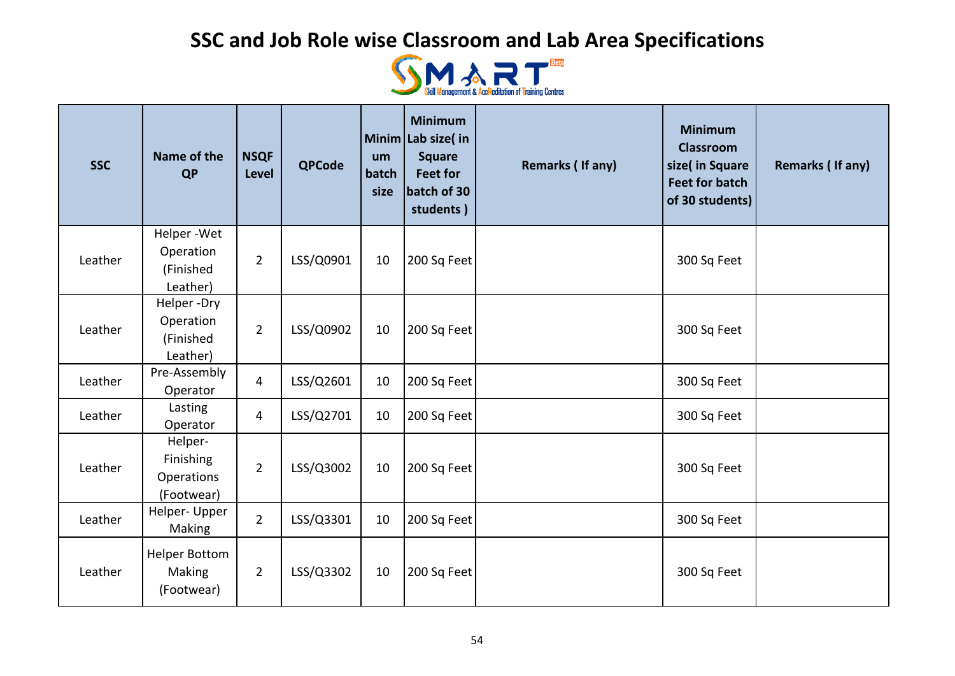

| <b>SSC</b> | Name of the<br><b>QP</b>                         | <b>NSQF</b><br>Level | <b>QPCode</b> | um<br>batch<br>size | <b>Minimum</b><br>Minim Lab size( in<br><b>Square</b><br><b>Feet for</b><br>batch of 30<br>students) | Remarks (If any) | <b>Minimum</b><br><b>Classroom</b><br>size( in Square<br><b>Feet for batch</b><br>of 30 students) | <b>Remarks (If any)</b> |
|------------|--------------------------------------------------|----------------------|---------------|---------------------|------------------------------------------------------------------------------------------------------|------------------|---------------------------------------------------------------------------------------------------|-------------------------|
| Leather    | Helper-Wet<br>Operation<br>(Finished             | $\overline{2}$       | LSS/Q0901     | 10                  | 200 Sq Feet                                                                                          |                  | 300 Sq Feet                                                                                       |                         |
|            | Leather)                                         |                      |               |                     |                                                                                                      |                  |                                                                                                   |                         |
| Leather    | Helper-Dry<br>Operation<br>(Finished<br>Leather) | $\overline{2}$       | LSS/Q0902     | 10                  | 200 Sq Feet                                                                                          |                  | 300 Sq Feet                                                                                       |                         |
| Leather    | Pre-Assembly<br>Operator                         | $\overline{4}$       | LSS/Q2601     | 10                  | 200 Sq Feet                                                                                          |                  | 300 Sq Feet                                                                                       |                         |
| Leather    | Lasting<br>Operator                              | $\overline{4}$       | LSS/Q2701     | 10                  | 200 Sq Feet                                                                                          |                  | 300 Sq Feet                                                                                       |                         |
| Leather    | Helper-<br>Finishing<br>Operations<br>(Footwear) | $\overline{2}$       | LSS/Q3002     | 10                  | 200 Sq Feet                                                                                          |                  | 300 Sq Feet                                                                                       |                         |
| Leather    | Helper- Upper<br>Making                          | $\overline{2}$       | LSS/Q3301     | 10                  | 200 Sq Feet                                                                                          |                  | 300 Sq Feet                                                                                       |                         |
| Leather    | <b>Helper Bottom</b><br>Making<br>(Footwear)     | $\overline{2}$       | LSS/Q3302     | 10                  | 200 Sq Feet                                                                                          |                  | 300 Sq Feet                                                                                       |                         |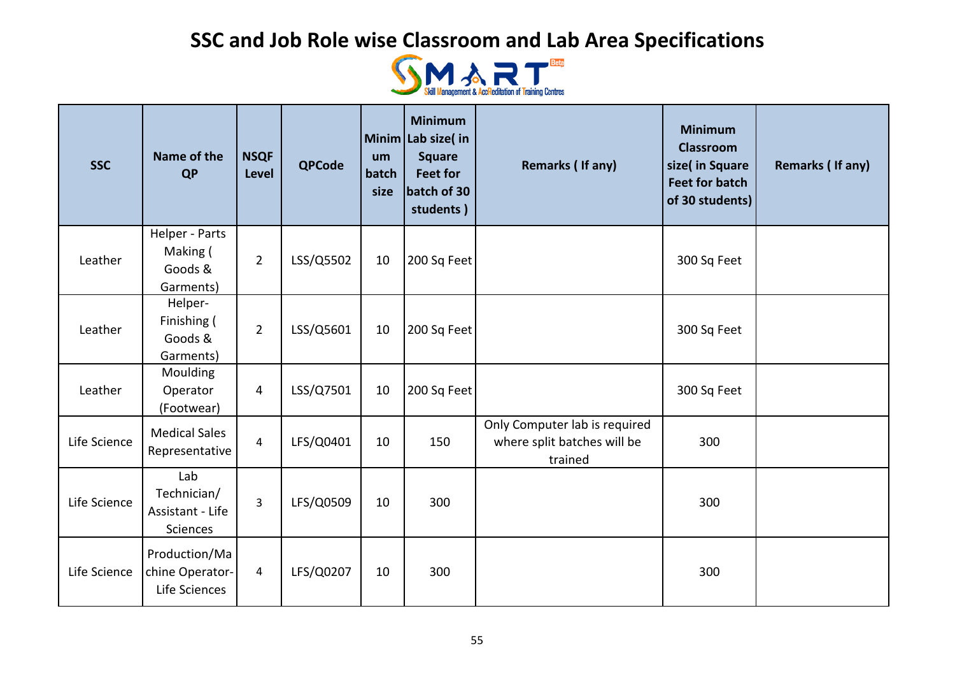

| <b>SSC</b>   | Name of the<br><b>QP</b>                           | <b>NSQF</b><br>Level | <b>QPCode</b> | um<br>batch<br>size | <b>Minimum</b><br>Minim Lab size( $in$<br><b>Square</b><br><b>Feet for</b><br>batch of 30<br>students) | Remarks (If any)                                                        | <b>Minimum</b><br><b>Classroom</b><br>size( in Square<br><b>Feet for batch</b><br>of 30 students) | Remarks (If any) |
|--------------|----------------------------------------------------|----------------------|---------------|---------------------|--------------------------------------------------------------------------------------------------------|-------------------------------------------------------------------------|---------------------------------------------------------------------------------------------------|------------------|
| Leather      | Helper - Parts<br>Making (<br>Goods &<br>Garments) | $\overline{2}$       | LSS/Q5502     | 10                  | 200 Sq Feet                                                                                            |                                                                         | 300 Sq Feet                                                                                       |                  |
| Leather      | Helper-<br>Finishing (<br>Goods &<br>Garments)     | $\overline{2}$       | LSS/Q5601     | 10                  | 200 Sq Feet                                                                                            |                                                                         | 300 Sq Feet                                                                                       |                  |
| Leather      | Moulding<br>Operator<br>(Footwear)                 | 4                    | LSS/Q7501     | 10                  | 200 Sq Feet                                                                                            |                                                                         | 300 Sq Feet                                                                                       |                  |
| Life Science | <b>Medical Sales</b><br>Representative             | $\overline{4}$       | LFS/Q0401     | 10                  | 150                                                                                                    | Only Computer lab is required<br>where split batches will be<br>trained | 300                                                                                               |                  |
| Life Science | Lab<br>Technician/<br>Assistant - Life<br>Sciences | $\overline{3}$       | LFS/Q0509     | 10                  | 300                                                                                                    |                                                                         | 300                                                                                               |                  |
| Life Science | Production/Ma<br>chine Operator-<br>Life Sciences  | 4                    | LFS/Q0207     | 10                  | 300                                                                                                    |                                                                         | 300                                                                                               |                  |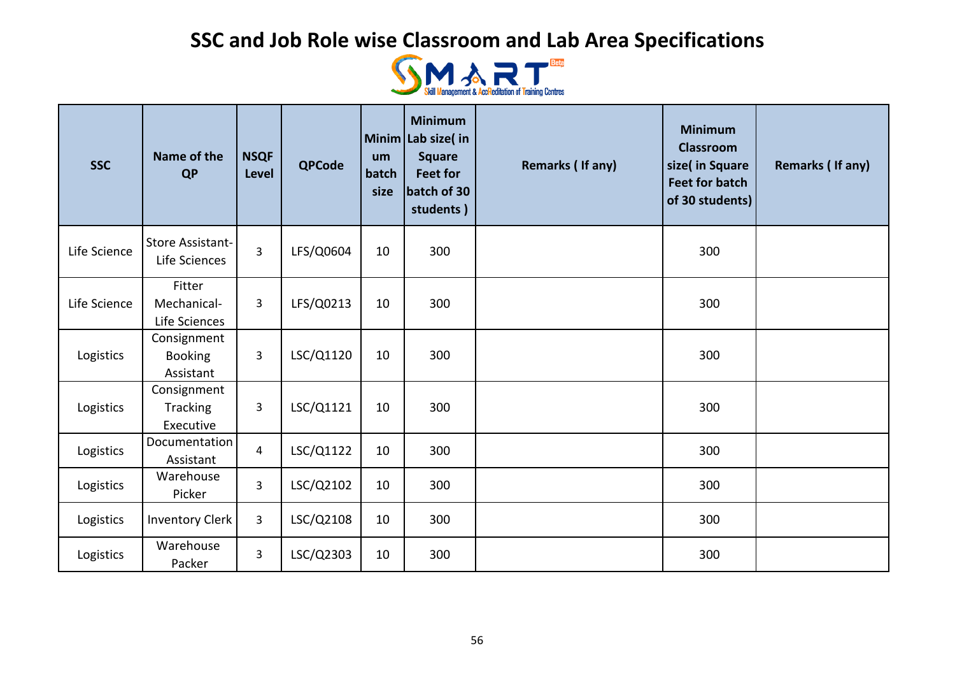

| <b>SSC</b>   | Name of the<br><b>QP</b>                   | <b>NSQF</b><br>Level | <b>QPCode</b> | um<br>batch<br>size | <b>Minimum</b><br>Minim Lab size(in<br><b>Square</b><br><b>Feet for</b><br>batch of 30<br>students) | Remarks (If any) | <b>Minimum</b><br><b>Classroom</b><br>size( in Square<br><b>Feet for batch</b><br>of 30 students) | <b>Remarks (If any)</b> |
|--------------|--------------------------------------------|----------------------|---------------|---------------------|-----------------------------------------------------------------------------------------------------|------------------|---------------------------------------------------------------------------------------------------|-------------------------|
| Life Science | <b>Store Assistant-</b><br>Life Sciences   | 3                    | LFS/Q0604     | 10                  | 300                                                                                                 |                  | 300                                                                                               |                         |
| Life Science | Fitter<br>Mechanical-<br>Life Sciences     | 3                    | LFS/Q0213     | 10                  | 300                                                                                                 |                  | 300                                                                                               |                         |
| Logistics    | Consignment<br><b>Booking</b><br>Assistant | 3                    | LSC/Q1120     | 10                  | 300                                                                                                 |                  | 300                                                                                               |                         |
| Logistics    | Consignment<br>Tracking<br>Executive       | 3                    | LSC/Q1121     | 10                  | 300                                                                                                 |                  | 300                                                                                               |                         |
| Logistics    | Documentation<br>Assistant                 | $\overline{4}$       | LSC/Q1122     | 10                  | 300                                                                                                 |                  | 300                                                                                               |                         |
| Logistics    | Warehouse<br>Picker                        | $\overline{3}$       | LSC/Q2102     | 10                  | 300                                                                                                 |                  | 300                                                                                               |                         |
| Logistics    | <b>Inventory Clerk</b>                     | 3                    | LSC/Q2108     | 10                  | 300                                                                                                 |                  | 300                                                                                               |                         |
| Logistics    | Warehouse<br>Packer                        | 3                    | LSC/Q2303     | 10                  | 300                                                                                                 |                  | 300                                                                                               |                         |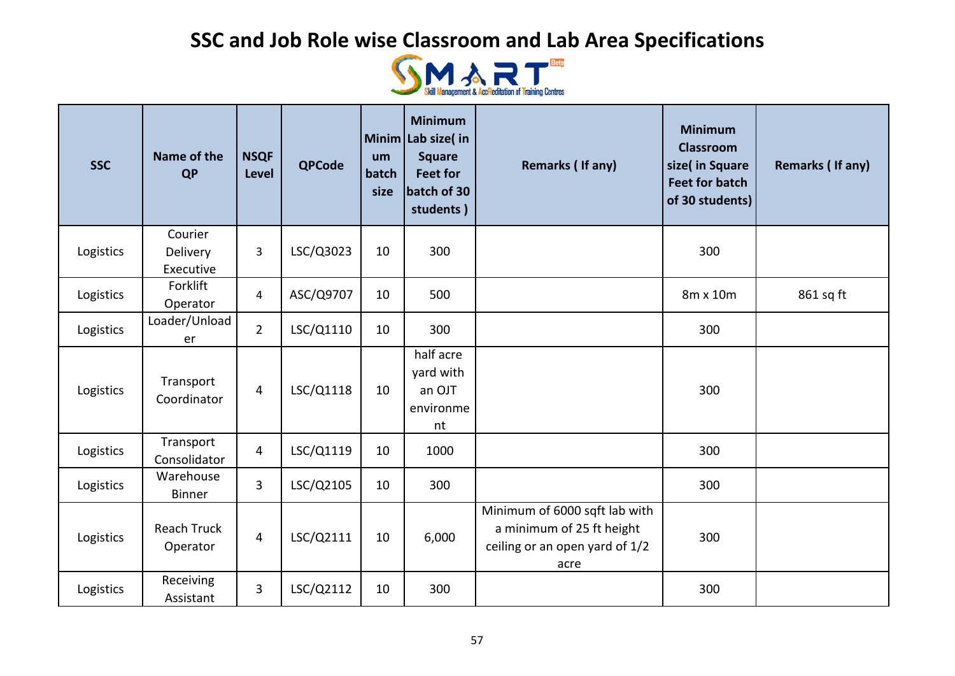

| <b>SSC</b> | Name of the<br><b>QP</b>         | <b>NSQF</b><br><b>Level</b> | <b>QPCode</b> | um<br>batch<br>size | <b>Minimum</b><br>Minim Lab size( in<br><b>Square</b><br><b>Feet for</b><br>batch of 30<br>students) | Remarks (If any)                                                                                     | <b>Minimum</b><br><b>Classroom</b><br>size( in Square<br><b>Feet for batch</b><br>of 30 students) | <b>Remarks (If any)</b> |
|------------|----------------------------------|-----------------------------|---------------|---------------------|------------------------------------------------------------------------------------------------------|------------------------------------------------------------------------------------------------------|---------------------------------------------------------------------------------------------------|-------------------------|
| Logistics  | Courier<br>Delivery<br>Executive | 3                           | LSC/Q3023     | 10                  | 300                                                                                                  |                                                                                                      | 300                                                                                               |                         |
| Logistics  | Forklift<br>Operator             | 4                           | ASC/Q9707     | 10                  | 500                                                                                                  |                                                                                                      | 8m x 10m                                                                                          | 861 sq ft               |
| Logistics  | Loader/Unload<br>er              | $\overline{2}$              | LSC/Q1110     | 10                  | 300                                                                                                  |                                                                                                      | 300                                                                                               |                         |
| Logistics  | Transport<br>Coordinator         | $\overline{4}$              | LSC/Q1118     | 10                  | half acre<br>yard with<br>an OJT<br>environme<br>nt                                                  |                                                                                                      | 300                                                                                               |                         |
| Logistics  | Transport<br>Consolidator        | $\overline{4}$              | LSC/Q1119     | 10                  | 1000                                                                                                 |                                                                                                      | 300                                                                                               |                         |
| Logistics  | Warehouse<br><b>Binner</b>       | $\overline{3}$              | LSC/Q2105     | 10                  | 300                                                                                                  |                                                                                                      | 300                                                                                               |                         |
| Logistics  | <b>Reach Truck</b><br>Operator   | $\overline{4}$              | LSC/Q2111     | 10                  | 6,000                                                                                                | Minimum of 6000 sqft lab with<br>a minimum of 25 ft height<br>ceiling or an open yard of 1/2<br>acre | 300                                                                                               |                         |
| Logistics  | Receiving<br>Assistant           | 3                           | LSC/Q2112     | 10                  | 300                                                                                                  |                                                                                                      | 300                                                                                               |                         |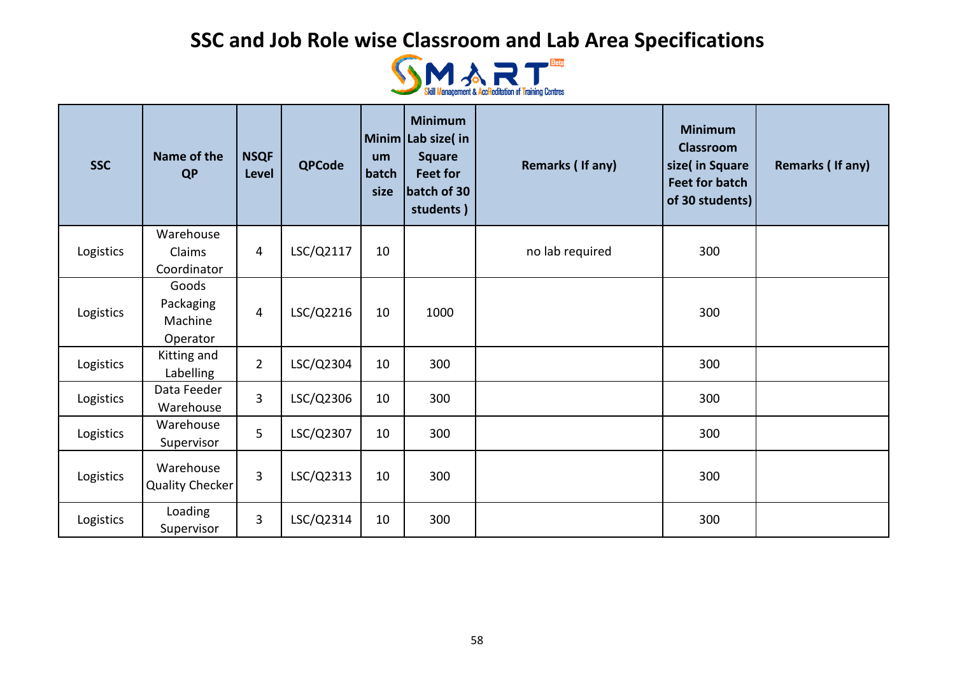

| <b>SSC</b> | Name of the<br><b>QP</b>                  | <b>NSQF</b><br><b>Level</b> | <b>QPCode</b> | um<br>batch<br>size | <b>Minimum</b><br>Minim Lab size(in<br><b>Square</b><br><b>Feet for</b><br>batch of 30<br>students) | Remarks (If any) | <b>Minimum</b><br><b>Classroom</b><br>size( in Square<br><b>Feet for batch</b><br>of 30 students) | Remarks (If any) |
|------------|-------------------------------------------|-----------------------------|---------------|---------------------|-----------------------------------------------------------------------------------------------------|------------------|---------------------------------------------------------------------------------------------------|------------------|
|            | Warehouse                                 |                             |               |                     |                                                                                                     |                  |                                                                                                   |                  |
| Logistics  | Claims<br>Coordinator                     | 4                           | LSC/Q2117     | 10                  |                                                                                                     | no lab required  | 300                                                                                               |                  |
| Logistics  | Goods<br>Packaging<br>Machine<br>Operator | 4                           | LSC/Q2216     | 10                  | 1000                                                                                                |                  | 300                                                                                               |                  |
| Logistics  | Kitting and<br>Labelling                  | $\overline{2}$              | LSC/Q2304     | 10                  | 300                                                                                                 |                  | 300                                                                                               |                  |
| Logistics  | Data Feeder<br>Warehouse                  | 3                           | LSC/Q2306     | 10                  | 300                                                                                                 |                  | 300                                                                                               |                  |
| Logistics  | Warehouse<br>Supervisor                   | 5                           | LSC/Q2307     | 10                  | 300                                                                                                 |                  | 300                                                                                               |                  |
| Logistics  | Warehouse<br>Quality Checker              | $\overline{3}$              | LSC/Q2313     | 10                  | 300                                                                                                 |                  | 300                                                                                               |                  |
| Logistics  | Loading<br>Supervisor                     | 3                           | LSC/Q2314     | 10                  | 300                                                                                                 |                  | 300                                                                                               |                  |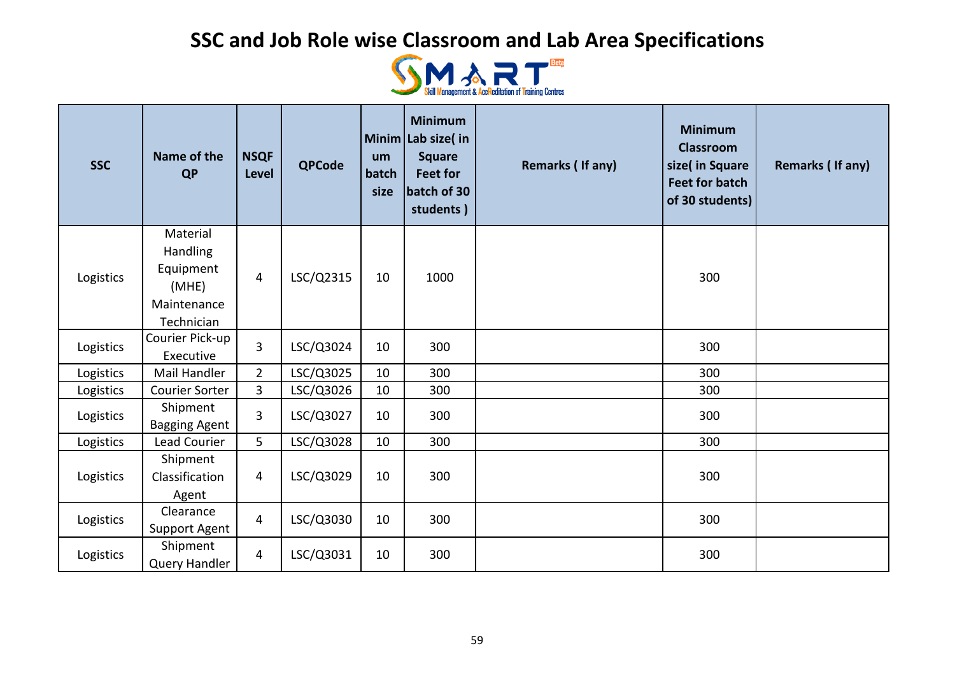

| <b>SSC</b> | Name of the<br><b>QP</b>                                                | <b>NSQF</b><br>Level | <b>QPCode</b> | um<br>batch<br>size | <b>Minimum</b><br>Minim Lab size( in<br><b>Square</b><br><b>Feet for</b><br>batch of 30<br>students) | Remarks (If any) | <b>Minimum</b><br><b>Classroom</b><br>size( in Square<br><b>Feet for batch</b><br>of 30 students) | Remarks (If any) |
|------------|-------------------------------------------------------------------------|----------------------|---------------|---------------------|------------------------------------------------------------------------------------------------------|------------------|---------------------------------------------------------------------------------------------------|------------------|
| Logistics  | Material<br>Handling<br>Equipment<br>(MHE)<br>Maintenance<br>Technician | $\overline{4}$       | LSC/Q2315     | 10                  | 1000                                                                                                 |                  | 300                                                                                               |                  |
| Logistics  | Courier Pick-up<br>Executive                                            | $\overline{3}$       | LSC/Q3024     | 10                  | 300                                                                                                  |                  | 300                                                                                               |                  |
| Logistics  | Mail Handler                                                            | $\overline{2}$       | LSC/Q3025     | 10                  | 300                                                                                                  |                  | 300                                                                                               |                  |
| Logistics  | Courier Sorter                                                          | $\overline{3}$       | LSC/Q3026     | 10                  | 300                                                                                                  |                  | 300                                                                                               |                  |
| Logistics  | Shipment<br><b>Bagging Agent</b>                                        | $\overline{3}$       | LSC/Q3027     | 10                  | 300                                                                                                  |                  | 300                                                                                               |                  |
| Logistics  | Lead Courier                                                            | 5                    | LSC/Q3028     | 10                  | 300                                                                                                  |                  | 300                                                                                               |                  |
| Logistics  | Shipment<br>Classification<br>Agent                                     | 4                    | LSC/Q3029     | 10                  | 300                                                                                                  |                  | 300                                                                                               |                  |
| Logistics  | Clearance<br><b>Support Agent</b>                                       | $\overline{4}$       | LSC/Q3030     | 10                  | 300                                                                                                  |                  | 300                                                                                               |                  |
| Logistics  | Shipment<br>Query Handler                                               | 4                    | LSC/Q3031     | 10                  | 300                                                                                                  |                  | 300                                                                                               |                  |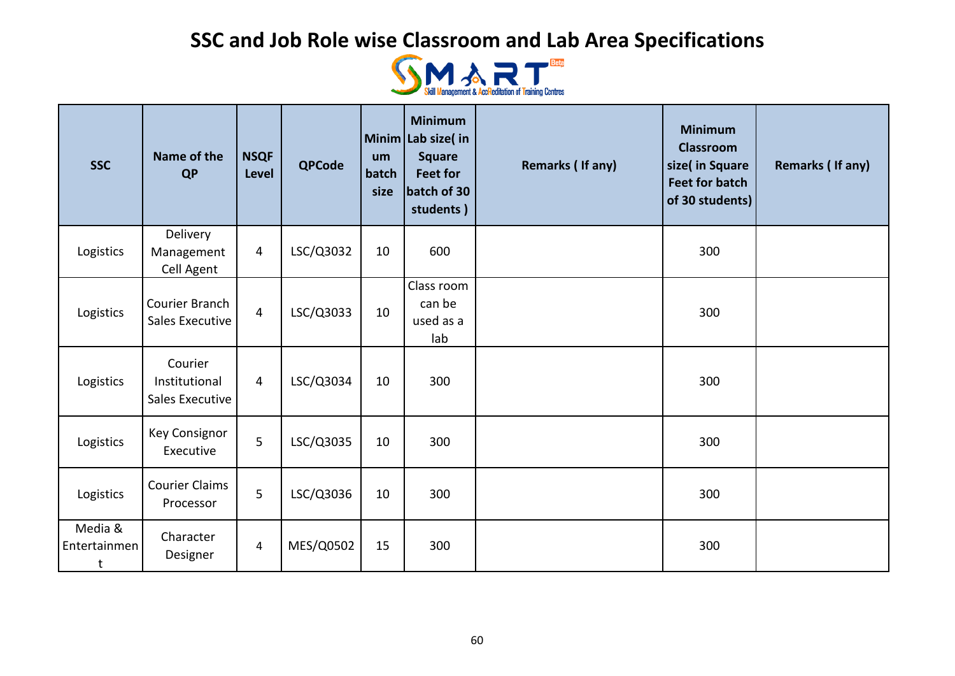

| <b>SSC</b>                   | Name of the<br><b>QP</b>                    | <b>NSQF</b><br><b>Level</b> | <b>QPCode</b> | um<br>batch<br>size | <b>Minimum</b><br>Minim Lab size(in<br><b>Square</b><br><b>Feet for</b><br>batch of 30<br>students) | Remarks (If any) | <b>Minimum</b><br><b>Classroom</b><br>size( in Square<br><b>Feet for batch</b><br>of 30 students) | Remarks (If any) |
|------------------------------|---------------------------------------------|-----------------------------|---------------|---------------------|-----------------------------------------------------------------------------------------------------|------------------|---------------------------------------------------------------------------------------------------|------------------|
| Logistics                    | Delivery<br>Management<br>Cell Agent        | $\overline{4}$              | LSC/Q3032     | 10                  | 600                                                                                                 |                  | 300                                                                                               |                  |
| Logistics                    | Courier Branch<br>Sales Executive           | $\overline{4}$              | LSC/Q3033     | 10                  | Class room<br>can be<br>used as a<br>lab                                                            |                  | 300                                                                                               |                  |
| Logistics                    | Courier<br>Institutional<br>Sales Executive | $\overline{4}$              | LSC/Q3034     | 10                  | 300                                                                                                 |                  | 300                                                                                               |                  |
| Logistics                    | <b>Key Consignor</b><br>Executive           | 5                           | LSC/Q3035     | 10                  | 300                                                                                                 |                  | 300                                                                                               |                  |
| Logistics                    | <b>Courier Claims</b><br>Processor          | 5                           | LSC/Q3036     | 10                  | 300                                                                                                 |                  | 300                                                                                               |                  |
| Media &<br>Entertainmen<br>t | Character<br>Designer                       | $\overline{4}$              | MES/Q0502     | 15                  | 300                                                                                                 |                  | 300                                                                                               |                  |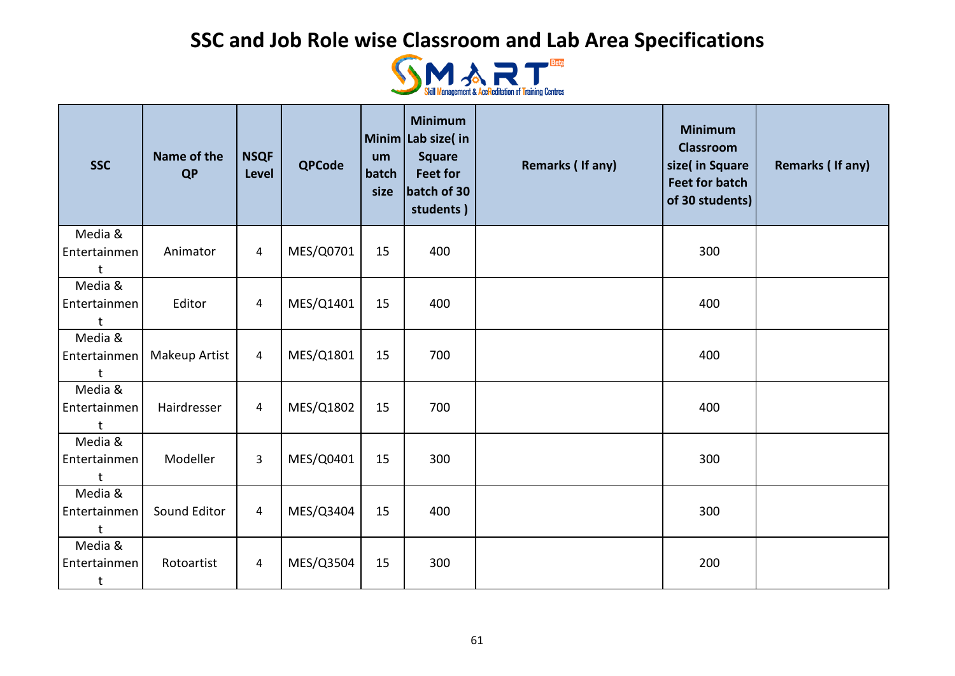

| <b>SSC</b>                              | Name of the<br><b>QP</b> | <b>NSQF</b><br>Level | <b>QPCode</b> | um<br>batch<br>size | <b>Minimum</b><br>Minim Lab size(in<br><b>Square</b><br><b>Feet for</b><br>batch of 30<br>students) | Remarks (If any) | <b>Minimum</b><br><b>Classroom</b><br>size( in Square<br><b>Feet for batch</b><br>of 30 students) | <b>Remarks (If any)</b> |
|-----------------------------------------|--------------------------|----------------------|---------------|---------------------|-----------------------------------------------------------------------------------------------------|------------------|---------------------------------------------------------------------------------------------------|-------------------------|
| Media &<br>Entertainmen                 | Animator                 | 4                    | MES/Q0701     | 15                  | 400                                                                                                 |                  | 300                                                                                               |                         |
| Media &<br>Entertainmen                 | Editor                   | 4                    | MES/Q1401     | 15                  | 400                                                                                                 |                  | 400                                                                                               |                         |
| Media &<br>Entertainmen                 | Makeup Artist            | 4                    | MES/Q1801     | 15                  | 700                                                                                                 |                  | 400                                                                                               |                         |
| Media &<br>Entertainmen                 | Hairdresser              | $\overline{4}$       | MES/Q1802     | 15                  | 700                                                                                                 |                  | 400                                                                                               |                         |
| Media &<br>Entertainmen                 | Modeller                 | 3                    | MES/Q0401     | 15                  | 300                                                                                                 |                  | 300                                                                                               |                         |
| Media &<br>Entertainmen                 | Sound Editor             | 4                    | MES/Q3404     | 15                  | 400                                                                                                 |                  | 300                                                                                               |                         |
| Media &<br>Entertainmen<br>$\mathsf{t}$ | Rotoartist               | $\overline{a}$       | MES/Q3504     | 15                  | 300                                                                                                 |                  | 200                                                                                               |                         |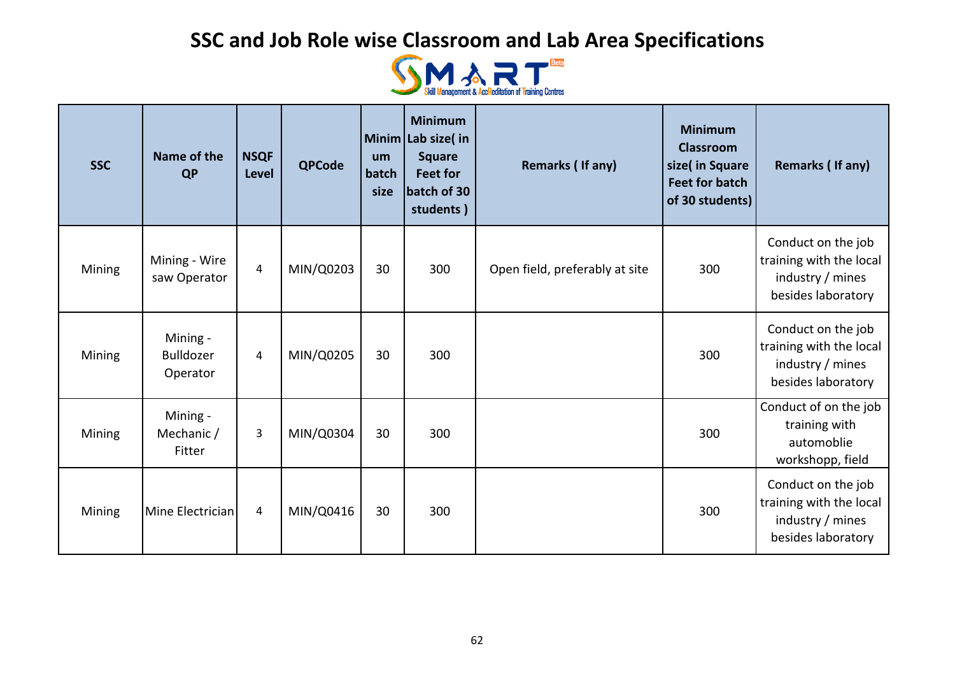

| <b>SSC</b> | Name of the<br><b>QP</b>                 | <b>NSQF</b><br><b>Level</b> | <b>QPCode</b> | um<br>batch<br>size | <b>Minimum</b><br>Minim Lab size(in<br><b>Square</b><br><b>Feet for</b><br>batch of 30<br>students) | Remarks (If any)               | <b>Minimum</b><br><b>Classroom</b><br>size( in Square<br><b>Feet for batch</b><br>of 30 students) | Remarks (If any)                                                                        |
|------------|------------------------------------------|-----------------------------|---------------|---------------------|-----------------------------------------------------------------------------------------------------|--------------------------------|---------------------------------------------------------------------------------------------------|-----------------------------------------------------------------------------------------|
| Mining     | Mining - Wire<br>saw Operator            | $\overline{4}$              | MIN/Q0203     | 30                  | 300                                                                                                 | Open field, preferably at site | 300                                                                                               | Conduct on the job<br>training with the local<br>industry / mines<br>besides laboratory |
| Mining     | Mining -<br><b>Bulldozer</b><br>Operator | 4                           | MIN/Q0205     | 30                  | 300                                                                                                 |                                | 300                                                                                               | Conduct on the job<br>training with the local<br>industry / mines<br>besides laboratory |
| Mining     | Mining -<br>Mechanic /<br>Fitter         | 3                           | MIN/Q0304     | 30                  | 300                                                                                                 |                                | 300                                                                                               | Conduct of on the job<br>training with<br>automoblie<br>workshopp, field                |
| Mining     | Mine Electrician                         | $\overline{4}$              | MIN/Q0416     | 30                  | 300                                                                                                 |                                | 300                                                                                               | Conduct on the job<br>training with the local<br>industry / mines<br>besides laboratory |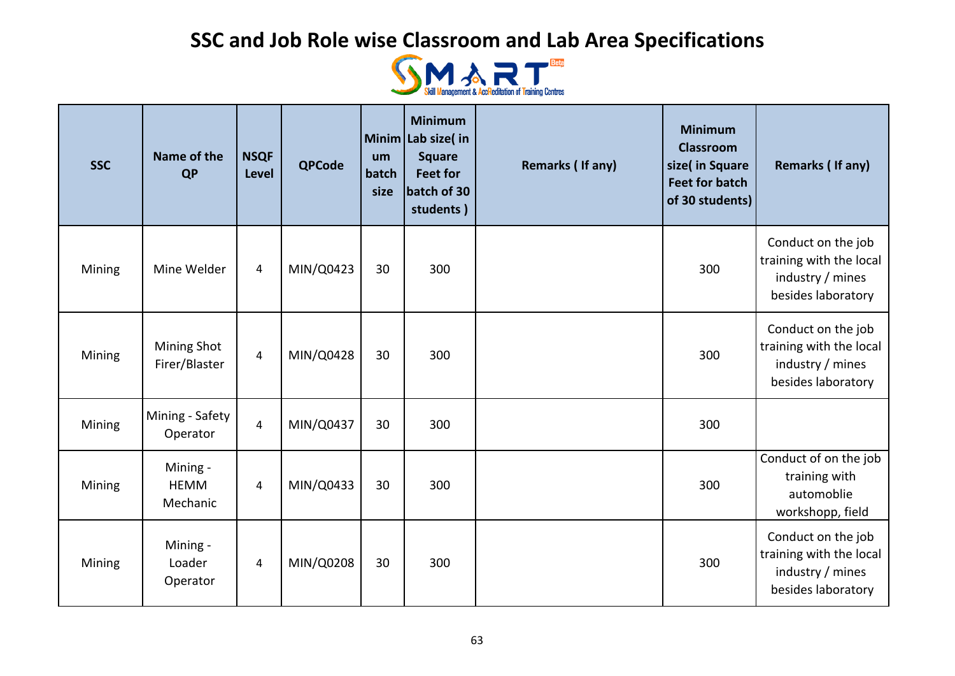

| <b>SSC</b> | Name of the<br><b>QP</b>            | <b>NSQF</b><br>Level | <b>QPCode</b> | um<br>batch<br>size | <b>Minimum</b><br>Minim Lab size(in<br><b>Square</b><br><b>Feet for</b><br>batch of 30<br>students) | Remarks (If any) | <b>Minimum</b><br><b>Classroom</b><br>size( in Square<br><b>Feet for batch</b><br>of 30 students) | <b>Remarks (If any)</b>                                                                 |
|------------|-------------------------------------|----------------------|---------------|---------------------|-----------------------------------------------------------------------------------------------------|------------------|---------------------------------------------------------------------------------------------------|-----------------------------------------------------------------------------------------|
| Mining     | Mine Welder                         | $\overline{4}$       | MIN/Q0423     | 30                  | 300                                                                                                 |                  | 300                                                                                               | Conduct on the job<br>training with the local<br>industry / mines<br>besides laboratory |
| Mining     | Mining Shot<br>Firer/Blaster        | $\overline{4}$       | MIN/Q0428     | 30                  | 300                                                                                                 |                  | 300                                                                                               | Conduct on the job<br>training with the local<br>industry / mines<br>besides laboratory |
| Mining     | Mining - Safety<br>Operator         | $\overline{4}$       | MIN/Q0437     | 30                  | 300                                                                                                 |                  | 300                                                                                               |                                                                                         |
| Mining     | Mining -<br><b>HEMM</b><br>Mechanic | 4                    | MIN/Q0433     | 30                  | 300                                                                                                 |                  | 300                                                                                               | Conduct of on the job<br>training with<br>automoblie<br>workshopp, field                |
| Mining     | Mining -<br>Loader<br>Operator      | $\overline{4}$       | MIN/Q0208     | 30                  | 300                                                                                                 |                  | 300                                                                                               | Conduct on the job<br>training with the local<br>industry / mines<br>besides laboratory |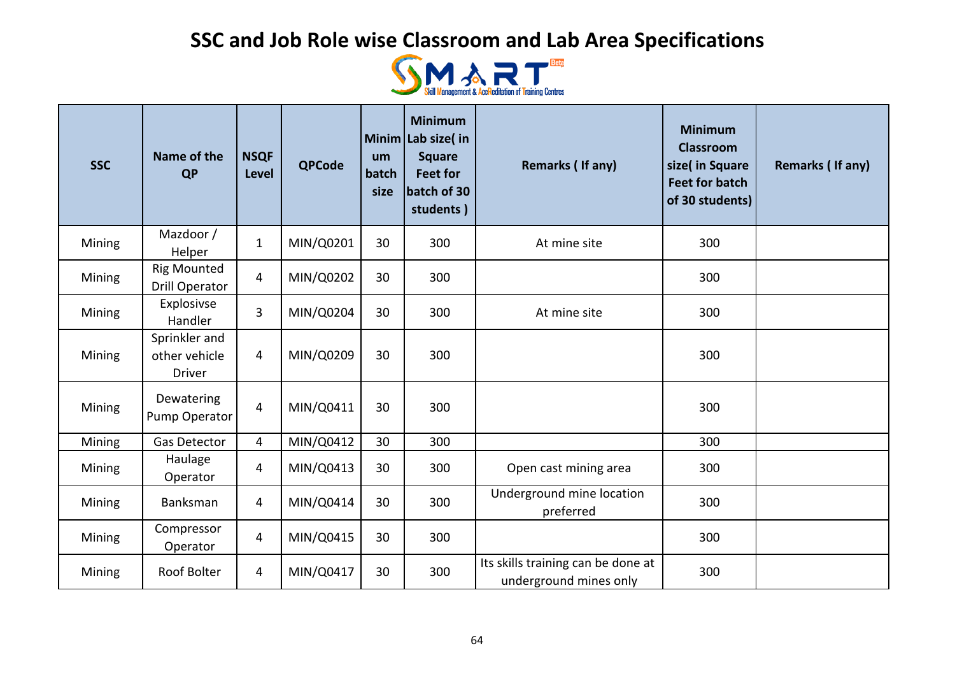

| <b>SSC</b> | Name of the<br><b>QP</b>                        | <b>NSQF</b><br><b>Level</b> | <b>QPCode</b> | um<br>batch<br>size | <b>Minimum</b><br>Minim Lab size(in<br><b>Square</b><br><b>Feet for</b><br>batch of 30<br>students) | Remarks (If any)                                             | <b>Minimum</b><br><b>Classroom</b><br>size( in Square<br><b>Feet for batch</b><br>of 30 students) | Remarks (If any) |
|------------|-------------------------------------------------|-----------------------------|---------------|---------------------|-----------------------------------------------------------------------------------------------------|--------------------------------------------------------------|---------------------------------------------------------------------------------------------------|------------------|
| Mining     | Mazdoor /<br>Helper                             | $\mathbf{1}$                | MIN/Q0201     | 30                  | 300                                                                                                 | At mine site                                                 | 300                                                                                               |                  |
| Mining     | <b>Rig Mounted</b><br><b>Drill Operator</b>     | 4                           | MIN/Q0202     | 30                  | 300                                                                                                 |                                                              | 300                                                                                               |                  |
| Mining     | Explosivse<br>Handler                           | 3                           | MIN/Q0204     | 30                  | 300                                                                                                 | At mine site                                                 | 300                                                                                               |                  |
| Mining     | Sprinkler and<br>other vehicle<br><b>Driver</b> | 4                           | MIN/Q0209     | 30                  | 300                                                                                                 |                                                              | 300                                                                                               |                  |
| Mining     | Dewatering<br>Pump Operator                     | 4                           | MIN/Q0411     | 30                  | 300                                                                                                 |                                                              | 300                                                                                               |                  |
| Mining     | Gas Detector                                    | $\overline{4}$              | MIN/Q0412     | 30                  | 300                                                                                                 |                                                              | 300                                                                                               |                  |
| Mining     | Haulage<br>Operator                             | 4                           | MIN/Q0413     | 30                  | 300                                                                                                 | Open cast mining area                                        | 300                                                                                               |                  |
| Mining     | Banksman                                        | 4                           | MIN/Q0414     | 30                  | 300                                                                                                 | Underground mine location<br>preferred                       | 300                                                                                               |                  |
| Mining     | Compressor<br>Operator                          | $\overline{4}$              | MIN/Q0415     | 30                  | 300                                                                                                 |                                                              | 300                                                                                               |                  |
| Mining     | Roof Bolter                                     | 4                           | MIN/Q0417     | 30                  | 300                                                                                                 | Its skills training can be done at<br>underground mines only | 300                                                                                               |                  |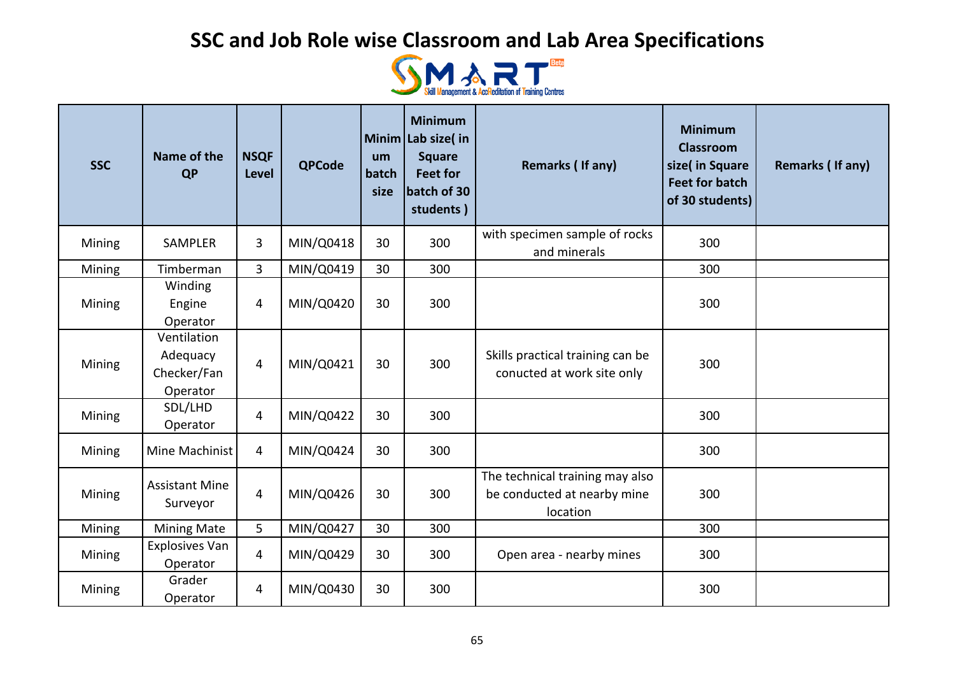

| <b>SSC</b> | Name of the<br><b>QP</b>                           | <b>NSQF</b><br><b>Level</b> | <b>QPCode</b> | um<br>batch<br>size | <b>Minimum</b><br>Minim Lab size( in<br><b>Square</b><br><b>Feet for</b><br>batch of 30<br>students) | Remarks (If any)                                                           | <b>Minimum</b><br><b>Classroom</b><br>size( in Square<br><b>Feet for batch</b><br>of 30 students) | Remarks (If any) |
|------------|----------------------------------------------------|-----------------------------|---------------|---------------------|------------------------------------------------------------------------------------------------------|----------------------------------------------------------------------------|---------------------------------------------------------------------------------------------------|------------------|
| Mining     | <b>SAMPLER</b>                                     | 3                           | MIN/Q0418     | 30                  | 300                                                                                                  | with specimen sample of rocks<br>and minerals                              | 300                                                                                               |                  |
| Mining     | Timberman                                          | 3                           | MIN/Q0419     | 30                  | 300                                                                                                  |                                                                            | 300                                                                                               |                  |
| Mining     | Winding<br>Engine<br>Operator                      | 4                           | MIN/Q0420     | 30                  | 300                                                                                                  |                                                                            | 300                                                                                               |                  |
| Mining     | Ventilation<br>Adequacy<br>Checker/Fan<br>Operator | 4                           | MIN/Q0421     | 30                  | 300                                                                                                  | Skills practical training can be<br>conucted at work site only             | 300                                                                                               |                  |
| Mining     | SDL/LHD<br>Operator                                | 4                           | MIN/Q0422     | 30                  | 300                                                                                                  |                                                                            | 300                                                                                               |                  |
| Mining     | Mine Machinist                                     | 4                           | MIN/Q0424     | 30                  | 300                                                                                                  |                                                                            | 300                                                                                               |                  |
| Mining     | <b>Assistant Mine</b><br>Surveyor                  | 4                           | MIN/Q0426     | 30                  | 300                                                                                                  | The technical training may also<br>be conducted at nearby mine<br>location | 300                                                                                               |                  |
| Mining     | Mining Mate                                        | 5                           | MIN/Q0427     | 30                  | 300                                                                                                  |                                                                            | 300                                                                                               |                  |
| Mining     | Explosives Van<br>Operator                         | 4                           | MIN/Q0429     | 30                  | 300                                                                                                  | Open area - nearby mines                                                   | 300                                                                                               |                  |
| Mining     | Grader<br>Operator                                 | 4                           | MIN/Q0430     | 30                  | 300                                                                                                  |                                                                            | 300                                                                                               |                  |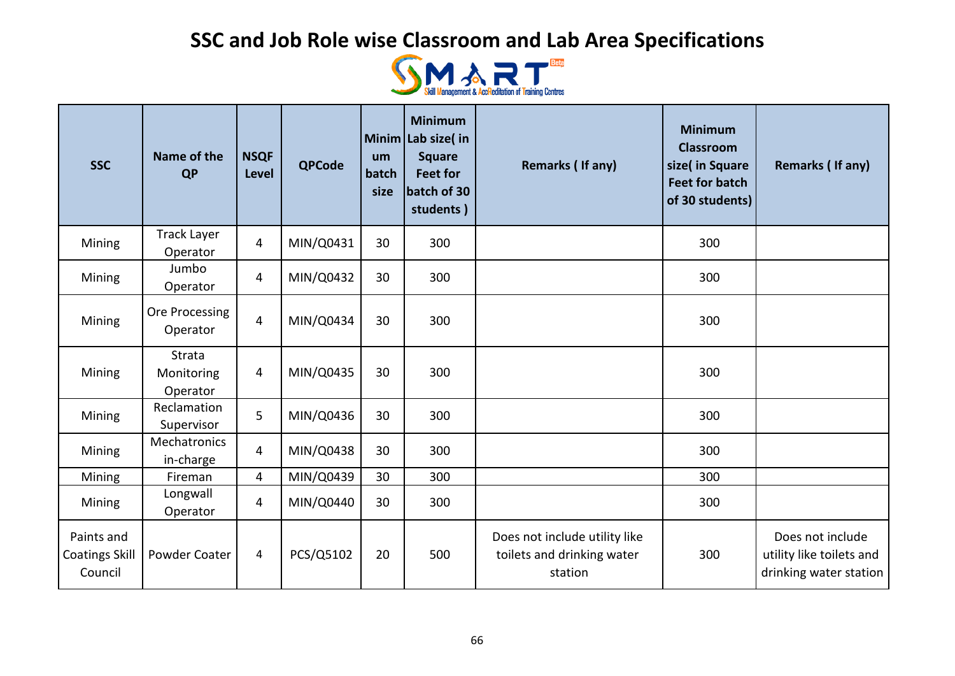

| <b>SSC</b>                                     | Name of the<br><b>QP</b>         | <b>NSQF</b><br><b>Level</b> | <b>QPCode</b> | um<br>batch<br>size | <b>Minimum</b><br>Minim Lab size(in<br><b>Square</b><br><b>Feet for</b><br>batch of 30<br>students) | Remarks (If any)                                                       | <b>Minimum</b><br><b>Classroom</b><br>size( in Square<br><b>Feet for batch</b><br>of 30 students) | Remarks (If any)                                                       |
|------------------------------------------------|----------------------------------|-----------------------------|---------------|---------------------|-----------------------------------------------------------------------------------------------------|------------------------------------------------------------------------|---------------------------------------------------------------------------------------------------|------------------------------------------------------------------------|
| Mining                                         | <b>Track Layer</b><br>Operator   | 4                           | MIN/Q0431     | 30                  | 300                                                                                                 |                                                                        | 300                                                                                               |                                                                        |
| Mining                                         | Jumbo<br>Operator                | $\overline{4}$              | MIN/Q0432     | 30                  | 300                                                                                                 |                                                                        | 300                                                                                               |                                                                        |
| Mining                                         | Ore Processing<br>Operator       | $\overline{4}$              | MIN/Q0434     | 30                  | 300                                                                                                 |                                                                        | 300                                                                                               |                                                                        |
| Mining                                         | Strata<br>Monitoring<br>Operator | 4                           | MIN/Q0435     | 30                  | 300                                                                                                 |                                                                        | 300                                                                                               |                                                                        |
| Mining                                         | Reclamation<br>Supervisor        | 5                           | MIN/Q0436     | 30                  | 300                                                                                                 |                                                                        | 300                                                                                               |                                                                        |
| Mining                                         | Mechatronics<br>in-charge        | $\overline{4}$              | MIN/Q0438     | 30                  | 300                                                                                                 |                                                                        | 300                                                                                               |                                                                        |
| Mining                                         | Fireman                          | 4                           | MIN/Q0439     | 30                  | 300                                                                                                 |                                                                        | 300                                                                                               |                                                                        |
| Mining                                         | Longwall<br>Operator             | 4                           | MIN/Q0440     | 30                  | 300                                                                                                 |                                                                        | 300                                                                                               |                                                                        |
| Paints and<br><b>Coatings Skill</b><br>Council | Powder Coater                    | $\overline{4}$              | PCS/Q5102     | 20                  | 500                                                                                                 | Does not include utility like<br>toilets and drinking water<br>station | 300                                                                                               | Does not include<br>utility like toilets and<br>drinking water station |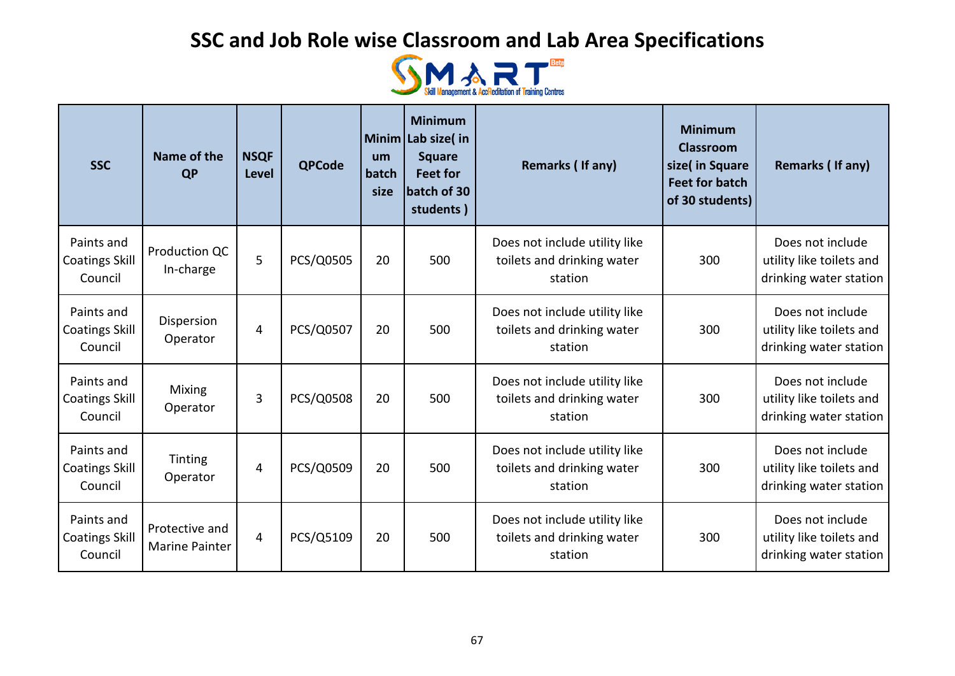

| <b>SSC</b>                                     | Name of the<br><b>QP</b>                | <b>NSQF</b><br><b>Level</b> | <b>QPCode</b> | um<br>batch<br>size | <b>Minimum</b><br>Minim Lab size(in<br><b>Square</b><br><b>Feet for</b><br>batch of 30<br>students) | Remarks (If any)                                                       | <b>Minimum</b><br><b>Classroom</b><br>size( in Square<br><b>Feet for batch</b><br>of 30 students) | Remarks (If any)                                                       |
|------------------------------------------------|-----------------------------------------|-----------------------------|---------------|---------------------|-----------------------------------------------------------------------------------------------------|------------------------------------------------------------------------|---------------------------------------------------------------------------------------------------|------------------------------------------------------------------------|
| Paints and<br><b>Coatings Skill</b><br>Council | Production QC<br>In-charge              | 5                           | PCS/Q0505     | 20                  | 500                                                                                                 | Does not include utility like<br>toilets and drinking water<br>station | 300                                                                                               | Does not include<br>utility like toilets and<br>drinking water station |
| Paints and<br><b>Coatings Skill</b><br>Council | Dispersion<br>Operator                  | 4                           | PCS/Q0507     | 20                  | 500                                                                                                 | Does not include utility like<br>toilets and drinking water<br>station | 300                                                                                               | Does not include<br>utility like toilets and<br>drinking water station |
| Paints and<br><b>Coatings Skill</b><br>Council | <b>Mixing</b><br>Operator               | 3                           | PCS/Q0508     | 20                  | 500                                                                                                 | Does not include utility like<br>toilets and drinking water<br>station | 300                                                                                               | Does not include<br>utility like toilets and<br>drinking water station |
| Paints and<br><b>Coatings Skill</b><br>Council | Tinting<br>Operator                     | 4                           | PCS/Q0509     | 20                  | 500                                                                                                 | Does not include utility like<br>toilets and drinking water<br>station | 300                                                                                               | Does not include<br>utility like toilets and<br>drinking water station |
| Paints and<br><b>Coatings Skill</b><br>Council | Protective and<br><b>Marine Painter</b> | $\overline{4}$              | PCS/Q5109     | 20                  | 500                                                                                                 | Does not include utility like<br>toilets and drinking water<br>station | 300                                                                                               | Does not include<br>utility like toilets and<br>drinking water station |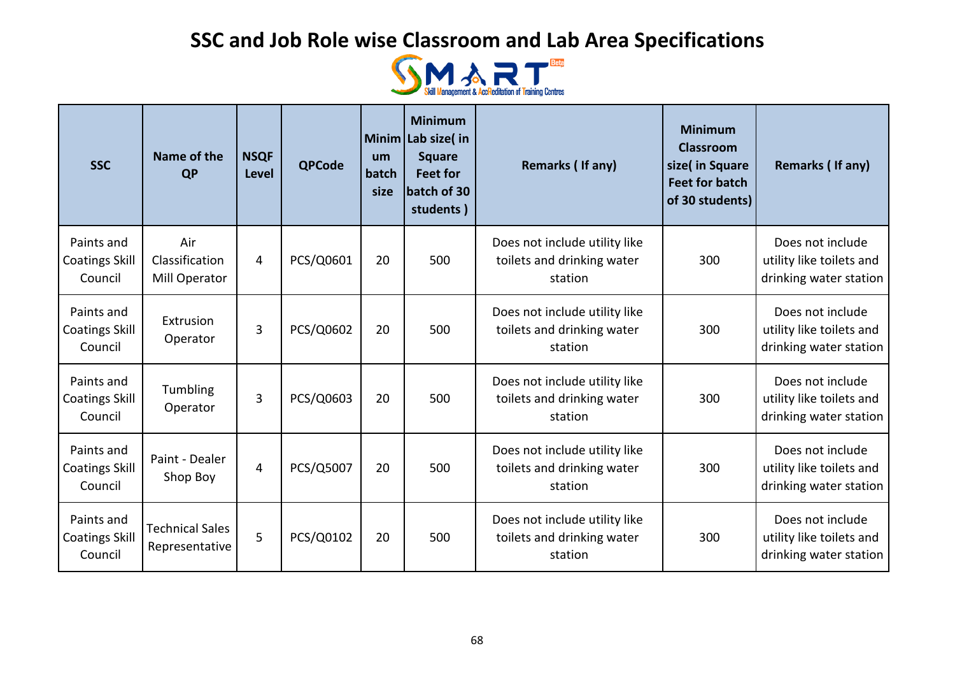

| <b>SSC</b>                                     | Name of the<br><b>QP</b>                 | <b>NSQF</b><br><b>Level</b> | <b>QPCode</b> | um<br>batch<br>size | <b>Minimum</b><br>Minim Lab size(in<br><b>Square</b><br><b>Feet for</b><br>batch of 30<br>students) | Remarks (If any)                                                       | <b>Minimum</b><br><b>Classroom</b><br>size( in Square<br><b>Feet for batch</b><br>of 30 students) | Remarks (If any)                                                       |
|------------------------------------------------|------------------------------------------|-----------------------------|---------------|---------------------|-----------------------------------------------------------------------------------------------------|------------------------------------------------------------------------|---------------------------------------------------------------------------------------------------|------------------------------------------------------------------------|
| Paints and<br><b>Coatings Skill</b><br>Council | Air<br>Classification<br>Mill Operator   | 4                           | PCS/Q0601     | 20                  | 500                                                                                                 | Does not include utility like<br>toilets and drinking water<br>station | 300                                                                                               | Does not include<br>utility like toilets and<br>drinking water station |
| Paints and<br><b>Coatings Skill</b><br>Council | Extrusion<br>Operator                    | 3                           | PCS/Q0602     | 20                  | 500                                                                                                 | Does not include utility like<br>toilets and drinking water<br>station | 300                                                                                               | Does not include<br>utility like toilets and<br>drinking water station |
| Paints and<br><b>Coatings Skill</b><br>Council | Tumbling<br>Operator                     | 3                           | PCS/Q0603     | 20                  | 500                                                                                                 | Does not include utility like<br>toilets and drinking water<br>station | 300                                                                                               | Does not include<br>utility like toilets and<br>drinking water station |
| Paints and<br><b>Coatings Skill</b><br>Council | Paint - Dealer<br>Shop Boy               | 4                           | PCS/Q5007     | 20                  | 500                                                                                                 | Does not include utility like<br>toilets and drinking water<br>station | 300                                                                                               | Does not include<br>utility like toilets and<br>drinking water station |
| Paints and<br><b>Coatings Skill</b><br>Council | <b>Technical Sales</b><br>Representative | 5                           | PCS/Q0102     | 20                  | 500                                                                                                 | Does not include utility like<br>toilets and drinking water<br>station | 300                                                                                               | Does not include<br>utility like toilets and<br>drinking water station |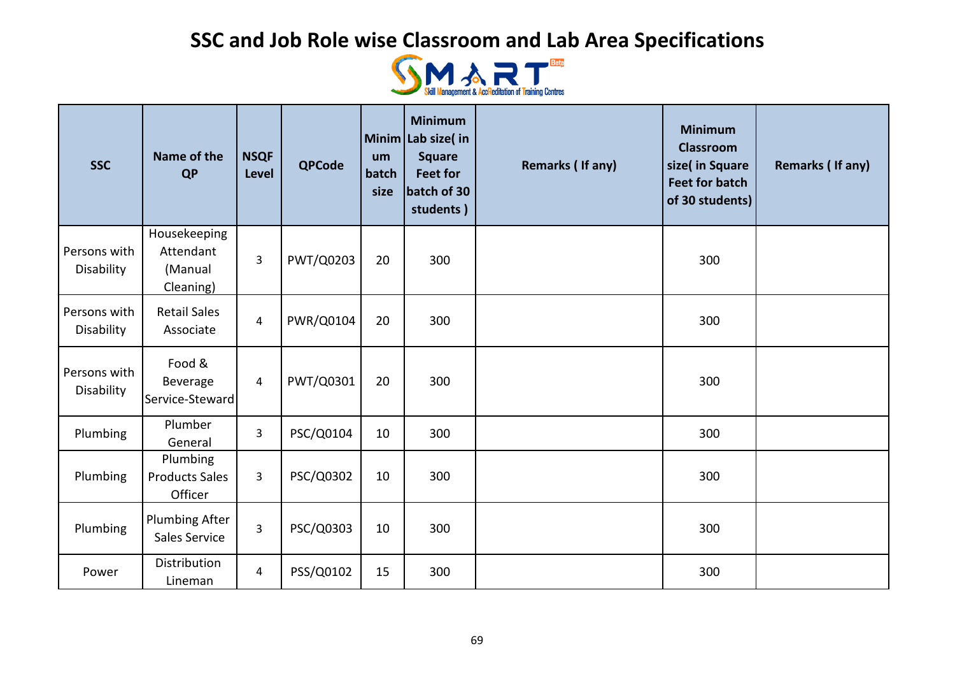

| <b>SSC</b>                 | Name of the<br><b>QP</b>                          | <b>NSQF</b><br>Level | <b>QPCode</b> | um<br>batch<br>size | <b>Minimum</b><br>Minim Lab size(in<br><b>Square</b><br><b>Feet for</b><br>batch of 30<br>students) | Remarks (If any) | <b>Minimum</b><br><b>Classroom</b><br>size( in Square<br><b>Feet for batch</b><br>of 30 students) | <b>Remarks (If any)</b> |
|----------------------------|---------------------------------------------------|----------------------|---------------|---------------------|-----------------------------------------------------------------------------------------------------|------------------|---------------------------------------------------------------------------------------------------|-------------------------|
| Persons with<br>Disability | Housekeeping<br>Attendant<br>(Manual<br>Cleaning) | 3                    | PWT/Q0203     | 20                  | 300                                                                                                 |                  | 300                                                                                               |                         |
| Persons with<br>Disability | <b>Retail Sales</b><br>Associate                  | 4                    | PWR/Q0104     | 20                  | 300                                                                                                 |                  | 300                                                                                               |                         |
| Persons with<br>Disability | Food &<br>Beverage<br>Service-Steward             | $\overline{a}$       | PWT/Q0301     | 20                  | 300                                                                                                 |                  | 300                                                                                               |                         |
| Plumbing                   | Plumber<br>General                                | $\overline{3}$       | PSC/Q0104     | 10                  | 300                                                                                                 |                  | 300                                                                                               |                         |
| Plumbing                   | Plumbing<br><b>Products Sales</b><br>Officer      | 3                    | PSC/Q0302     | 10                  | 300                                                                                                 |                  | 300                                                                                               |                         |
| Plumbing                   | <b>Plumbing After</b><br>Sales Service            | 3                    | PSC/Q0303     | 10                  | 300                                                                                                 |                  | 300                                                                                               |                         |
| Power                      | Distribution<br>Lineman                           | 4                    | PSS/Q0102     | 15                  | 300                                                                                                 |                  | 300                                                                                               |                         |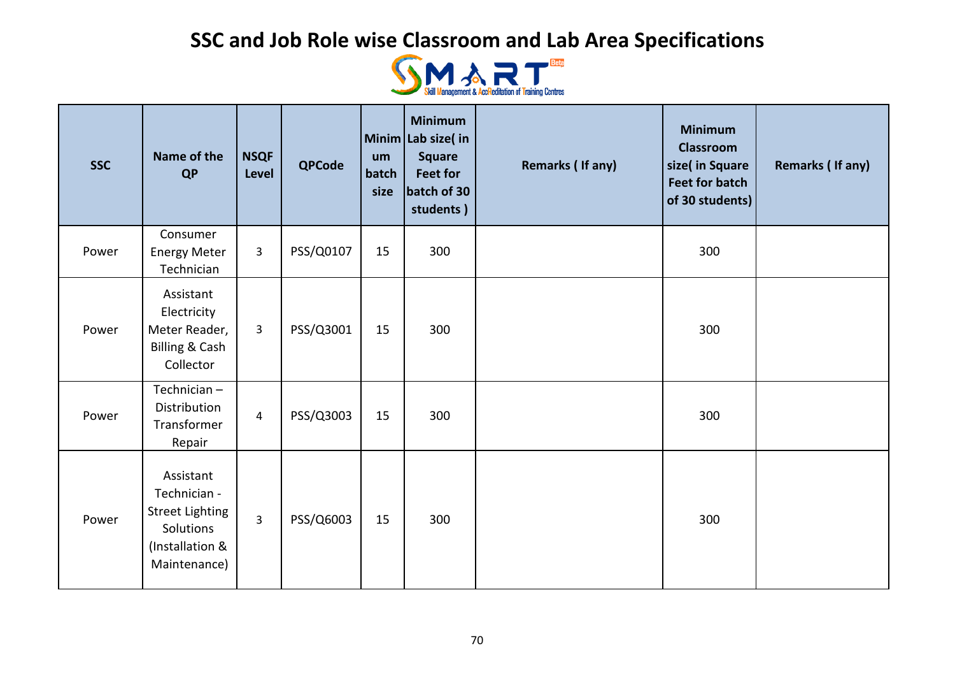

| <b>SSC</b> | Name of the<br><b>QP</b>                                                                            | <b>NSQF</b><br><b>Level</b> | <b>QPCode</b> | um<br>batch<br>size | <b>Minimum</b><br>Minim Lab size(in<br><b>Square</b><br><b>Feet for</b><br>batch of 30<br>students) | <b>Remarks (If any)</b> | <b>Minimum</b><br><b>Classroom</b><br>size( in Square<br><b>Feet for batch</b><br>of 30 students) | <b>Remarks (If any)</b> |
|------------|-----------------------------------------------------------------------------------------------------|-----------------------------|---------------|---------------------|-----------------------------------------------------------------------------------------------------|-------------------------|---------------------------------------------------------------------------------------------------|-------------------------|
| Power      | Consumer<br><b>Energy Meter</b><br>Technician                                                       | $\mathbf{3}$                | PSS/Q0107     | 15                  | 300                                                                                                 |                         | 300                                                                                               |                         |
| Power      | Assistant<br>Electricity<br>Meter Reader,<br><b>Billing &amp; Cash</b><br>Collector                 | 3                           | PSS/Q3001     | 15                  | 300                                                                                                 |                         | 300                                                                                               |                         |
| Power      | Technician-<br>Distribution<br>Transformer<br>Repair                                                | $\overline{4}$              | PSS/Q3003     | 15                  | 300                                                                                                 |                         | 300                                                                                               |                         |
| Power      | Assistant<br>Technician -<br><b>Street Lighting</b><br>Solutions<br>(Installation &<br>Maintenance) | $\overline{3}$              | PSS/Q6003     | 15                  | 300                                                                                                 |                         | 300                                                                                               |                         |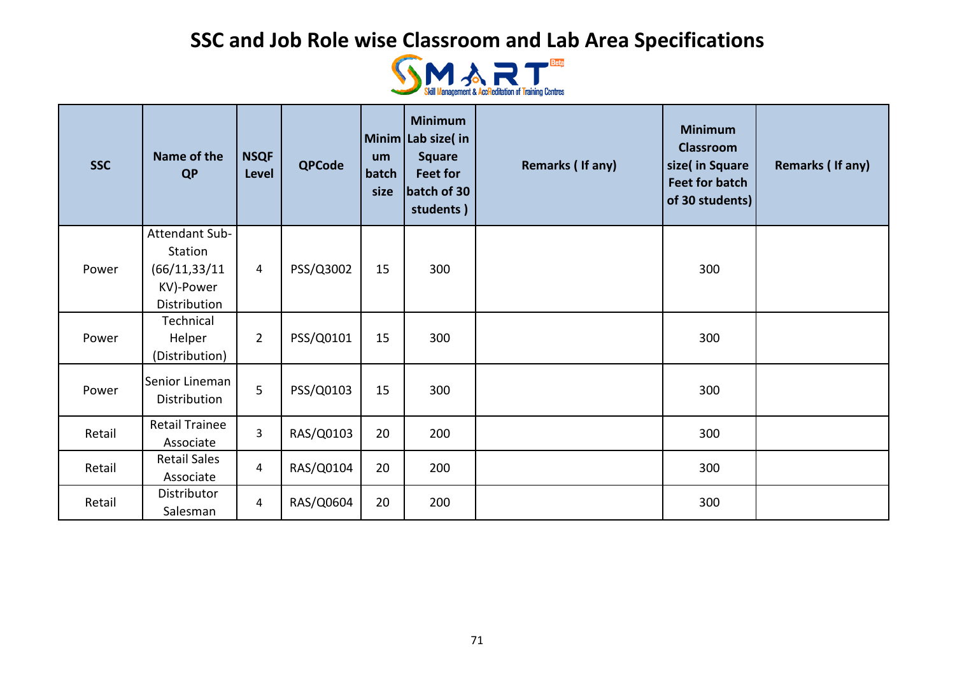

| <b>SSC</b> | Name of the<br><b>QP</b>                                                | <b>NSQF</b><br><b>Level</b> | <b>QPCode</b> | um<br>batch<br>size | <b>Minimum</b><br>Minim Lab size(in<br><b>Square</b><br><b>Feet for</b><br>batch of 30<br>students) | Remarks (If any) | <b>Minimum</b><br><b>Classroom</b><br>size( in Square<br><b>Feet for batch</b><br>of 30 students) | Remarks (If any) |
|------------|-------------------------------------------------------------------------|-----------------------------|---------------|---------------------|-----------------------------------------------------------------------------------------------------|------------------|---------------------------------------------------------------------------------------------------|------------------|
| Power      | Attendant Sub-<br>Station<br>(66/11,33/11)<br>KV)-Power<br>Distribution | 4                           | PSS/Q3002     | 15                  | 300                                                                                                 |                  | 300                                                                                               |                  |
| Power      | Technical<br>Helper<br>(Distribution)                                   | $\overline{2}$              | PSS/Q0101     | 15                  | 300                                                                                                 |                  | 300                                                                                               |                  |
| Power      | Senior Lineman<br>Distribution                                          | 5                           | PSS/Q0103     | 15                  | 300                                                                                                 |                  | 300                                                                                               |                  |
| Retail     | <b>Retail Trainee</b><br>Associate                                      | 3                           | RAS/Q0103     | 20                  | 200                                                                                                 |                  | 300                                                                                               |                  |
| Retail     | <b>Retail Sales</b><br>Associate                                        | 4                           | RAS/Q0104     | 20                  | 200                                                                                                 |                  | 300                                                                                               |                  |
| Retail     | Distributor<br>Salesman                                                 | $\overline{4}$              | RAS/Q0604     | 20                  | 200                                                                                                 |                  | 300                                                                                               |                  |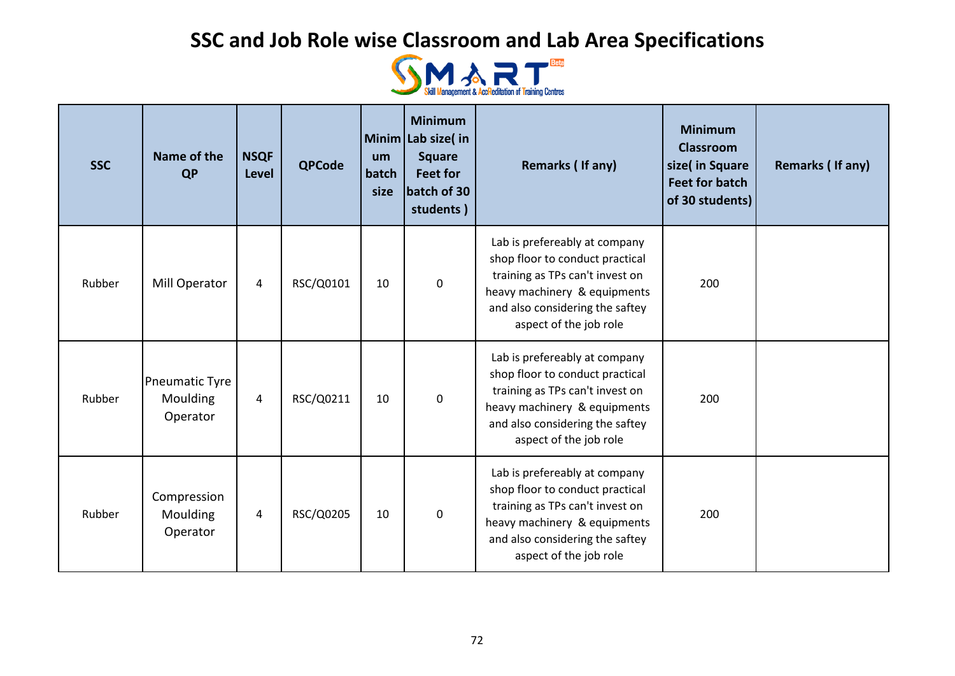

| <b>SSC</b> | Name of the<br><b>QP</b>               | <b>NSQF</b><br><b>Level</b> | <b>QPCode</b> | um<br>batch<br>size | <b>Minimum</b><br>Minim Lab size(in<br><b>Square</b><br><b>Feet for</b><br>batch of 30<br>students) | Remarks (If any)                                                                                                                                                                                 | <b>Minimum</b><br><b>Classroom</b><br>size( in Square<br><b>Feet for batch</b><br>of 30 students) | Remarks (If any) |
|------------|----------------------------------------|-----------------------------|---------------|---------------------|-----------------------------------------------------------------------------------------------------|--------------------------------------------------------------------------------------------------------------------------------------------------------------------------------------------------|---------------------------------------------------------------------------------------------------|------------------|
| Rubber     | Mill Operator                          | 4                           | RSC/Q0101     | 10                  | $\mathbf 0$                                                                                         | Lab is prefereably at company<br>shop floor to conduct practical<br>training as TPs can't invest on<br>heavy machinery & equipments<br>and also considering the saftey<br>aspect of the job role | 200                                                                                               |                  |
| Rubber     | Pneumatic Tyre<br>Moulding<br>Operator | 4                           | RSC/Q0211     | 10                  | $\mathbf 0$                                                                                         | Lab is prefereably at company<br>shop floor to conduct practical<br>training as TPs can't invest on<br>heavy machinery & equipments<br>and also considering the saftey<br>aspect of the job role | 200                                                                                               |                  |
| Rubber     | Compression<br>Moulding<br>Operator    | $\overline{4}$              | RSC/Q0205     | 10                  | $\mathbf 0$                                                                                         | Lab is prefereably at company<br>shop floor to conduct practical<br>training as TPs can't invest on<br>heavy machinery & equipments<br>and also considering the saftey<br>aspect of the job role | 200                                                                                               |                  |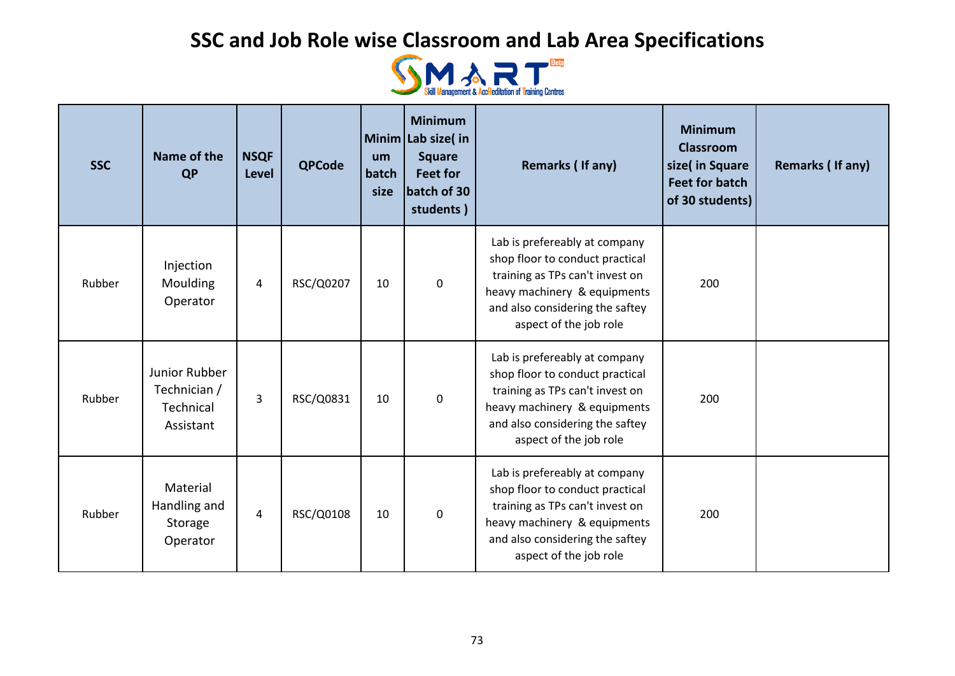

| <b>SSC</b> | Name of the<br><b>QP</b>                                | <b>NSQF</b><br>Level | <b>QPCode</b> | um<br>batch<br>size | <b>Minimum</b><br>Minim Lab size(in<br><b>Square</b><br><b>Feet for</b><br>batch of 30<br>students) | Remarks (If any)                                                                                                                                                                                 | <b>Minimum</b><br><b>Classroom</b><br>size( in Square<br><b>Feet for batch</b><br>of 30 students) | Remarks (If any) |
|------------|---------------------------------------------------------|----------------------|---------------|---------------------|-----------------------------------------------------------------------------------------------------|--------------------------------------------------------------------------------------------------------------------------------------------------------------------------------------------------|---------------------------------------------------------------------------------------------------|------------------|
| Rubber     | Injection<br>Moulding<br>Operator                       | 4                    | RSC/Q0207     | 10                  | $\mathbf 0$                                                                                         | Lab is prefereably at company<br>shop floor to conduct practical<br>training as TPs can't invest on<br>heavy machinery & equipments<br>and also considering the saftey<br>aspect of the job role | 200                                                                                               |                  |
| Rubber     | Junior Rubber<br>Technician /<br>Technical<br>Assistant | 3                    | RSC/Q0831     | 10                  | $\mathbf 0$                                                                                         | Lab is prefereably at company<br>shop floor to conduct practical<br>training as TPs can't invest on<br>heavy machinery & equipments<br>and also considering the saftey<br>aspect of the job role | 200                                                                                               |                  |
| Rubber     | Material<br>Handling and<br>Storage<br>Operator         | 4                    | RSC/Q0108     | 10                  | $\mathbf 0$                                                                                         | Lab is prefereably at company<br>shop floor to conduct practical<br>training as TPs can't invest on<br>heavy machinery & equipments<br>and also considering the saftey<br>aspect of the job role | 200                                                                                               |                  |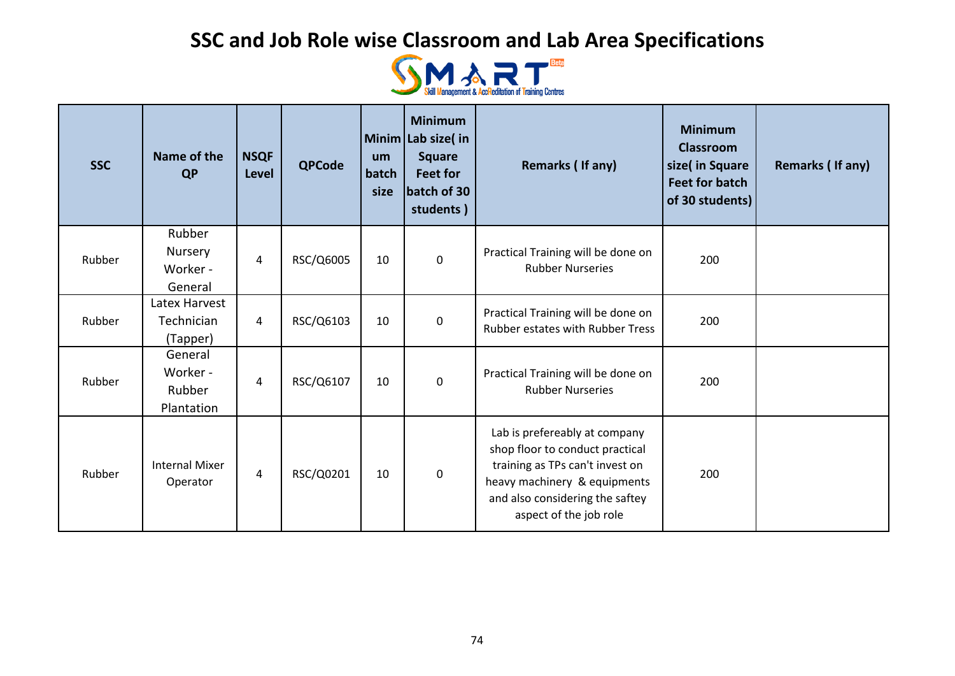

| <b>SSC</b> | Name of the<br><b>QP</b>                    | <b>NSQF</b><br><b>Level</b> | <b>QPCode</b> | um<br>batch<br>size | <b>Minimum</b><br>Minim Lab size(in<br><b>Square</b><br><b>Feet for</b><br>batch of 30<br>students) | Remarks (If any)                                                                                                                                                                                 | <b>Minimum</b><br><b>Classroom</b><br>size( in Square<br><b>Feet for batch</b><br>of 30 students) | Remarks (If any) |
|------------|---------------------------------------------|-----------------------------|---------------|---------------------|-----------------------------------------------------------------------------------------------------|--------------------------------------------------------------------------------------------------------------------------------------------------------------------------------------------------|---------------------------------------------------------------------------------------------------|------------------|
| Rubber     | Rubber<br>Nursery<br>Worker -<br>General    | 4                           | RSC/Q6005     | 10                  | $\pmb{0}$                                                                                           | Practical Training will be done on<br><b>Rubber Nurseries</b>                                                                                                                                    | 200                                                                                               |                  |
| Rubber     | Latex Harvest<br>Technician<br>(Tapper)     | $\overline{4}$              | RSC/Q6103     | 10                  | $\mathbf 0$                                                                                         | Practical Training will be done on<br>Rubber estates with Rubber Tress                                                                                                                           | 200                                                                                               |                  |
| Rubber     | General<br>Worker -<br>Rubber<br>Plantation | $\overline{4}$              | RSC/Q6107     | 10                  | $\mathbf 0$                                                                                         | Practical Training will be done on<br><b>Rubber Nurseries</b>                                                                                                                                    | 200                                                                                               |                  |
| Rubber     | <b>Internal Mixer</b><br>Operator           | $\overline{4}$              | RSC/Q0201     | 10                  | $\mathbf 0$                                                                                         | Lab is prefereably at company<br>shop floor to conduct practical<br>training as TPs can't invest on<br>heavy machinery & equipments<br>and also considering the saftey<br>aspect of the job role | 200                                                                                               |                  |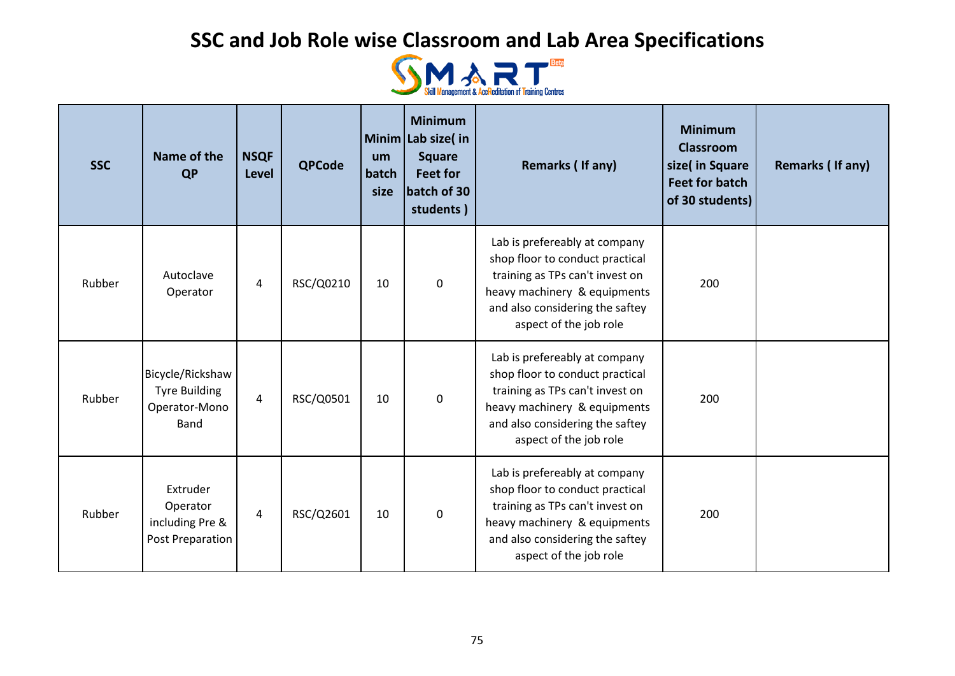

| <b>SSC</b> | Name of the<br><b>QP</b>                                          | <b>NSQF</b><br><b>Level</b> | <b>QPCode</b> | um<br>batch<br>size | <b>Minimum</b><br>Minim Lab size(in<br><b>Square</b><br><b>Feet for</b><br>batch of 30<br>students) | Remarks (If any)                                                                                                                                                                                 | <b>Minimum</b><br><b>Classroom</b><br>size( in Square<br><b>Feet for batch</b><br>of 30 students) | Remarks (If any) |
|------------|-------------------------------------------------------------------|-----------------------------|---------------|---------------------|-----------------------------------------------------------------------------------------------------|--------------------------------------------------------------------------------------------------------------------------------------------------------------------------------------------------|---------------------------------------------------------------------------------------------------|------------------|
| Rubber     | Autoclave<br>Operator                                             | 4                           | RSC/Q0210     | 10                  | $\mathbf 0$                                                                                         | Lab is prefereably at company<br>shop floor to conduct practical<br>training as TPs can't invest on<br>heavy machinery & equipments<br>and also considering the saftey<br>aspect of the job role | 200                                                                                               |                  |
| Rubber     | Bicycle/Rickshaw<br><b>Tyre Building</b><br>Operator-Mono<br>Band | $\overline{4}$              | RSC/Q0501     | 10                  | $\mathbf 0$                                                                                         | Lab is prefereably at company<br>shop floor to conduct practical<br>training as TPs can't invest on<br>heavy machinery & equipments<br>and also considering the saftey<br>aspect of the job role | 200                                                                                               |                  |
| Rubber     | Extruder<br>Operator<br>including Pre &<br>Post Preparation       | 4                           | RSC/Q2601     | 10                  | 0                                                                                                   | Lab is prefereably at company<br>shop floor to conduct practical<br>training as TPs can't invest on<br>heavy machinery & equipments<br>and also considering the saftey<br>aspect of the job role | 200                                                                                               |                  |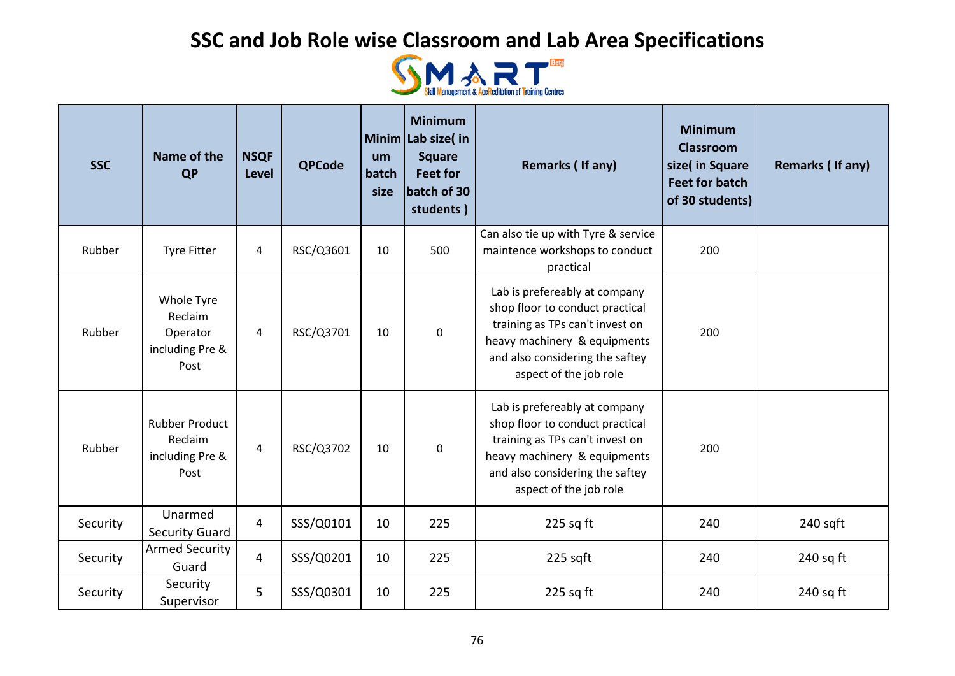

| <b>SSC</b> | Name of the<br><b>QP</b>                                     | <b>NSQF</b><br><b>Level</b> | <b>QPCode</b> | um<br>batch<br>size | <b>Minimum</b><br>Minim Lab size( in<br><b>Square</b><br><b>Feet for</b><br>batch of 30<br>students) | Remarks (If any)                                                                                                                                                                                 | <b>Minimum</b><br><b>Classroom</b><br>size( in Square<br><b>Feet for batch</b><br>of 30 students) | Remarks (If any) |
|------------|--------------------------------------------------------------|-----------------------------|---------------|---------------------|------------------------------------------------------------------------------------------------------|--------------------------------------------------------------------------------------------------------------------------------------------------------------------------------------------------|---------------------------------------------------------------------------------------------------|------------------|
| Rubber     | <b>Tyre Fitter</b>                                           | 4                           | RSC/Q3601     | 10                  | 500                                                                                                  | Can also tie up with Tyre & service<br>maintence workshops to conduct<br>practical                                                                                                               | 200                                                                                               |                  |
| Rubber     | Whole Tyre<br>Reclaim<br>Operator<br>including Pre &<br>Post | $\overline{4}$              | RSC/Q3701     | 10                  | 0                                                                                                    | Lab is prefereably at company<br>shop floor to conduct practical<br>training as TPs can't invest on<br>heavy machinery & equipments<br>and also considering the saftey<br>aspect of the job role | 200                                                                                               |                  |
| Rubber     | <b>Rubber Product</b><br>Reclaim<br>including Pre &<br>Post  | $\overline{4}$              | RSC/Q3702     | 10                  | $\pmb{0}$                                                                                            | Lab is prefereably at company<br>shop floor to conduct practical<br>training as TPs can't invest on<br>heavy machinery & equipments<br>and also considering the saftey<br>aspect of the job role | 200                                                                                               |                  |
| Security   | Unarmed<br><b>Security Guard</b>                             | 4                           | SSS/Q0101     | 10                  | 225                                                                                                  | $225$ sq ft                                                                                                                                                                                      | 240                                                                                               | $240$ sqft       |
| Security   | <b>Armed Security</b><br>Guard                               | $\overline{4}$              | SSS/Q0201     | 10                  | 225                                                                                                  | 225 sqft                                                                                                                                                                                         | 240                                                                                               | $240$ sq ft      |
| Security   | Security<br>Supervisor                                       | 5                           | SSS/Q0301     | 10                  | 225                                                                                                  | $225$ sq ft                                                                                                                                                                                      | 240                                                                                               | $240$ sq ft      |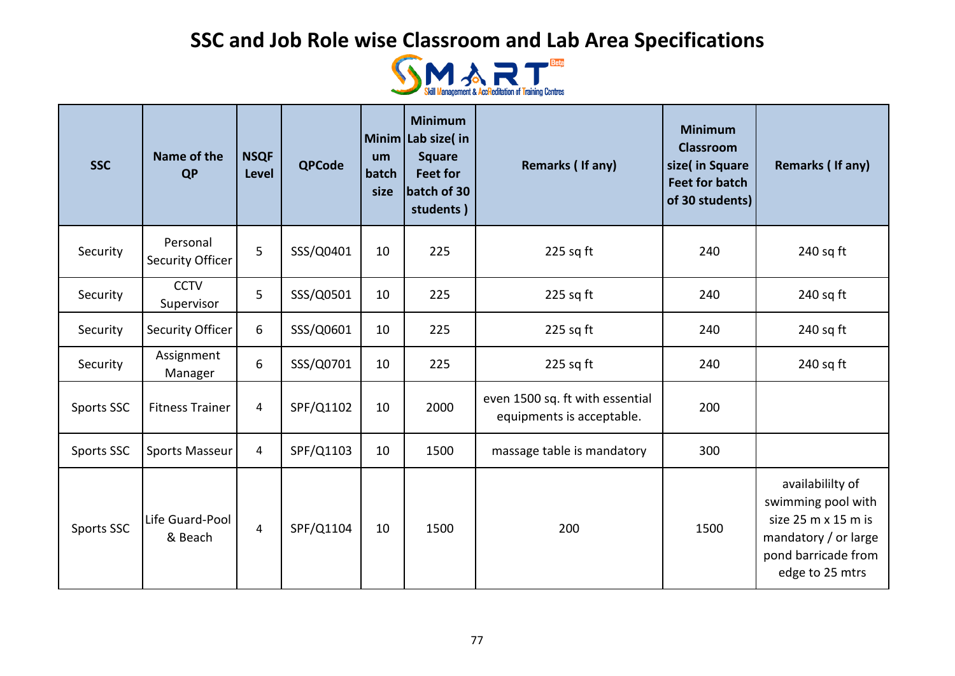

| <b>SSC</b> | Name of the<br><b>QP</b>     | <b>NSQF</b><br><b>Level</b> | <b>QPCode</b> | um<br>batch<br>size | <b>Minimum</b><br>Minim Lab size( in<br><b>Square</b><br><b>Feet for</b><br>batch of 30<br>students) | Remarks (If any)                                             | <b>Minimum</b><br><b>Classroom</b><br>size( in Square<br><b>Feet for batch</b><br>of 30 students) | Remarks (If any)                                                                                                                |
|------------|------------------------------|-----------------------------|---------------|---------------------|------------------------------------------------------------------------------------------------------|--------------------------------------------------------------|---------------------------------------------------------------------------------------------------|---------------------------------------------------------------------------------------------------------------------------------|
| Security   | Personal<br>Security Officer | 5                           | SSS/Q0401     | 10                  | 225                                                                                                  | $225$ sq ft                                                  | 240                                                                                               | $240$ sq ft                                                                                                                     |
| Security   | <b>CCTV</b><br>Supervisor    | 5                           | SSS/Q0501     | 10                  | 225                                                                                                  | $225$ sq ft                                                  | 240                                                                                               | $240$ sq ft                                                                                                                     |
| Security   | Security Officer             | 6                           | SSS/Q0601     | 10                  | 225                                                                                                  | $225$ sq ft                                                  | 240                                                                                               | $240$ sq ft                                                                                                                     |
| Security   | Assignment<br>Manager        | 6                           | SSS/Q0701     | 10                  | 225                                                                                                  | $225$ sq ft                                                  | 240                                                                                               | $240$ sq ft                                                                                                                     |
| Sports SSC | <b>Fitness Trainer</b>       | $\overline{4}$              | SPF/Q1102     | 10                  | 2000                                                                                                 | even 1500 sq. ft with essential<br>equipments is acceptable. | 200                                                                                               |                                                                                                                                 |
| Sports SSC | <b>Sports Masseur</b>        | 4                           | SPF/Q1103     | 10                  | 1500                                                                                                 | massage table is mandatory                                   | 300                                                                                               |                                                                                                                                 |
| Sports SSC | Life Guard-Pool<br>& Beach   | $\overline{4}$              | SPF/Q1104     | 10                  | 1500                                                                                                 | 200                                                          | 1500                                                                                              | availabililty of<br>swimming pool with<br>size 25 m x 15 m is<br>mandatory / or large<br>pond barricade from<br>edge to 25 mtrs |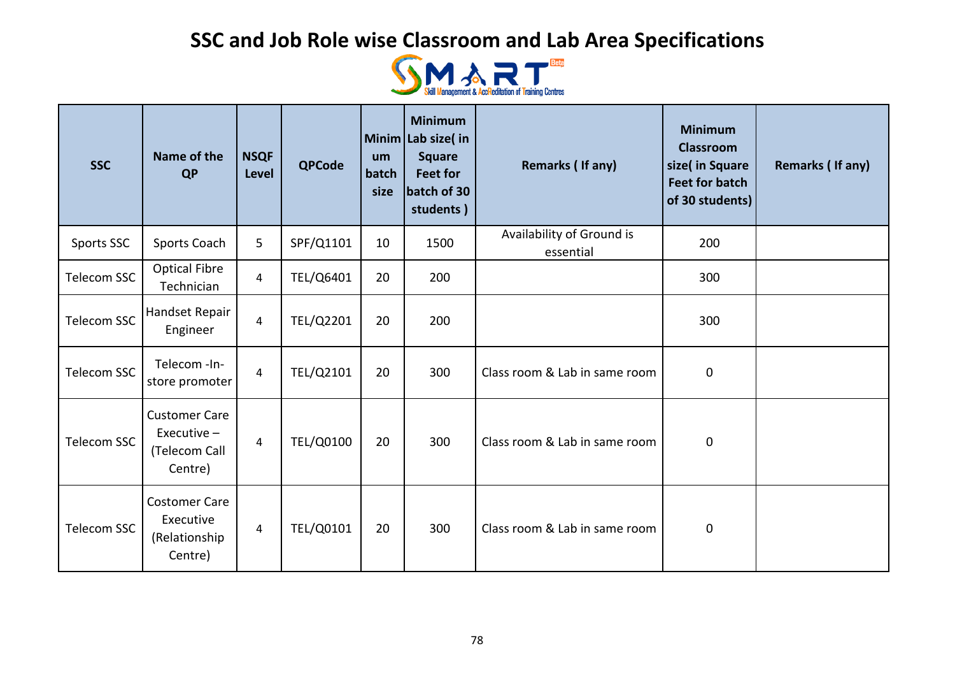

| <b>SSC</b>         | Name of the<br><b>QP</b>                                          | <b>NSQF</b><br>Level | <b>QPCode</b> | um<br>batch<br>size | <b>Minimum</b><br>Minim Lab size( in<br><b>Square</b><br><b>Feet for</b><br>batch of 30<br>students) | Remarks (If any)                       | <b>Minimum</b><br><b>Classroom</b><br>size( in Square<br><b>Feet for batch</b><br>of 30 students) | Remarks (If any) |
|--------------------|-------------------------------------------------------------------|----------------------|---------------|---------------------|------------------------------------------------------------------------------------------------------|----------------------------------------|---------------------------------------------------------------------------------------------------|------------------|
| Sports SSC         | Sports Coach                                                      | 5                    | SPF/Q1101     | 10                  | 1500                                                                                                 | Availability of Ground is<br>essential | 200                                                                                               |                  |
| <b>Telecom SSC</b> | <b>Optical Fibre</b><br>Technician                                | $\overline{4}$       | TEL/Q6401     | 20                  | 200                                                                                                  |                                        | 300                                                                                               |                  |
| <b>Telecom SSC</b> | Handset Repair<br>Engineer                                        | $\overline{4}$       | TEL/Q2201     | 20                  | 200                                                                                                  |                                        | 300                                                                                               |                  |
| Telecom SSC        | Telecom -In-<br>store promoter                                    | $\overline{4}$       | TEL/Q2101     | 20                  | 300                                                                                                  | Class room & Lab in same room          | $\boldsymbol{0}$                                                                                  |                  |
| <b>Telecom SSC</b> | <b>Customer Care</b><br>Executive $-$<br>(Telecom Call<br>Centre) | $\overline{4}$       | TEL/Q0100     | 20                  | 300                                                                                                  | Class room & Lab in same room          | $\pmb{0}$                                                                                         |                  |
| Telecom SSC        | <b>Costomer Care</b><br>Executive<br>(Relationship<br>Centre)     | $\overline{4}$       | TEL/Q0101     | 20                  | 300                                                                                                  | Class room & Lab in same room          | $\pmb{0}$                                                                                         |                  |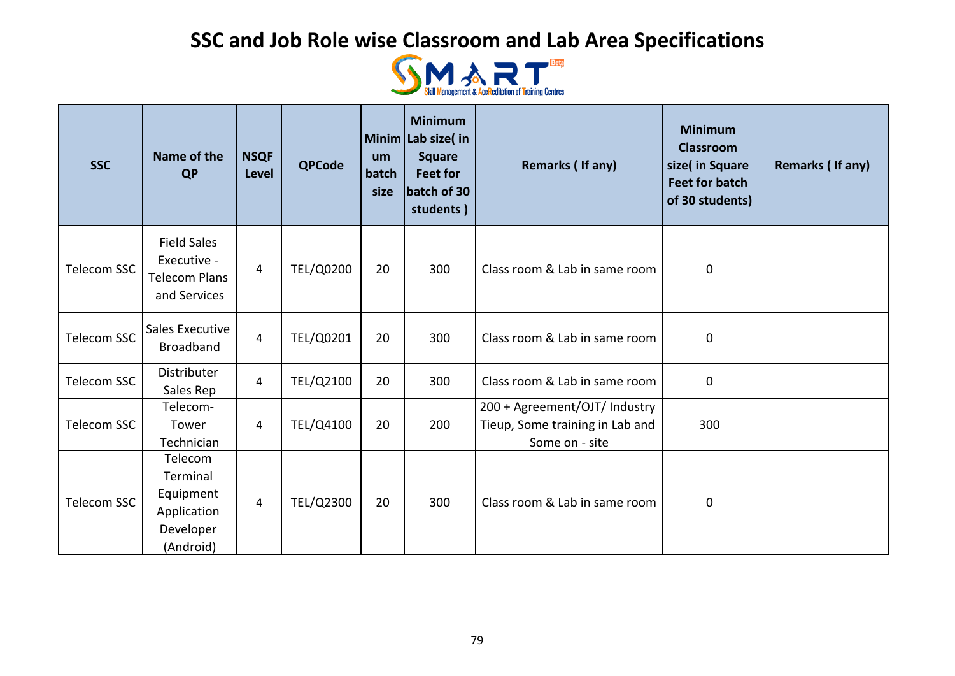

| <b>SSC</b>         | Name of the<br><b>QP</b>                                                  | <b>NSQF</b><br><b>Level</b> | <b>QPCode</b> | um<br>batch<br>size | <b>Minimum</b><br>Minim Lab size(in<br><b>Square</b><br><b>Feet for</b><br>batch of 30<br>students) | Remarks (If any)                                                                   | <b>Minimum</b><br><b>Classroom</b><br>size( in Square<br><b>Feet for batch</b><br>of 30 students) | Remarks (If any) |
|--------------------|---------------------------------------------------------------------------|-----------------------------|---------------|---------------------|-----------------------------------------------------------------------------------------------------|------------------------------------------------------------------------------------|---------------------------------------------------------------------------------------------------|------------------|
| Telecom SSC        | <b>Field Sales</b><br>Executive -<br><b>Telecom Plans</b><br>and Services | 4                           | TEL/Q0200     | 20                  | 300                                                                                                 | Class room & Lab in same room                                                      | $\pmb{0}$                                                                                         |                  |
| <b>Telecom SSC</b> | Sales Executive<br><b>Broadband</b>                                       | 4                           | TEL/Q0201     | 20                  | 300                                                                                                 | Class room & Lab in same room                                                      | $\mathbf 0$                                                                                       |                  |
| Telecom SSC        | Distributer<br>Sales Rep                                                  | 4                           | TEL/Q2100     | 20                  | 300                                                                                                 | Class room & Lab in same room                                                      | $\mathbf 0$                                                                                       |                  |
| Telecom SSC        | Telecom-<br>Tower<br>Technician                                           | 4                           | TEL/Q4100     | 20                  | 200                                                                                                 | 200 + Agreement/OJT/ Industry<br>Tieup, Some training in Lab and<br>Some on - site | 300                                                                                               |                  |
| Telecom SSC        | Telecom<br>Terminal<br>Equipment<br>Application<br>Developer<br>(Android) | 4                           | TEL/Q2300     | 20                  | 300                                                                                                 | Class room & Lab in same room                                                      | $\mathbf 0$                                                                                       |                  |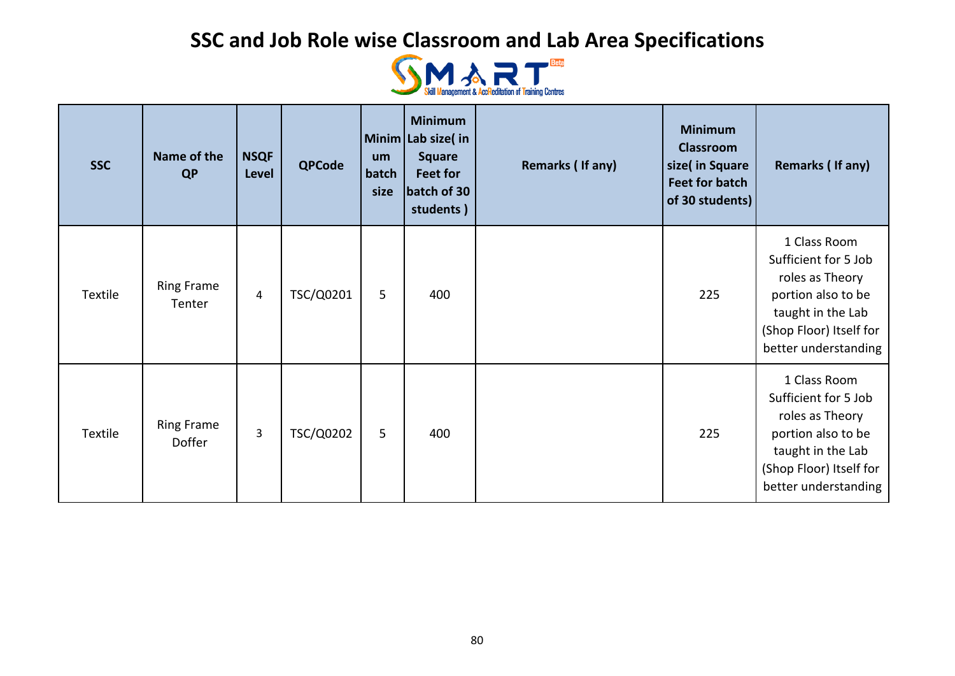

| <b>SSC</b> | Name of the<br><b>QP</b>    | <b>NSQF</b><br>Level | <b>QPCode</b> | um<br>batch<br>size | <b>Minimum</b><br>Minim Lab size(in<br><b>Square</b><br>Feet for<br>batch of 30<br>students) | Remarks (If any) | <b>Minimum</b><br><b>Classroom</b><br>size( in Square<br><b>Feet for batch</b><br>of 30 students) | Remarks (If any)                                                                                                                                      |
|------------|-----------------------------|----------------------|---------------|---------------------|----------------------------------------------------------------------------------------------|------------------|---------------------------------------------------------------------------------------------------|-------------------------------------------------------------------------------------------------------------------------------------------------------|
| Textile    | <b>Ring Frame</b><br>Tenter | 4                    | TSC/Q0201     | 5                   | 400                                                                                          |                  | 225                                                                                               | 1 Class Room<br>Sufficient for 5 Job<br>roles as Theory<br>portion also to be<br>taught in the Lab<br>(Shop Floor) Itself for<br>better understanding |
| Textile    | <b>Ring Frame</b><br>Doffer | 3                    | TSC/Q0202     | 5                   | 400                                                                                          |                  | 225                                                                                               | 1 Class Room<br>Sufficient for 5 Job<br>roles as Theory<br>portion also to be<br>taught in the Lab<br>(Shop Floor) Itself for<br>better understanding |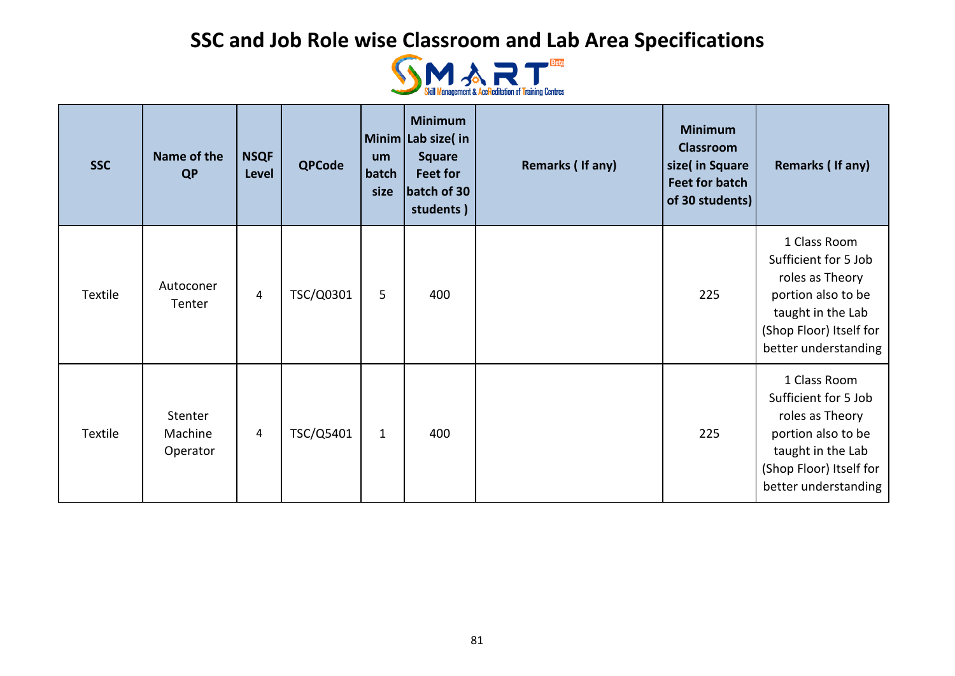

| <b>SSC</b> | Name of the<br><b>QP</b>       | <b>NSQF</b><br>Level | <b>QPCode</b> | <b>um</b><br>batch<br>size | <b>Minimum</b><br>Minim Lab size(in<br><b>Square</b><br>Feet for<br>batch of 30<br>students) | Remarks (If any) | <b>Minimum</b><br><b>Classroom</b><br>size( in Square<br><b>Feet for batch</b><br>of 30 students) | Remarks (If any)                                                                                                                                      |
|------------|--------------------------------|----------------------|---------------|----------------------------|----------------------------------------------------------------------------------------------|------------------|---------------------------------------------------------------------------------------------------|-------------------------------------------------------------------------------------------------------------------------------------------------------|
| Textile    | Autoconer<br>Tenter            | 4                    | TSC/Q0301     | 5                          | 400                                                                                          |                  | 225                                                                                               | 1 Class Room<br>Sufficient for 5 Job<br>roles as Theory<br>portion also to be<br>taught in the Lab<br>(Shop Floor) Itself for<br>better understanding |
| Textile    | Stenter<br>Machine<br>Operator | 4                    | TSC/Q5401     | $\mathbf{1}$               | 400                                                                                          |                  | 225                                                                                               | 1 Class Room<br>Sufficient for 5 Job<br>roles as Theory<br>portion also to be<br>taught in the Lab<br>(Shop Floor) Itself for<br>better understanding |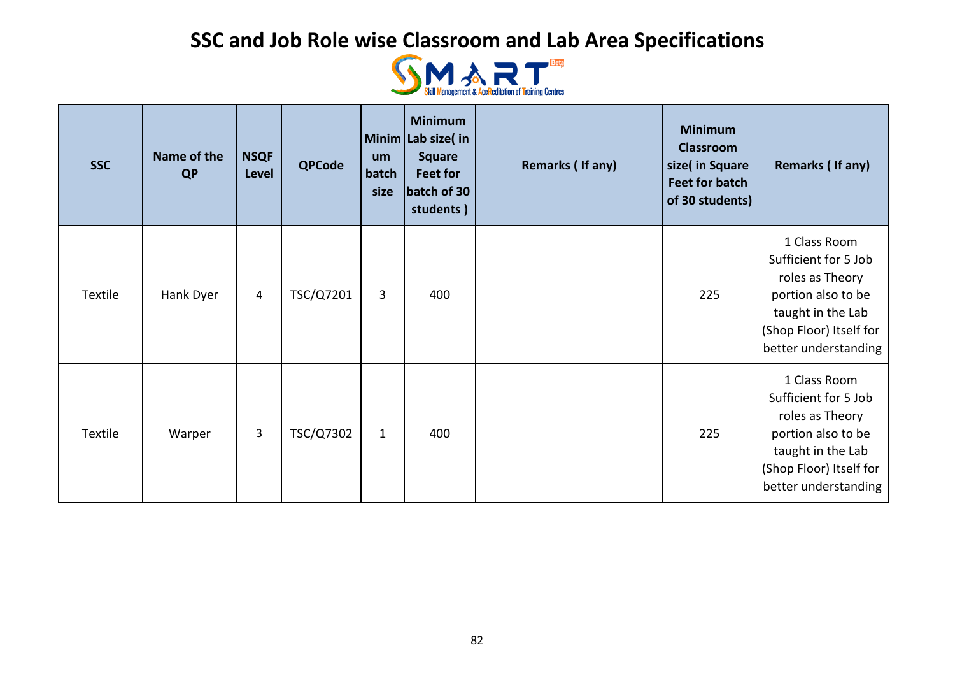

| <b>SSC</b> | Name of the<br><b>QP</b> | <b>NSQF</b><br>Level | <b>QPCode</b> | um<br>batch<br>size | <b>Minimum</b><br>Minim Lab size(in<br><b>Square</b><br>Feet for<br>batch of 30<br>students) | Remarks (If any) | <b>Minimum</b><br><b>Classroom</b><br>size( in Square<br><b>Feet for batch</b><br>of 30 students) | Remarks (If any)                                                                                                                                      |
|------------|--------------------------|----------------------|---------------|---------------------|----------------------------------------------------------------------------------------------|------------------|---------------------------------------------------------------------------------------------------|-------------------------------------------------------------------------------------------------------------------------------------------------------|
| Textile    | Hank Dyer                | $\overline{4}$       | TSC/Q7201     | 3                   | 400                                                                                          |                  | 225                                                                                               | 1 Class Room<br>Sufficient for 5 Job<br>roles as Theory<br>portion also to be<br>taught in the Lab<br>(Shop Floor) Itself for<br>better understanding |
| Textile    | Warper                   | 3                    | TSC/Q7302     | $\mathbf{1}$        | 400                                                                                          |                  | 225                                                                                               | 1 Class Room<br>Sufficient for 5 Job<br>roles as Theory<br>portion also to be<br>taught in the Lab<br>(Shop Floor) Itself for<br>better understanding |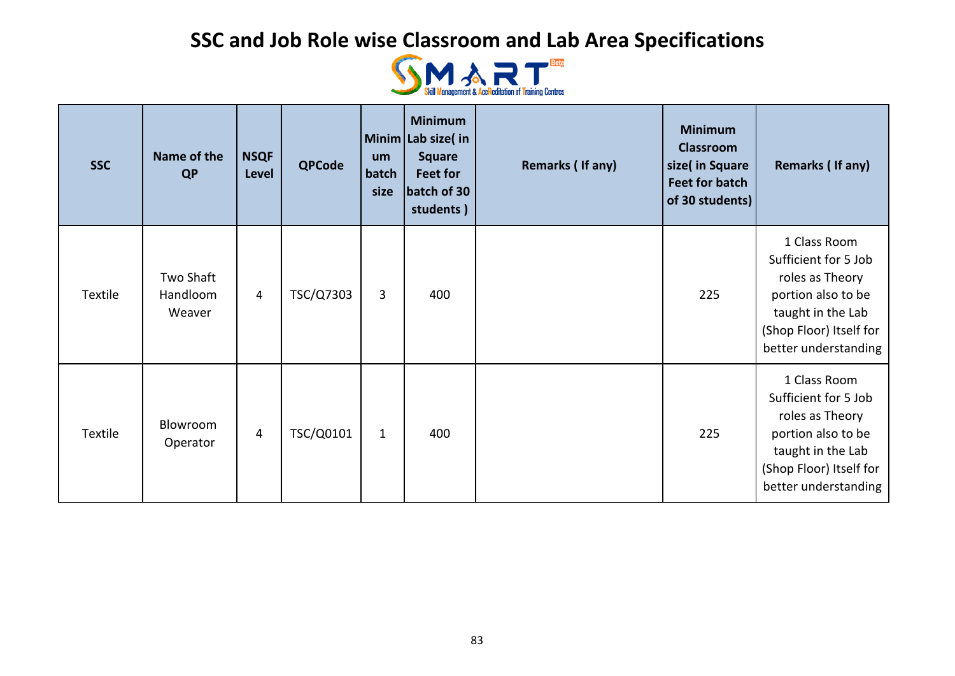

| <b>SSC</b> | Name of the<br><b>QP</b>        | <b>NSQF</b><br>Level | <b>QPCode</b> | <b>um</b><br>batch<br>size | <b>Minimum</b><br>Minim Lab size(in<br><b>Square</b><br>Feet for<br>batch of 30<br>students) | Remarks (If any) | <b>Minimum</b><br><b>Classroom</b><br>size( in Square<br><b>Feet for batch</b><br>of 30 students) | Remarks (If any)                                                                                                                                      |
|------------|---------------------------------|----------------------|---------------|----------------------------|----------------------------------------------------------------------------------------------|------------------|---------------------------------------------------------------------------------------------------|-------------------------------------------------------------------------------------------------------------------------------------------------------|
| Textile    | Two Shaft<br>Handloom<br>Weaver | 4                    | TSC/Q7303     | 3                          | 400                                                                                          |                  | 225                                                                                               | 1 Class Room<br>Sufficient for 5 Job<br>roles as Theory<br>portion also to be<br>taught in the Lab<br>(Shop Floor) Itself for<br>better understanding |
| Textile    | Blowroom<br>Operator            | 4                    | TSC/Q0101     | $\mathbf{1}$               | 400                                                                                          |                  | 225                                                                                               | 1 Class Room<br>Sufficient for 5 Job<br>roles as Theory<br>portion also to be<br>taught in the Lab<br>(Shop Floor) Itself for<br>better understanding |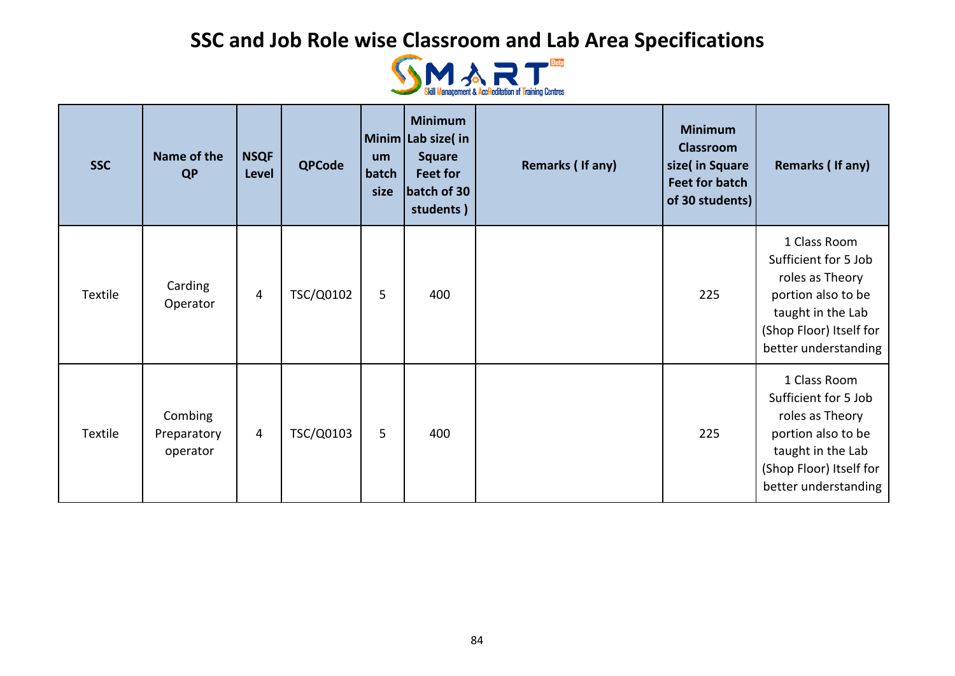

| <b>SSC</b> | Name of the<br><b>QP</b>           | <b>NSQF</b><br><b>Level</b> | <b>QPCode</b> | <b>um</b><br>batch<br>size | <b>Minimum</b><br>Minim Lab size(in<br><b>Square</b><br>Feet for<br>batch of 30<br>students) | Remarks (If any) | <b>Minimum</b><br><b>Classroom</b><br>size( in Square<br><b>Feet for batch</b><br>of 30 students) | Remarks (If any)                                                                                                                                      |
|------------|------------------------------------|-----------------------------|---------------|----------------------------|----------------------------------------------------------------------------------------------|------------------|---------------------------------------------------------------------------------------------------|-------------------------------------------------------------------------------------------------------------------------------------------------------|
| Textile    | Carding<br>Operator                | 4                           | TSC/Q0102     | 5                          | 400                                                                                          |                  | 225                                                                                               | 1 Class Room<br>Sufficient for 5 Job<br>roles as Theory<br>portion also to be<br>taught in the Lab<br>(Shop Floor) Itself for<br>better understanding |
| Textile    | Combing<br>Preparatory<br>operator | 4                           | TSC/Q0103     | 5                          | 400                                                                                          |                  | 225                                                                                               | 1 Class Room<br>Sufficient for 5 Job<br>roles as Theory<br>portion also to be<br>taught in the Lab<br>(Shop Floor) Itself for<br>better understanding |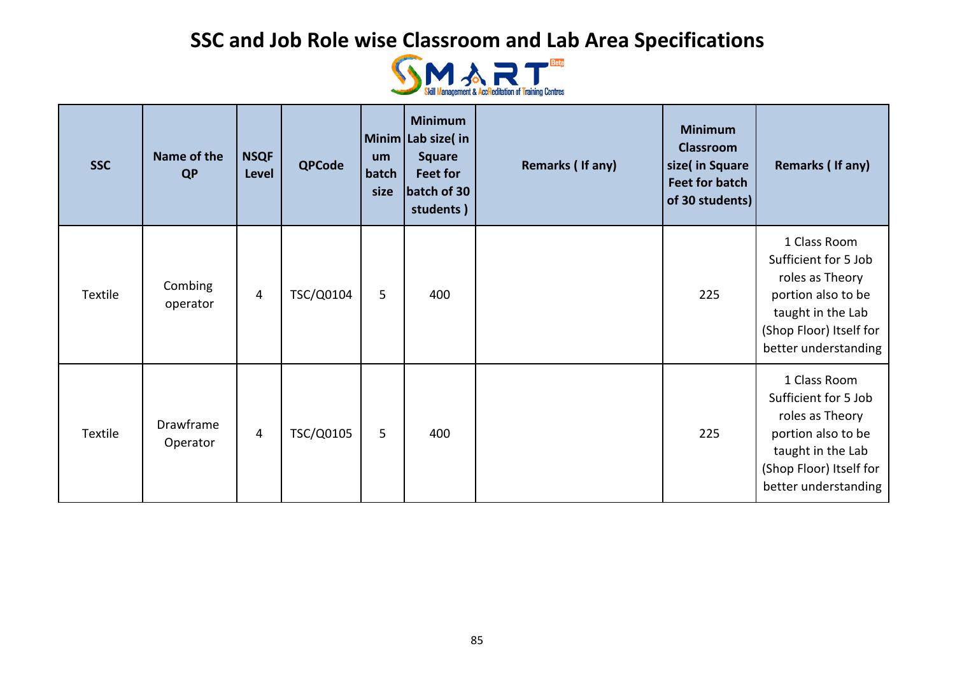

| <b>SSC</b> | Name of the<br><b>QP</b> | <b>NSQF</b><br>Level | <b>QPCode</b> | um<br>batch<br>size | <b>Minimum</b><br>Minim Lab size(in<br><b>Square</b><br>Feet for<br>batch of 30<br>students) | Remarks (If any) | <b>Minimum</b><br><b>Classroom</b><br>size( in Square<br><b>Feet for batch</b><br>of 30 students) | Remarks (If any)                                                                                                                                      |
|------------|--------------------------|----------------------|---------------|---------------------|----------------------------------------------------------------------------------------------|------------------|---------------------------------------------------------------------------------------------------|-------------------------------------------------------------------------------------------------------------------------------------------------------|
| Textile    | Combing<br>operator      | $\overline{4}$       | TSC/Q0104     | 5                   | 400                                                                                          |                  | 225                                                                                               | 1 Class Room<br>Sufficient for 5 Job<br>roles as Theory<br>portion also to be<br>taught in the Lab<br>(Shop Floor) Itself for<br>better understanding |
| Textile    | Drawframe<br>Operator    | 4                    | TSC/Q0105     | 5                   | 400                                                                                          |                  | 225                                                                                               | 1 Class Room<br>Sufficient for 5 Job<br>roles as Theory<br>portion also to be<br>taught in the Lab<br>(Shop Floor) Itself for<br>better understanding |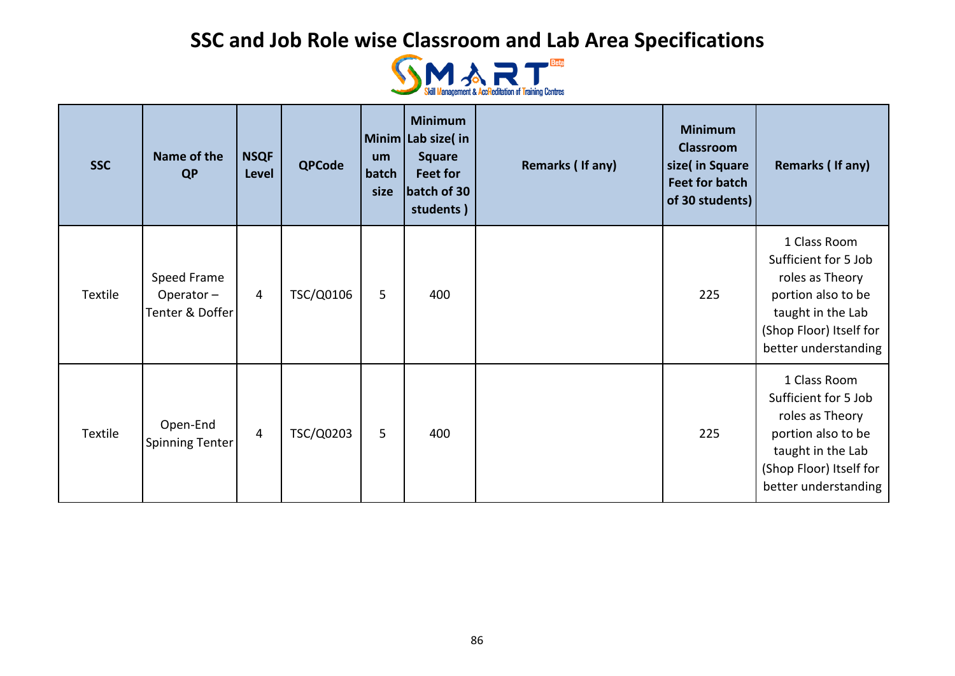

| <b>SSC</b> | Name of the<br><b>QP</b>                    | <b>NSQF</b><br>Level | <b>QPCode</b> | um<br>batch<br>size | <b>Minimum</b><br>Minim Lab size(in<br><b>Square</b><br>Feet for<br>batch of 30<br>students) | Remarks (If any) | <b>Minimum</b><br><b>Classroom</b><br>size( in Square<br><b>Feet for batch</b><br>of 30 students) | Remarks (If any)                                                                                                                                      |
|------------|---------------------------------------------|----------------------|---------------|---------------------|----------------------------------------------------------------------------------------------|------------------|---------------------------------------------------------------------------------------------------|-------------------------------------------------------------------------------------------------------------------------------------------------------|
| Textile    | Speed Frame<br>Operator-<br>Tenter & Doffer | $\overline{4}$       | TSC/Q0106     | 5                   | 400                                                                                          |                  | 225                                                                                               | 1 Class Room<br>Sufficient for 5 Job<br>roles as Theory<br>portion also to be<br>taught in the Lab<br>(Shop Floor) Itself for<br>better understanding |
| Textile    | Open-End<br>Spinning Tenter                 | 4                    | TSC/Q0203     | 5                   | 400                                                                                          |                  | 225                                                                                               | 1 Class Room<br>Sufficient for 5 Job<br>roles as Theory<br>portion also to be<br>taught in the Lab<br>(Shop Floor) Itself for<br>better understanding |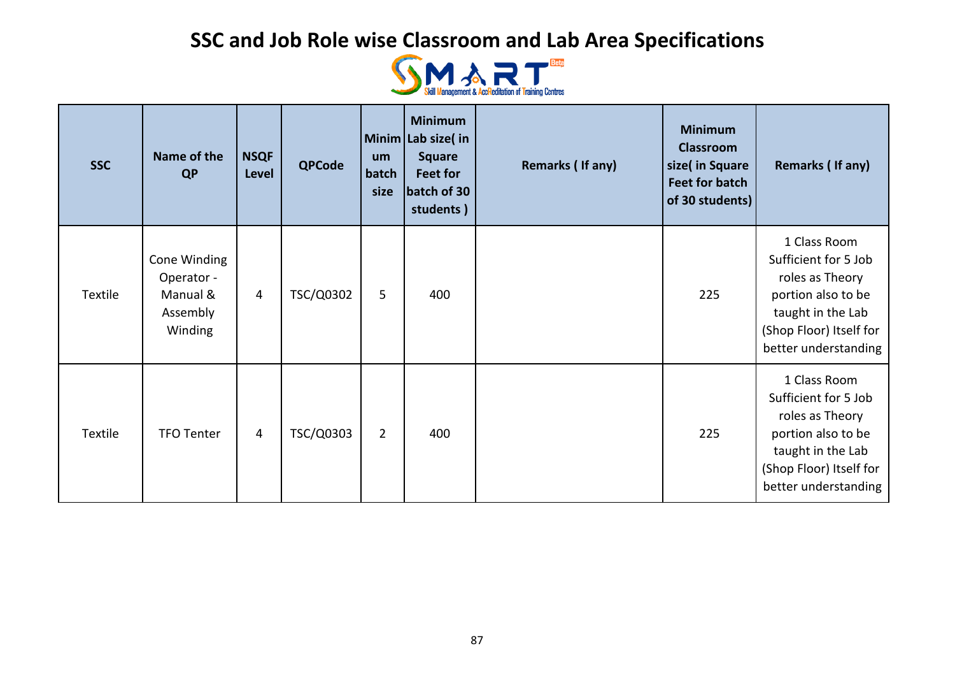

| <b>SSC</b> | Name of the<br><b>QP</b>                                      | <b>NSQF</b><br>Level | <b>QPCode</b> | um<br>batch<br>size | <b>Minimum</b><br>Minim Lab size(in<br><b>Square</b><br><b>Feet for</b><br>batch of 30<br>students) | Remarks (If any) | <b>Minimum</b><br><b>Classroom</b><br>size( in Square<br><b>Feet for batch</b><br>of 30 students) | Remarks (If any)                                                                                                                                      |
|------------|---------------------------------------------------------------|----------------------|---------------|---------------------|-----------------------------------------------------------------------------------------------------|------------------|---------------------------------------------------------------------------------------------------|-------------------------------------------------------------------------------------------------------------------------------------------------------|
| Textile    | Cone Winding<br>Operator -<br>Manual &<br>Assembly<br>Winding | 4                    | TSC/Q0302     | 5                   | 400                                                                                                 |                  | 225                                                                                               | 1 Class Room<br>Sufficient for 5 Job<br>roles as Theory<br>portion also to be<br>taught in the Lab<br>(Shop Floor) Itself for<br>better understanding |
| Textile    | <b>TFO Tenter</b>                                             | 4                    | TSC/Q0303     | $\overline{2}$      | 400                                                                                                 |                  | 225                                                                                               | 1 Class Room<br>Sufficient for 5 Job<br>roles as Theory<br>portion also to be<br>taught in the Lab<br>(Shop Floor) Itself for<br>better understanding |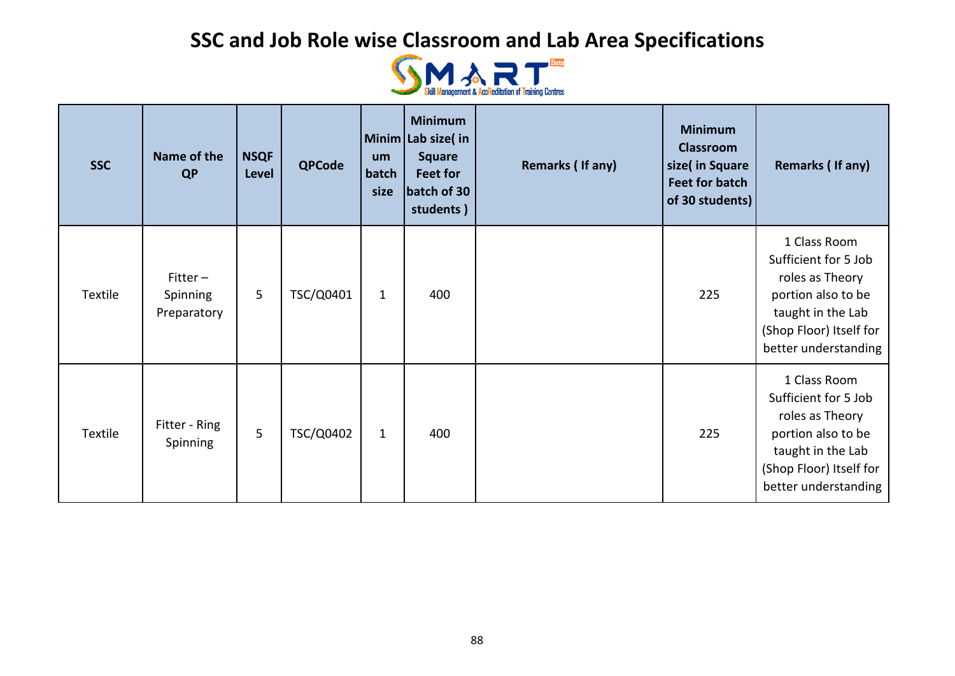

| <b>SSC</b> | Name of the<br><b>QP</b>             | <b>NSQF</b><br><b>Level</b> | <b>QPCode</b> | um<br>batch<br>size | <b>Minimum</b><br>Minim Lab size(in<br><b>Square</b><br>Feet for<br>batch of 30<br>students) | Remarks (If any) | <b>Minimum</b><br><b>Classroom</b><br>size( in Square<br><b>Feet for batch</b><br>of 30 students) | Remarks (If any)                                                                                                                                      |
|------------|--------------------------------------|-----------------------------|---------------|---------------------|----------------------------------------------------------------------------------------------|------------------|---------------------------------------------------------------------------------------------------|-------------------------------------------------------------------------------------------------------------------------------------------------------|
| Textile    | $Fitter-$<br>Spinning<br>Preparatory | 5                           | TSC/Q0401     | $\mathbf{1}$        | 400                                                                                          |                  | 225                                                                                               | 1 Class Room<br>Sufficient for 5 Job<br>roles as Theory<br>portion also to be<br>taught in the Lab<br>(Shop Floor) Itself for<br>better understanding |
| Textile    | Fitter - Ring<br>Spinning            | 5                           | TSC/Q0402     | $\mathbf{1}$        | 400                                                                                          |                  | 225                                                                                               | 1 Class Room<br>Sufficient for 5 Job<br>roles as Theory<br>portion also to be<br>taught in the Lab<br>(Shop Floor) Itself for<br>better understanding |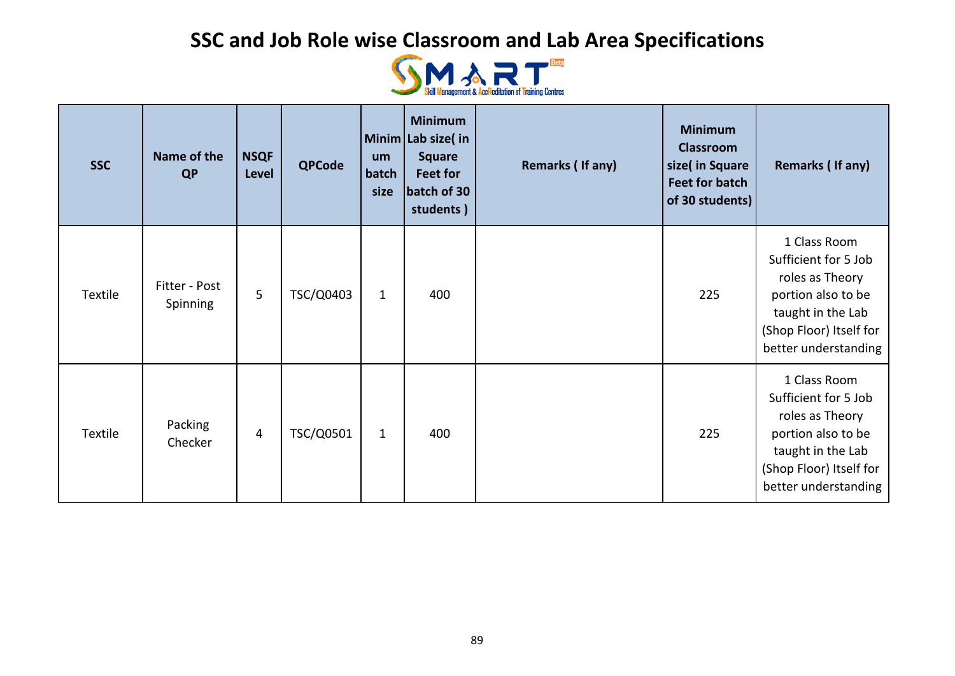

| <b>SSC</b> | Name of the<br><b>QP</b>         | <b>NSQF</b><br>Level | <b>QPCode</b> | um<br>batch<br>size | <b>Minimum</b><br>Minim Lab size(in<br><b>Square</b><br>Feet for<br>batch of 30<br>students) | Remarks (If any) | <b>Minimum</b><br><b>Classroom</b><br>size( in Square<br><b>Feet for batch</b><br>of 30 students) | Remarks (If any)                                                                                                                                      |
|------------|----------------------------------|----------------------|---------------|---------------------|----------------------------------------------------------------------------------------------|------------------|---------------------------------------------------------------------------------------------------|-------------------------------------------------------------------------------------------------------------------------------------------------------|
| Textile    | Fitter - Post<br><b>Spinning</b> | 5                    | TSC/Q0403     | $\mathbf{1}$        | 400                                                                                          |                  | 225                                                                                               | 1 Class Room<br>Sufficient for 5 Job<br>roles as Theory<br>portion also to be<br>taught in the Lab<br>(Shop Floor) Itself for<br>better understanding |
| Textile    | Packing<br>Checker               | 4                    | TSC/Q0501     | $\mathbf{1}$        | 400                                                                                          |                  | 225                                                                                               | 1 Class Room<br>Sufficient for 5 Job<br>roles as Theory<br>portion also to be<br>taught in the Lab<br>(Shop Floor) Itself for<br>better understanding |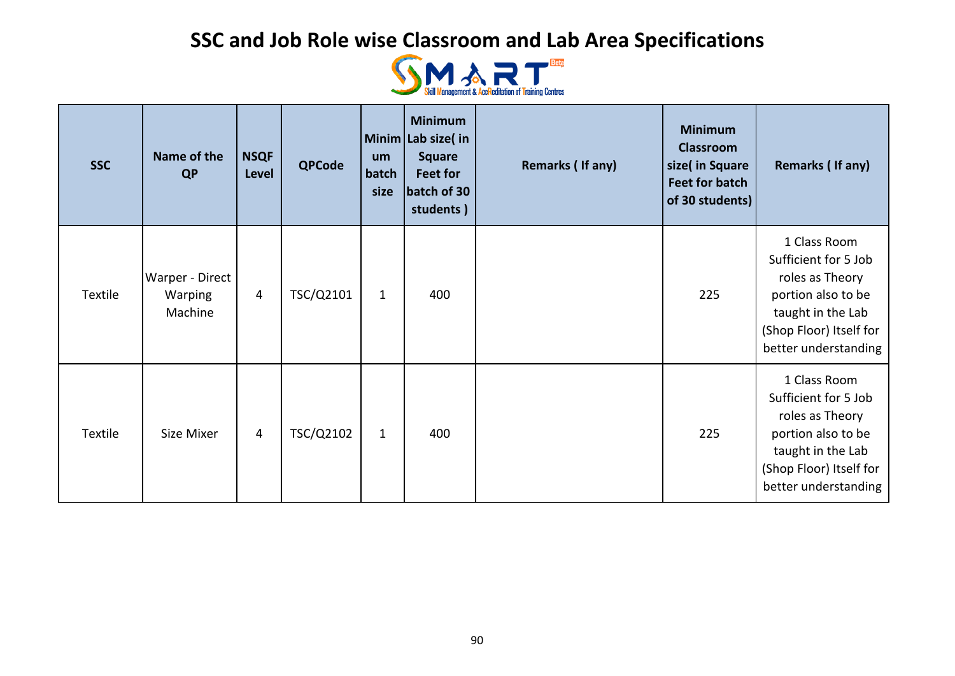

| <b>SSC</b> | Name of the<br><b>QP</b>                     | <b>NSQF</b><br><b>Level</b> | <b>QPCode</b> | um<br>batch<br>size | <b>Minimum</b><br>Minim Lab size(in<br><b>Square</b><br>Feet for<br>batch of 30<br>students) | Remarks (If any) | <b>Minimum</b><br><b>Classroom</b><br>size( in Square<br><b>Feet for batch</b><br>of 30 students) | Remarks (If any)                                                                                                                                      |
|------------|----------------------------------------------|-----------------------------|---------------|---------------------|----------------------------------------------------------------------------------------------|------------------|---------------------------------------------------------------------------------------------------|-------------------------------------------------------------------------------------------------------------------------------------------------------|
| Textile    | Warper - Direct<br><b>Warping</b><br>Machine | $\overline{4}$              | TSC/Q2101     | $\mathbf{1}$        | 400                                                                                          |                  | 225                                                                                               | 1 Class Room<br>Sufficient for 5 Job<br>roles as Theory<br>portion also to be<br>taught in the Lab<br>(Shop Floor) Itself for<br>better understanding |
| Textile    | Size Mixer                                   | 4                           | TSC/Q2102     | $\mathbf{1}$        | 400                                                                                          |                  | 225                                                                                               | 1 Class Room<br>Sufficient for 5 Job<br>roles as Theory<br>portion also to be<br>taught in the Lab<br>(Shop Floor) Itself for<br>better understanding |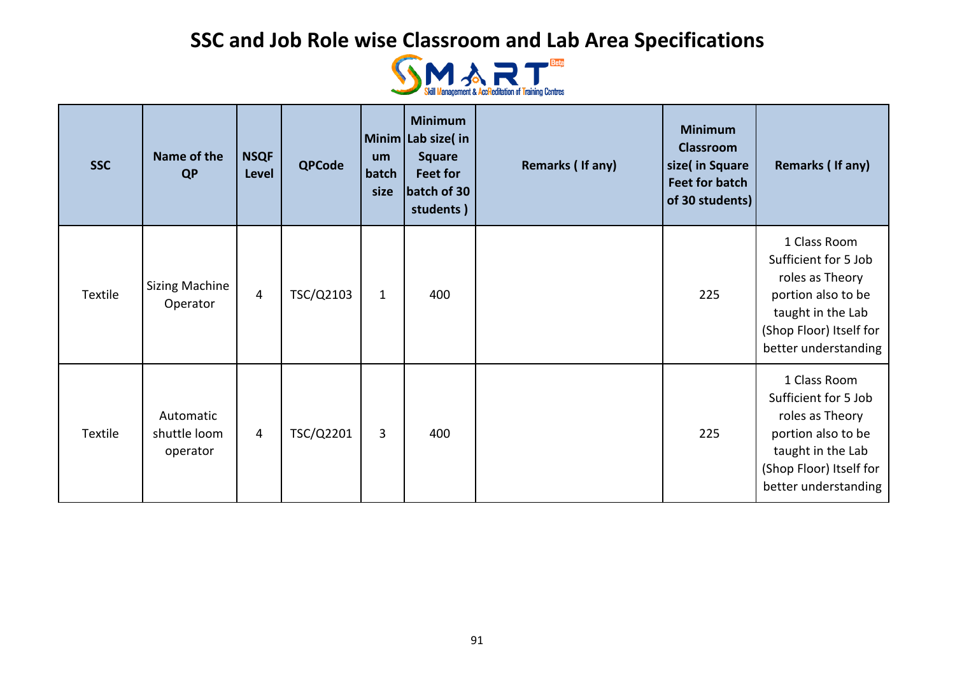

| <b>SSC</b> | Name of the<br><b>QP</b>              | <b>NSQF</b><br>Level | <b>QPCode</b> | um<br>batch<br>size | <b>Minimum</b><br>Minim Lab size(in<br><b>Square</b><br>Feet for<br>batch of 30<br>students) | Remarks (If any) | <b>Minimum</b><br><b>Classroom</b><br>size(in Square<br><b>Feet for batch</b><br>of 30 students) | Remarks (If any)                                                                                                                                      |
|------------|---------------------------------------|----------------------|---------------|---------------------|----------------------------------------------------------------------------------------------|------------------|--------------------------------------------------------------------------------------------------|-------------------------------------------------------------------------------------------------------------------------------------------------------|
| Textile    | <b>Sizing Machine</b><br>Operator     | $\overline{4}$       | TSC/Q2103     | $\mathbf{1}$        | 400                                                                                          |                  | 225                                                                                              | 1 Class Room<br>Sufficient for 5 Job<br>roles as Theory<br>portion also to be<br>taught in the Lab<br>(Shop Floor) Itself for<br>better understanding |
| Textile    | Automatic<br>shuttle loom<br>operator | 4                    | TSC/Q2201     | $\overline{3}$      | 400                                                                                          |                  | 225                                                                                              | 1 Class Room<br>Sufficient for 5 Job<br>roles as Theory<br>portion also to be<br>taught in the Lab<br>(Shop Floor) Itself for<br>better understanding |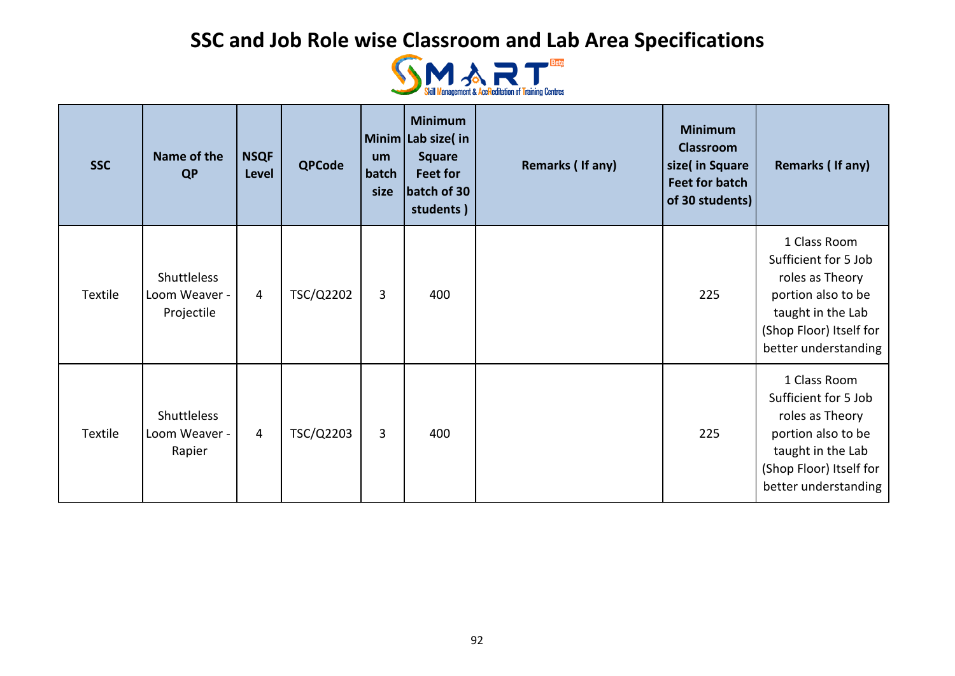

| <b>SSC</b> | Name of the<br><b>QP</b>                          | <b>NSQF</b><br>Level | <b>QPCode</b> | um<br>batch<br>size | <b>Minimum</b><br>Minim Lab size(in<br><b>Square</b><br>Feet for<br>batch of 30<br>students) | Remarks (If any) | <b>Minimum</b><br><b>Classroom</b><br>size(in Square<br><b>Feet for batch</b><br>of 30 students) | Remarks (If any)                                                                                                                                      |
|------------|---------------------------------------------------|----------------------|---------------|---------------------|----------------------------------------------------------------------------------------------|------------------|--------------------------------------------------------------------------------------------------|-------------------------------------------------------------------------------------------------------------------------------------------------------|
| Textile    | <b>Shuttleless</b><br>Loom Weaver -<br>Projectile | 4                    | TSC/Q2202     | 3                   | 400                                                                                          |                  | 225                                                                                              | 1 Class Room<br>Sufficient for 5 Job<br>roles as Theory<br>portion also to be<br>taught in the Lab<br>(Shop Floor) Itself for<br>better understanding |
| Textile    | <b>Shuttleless</b><br>Loom Weaver -<br>Rapier     | 4                    | TSC/Q2203     | $\overline{3}$      | 400                                                                                          |                  | 225                                                                                              | 1 Class Room<br>Sufficient for 5 Job<br>roles as Theory<br>portion also to be<br>taught in the Lab<br>(Shop Floor) Itself for<br>better understanding |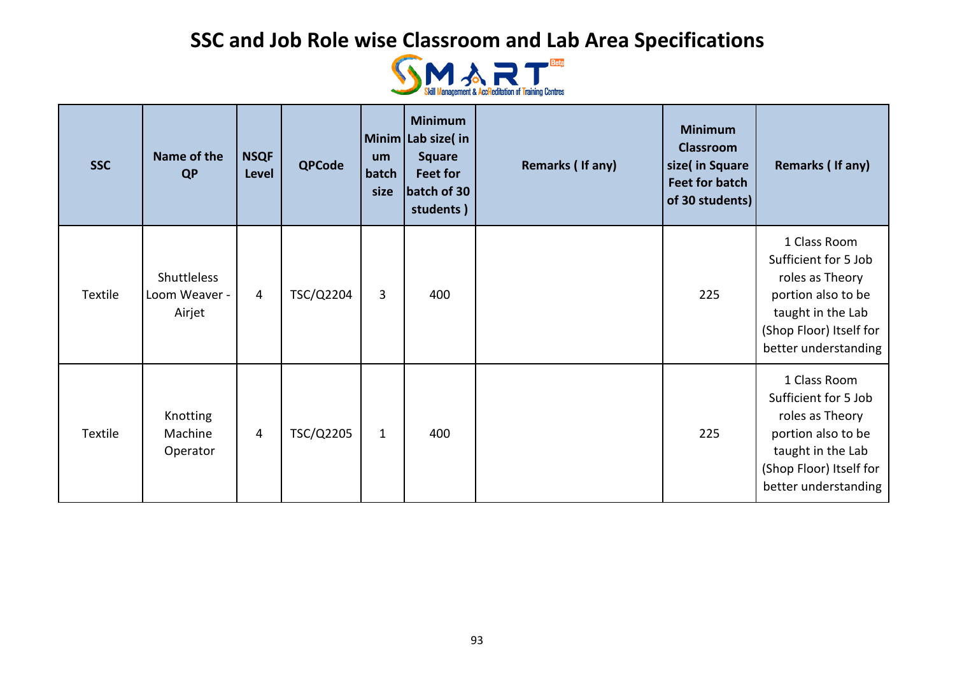

| <b>SSC</b> | Name of the<br><b>QP</b>                      | <b>NSQF</b><br><b>Level</b> | <b>QPCode</b> | um<br>batch<br>size | <b>Minimum</b><br>Minim Lab size(in<br><b>Square</b><br>Feet for<br>batch of 30<br>students) | Remarks (If any) | <b>Minimum</b><br><b>Classroom</b><br>size( in Square<br><b>Feet for batch</b><br>of 30 students) | Remarks (If any)                                                                                                                                      |
|------------|-----------------------------------------------|-----------------------------|---------------|---------------------|----------------------------------------------------------------------------------------------|------------------|---------------------------------------------------------------------------------------------------|-------------------------------------------------------------------------------------------------------------------------------------------------------|
| Textile    | <b>Shuttleless</b><br>Loom Weaver -<br>Airjet | $\overline{4}$              | TSC/Q2204     | 3                   | 400                                                                                          |                  | 225                                                                                               | 1 Class Room<br>Sufficient for 5 Job<br>roles as Theory<br>portion also to be<br>taught in the Lab<br>(Shop Floor) Itself for<br>better understanding |
| Textile    | <b>Knotting</b><br>Machine<br>Operator        | 4                           | TSC/Q2205     | $\mathbf{1}$        | 400                                                                                          |                  | 225                                                                                               | 1 Class Room<br>Sufficient for 5 Job<br>roles as Theory<br>portion also to be<br>taught in the Lab<br>(Shop Floor) Itself for<br>better understanding |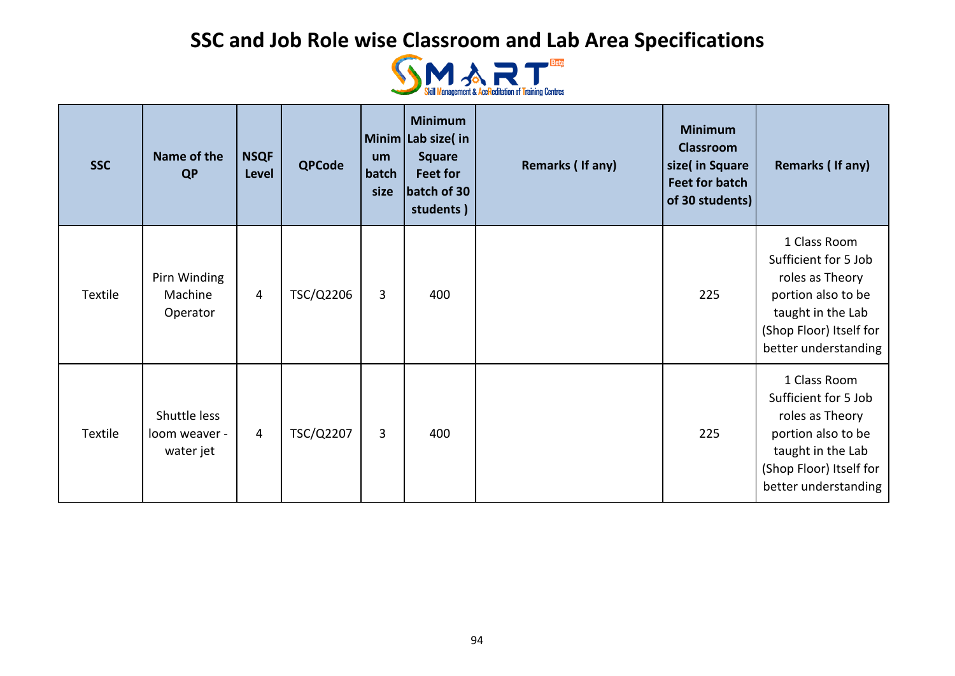

| <b>SSC</b> | Name of the<br><b>QP</b>                   | <b>NSQF</b><br>Level | <b>QPCode</b> | um<br>batch<br>size | <b>Minimum</b><br>Minim Lab size(in<br><b>Square</b><br>Feet for<br>batch of 30<br>students) | Remarks (If any) | <b>Minimum</b><br><b>Classroom</b><br>size(in Square<br><b>Feet for batch</b><br>of 30 students) | Remarks (If any)                                                                                                                                      |
|------------|--------------------------------------------|----------------------|---------------|---------------------|----------------------------------------------------------------------------------------------|------------------|--------------------------------------------------------------------------------------------------|-------------------------------------------------------------------------------------------------------------------------------------------------------|
| Textile    | Pirn Winding<br>Machine<br>Operator        | 4                    | TSC/Q2206     | $\overline{3}$      | 400                                                                                          |                  | 225                                                                                              | 1 Class Room<br>Sufficient for 5 Job<br>roles as Theory<br>portion also to be<br>taught in the Lab<br>(Shop Floor) Itself for<br>better understanding |
| Textile    | Shuttle less<br>loom weaver -<br>water jet | 4                    | TSC/Q2207     | 3                   | 400                                                                                          |                  | 225                                                                                              | 1 Class Room<br>Sufficient for 5 Job<br>roles as Theory<br>portion also to be<br>taught in the Lab<br>(Shop Floor) Itself for<br>better understanding |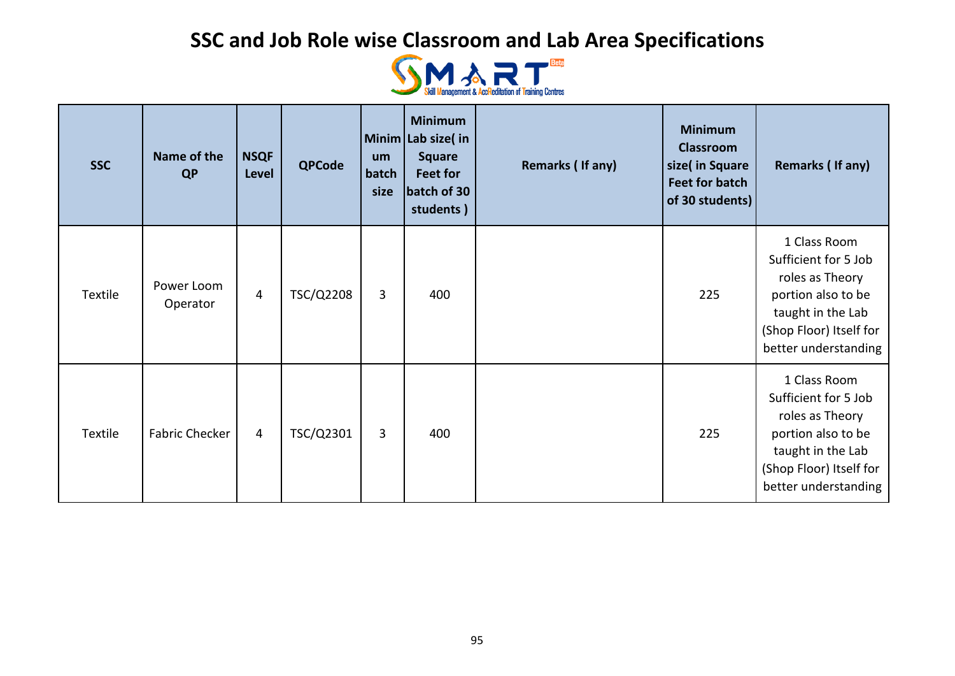

| <b>SSC</b> | Name of the<br><b>QP</b> | <b>NSQF</b><br>Level | <b>QPCode</b> | um<br>batch<br>size | <b>Minimum</b><br>Minim Lab size(in<br><b>Square</b><br>Feet for<br>batch of 30<br>students) | Remarks (If any) | <b>Minimum</b><br><b>Classroom</b><br>size( in Square<br><b>Feet for batch</b><br>of 30 students) | Remarks (If any)                                                                                                                                      |
|------------|--------------------------|----------------------|---------------|---------------------|----------------------------------------------------------------------------------------------|------------------|---------------------------------------------------------------------------------------------------|-------------------------------------------------------------------------------------------------------------------------------------------------------|
| Textile    | Power Loom<br>Operator   | 4                    | TSC/Q2208     | 3                   | 400                                                                                          |                  | 225                                                                                               | 1 Class Room<br>Sufficient for 5 Job<br>roles as Theory<br>portion also to be<br>taught in the Lab<br>(Shop Floor) Itself for<br>better understanding |
| Textile    | <b>Fabric Checker</b>    | $\overline{4}$       | TSC/Q2301     | 3                   | 400                                                                                          |                  | 225                                                                                               | 1 Class Room<br>Sufficient for 5 Job<br>roles as Theory<br>portion also to be<br>taught in the Lab<br>(Shop Floor) Itself for<br>better understanding |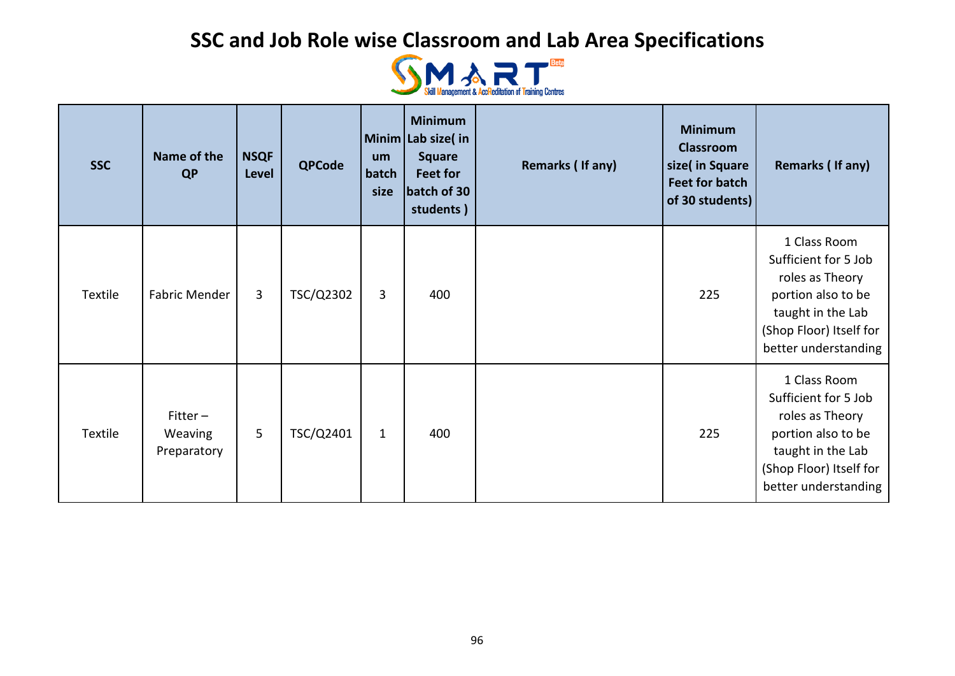

| <b>SSC</b> | Name of the<br><b>QP</b>                    | <b>NSQF</b><br><b>Level</b> | <b>QPCode</b> | um<br>batch<br>size | <b>Minimum</b><br>Minim Lab size(in<br><b>Square</b><br>Feet for<br>batch of 30<br>students) | Remarks (If any) | <b>Minimum</b><br><b>Classroom</b><br>size( in Square<br><b>Feet for batch</b><br>of 30 students) | Remarks (If any)                                                                                                                                      |
|------------|---------------------------------------------|-----------------------------|---------------|---------------------|----------------------------------------------------------------------------------------------|------------------|---------------------------------------------------------------------------------------------------|-------------------------------------------------------------------------------------------------------------------------------------------------------|
| Textile    | Fabric Mender                               | 3                           | TSC/Q2302     | 3                   | 400                                                                                          |                  | 225                                                                                               | 1 Class Room<br>Sufficient for 5 Job<br>roles as Theory<br>portion also to be<br>taught in the Lab<br>(Shop Floor) Itself for<br>better understanding |
| Textile    | $Fitter -$<br><b>Weaving</b><br>Preparatory | 5                           | TSC/Q2401     | $\mathbf{1}$        | 400                                                                                          |                  | 225                                                                                               | 1 Class Room<br>Sufficient for 5 Job<br>roles as Theory<br>portion also to be<br>taught in the Lab<br>(Shop Floor) Itself for<br>better understanding |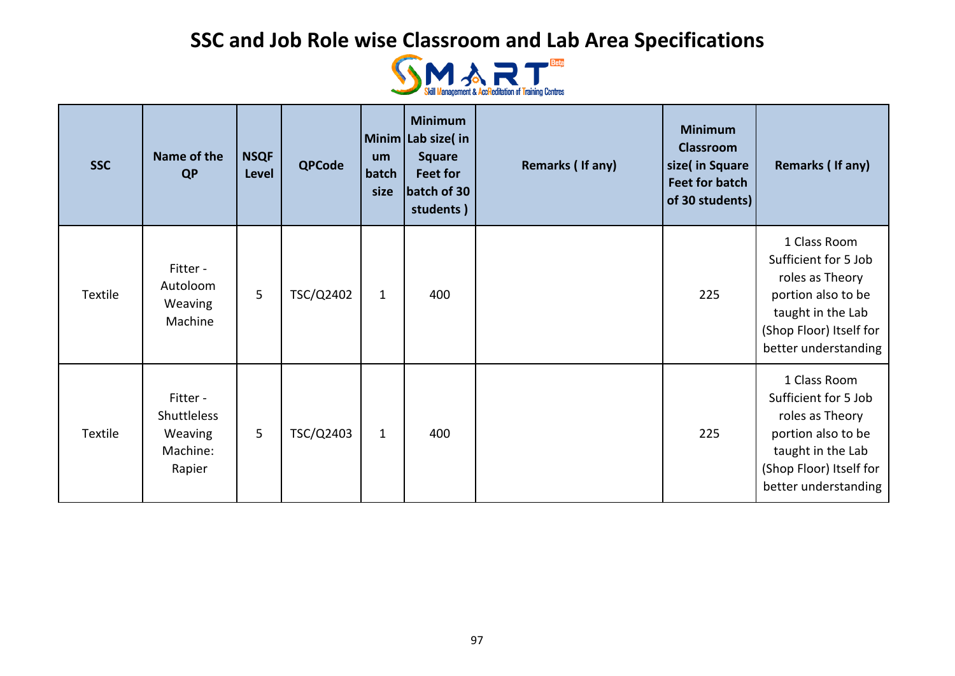

| <b>SSC</b> | Name of the<br><b>QP</b>                                 | <b>NSQF</b><br>Level | <b>QPCode</b> | um<br>batch<br>size | <b>Minimum</b><br>Minim Lab size(in<br><b>Square</b><br><b>Feet for</b><br>batch of 30<br>students) | Remarks (If any) | <b>Minimum</b><br><b>Classroom</b><br>size( in Square<br><b>Feet for batch</b><br>of 30 students) | Remarks (If any)                                                                                                                                      |
|------------|----------------------------------------------------------|----------------------|---------------|---------------------|-----------------------------------------------------------------------------------------------------|------------------|---------------------------------------------------------------------------------------------------|-------------------------------------------------------------------------------------------------------------------------------------------------------|
| Textile    | Fitter -<br>Autoloom<br>Weaving<br>Machine               | 5                    | TSC/Q2402     | $\mathbf{1}$        | 400                                                                                                 |                  | 225                                                                                               | 1 Class Room<br>Sufficient for 5 Job<br>roles as Theory<br>portion also to be<br>taught in the Lab<br>(Shop Floor) Itself for<br>better understanding |
| Textile    | Fitter -<br>Shuttleless<br>Weaving<br>Machine:<br>Rapier | 5                    | TSC/Q2403     | $\mathbf{1}$        | 400                                                                                                 |                  | 225                                                                                               | 1 Class Room<br>Sufficient for 5 Job<br>roles as Theory<br>portion also to be<br>taught in the Lab<br>(Shop Floor) Itself for<br>better understanding |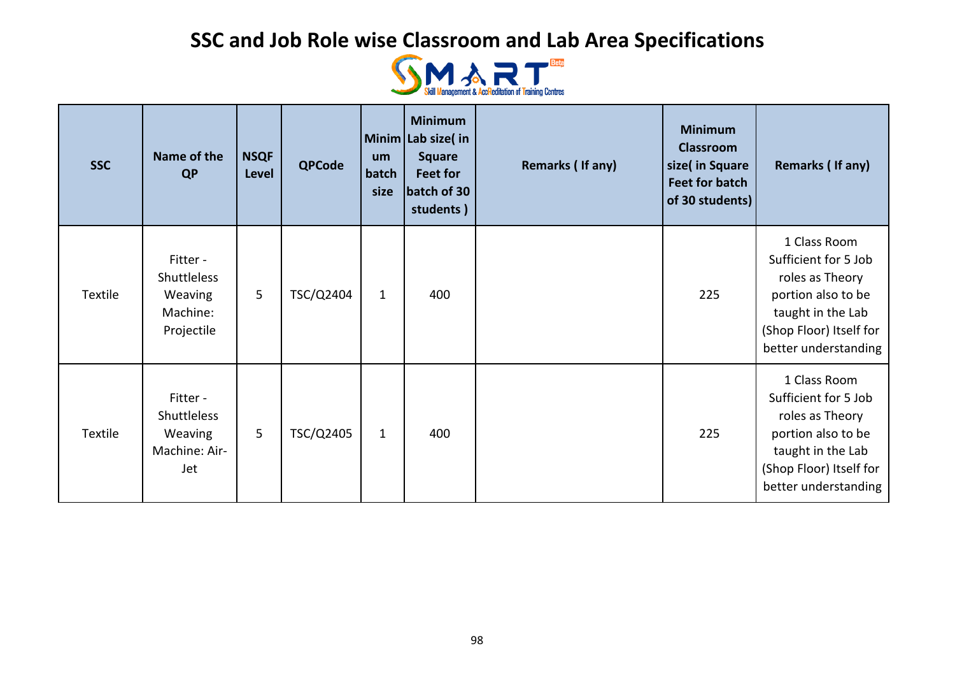

| <b>SSC</b> | Name of the<br><b>QP</b>                                            | <b>NSQF</b><br><b>Level</b> | <b>QPCode</b> | <b>um</b><br>batch<br>size | <b>Minimum</b><br>Minim Lab size(in<br><b>Square</b><br>Feet for<br>batch of 30<br>students) | Remarks (If any) | <b>Minimum</b><br><b>Classroom</b><br>size( in Square<br><b>Feet for batch</b><br>of 30 students) | Remarks (If any)                                                                                                                                      |
|------------|---------------------------------------------------------------------|-----------------------------|---------------|----------------------------|----------------------------------------------------------------------------------------------|------------------|---------------------------------------------------------------------------------------------------|-------------------------------------------------------------------------------------------------------------------------------------------------------|
| Textile    | Fitter -<br><b>Shuttleless</b><br>Weaving<br>Machine:<br>Projectile | 5                           | TSC/Q2404     | $\mathbf{1}$               | 400                                                                                          |                  | 225                                                                                               | 1 Class Room<br>Sufficient for 5 Job<br>roles as Theory<br>portion also to be<br>taught in the Lab<br>(Shop Floor) Itself for<br>better understanding |
| Textile    | Fitter -<br>Shuttleless<br>Weaving<br>Machine: Air-<br>Jet          | 5                           | TSC/Q2405     | $\mathbf{1}$               | 400                                                                                          |                  | 225                                                                                               | 1 Class Room<br>Sufficient for 5 Job<br>roles as Theory<br>portion also to be<br>taught in the Lab<br>(Shop Floor) Itself for<br>better understanding |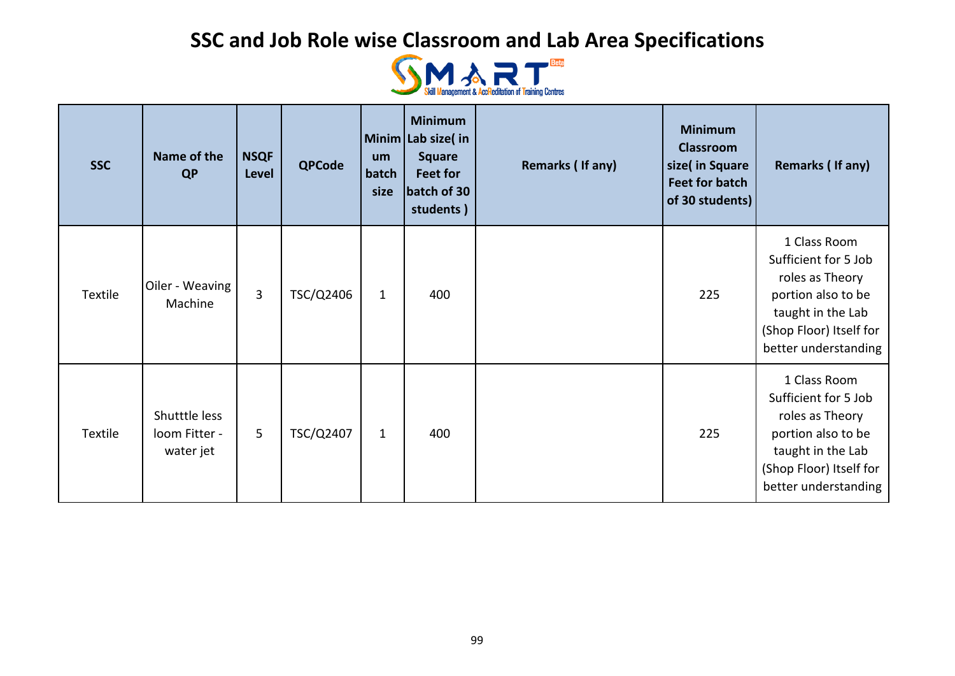

| <b>SSC</b> | Name of the<br>QP                           | <b>NSQF</b><br><b>Level</b> | <b>QPCode</b> | um<br>batch<br>size | <b>Minimum</b><br>Minim Lab size(in<br><b>Square</b><br>Feet for<br>batch of 30<br>students) | Remarks (If any) | <b>Minimum</b><br><b>Classroom</b><br>size( in Square<br><b>Feet for batch</b><br>of 30 students) | Remarks (If any)                                                                                                                                      |
|------------|---------------------------------------------|-----------------------------|---------------|---------------------|----------------------------------------------------------------------------------------------|------------------|---------------------------------------------------------------------------------------------------|-------------------------------------------------------------------------------------------------------------------------------------------------------|
| Textile    | Oiler - Weaving<br>Machine                  | $\overline{3}$              | TSC/Q2406     | $\mathbf{1}$        | 400                                                                                          |                  | 225                                                                                               | 1 Class Room<br>Sufficient for 5 Job<br>roles as Theory<br>portion also to be<br>taught in the Lab<br>(Shop Floor) Itself for<br>better understanding |
| Textile    | Shutttle less<br>loom Fitter -<br>water jet | 5                           | TSC/Q2407     | $\mathbf{1}$        | 400                                                                                          |                  | 225                                                                                               | 1 Class Room<br>Sufficient for 5 Job<br>roles as Theory<br>portion also to be<br>taught in the Lab<br>(Shop Floor) Itself for<br>better understanding |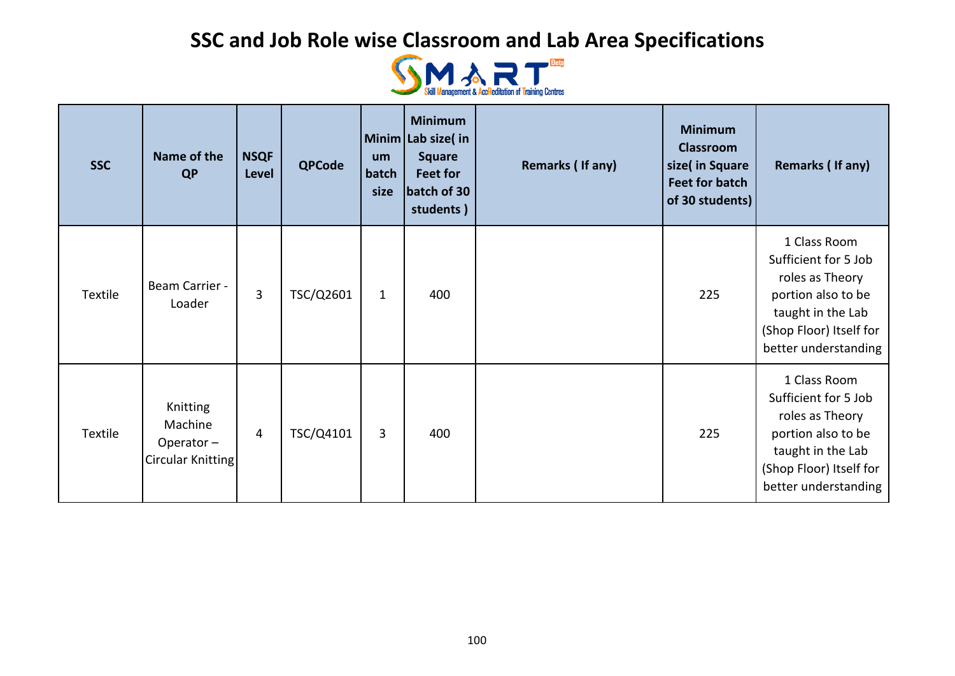

| <b>SSC</b> | Name of the<br><b>QP</b>                              | <b>NSQF</b><br>Level | <b>QPCode</b> | um<br>batch<br>size | <b>Minimum</b><br>Minim Lab size(in<br><b>Square</b><br>Feet for<br>batch of 30<br>students) | Remarks (If any) | <b>Minimum</b><br><b>Classroom</b><br>size(in Square<br><b>Feet for batch</b><br>of 30 students) | Remarks (If any)                                                                                                                                      |
|------------|-------------------------------------------------------|----------------------|---------------|---------------------|----------------------------------------------------------------------------------------------|------------------|--------------------------------------------------------------------------------------------------|-------------------------------------------------------------------------------------------------------------------------------------------------------|
| Textile    | Beam Carrier -<br>Loader                              | 3                    | TSC/Q2601     | $\mathbf{1}$        | 400                                                                                          |                  | 225                                                                                              | 1 Class Room<br>Sufficient for 5 Job<br>roles as Theory<br>portion also to be<br>taught in the Lab<br>(Shop Floor) Itself for<br>better understanding |
| Textile    | Knitting<br>Machine<br>Operator-<br>Circular Knitting | $\overline{4}$       | TSC/Q4101     | 3                   | 400                                                                                          |                  | 225                                                                                              | 1 Class Room<br>Sufficient for 5 Job<br>roles as Theory<br>portion also to be<br>taught in the Lab<br>(Shop Floor) Itself for<br>better understanding |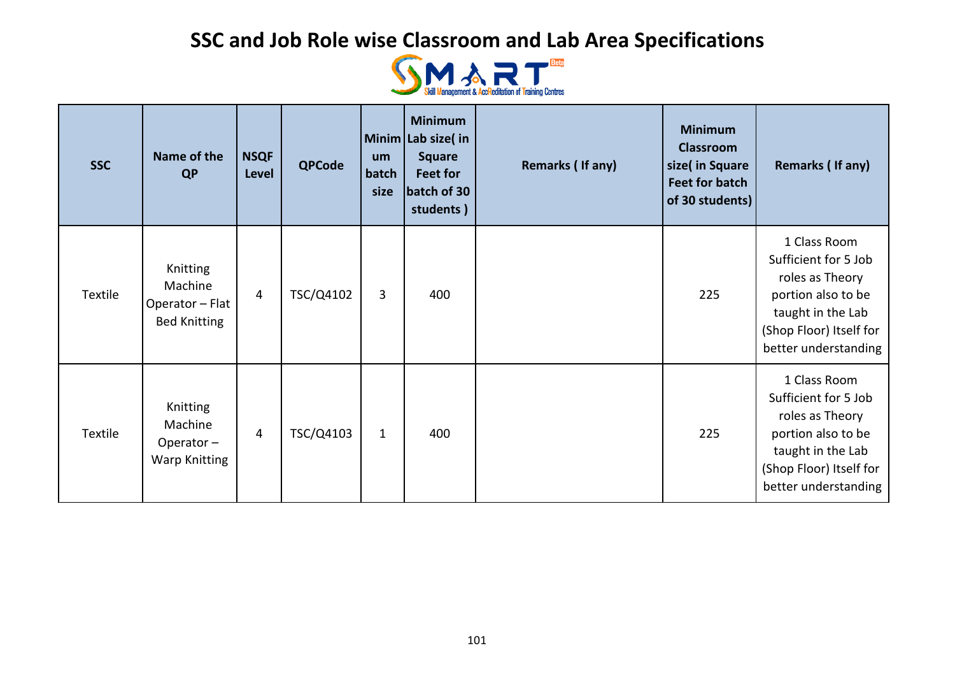

| <b>SSC</b> | Name of the<br><b>QP</b>                                      | <b>NSQF</b><br>Level | <b>QPCode</b> | um<br>batch<br>size | <b>Minimum</b><br>Minim Lab size(in<br><b>Square</b><br>Feet for<br>batch of 30<br>students) | Remarks (If any) | <b>Minimum</b><br><b>Classroom</b><br>size(in Square<br><b>Feet for batch</b><br>of 30 students) | Remarks (If any)                                                                                                                                      |
|------------|---------------------------------------------------------------|----------------------|---------------|---------------------|----------------------------------------------------------------------------------------------|------------------|--------------------------------------------------------------------------------------------------|-------------------------------------------------------------------------------------------------------------------------------------------------------|
| Textile    | Knitting<br>Machine<br>Operator - Flat<br><b>Bed Knitting</b> | 4                    | TSC/Q4102     | 3                   | 400                                                                                          |                  | 225                                                                                              | 1 Class Room<br>Sufficient for 5 Job<br>roles as Theory<br>portion also to be<br>taught in the Lab<br>(Shop Floor) Itself for<br>better understanding |
| Textile    | Knitting<br>Machine<br>Operator-<br><b>Warp Knitting</b>      | $\overline{4}$       | TSC/Q4103     | $\mathbf{1}$        | 400                                                                                          |                  | 225                                                                                              | 1 Class Room<br>Sufficient for 5 Job<br>roles as Theory<br>portion also to be<br>taught in the Lab<br>(Shop Floor) Itself for<br>better understanding |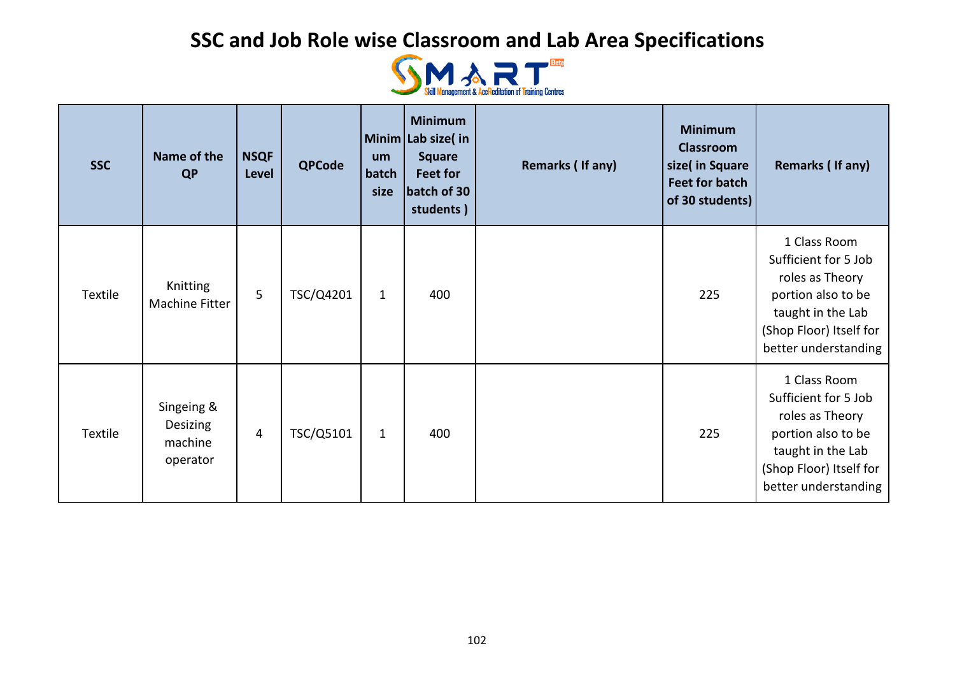

| <b>SSC</b> | Name of the<br><b>QP</b>                             | <b>NSQF</b><br>Level | <b>QPCode</b> | um<br>batch<br>size | <b>Minimum</b><br>Minim Lab size(in<br><b>Square</b><br>Feet for<br>batch of 30<br>students) | Remarks (If any) | <b>Minimum</b><br><b>Classroom</b><br>size(in Square<br><b>Feet for batch</b><br>of 30 students) | Remarks (If any)                                                                                                                                      |
|------------|------------------------------------------------------|----------------------|---------------|---------------------|----------------------------------------------------------------------------------------------|------------------|--------------------------------------------------------------------------------------------------|-------------------------------------------------------------------------------------------------------------------------------------------------------|
| Textile    | Knitting<br>Machine Fitter                           | 5                    | TSC/Q4201     | $\mathbf{1}$        | 400                                                                                          |                  | 225                                                                                              | 1 Class Room<br>Sufficient for 5 Job<br>roles as Theory<br>portion also to be<br>taught in the Lab<br>(Shop Floor) Itself for<br>better understanding |
| Textile    | Singeing &<br><b>Desizing</b><br>machine<br>operator | 4                    | TSC/Q5101     | $\mathbf{1}$        | 400                                                                                          |                  | 225                                                                                              | 1 Class Room<br>Sufficient for 5 Job<br>roles as Theory<br>portion also to be<br>taught in the Lab<br>(Shop Floor) Itself for<br>better understanding |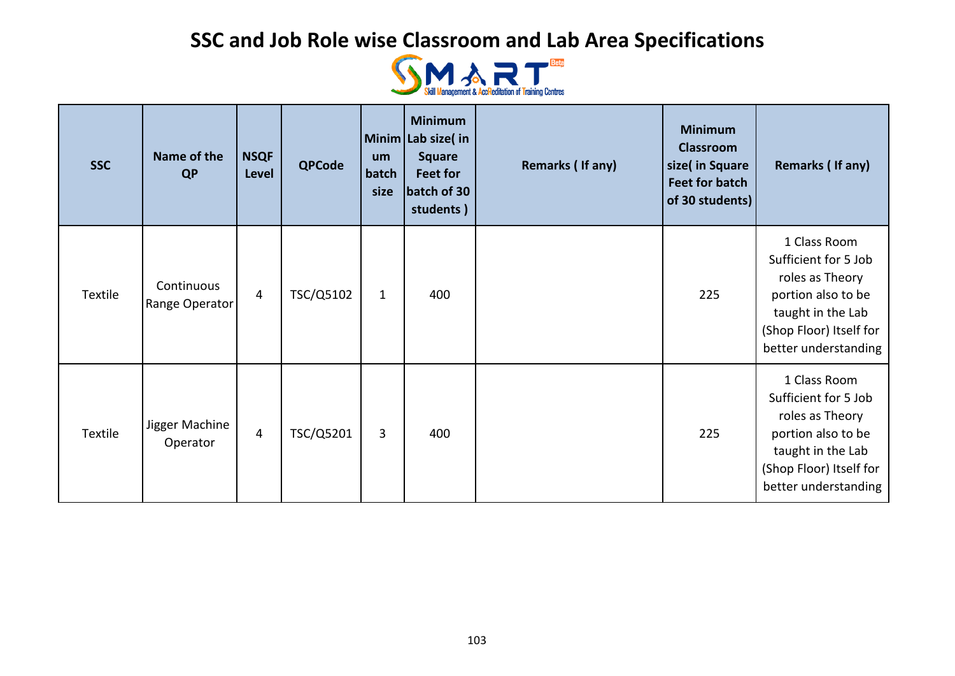

| <b>SSC</b> | Name of the<br><b>QP</b>     | <b>NSQF</b><br>Level | <b>QPCode</b> | um<br>batch<br>size | <b>Minimum</b><br>Minim Lab size(in<br><b>Square</b><br>Feet for<br>batch of 30<br>students) | Remarks (If any) | <b>Minimum</b><br><b>Classroom</b><br>size(in Square<br><b>Feet for batch</b><br>of 30 students) | Remarks (If any)                                                                                                                                      |
|------------|------------------------------|----------------------|---------------|---------------------|----------------------------------------------------------------------------------------------|------------------|--------------------------------------------------------------------------------------------------|-------------------------------------------------------------------------------------------------------------------------------------------------------|
| Textile    | Continuous<br>Range Operator | $\overline{4}$       | TSC/Q5102     | $\mathbf{1}$        | 400                                                                                          |                  | 225                                                                                              | 1 Class Room<br>Sufficient for 5 Job<br>roles as Theory<br>portion also to be<br>taught in the Lab<br>(Shop Floor) Itself for<br>better understanding |
| Textile    | Jigger Machine<br>Operator   | 4                    | TSC/Q5201     | 3                   | 400                                                                                          |                  | 225                                                                                              | 1 Class Room<br>Sufficient for 5 Job<br>roles as Theory<br>portion also to be<br>taught in the Lab<br>(Shop Floor) Itself for<br>better understanding |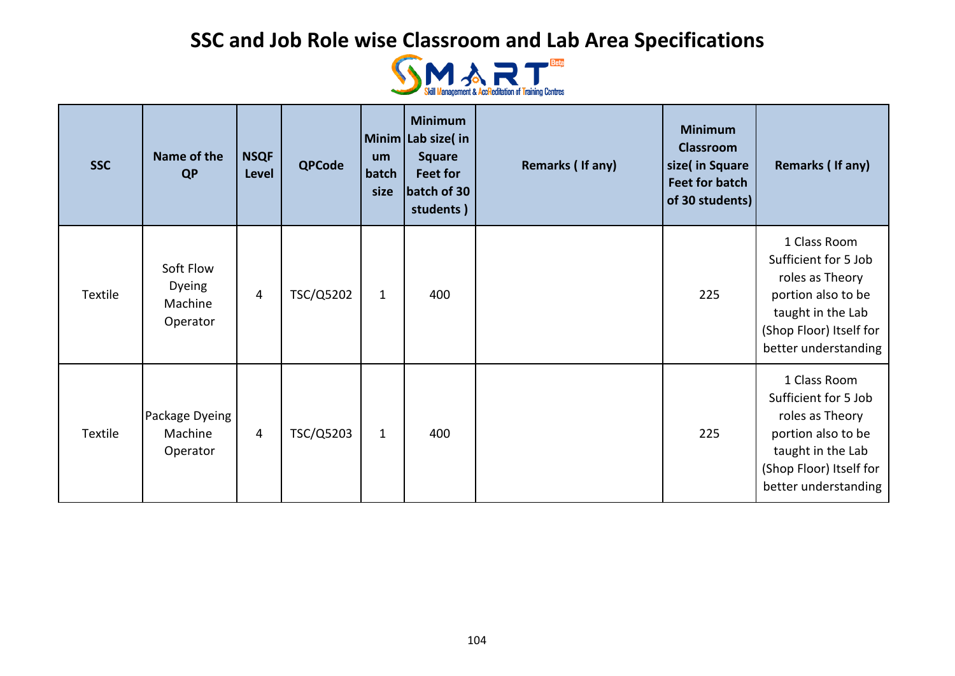

| <b>SSC</b>     | Name of the<br><b>QP</b>                          | <b>NSQF</b><br>Level | <b>QPCode</b> | um<br>batch<br>size | <b>Minimum</b><br>Minim Lab size(in<br><b>Square</b><br>Feet for<br>batch of 30<br>students) | Remarks (If any) | <b>Minimum</b><br><b>Classroom</b><br>size(in Square<br><b>Feet for batch</b><br>of 30 students) | Remarks (If any)                                                                                                                                      |
|----------------|---------------------------------------------------|----------------------|---------------|---------------------|----------------------------------------------------------------------------------------------|------------------|--------------------------------------------------------------------------------------------------|-------------------------------------------------------------------------------------------------------------------------------------------------------|
| Textile        | Soft Flow<br><b>Dyeing</b><br>Machine<br>Operator | 4                    | TSC/Q5202     | $\mathbf{1}$        | 400                                                                                          |                  | 225                                                                                              | 1 Class Room<br>Sufficient for 5 Job<br>roles as Theory<br>portion also to be<br>taught in the Lab<br>(Shop Floor) Itself for<br>better understanding |
| <b>Textile</b> | Package Dyeing<br>Machine<br>Operator             | 4                    | TSC/Q5203     | $\mathbf{1}$        | 400                                                                                          |                  | 225                                                                                              | 1 Class Room<br>Sufficient for 5 Job<br>roles as Theory<br>portion also to be<br>taught in the Lab<br>(Shop Floor) Itself for<br>better understanding |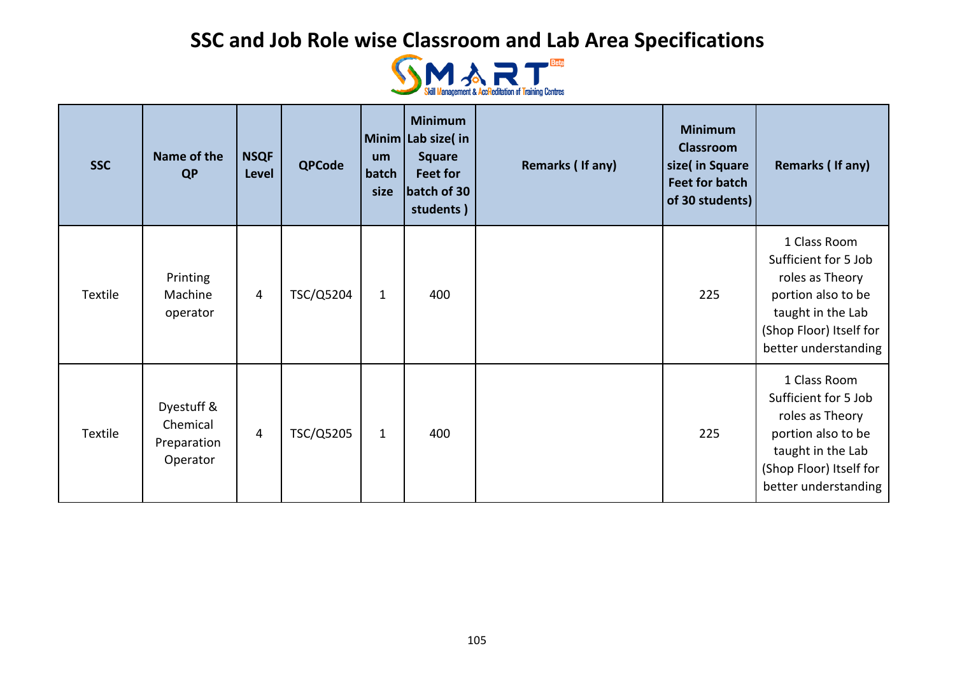

| <b>SSC</b> | Name of the<br><b>QP</b>                          | <b>NSQF</b><br><b>Level</b> | <b>QPCode</b> | um<br>batch<br>size | <b>Minimum</b><br>Minim Lab size(in<br><b>Square</b><br>Feet for<br>batch of 30<br>students) | Remarks (If any) | <b>Minimum</b><br><b>Classroom</b><br>size( in Square<br><b>Feet for batch</b><br>of 30 students) | Remarks (If any)                                                                                                                                      |
|------------|---------------------------------------------------|-----------------------------|---------------|---------------------|----------------------------------------------------------------------------------------------|------------------|---------------------------------------------------------------------------------------------------|-------------------------------------------------------------------------------------------------------------------------------------------------------|
| Textile    | Printing<br>Machine<br>operator                   | 4                           | TSC/Q5204     | $\mathbf{1}$        | 400                                                                                          |                  | 225                                                                                               | 1 Class Room<br>Sufficient for 5 Job<br>roles as Theory<br>portion also to be<br>taught in the Lab<br>(Shop Floor) Itself for<br>better understanding |
| Textile    | Dyestuff &<br>Chemical<br>Preparation<br>Operator | 4                           | TSC/Q5205     | $\mathbf{1}$        | 400                                                                                          |                  | 225                                                                                               | 1 Class Room<br>Sufficient for 5 Job<br>roles as Theory<br>portion also to be<br>taught in the Lab<br>(Shop Floor) Itself for<br>better understanding |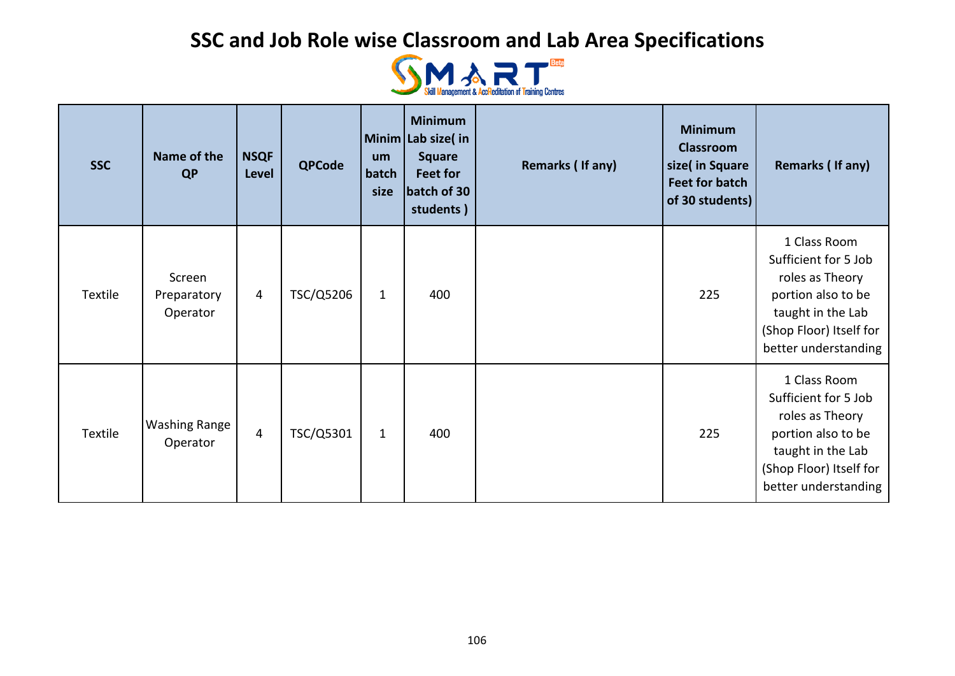

| <b>SSC</b> | Name of the<br><b>QP</b>          | <b>NSQF</b><br>Level | <b>QPCode</b> | um<br>batch<br>size | <b>Minimum</b><br>Minim Lab size(in<br><b>Square</b><br>Feet for<br>batch of 30<br>students) | Remarks (If any) | <b>Minimum</b><br><b>Classroom</b><br>size(in Square<br><b>Feet for batch</b><br>of 30 students) | Remarks (If any)                                                                                                                                      |
|------------|-----------------------------------|----------------------|---------------|---------------------|----------------------------------------------------------------------------------------------|------------------|--------------------------------------------------------------------------------------------------|-------------------------------------------------------------------------------------------------------------------------------------------------------|
| Textile    | Screen<br>Preparatory<br>Operator | 4                    | TSC/Q5206     | $\mathbf{1}$        | 400                                                                                          |                  | 225                                                                                              | 1 Class Room<br>Sufficient for 5 Job<br>roles as Theory<br>portion also to be<br>taught in the Lab<br>(Shop Floor) Itself for<br>better understanding |
| Textile    | <b>Washing Range</b><br>Operator  | $\overline{4}$       | TSC/Q5301     | $\mathbf{1}$        | 400                                                                                          |                  | 225                                                                                              | 1 Class Room<br>Sufficient for 5 Job<br>roles as Theory<br>portion also to be<br>taught in the Lab<br>(Shop Floor) Itself for<br>better understanding |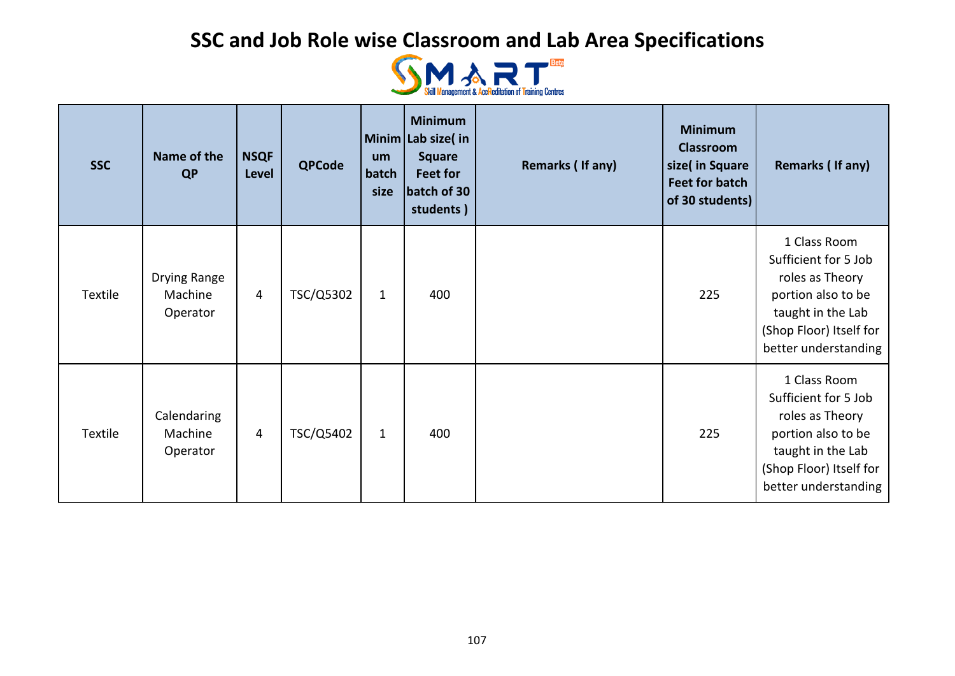

| <b>SSC</b> | Name of the<br><b>QP</b>            | <b>NSQF</b><br>Level | <b>QPCode</b> | um<br>batch<br>size | <b>Minimum</b><br>Minim Lab size(in<br><b>Square</b><br>Feet for<br>batch of 30<br>students) | Remarks (If any) | <b>Minimum</b><br><b>Classroom</b><br>size(in Square<br><b>Feet for batch</b><br>of 30 students) | Remarks (If any)                                                                                                                                      |
|------------|-------------------------------------|----------------------|---------------|---------------------|----------------------------------------------------------------------------------------------|------------------|--------------------------------------------------------------------------------------------------|-------------------------------------------------------------------------------------------------------------------------------------------------------|
| Textile    | Drying Range<br>Machine<br>Operator | 4                    | TSC/Q5302     | $\mathbf{1}$        | 400                                                                                          |                  | 225                                                                                              | 1 Class Room<br>Sufficient for 5 Job<br>roles as Theory<br>portion also to be<br>taught in the Lab<br>(Shop Floor) Itself for<br>better understanding |
| Textile    | Calendaring<br>Machine<br>Operator  | 4                    | TSC/Q5402     | $\mathbf{1}$        | 400                                                                                          |                  | 225                                                                                              | 1 Class Room<br>Sufficient for 5 Job<br>roles as Theory<br>portion also to be<br>taught in the Lab<br>(Shop Floor) Itself for<br>better understanding |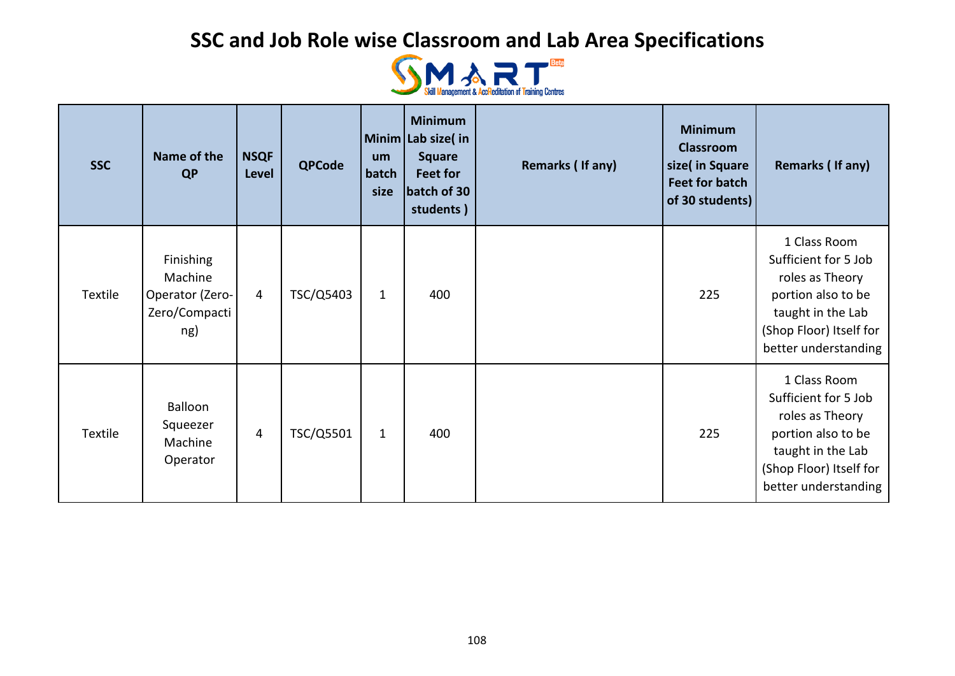

| <b>SSC</b>     | Name of the<br><b>QP</b>                                               | <b>NSQF</b><br>Level | <b>QPCode</b> | um<br>batch<br>size | <b>Minimum</b><br>Minim Lab size(in<br><b>Square</b><br>Feet for<br>batch of 30<br>students) | Remarks (If any) | <b>Minimum</b><br><b>Classroom</b><br>size(in Square<br><b>Feet for batch</b><br>of 30 students) | Remarks (If any)                                                                                                                                      |
|----------------|------------------------------------------------------------------------|----------------------|---------------|---------------------|----------------------------------------------------------------------------------------------|------------------|--------------------------------------------------------------------------------------------------|-------------------------------------------------------------------------------------------------------------------------------------------------------|
| Textile        | <b>Finishing</b><br>Machine<br>Operator (Zero-<br>Zero/Compacti<br>ng) | 4                    | TSC/Q5403     | $\mathbf{1}$        | 400                                                                                          |                  | 225                                                                                              | 1 Class Room<br>Sufficient for 5 Job<br>roles as Theory<br>portion also to be<br>taught in the Lab<br>(Shop Floor) Itself for<br>better understanding |
| <b>Textile</b> | Balloon<br>Squeezer<br>Machine<br>Operator                             | 4                    | TSC/Q5501     | $\mathbf{1}$        | 400                                                                                          |                  | 225                                                                                              | 1 Class Room<br>Sufficient for 5 Job<br>roles as Theory<br>portion also to be<br>taught in the Lab<br>(Shop Floor) Itself for<br>better understanding |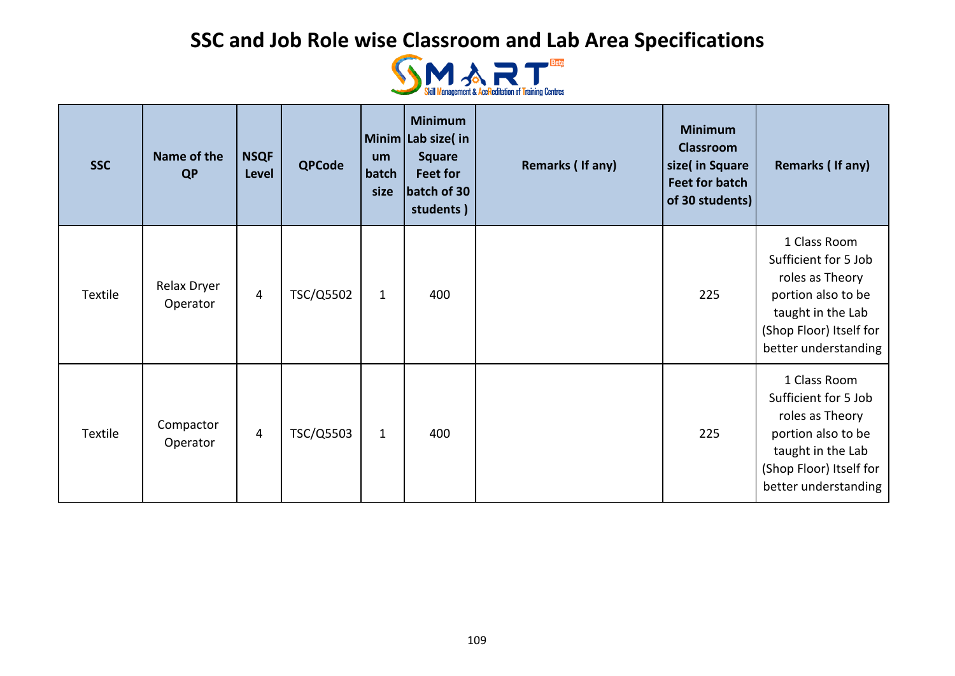

| <b>SSC</b>     | Name of the<br><b>QP</b> | <b>NSQF</b><br>Level | <b>QPCode</b> | um<br>batch<br>size | <b>Minimum</b><br>Minim Lab size(in<br><b>Square</b><br>Feet for<br>batch of 30<br>students) | Remarks (If any) | <b>Minimum</b><br><b>Classroom</b><br>size(in Square<br><b>Feet for batch</b><br>of 30 students) | Remarks (If any)                                                                                                                                      |
|----------------|--------------------------|----------------------|---------------|---------------------|----------------------------------------------------------------------------------------------|------------------|--------------------------------------------------------------------------------------------------|-------------------------------------------------------------------------------------------------------------------------------------------------------|
| Textile        | Relax Dryer<br>Operator  | 4                    | TSC/Q5502     | $\mathbf{1}$        | 400                                                                                          |                  | 225                                                                                              | 1 Class Room<br>Sufficient for 5 Job<br>roles as Theory<br>portion also to be<br>taught in the Lab<br>(Shop Floor) Itself for<br>better understanding |
| <b>Textile</b> | Compactor<br>Operator    | 4                    | TSC/Q5503     | $\mathbf{1}$        | 400                                                                                          |                  | 225                                                                                              | 1 Class Room<br>Sufficient for 5 Job<br>roles as Theory<br>portion also to be<br>taught in the Lab<br>(Shop Floor) Itself for<br>better understanding |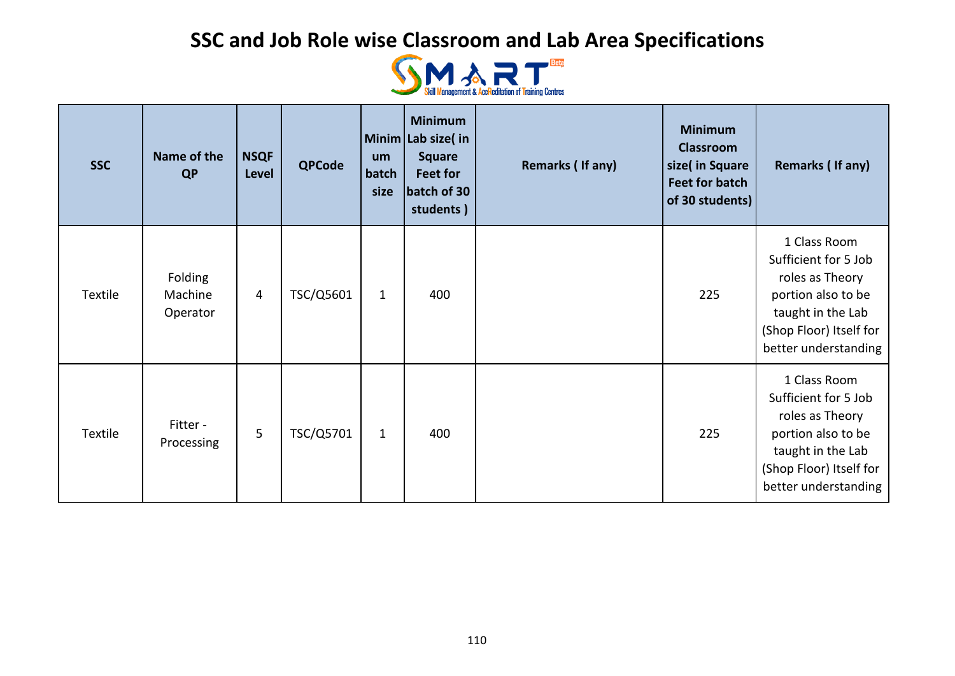

| <b>SSC</b>     | Name of the<br><b>QP</b>       | <b>NSQF</b><br>Level | <b>QPCode</b> | um<br>batch<br>size | <b>Minimum</b><br>Minim Lab size(in<br><b>Square</b><br>Feet for<br>batch of 30<br>students) | Remarks (If any) | <b>Minimum</b><br><b>Classroom</b><br>size(in Square<br><b>Feet for batch</b><br>of 30 students) | Remarks (If any)                                                                                                                                      |
|----------------|--------------------------------|----------------------|---------------|---------------------|----------------------------------------------------------------------------------------------|------------------|--------------------------------------------------------------------------------------------------|-------------------------------------------------------------------------------------------------------------------------------------------------------|
| Textile        | Folding<br>Machine<br>Operator | 4                    | TSC/Q5601     | $\mathbf{1}$        | 400                                                                                          |                  | 225                                                                                              | 1 Class Room<br>Sufficient for 5 Job<br>roles as Theory<br>portion also to be<br>taught in the Lab<br>(Shop Floor) Itself for<br>better understanding |
| <b>Textile</b> | Fitter -<br>Processing         | 5                    | TSC/Q5701     | $\mathbf{1}$        | 400                                                                                          |                  | 225                                                                                              | 1 Class Room<br>Sufficient for 5 Job<br>roles as Theory<br>portion also to be<br>taught in the Lab<br>(Shop Floor) Itself for<br>better understanding |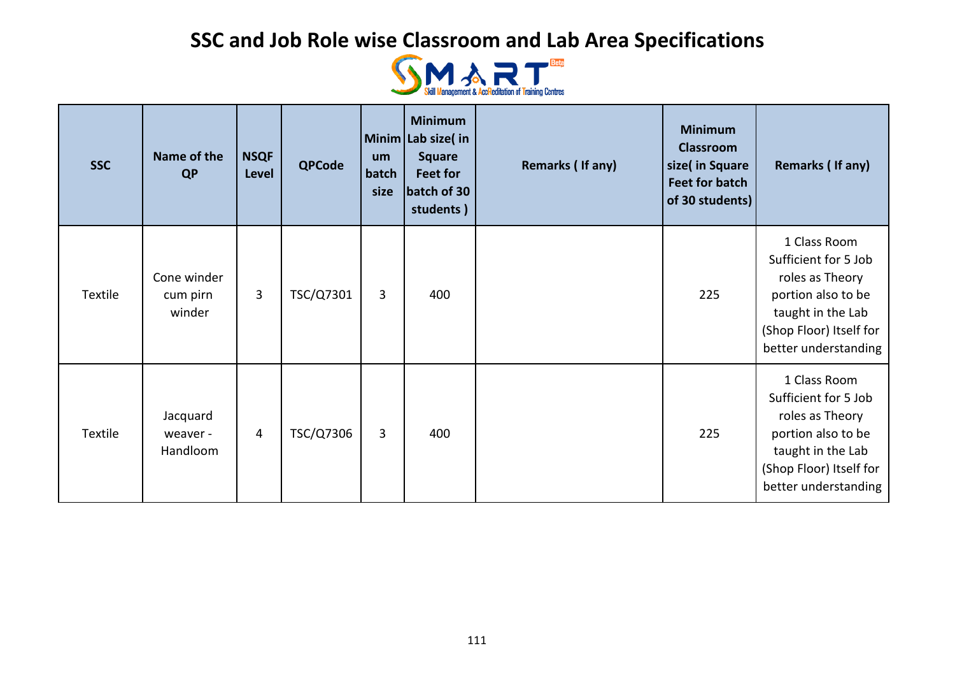

| <b>SSC</b> | Name of the<br><b>QP</b>          | <b>NSQF</b><br>Level | <b>QPCode</b> | um<br>batch<br>size | <b>Minimum</b><br>Minim Lab size(in<br><b>Square</b><br>Feet for<br>batch of 30<br>students) | Remarks (If any) | <b>Minimum</b><br><b>Classroom</b><br>size(in Square<br><b>Feet for batch</b><br>of 30 students) | Remarks (If any)                                                                                                                                      |
|------------|-----------------------------------|----------------------|---------------|---------------------|----------------------------------------------------------------------------------------------|------------------|--------------------------------------------------------------------------------------------------|-------------------------------------------------------------------------------------------------------------------------------------------------------|
| Textile    | Cone winder<br>cum pirn<br>winder | 3                    | TSC/Q7301     | 3                   | 400                                                                                          |                  | 225                                                                                              | 1 Class Room<br>Sufficient for 5 Job<br>roles as Theory<br>portion also to be<br>taught in the Lab<br>(Shop Floor) Itself for<br>better understanding |
| Textile    | Jacquard<br>weaver -<br>Handloom  | 4                    | TSC/Q7306     | 3                   | 400                                                                                          |                  | 225                                                                                              | 1 Class Room<br>Sufficient for 5 Job<br>roles as Theory<br>portion also to be<br>taught in the Lab<br>(Shop Floor) Itself for<br>better understanding |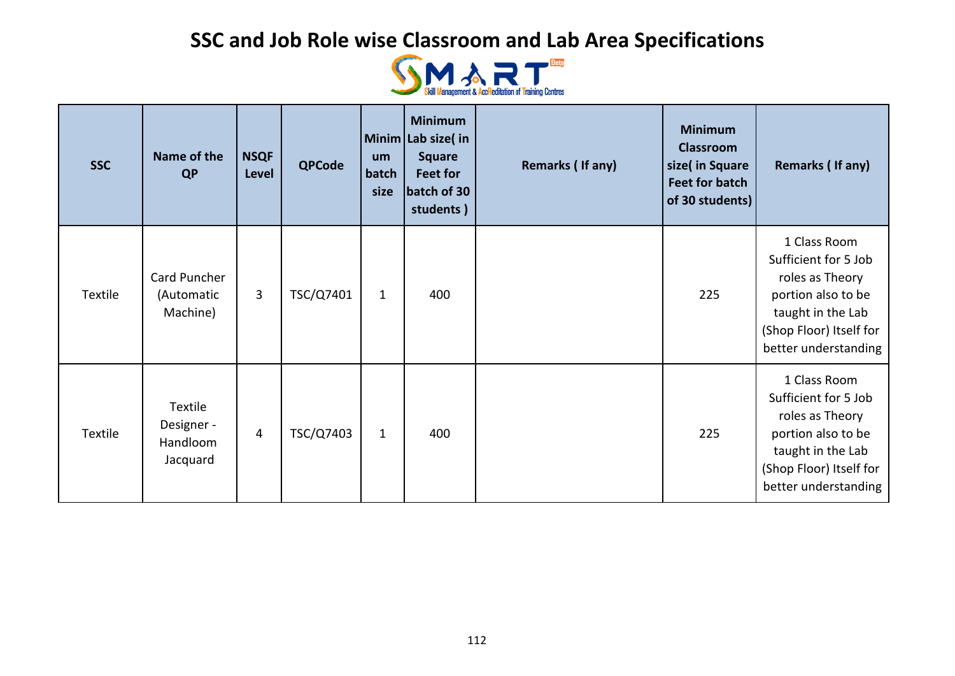

| <b>SSC</b> | Name of the<br><b>QP</b>                      | <b>NSQF</b><br>Level | <b>QPCode</b> | um<br>batch<br>size | <b>Minimum</b><br>Minim Lab size(in<br><b>Square</b><br><b>Feet for</b><br>batch of 30<br>students) | Remarks (If any) | <b>Minimum</b><br><b>Classroom</b><br>size( in Square<br><b>Feet for batch</b><br>of 30 students) | Remarks (If any)                                                                                                                                      |
|------------|-----------------------------------------------|----------------------|---------------|---------------------|-----------------------------------------------------------------------------------------------------|------------------|---------------------------------------------------------------------------------------------------|-------------------------------------------------------------------------------------------------------------------------------------------------------|
| Textile    | Card Puncher<br>(Automatic<br>Machine)        | 3                    | TSC/Q7401     | $\mathbf{1}$        | 400                                                                                                 |                  | 225                                                                                               | 1 Class Room<br>Sufficient for 5 Job<br>roles as Theory<br>portion also to be<br>taught in the Lab<br>(Shop Floor) Itself for<br>better understanding |
| Textile    | Textile<br>Designer -<br>Handloom<br>Jacquard | 4                    | TSC/Q7403     | $\mathbf{1}$        | 400                                                                                                 |                  | 225                                                                                               | 1 Class Room<br>Sufficient for 5 Job<br>roles as Theory<br>portion also to be<br>taught in the Lab<br>(Shop Floor) Itself for<br>better understanding |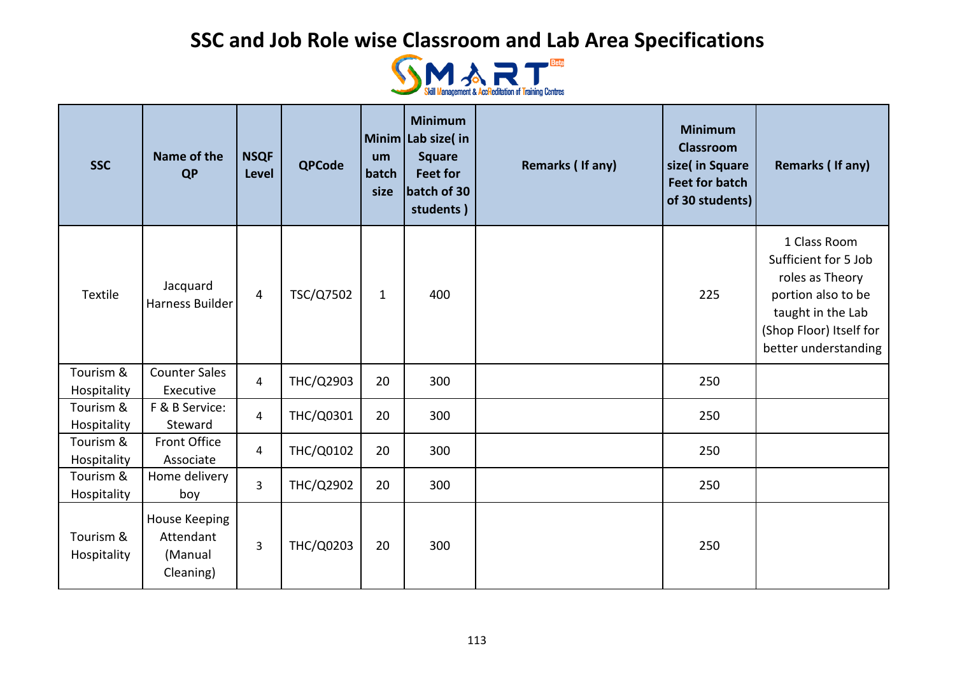

| <b>SSC</b>               | Name of the<br><b>QP</b>                           | <b>NSQF</b><br>Level | <b>QPCode</b>    | um<br>batch<br>size | <b>Minimum</b><br>Minim Lab size(in<br><b>Square</b><br><b>Feet for</b><br>batch of 30<br>students) | Remarks (If any) | <b>Minimum</b><br><b>Classroom</b><br>size( in Square<br><b>Feet for batch</b><br>of 30 students) | Remarks (If any)                                                                                                                                      |
|--------------------------|----------------------------------------------------|----------------------|------------------|---------------------|-----------------------------------------------------------------------------------------------------|------------------|---------------------------------------------------------------------------------------------------|-------------------------------------------------------------------------------------------------------------------------------------------------------|
| Textile                  | Jacquard<br>Harness Builder                        | $\overline{4}$       | TSC/Q7502        | $\mathbf{1}$        | 400                                                                                                 |                  | 225                                                                                               | 1 Class Room<br>Sufficient for 5 Job<br>roles as Theory<br>portion also to be<br>taught in the Lab<br>(Shop Floor) Itself for<br>better understanding |
| Tourism &<br>Hospitality | <b>Counter Sales</b><br>Executive                  | 4                    | THC/Q2903        | 20                  | 300                                                                                                 |                  | 250                                                                                               |                                                                                                                                                       |
| Tourism &<br>Hospitality | F & B Service:<br>Steward                          | 4                    | THC/Q0301        | 20                  | 300                                                                                                 |                  | 250                                                                                               |                                                                                                                                                       |
| Tourism &<br>Hospitality | Front Office<br>Associate                          | $\overline{4}$       | THC/Q0102        | 20                  | 300                                                                                                 |                  | 250                                                                                               |                                                                                                                                                       |
| Tourism &<br>Hospitality | Home delivery<br>boy                               | $\overline{3}$       | <b>THC/Q2902</b> | 20                  | 300                                                                                                 |                  | 250                                                                                               |                                                                                                                                                       |
| Tourism &<br>Hospitality | House Keeping<br>Attendant<br>(Manual<br>Cleaning) | 3                    | THC/Q0203        | 20                  | 300                                                                                                 |                  | 250                                                                                               |                                                                                                                                                       |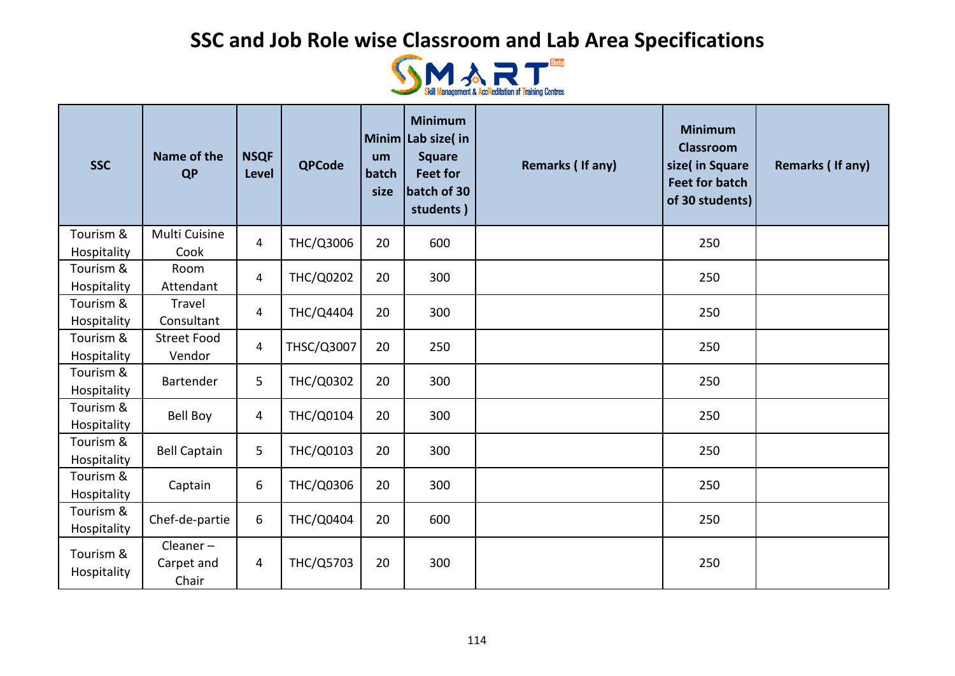

| <b>SSC</b>               | Name of the<br><b>QP</b>         | <b>NSQF</b><br><b>Level</b> | <b>QPCode</b>    | um<br>batch<br>size | <b>Minimum</b><br>Minim Lab size(in<br><b>Square</b><br><b>Feet for</b><br>batch of 30<br>students) | Remarks (If any) | <b>Minimum</b><br><b>Classroom</b><br>size( in Square<br><b>Feet for batch</b><br>of 30 students) | Remarks (If any) |
|--------------------------|----------------------------------|-----------------------------|------------------|---------------------|-----------------------------------------------------------------------------------------------------|------------------|---------------------------------------------------------------------------------------------------|------------------|
| Tourism &<br>Hospitality | Multi Cuisine<br>Cook            | 4                           | THC/Q3006        | 20                  | 600                                                                                                 |                  | 250                                                                                               |                  |
| Tourism &<br>Hospitality | Room<br>Attendant                | 4                           | <b>THC/Q0202</b> | 20                  | 300                                                                                                 |                  | 250                                                                                               |                  |
| Tourism &<br>Hospitality | Travel<br>Consultant             | $\overline{4}$              | THC/Q4404        | 20                  | 300                                                                                                 |                  | 250                                                                                               |                  |
| Tourism &<br>Hospitality | <b>Street Food</b><br>Vendor     | $\overline{4}$              | THSC/Q3007       | 20                  | 250                                                                                                 |                  | 250                                                                                               |                  |
| Tourism &<br>Hospitality | Bartender                        | 5                           | <b>THC/Q0302</b> | 20                  | 300                                                                                                 |                  | 250                                                                                               |                  |
| Tourism &<br>Hospitality | <b>Bell Boy</b>                  | 4                           | THC/Q0104        | 20                  | 300                                                                                                 |                  | 250                                                                                               |                  |
| Tourism &<br>Hospitality | <b>Bell Captain</b>              | 5                           | THC/Q0103        | 20                  | 300                                                                                                 |                  | 250                                                                                               |                  |
| Tourism &<br>Hospitality | Captain                          | 6                           | THC/Q0306        | 20                  | 300                                                                                                 |                  | 250                                                                                               |                  |
| Tourism &<br>Hospitality | Chef-de-partie                   | 6                           | <b>THC/Q0404</b> | 20                  | 600                                                                                                 |                  | 250                                                                                               |                  |
| Tourism &<br>Hospitality | $Clear -$<br>Carpet and<br>Chair | 4                           | THC/Q5703        | 20                  | 300                                                                                                 |                  | 250                                                                                               |                  |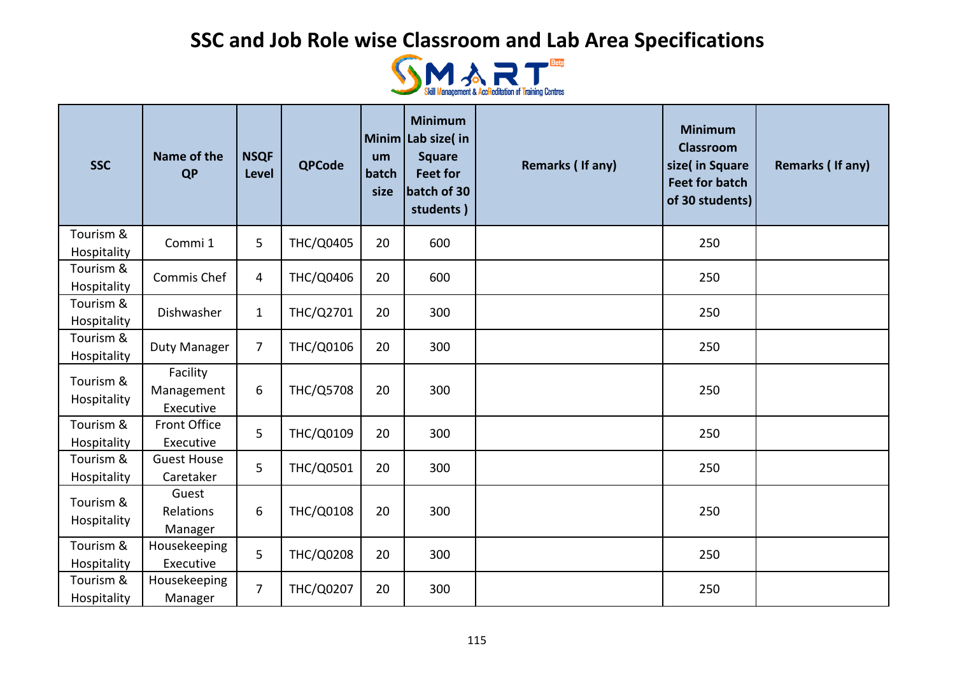

| <b>SSC</b>               | Name of the<br><b>QP</b>            | <b>NSQF</b><br>Level | <b>QPCode</b>    | um<br>batch<br>size | <b>Minimum</b><br>Minim Lab size( in<br><b>Square</b><br><b>Feet for</b><br>batch of 30<br>students) | Remarks (If any) | <b>Minimum</b><br><b>Classroom</b><br>size( in Square<br><b>Feet for batch</b><br>of 30 students) | Remarks (If any) |
|--------------------------|-------------------------------------|----------------------|------------------|---------------------|------------------------------------------------------------------------------------------------------|------------------|---------------------------------------------------------------------------------------------------|------------------|
| Tourism &<br>Hospitality | Commi 1                             | 5                    | <b>THC/Q0405</b> | 20                  | 600                                                                                                  |                  | 250                                                                                               |                  |
| Tourism &<br>Hospitality | Commis Chef                         | 4                    | <b>THC/Q0406</b> | 20                  | 600                                                                                                  |                  | 250                                                                                               |                  |
| Tourism &<br>Hospitality | Dishwasher                          | $\mathbf{1}$         | THC/Q2701        | 20                  | 300                                                                                                  |                  | 250                                                                                               |                  |
| Tourism &<br>Hospitality | <b>Duty Manager</b>                 | $\overline{7}$       | THC/Q0106        | 20                  | 300                                                                                                  |                  | 250                                                                                               |                  |
| Tourism &<br>Hospitality | Facility<br>Management<br>Executive | 6                    | <b>THC/Q5708</b> | 20                  | 300                                                                                                  |                  | 250                                                                                               |                  |
| Tourism &<br>Hospitality | <b>Front Office</b><br>Executive    | 5                    | THC/Q0109        | 20                  | 300                                                                                                  |                  | 250                                                                                               |                  |
| Tourism &<br>Hospitality | <b>Guest House</b><br>Caretaker     | 5                    | THC/Q0501        | 20                  | 300                                                                                                  |                  | 250                                                                                               |                  |
| Tourism &<br>Hospitality | Guest<br>Relations<br>Manager       | 6                    | <b>THC/Q0108</b> | 20                  | 300                                                                                                  |                  | 250                                                                                               |                  |
| Tourism &<br>Hospitality | Housekeeping<br>Executive           | 5                    | <b>THC/Q0208</b> | 20                  | 300                                                                                                  |                  | 250                                                                                               |                  |
| Tourism &<br>Hospitality | Housekeeping<br>Manager             | $\overline{7}$       | <b>THC/Q0207</b> | 20                  | 300                                                                                                  |                  | 250                                                                                               |                  |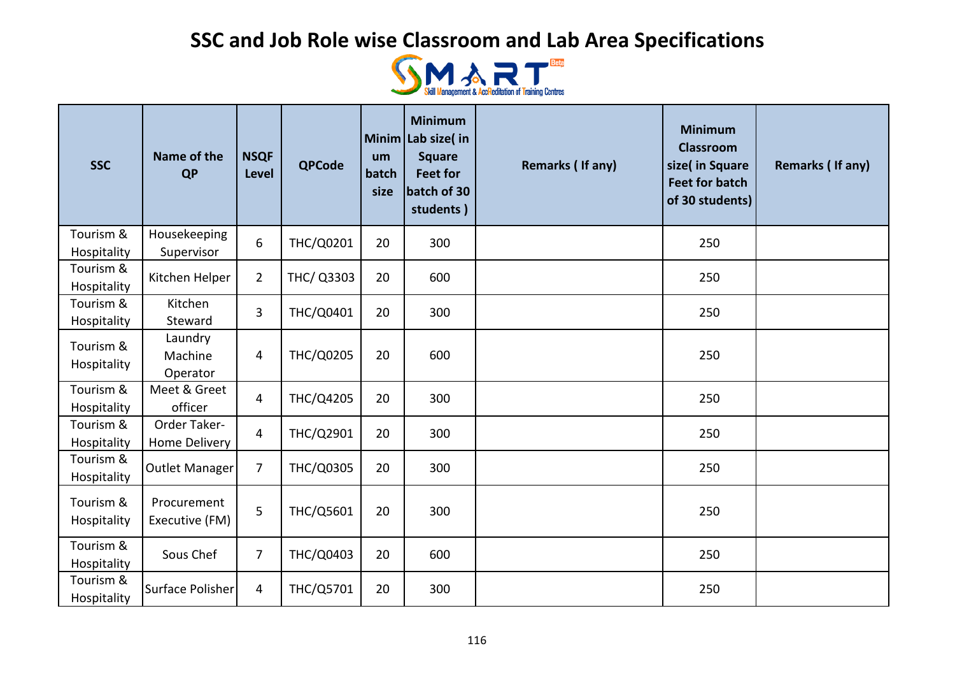

| <b>SSC</b>               | Name of the<br><b>QP</b>       | <b>NSQF</b><br><b>Level</b> | <b>QPCode</b>    | um<br>batch<br>size | <b>Minimum</b><br>Minim Lab size( in<br><b>Square</b><br><b>Feet for</b><br>batch of 30<br>students) | Remarks (If any) | <b>Minimum</b><br><b>Classroom</b><br>size( in Square<br><b>Feet for batch</b><br>of 30 students) | Remarks (If any) |
|--------------------------|--------------------------------|-----------------------------|------------------|---------------------|------------------------------------------------------------------------------------------------------|------------------|---------------------------------------------------------------------------------------------------|------------------|
| Tourism &<br>Hospitality | Housekeeping<br>Supervisor     | 6                           | THC/Q0201        | 20                  | 300                                                                                                  |                  | 250                                                                                               |                  |
| Tourism &<br>Hospitality | Kitchen Helper                 | $\overline{2}$              | THC/ Q3303       | 20                  | 600                                                                                                  |                  | 250                                                                                               |                  |
| Tourism &<br>Hospitality | Kitchen<br>Steward             | 3                           | THC/Q0401        | 20                  | 300                                                                                                  |                  | 250                                                                                               |                  |
| Tourism &<br>Hospitality | Laundry<br>Machine<br>Operator | 4                           | <b>THC/Q0205</b> | 20                  | 600                                                                                                  |                  | 250                                                                                               |                  |
| Tourism &<br>Hospitality | Meet & Greet<br>officer        | 4                           | THC/Q4205        | 20                  | 300                                                                                                  |                  | 250                                                                                               |                  |
| Tourism &<br>Hospitality | Order Taker-<br>Home Delivery  | 4                           | THC/Q2901        | 20                  | 300                                                                                                  |                  | 250                                                                                               |                  |
| Tourism &<br>Hospitality | Outlet Manager                 | $\overline{7}$              | THC/Q0305        | 20                  | 300                                                                                                  |                  | 250                                                                                               |                  |
| Tourism &<br>Hospitality | Procurement<br>Executive (FM)  | 5                           | THC/Q5601        | 20                  | 300                                                                                                  |                  | 250                                                                                               |                  |
| Tourism &<br>Hospitality | Sous Chef                      | $\overline{7}$              | THC/Q0403        | 20                  | 600                                                                                                  |                  | 250                                                                                               |                  |
| Tourism &<br>Hospitality | Surface Polisher               | 4                           | THC/Q5701        | 20                  | 300                                                                                                  |                  | 250                                                                                               |                  |